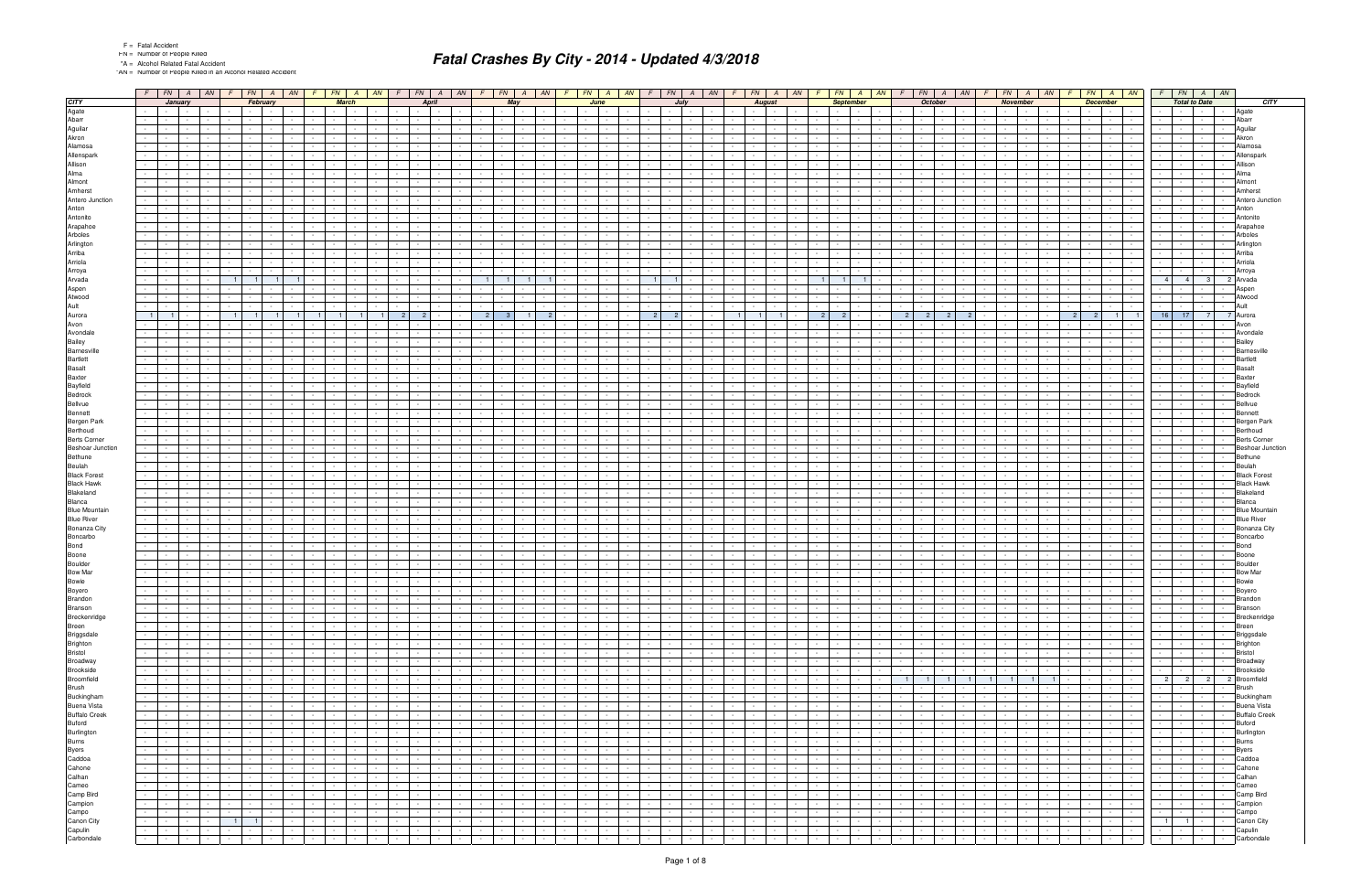"AN = Number of People Killed in an Alcohol Related Accident

|                                                                                                                                                                                                                                                                                                  |                                                                    | $F \mid FN \mid A \mid AN \mid F \mid FN \mid A \mid AN \mid F \mid FN \mid A \mid AN \mid F \mid FN \mid A \mid AN \mid F \mid FN \mid A \mid AN \mid F \mid FN \mid A \mid AN \mid$                                                                           |                                                                       |                                                                                                                         |                                                                     |                                                                                                   |                                                                                                                |                                                      |                                           | $F$   FN   A   AN   F   FN   A   AN   F   FN   A   AN   F                                                                                                                                                                      |                                   |                                                               |                               |                                                                            |                                                               |                                        |                                                     | $FN$ $A$ $AN$                                                                 |                      |                                                                                                                                                                                                                                |                 | $F$ $\mid$ $FN$ $\mid$ $A$ $\mid$ $AN$ $\mid$ $F$ $\mid$ $FN$ $\mid$ $A$ $\mid$ $AN$                                                                                                                                                              |                                                                            |        | $F$ $FN$ $A$ $AN$                |                                           |                                        |
|--------------------------------------------------------------------------------------------------------------------------------------------------------------------------------------------------------------------------------------------------------------------------------------------------|--------------------------------------------------------------------|-----------------------------------------------------------------------------------------------------------------------------------------------------------------------------------------------------------------------------------------------------------------|-----------------------------------------------------------------------|-------------------------------------------------------------------------------------------------------------------------|---------------------------------------------------------------------|---------------------------------------------------------------------------------------------------|----------------------------------------------------------------------------------------------------------------|------------------------------------------------------|-------------------------------------------|--------------------------------------------------------------------------------------------------------------------------------------------------------------------------------------------------------------------------------|-----------------------------------|---------------------------------------------------------------|-------------------------------|----------------------------------------------------------------------------|---------------------------------------------------------------|----------------------------------------|-----------------------------------------------------|-------------------------------------------------------------------------------|----------------------|--------------------------------------------------------------------------------------------------------------------------------------------------------------------------------------------------------------------------------|-----------------|---------------------------------------------------------------------------------------------------------------------------------------------------------------------------------------------------------------------------------------------------|----------------------------------------------------------------------------|--------|----------------------------------|-------------------------------------------|----------------------------------------|
| <b>CITY</b>                                                                                                                                                                                                                                                                                      | January                                                            | February                                                                                                                                                                                                                                                        | <b>March</b>                                                          | <b>April</b>                                                                                                            | May                                                                 |                                                                                                   | June                                                                                                           |                                                      |                                           | July                                                                                                                                                                                                                           |                                   | <b>August</b>                                                 |                               |                                                                            | <b>September</b>                                              |                                        | <b>October</b>                                      |                                                                               |                      | November                                                                                                                                                                                                                       |                 |                                                                                                                                                                                                                                                   | <b>December</b>                                                            |        |                                  | <b>Total to Date</b>                      | <b>CITY</b>                            |
| Agate                                                                                                                                                                                                                                                                                            |                                                                    | <b>Contract</b>                                                                                                                                                                                                                                                 |                                                                       |                                                                                                                         | $\sim 10^{-11}$                                                     |                                                                                                   |                                                                                                                |                                                      |                                           |                                                                                                                                                                                                                                |                                   |                                                               |                               |                                                                            |                                                               |                                        |                                                     |                                                                               |                      |                                                                                                                                                                                                                                |                 |                                                                                                                                                                                                                                                   | <b>Service</b>                                                             |        |                                  |                                           | Agate                                  |
| Abarr                                                                                                                                                                                                                                                                                            |                                                                    |                                                                                                                                                                                                                                                                 |                                                                       |                                                                                                                         |                                                                     |                                                                                                   |                                                                                                                |                                                      |                                           |                                                                                                                                                                                                                                |                                   |                                                               |                               |                                                                            |                                                               |                                        |                                                     |                                                                               |                      |                                                                                                                                                                                                                                |                 |                                                                                                                                                                                                                                                   | <b>Service</b>                                                             |        |                                  |                                           | Abarr                                  |
| Aguilar                                                                                                                                                                                                                                                                                          |                                                                    |                                                                                                                                                                                                                                                                 |                                                                       |                                                                                                                         |                                                                     |                                                                                                   |                                                                                                                |                                                      |                                           |                                                                                                                                                                                                                                |                                   |                                                               |                               |                                                                            |                                                               |                                        |                                                     |                                                                               |                      |                                                                                                                                                                                                                                |                 |                                                                                                                                                                                                                                                   |                                                                            |        |                                  |                                           | Aquilar                                |
| Akron                                                                                                                                                                                                                                                                                            |                                                                    |                                                                                                                                                                                                                                                                 |                                                                       |                                                                                                                         |                                                                     |                                                                                                   |                                                                                                                |                                                      |                                           |                                                                                                                                                                                                                                |                                   |                                                               |                               |                                                                            |                                                               |                                        |                                                     |                                                                               |                      |                                                                                                                                                                                                                                |                 |                                                                                                                                                                                                                                                   |                                                                            |        |                                  |                                           | Akron                                  |
| Alamosa                                                                                                                                                                                                                                                                                          |                                                                    |                                                                                                                                                                                                                                                                 |                                                                       |                                                                                                                         |                                                                     |                                                                                                   |                                                                                                                |                                                      |                                           |                                                                                                                                                                                                                                |                                   |                                                               |                               |                                                                            |                                                               |                                        |                                                     |                                                                               |                      |                                                                                                                                                                                                                                |                 |                                                                                                                                                                                                                                                   |                                                                            |        |                                  |                                           | Alamos:                                |
| Allenspark                                                                                                                                                                                                                                                                                       |                                                                    |                                                                                                                                                                                                                                                                 |                                                                       |                                                                                                                         |                                                                     |                                                                                                   |                                                                                                                |                                                      |                                           |                                                                                                                                                                                                                                |                                   |                                                               |                               |                                                                            |                                                               |                                        |                                                     |                                                                               |                      |                                                                                                                                                                                                                                |                 |                                                                                                                                                                                                                                                   |                                                                            |        |                                  |                                           | Allenspark                             |
| Allison<br>Alma                                                                                                                                                                                                                                                                                  |                                                                    |                                                                                                                                                                                                                                                                 |                                                                       |                                                                                                                         |                                                                     |                                                                                                   |                                                                                                                |                                                      |                                           |                                                                                                                                                                                                                                |                                   |                                                               |                               |                                                                            |                                                               |                                        |                                                     |                                                                               |                      |                                                                                                                                                                                                                                |                 |                                                                                                                                                                                                                                                   |                                                                            |        |                                  |                                           | Allison<br>Alma                        |
| Almont                                                                                                                                                                                                                                                                                           |                                                                    |                                                                                                                                                                                                                                                                 |                                                                       |                                                                                                                         |                                                                     |                                                                                                   |                                                                                                                |                                                      |                                           |                                                                                                                                                                                                                                |                                   |                                                               |                               |                                                                            |                                                               |                                        |                                                     |                                                                               |                      |                                                                                                                                                                                                                                |                 |                                                                                                                                                                                                                                                   |                                                                            |        |                                  |                                           | Almont                                 |
| Amherst                                                                                                                                                                                                                                                                                          |                                                                    |                                                                                                                                                                                                                                                                 |                                                                       |                                                                                                                         |                                                                     |                                                                                                   |                                                                                                                |                                                      |                                           |                                                                                                                                                                                                                                |                                   |                                                               |                               |                                                                            |                                                               |                                        |                                                     |                                                                               |                      |                                                                                                                                                                                                                                |                 |                                                                                                                                                                                                                                                   |                                                                            |        |                                  |                                           | Amhers                                 |
| Antero Junction                                                                                                                                                                                                                                                                                  |                                                                    |                                                                                                                                                                                                                                                                 |                                                                       |                                                                                                                         |                                                                     |                                                                                                   |                                                                                                                |                                                      |                                           |                                                                                                                                                                                                                                |                                   |                                                               |                               |                                                                            |                                                               |                                        |                                                     |                                                                               |                      |                                                                                                                                                                                                                                |                 |                                                                                                                                                                                                                                                   |                                                                            |        |                                  |                                           | Antero Junction                        |
| Anton                                                                                                                                                                                                                                                                                            |                                                                    |                                                                                                                                                                                                                                                                 |                                                                       |                                                                                                                         |                                                                     |                                                                                                   |                                                                                                                |                                                      |                                           |                                                                                                                                                                                                                                |                                   |                                                               |                               |                                                                            |                                                               |                                        |                                                     |                                                                               |                      |                                                                                                                                                                                                                                |                 |                                                                                                                                                                                                                                                   |                                                                            |        |                                  |                                           | Anton                                  |
| Antonito                                                                                                                                                                                                                                                                                         |                                                                    |                                                                                                                                                                                                                                                                 |                                                                       |                                                                                                                         |                                                                     |                                                                                                   |                                                                                                                |                                                      |                                           |                                                                                                                                                                                                                                |                                   |                                                               |                               |                                                                            |                                                               |                                        |                                                     |                                                                               |                      |                                                                                                                                                                                                                                |                 |                                                                                                                                                                                                                                                   |                                                                            |        |                                  |                                           | Antonito                               |
| Arapahoe                                                                                                                                                                                                                                                                                         |                                                                    |                                                                                                                                                                                                                                                                 |                                                                       |                                                                                                                         |                                                                     |                                                                                                   |                                                                                                                |                                                      |                                           |                                                                                                                                                                                                                                |                                   |                                                               |                               |                                                                            |                                                               |                                        |                                                     |                                                                               |                      |                                                                                                                                                                                                                                |                 |                                                                                                                                                                                                                                                   |                                                                            |        |                                  |                                           | Arapaho                                |
| Arboles                                                                                                                                                                                                                                                                                          |                                                                    |                                                                                                                                                                                                                                                                 |                                                                       |                                                                                                                         |                                                                     |                                                                                                   |                                                                                                                |                                                      |                                           |                                                                                                                                                                                                                                |                                   |                                                               |                               |                                                                            |                                                               |                                        |                                                     |                                                                               |                      |                                                                                                                                                                                                                                |                 |                                                                                                                                                                                                                                                   |                                                                            |        |                                  |                                           | Arboles                                |
| Arlington                                                                                                                                                                                                                                                                                        |                                                                    |                                                                                                                                                                                                                                                                 |                                                                       |                                                                                                                         |                                                                     |                                                                                                   |                                                                                                                |                                                      |                                           |                                                                                                                                                                                                                                |                                   |                                                               |                               |                                                                            |                                                               |                                        |                                                     |                                                                               |                      |                                                                                                                                                                                                                                |                 |                                                                                                                                                                                                                                                   |                                                                            |        |                                  |                                           | Arlinato                               |
| Arriba                                                                                                                                                                                                                                                                                           |                                                                    |                                                                                                                                                                                                                                                                 |                                                                       |                                                                                                                         |                                                                     |                                                                                                   |                                                                                                                |                                                      |                                           |                                                                                                                                                                                                                                |                                   |                                                               |                               |                                                                            |                                                               |                                        |                                                     |                                                                               |                      |                                                                                                                                                                                                                                |                 |                                                                                                                                                                                                                                                   |                                                                            |        |                                  |                                           | Arriba                                 |
| Arriola                                                                                                                                                                                                                                                                                          |                                                                    |                                                                                                                                                                                                                                                                 |                                                                       |                                                                                                                         |                                                                     |                                                                                                   |                                                                                                                |                                                      |                                           |                                                                                                                                                                                                                                |                                   |                                                               |                               |                                                                            |                                                               |                                        |                                                     |                                                                               |                      |                                                                                                                                                                                                                                |                 |                                                                                                                                                                                                                                                   |                                                                            |        |                                  |                                           | Arriola                                |
| Arroya                                                                                                                                                                                                                                                                                           |                                                                    |                                                                                                                                                                                                                                                                 |                                                                       |                                                                                                                         |                                                                     |                                                                                                   |                                                                                                                |                                                      |                                           |                                                                                                                                                                                                                                |                                   |                                                               |                               |                                                                            |                                                               |                                        |                                                     |                                                                               |                      |                                                                                                                                                                                                                                |                 |                                                                                                                                                                                                                                                   |                                                                            |        |                                  |                                           |                                        |
| Arvada                                                                                                                                                                                                                                                                                           |                                                                    | $\overline{1}$                                                                                                                                                                                                                                                  |                                                                       |                                                                                                                         |                                                                     |                                                                                                   |                                                                                                                |                                                      |                                           |                                                                                                                                                                                                                                |                                   |                                                               |                               |                                                                            |                                                               |                                        |                                                     |                                                                               |                      |                                                                                                                                                                                                                                |                 |                                                                                                                                                                                                                                                   |                                                                            |        | 4 <sup>1</sup><br>$\overline{4}$ | $\mathcal{R}$                             | Arvad                                  |
| Aspen                                                                                                                                                                                                                                                                                            |                                                                    |                                                                                                                                                                                                                                                                 |                                                                       |                                                                                                                         |                                                                     |                                                                                                   |                                                                                                                |                                                      |                                           |                                                                                                                                                                                                                                |                                   |                                                               |                               |                                                                            |                                                               |                                        |                                                     |                                                                               |                      |                                                                                                                                                                                                                                |                 |                                                                                                                                                                                                                                                   |                                                                            |        |                                  |                                           |                                        |
| Atwood                                                                                                                                                                                                                                                                                           |                                                                    |                                                                                                                                                                                                                                                                 |                                                                       |                                                                                                                         |                                                                     |                                                                                                   |                                                                                                                |                                                      |                                           |                                                                                                                                                                                                                                |                                   |                                                               |                               |                                                                            |                                                               |                                        |                                                     |                                                                               |                      |                                                                                                                                                                                                                                |                 |                                                                                                                                                                                                                                                   |                                                                            | $\sim$ |                                  |                                           | Atwood                                 |
| Ault                                                                                                                                                                                                                                                                                             |                                                                    |                                                                                                                                                                                                                                                                 |                                                                       |                                                                                                                         |                                                                     |                                                                                                   |                                                                                                                |                                                      |                                           |                                                                                                                                                                                                                                |                                   |                                                               |                               |                                                                            |                                                               |                                        |                                                     |                                                                               |                      |                                                                                                                                                                                                                                |                 |                                                                                                                                                                                                                                                   |                                                                            |        |                                  |                                           |                                        |
| Aurora                                                                                                                                                                                                                                                                                           | $\overline{1}$                                                     | $\overline{1}$                                                                                                                                                                                                                                                  |                                                                       |                                                                                                                         | 2 <sup>1</sup>                                                      |                                                                                                   |                                                                                                                |                                                      |                                           |                                                                                                                                                                                                                                |                                   |                                                               |                               |                                                                            |                                                               |                                        |                                                     |                                                                               |                      |                                                                                                                                                                                                                                |                 |                                                                                                                                                                                                                                                   | 11                                                                         |        | $16$ 17                          | <sup>7</sup>                              | 7 Aurora                               |
| Avon                                                                                                                                                                                                                                                                                             |                                                                    |                                                                                                                                                                                                                                                                 |                                                                       |                                                                                                                         |                                                                     |                                                                                                   |                                                                                                                |                                                      |                                           |                                                                                                                                                                                                                                |                                   |                                                               |                               |                                                                            |                                                               |                                        |                                                     |                                                                               |                      |                                                                                                                                                                                                                                |                 |                                                                                                                                                                                                                                                   |                                                                            |        |                                  |                                           | Avon                                   |
| Avondale                                                                                                                                                                                                                                                                                         |                                                                    |                                                                                                                                                                                                                                                                 |                                                                       |                                                                                                                         |                                                                     |                                                                                                   |                                                                                                                |                                                      |                                           |                                                                                                                                                                                                                                |                                   |                                                               |                               |                                                                            |                                                               |                                        |                                                     |                                                                               |                      |                                                                                                                                                                                                                                |                 |                                                                                                                                                                                                                                                   |                                                                            |        |                                  |                                           | Avondal                                |
| Bailey<br><b>Barnesville</b>                                                                                                                                                                                                                                                                     |                                                                    |                                                                                                                                                                                                                                                                 |                                                                       |                                                                                                                         |                                                                     |                                                                                                   |                                                                                                                |                                                      |                                           |                                                                                                                                                                                                                                |                                   |                                                               |                               |                                                                            |                                                               |                                        |                                                     |                                                                               |                      |                                                                                                                                                                                                                                |                 |                                                                                                                                                                                                                                                   |                                                                            |        |                                  |                                           | Bailey                                 |
| <b>Bartlett</b>                                                                                                                                                                                                                                                                                  |                                                                    |                                                                                                                                                                                                                                                                 |                                                                       |                                                                                                                         |                                                                     |                                                                                                   |                                                                                                                |                                                      |                                           |                                                                                                                                                                                                                                |                                   |                                                               |                               |                                                                            |                                                               |                                        |                                                     |                                                                               |                      |                                                                                                                                                                                                                                |                 |                                                                                                                                                                                                                                                   |                                                                            |        |                                  |                                           | Barnesy<br>Bartlet                     |
| <b>Basalt</b>                                                                                                                                                                                                                                                                                    |                                                                    |                                                                                                                                                                                                                                                                 |                                                                       |                                                                                                                         |                                                                     |                                                                                                   |                                                                                                                |                                                      |                                           |                                                                                                                                                                                                                                |                                   |                                                               |                               |                                                                            |                                                               |                                        |                                                     |                                                                               |                      |                                                                                                                                                                                                                                |                 |                                                                                                                                                                                                                                                   |                                                                            |        |                                  |                                           | Basalt                                 |
| <b>Baxter</b>                                                                                                                                                                                                                                                                                    |                                                                    |                                                                                                                                                                                                                                                                 |                                                                       |                                                                                                                         |                                                                     |                                                                                                   |                                                                                                                |                                                      |                                           |                                                                                                                                                                                                                                |                                   |                                                               |                               |                                                                            |                                                               |                                        |                                                     |                                                                               |                      |                                                                                                                                                                                                                                |                 |                                                                                                                                                                                                                                                   |                                                                            |        |                                  |                                           | Baxter                                 |
| Bayfield                                                                                                                                                                                                                                                                                         |                                                                    |                                                                                                                                                                                                                                                                 |                                                                       |                                                                                                                         |                                                                     |                                                                                                   |                                                                                                                |                                                      |                                           |                                                                                                                                                                                                                                |                                   |                                                               |                               |                                                                            |                                                               |                                        |                                                     |                                                                               |                      |                                                                                                                                                                                                                                |                 |                                                                                                                                                                                                                                                   |                                                                            |        |                                  |                                           | Bayfield                               |
| Bedrock                                                                                                                                                                                                                                                                                          |                                                                    |                                                                                                                                                                                                                                                                 |                                                                       |                                                                                                                         |                                                                     |                                                                                                   |                                                                                                                |                                                      |                                           |                                                                                                                                                                                                                                |                                   |                                                               |                               |                                                                            |                                                               |                                        |                                                     |                                                                               |                      |                                                                                                                                                                                                                                |                 |                                                                                                                                                                                                                                                   |                                                                            |        |                                  |                                           | sedrocl                                |
| Bellvue                                                                                                                                                                                                                                                                                          |                                                                    |                                                                                                                                                                                                                                                                 |                                                                       |                                                                                                                         |                                                                     |                                                                                                   |                                                                                                                |                                                      |                                           |                                                                                                                                                                                                                                |                                   |                                                               |                               |                                                                            |                                                               |                                        |                                                     |                                                                               |                      |                                                                                                                                                                                                                                |                 |                                                                                                                                                                                                                                                   |                                                                            |        |                                  |                                           | Bellvue                                |
| Bennett                                                                                                                                                                                                                                                                                          |                                                                    |                                                                                                                                                                                                                                                                 |                                                                       |                                                                                                                         |                                                                     |                                                                                                   |                                                                                                                |                                                      |                                           |                                                                                                                                                                                                                                |                                   |                                                               |                               |                                                                            |                                                               |                                        |                                                     |                                                                               |                      |                                                                                                                                                                                                                                |                 |                                                                                                                                                                                                                                                   |                                                                            |        |                                  |                                           | Benne:                                 |
| Bergen Park                                                                                                                                                                                                                                                                                      |                                                                    |                                                                                                                                                                                                                                                                 |                                                                       |                                                                                                                         |                                                                     |                                                                                                   |                                                                                                                |                                                      |                                           |                                                                                                                                                                                                                                |                                   |                                                               |                               |                                                                            |                                                               |                                        |                                                     |                                                                               |                      |                                                                                                                                                                                                                                |                 |                                                                                                                                                                                                                                                   |                                                                            |        |                                  |                                           | Bergen Par                             |
| Berthoud                                                                                                                                                                                                                                                                                         |                                                                    |                                                                                                                                                                                                                                                                 |                                                                       |                                                                                                                         |                                                                     |                                                                                                   |                                                                                                                |                                                      |                                           |                                                                                                                                                                                                                                |                                   |                                                               |                               |                                                                            |                                                               |                                        |                                                     |                                                                               |                      |                                                                                                                                                                                                                                |                 |                                                                                                                                                                                                                                                   |                                                                            |        |                                  |                                           | Berthoud                               |
| Berts Corner<br>Beshoar Junction                                                                                                                                                                                                                                                                 |                                                                    |                                                                                                                                                                                                                                                                 |                                                                       |                                                                                                                         |                                                                     |                                                                                                   |                                                                                                                |                                                      |                                           |                                                                                                                                                                                                                                |                                   |                                                               |                               |                                                                            |                                                               |                                        |                                                     |                                                                               |                      |                                                                                                                                                                                                                                |                 |                                                                                                                                                                                                                                                   |                                                                            |        |                                  |                                           | <b>Berts Corne</b>                     |
|                                                                                                                                                                                                                                                                                                  |                                                                    |                                                                                                                                                                                                                                                                 |                                                                       |                                                                                                                         |                                                                     |                                                                                                   |                                                                                                                |                                                      |                                           |                                                                                                                                                                                                                                |                                   |                                                               |                               |                                                                            |                                                               |                                        |                                                     |                                                                               |                      |                                                                                                                                                                                                                                |                 |                                                                                                                                                                                                                                                   |                                                                            |        |                                  |                                           | Beshoar Junction                       |
| Bethune                                                                                                                                                                                                                                                                                          |                                                                    |                                                                                                                                                                                                                                                                 |                                                                       |                                                                                                                         |                                                                     |                                                                                                   |                                                                                                                |                                                      |                                           |                                                                                                                                                                                                                                |                                   |                                                               |                               |                                                                            |                                                               |                                        |                                                     |                                                                               |                      |                                                                                                                                                                                                                                |                 |                                                                                                                                                                                                                                                   |                                                                            |        |                                  |                                           | Bethune                                |
| Beulah                                                                                                                                                                                                                                                                                           |                                                                    |                                                                                                                                                                                                                                                                 |                                                                       |                                                                                                                         |                                                                     |                                                                                                   |                                                                                                                |                                                      |                                           |                                                                                                                                                                                                                                |                                   |                                                               |                               |                                                                            |                                                               |                                        |                                                     |                                                                               |                      |                                                                                                                                                                                                                                |                 |                                                                                                                                                                                                                                                   |                                                                            |        |                                  |                                           | Beulah                                 |
| <b>Black Forest</b>                                                                                                                                                                                                                                                                              |                                                                    |                                                                                                                                                                                                                                                                 |                                                                       |                                                                                                                         |                                                                     |                                                                                                   |                                                                                                                |                                                      |                                           |                                                                                                                                                                                                                                |                                   |                                                               |                               |                                                                            |                                                               |                                        |                                                     |                                                                               |                      |                                                                                                                                                                                                                                |                 |                                                                                                                                                                                                                                                   |                                                                            |        |                                  |                                           | <b>Black Fores</b>                     |
| <b>Black Hawk</b>                                                                                                                                                                                                                                                                                |                                                                    |                                                                                                                                                                                                                                                                 |                                                                       |                                                                                                                         |                                                                     |                                                                                                   |                                                                                                                |                                                      |                                           |                                                                                                                                                                                                                                |                                   |                                                               |                               |                                                                            |                                                               |                                        |                                                     |                                                                               |                      |                                                                                                                                                                                                                                |                 |                                                                                                                                                                                                                                                   |                                                                            |        |                                  |                                           | Black Hawl                             |
| Blakeland                                                                                                                                                                                                                                                                                        |                                                                    |                                                                                                                                                                                                                                                                 |                                                                       |                                                                                                                         |                                                                     |                                                                                                   |                                                                                                                |                                                      |                                           |                                                                                                                                                                                                                                |                                   |                                                               |                               |                                                                            |                                                               |                                        |                                                     |                                                                               |                      |                                                                                                                                                                                                                                |                 |                                                                                                                                                                                                                                                   |                                                                            |        |                                  |                                           | Blakeland                              |
| Blanca                                                                                                                                                                                                                                                                                           |                                                                    |                                                                                                                                                                                                                                                                 |                                                                       |                                                                                                                         |                                                                     |                                                                                                   |                                                                                                                |                                                      |                                           |                                                                                                                                                                                                                                |                                   |                                                               |                               |                                                                            |                                                               |                                        |                                                     |                                                                               |                      |                                                                                                                                                                                                                                |                 |                                                                                                                                                                                                                                                   |                                                                            |        |                                  |                                           | Blanca                                 |
| <b>Blue Mountain</b>                                                                                                                                                                                                                                                                             |                                                                    |                                                                                                                                                                                                                                                                 |                                                                       |                                                                                                                         |                                                                     |                                                                                                   |                                                                                                                |                                                      |                                           |                                                                                                                                                                                                                                |                                   |                                                               |                               |                                                                            |                                                               |                                        |                                                     |                                                                               |                      |                                                                                                                                                                                                                                |                 |                                                                                                                                                                                                                                                   |                                                                            |        |                                  |                                           | <b>Blue Mountai</b>                    |
| <b>Blue River</b><br>Bonanza City                                                                                                                                                                                                                                                                |                                                                    |                                                                                                                                                                                                                                                                 |                                                                       |                                                                                                                         |                                                                     |                                                                                                   |                                                                                                                |                                                      |                                           |                                                                                                                                                                                                                                |                                   |                                                               |                               |                                                                            |                                                               |                                        |                                                     |                                                                               |                      |                                                                                                                                                                                                                                |                 |                                                                                                                                                                                                                                                   |                                                                            |        |                                  |                                           | <b>Blue River</b>                      |
| Boncarbo                                                                                                                                                                                                                                                                                         |                                                                    |                                                                                                                                                                                                                                                                 |                                                                       |                                                                                                                         |                                                                     |                                                                                                   |                                                                                                                |                                                      |                                           |                                                                                                                                                                                                                                |                                   |                                                               |                               |                                                                            |                                                               |                                        |                                                     |                                                                               |                      |                                                                                                                                                                                                                                |                 |                                                                                                                                                                                                                                                   |                                                                            |        |                                  |                                           | <b>Bonanza City</b><br>Boncarbo        |
| Bond                                                                                                                                                                                                                                                                                             |                                                                    |                                                                                                                                                                                                                                                                 |                                                                       |                                                                                                                         |                                                                     |                                                                                                   |                                                                                                                |                                                      |                                           |                                                                                                                                                                                                                                |                                   |                                                               |                               |                                                                            |                                                               |                                        |                                                     |                                                                               |                      |                                                                                                                                                                                                                                |                 |                                                                                                                                                                                                                                                   |                                                                            |        |                                  |                                           | Bond                                   |
| Boone                                                                                                                                                                                                                                                                                            |                                                                    |                                                                                                                                                                                                                                                                 |                                                                       |                                                                                                                         |                                                                     |                                                                                                   |                                                                                                                |                                                      |                                           |                                                                                                                                                                                                                                |                                   |                                                               |                               |                                                                            |                                                               |                                        |                                                     |                                                                               |                      |                                                                                                                                                                                                                                |                 |                                                                                                                                                                                                                                                   |                                                                            |        |                                  |                                           | Boone                                  |
| Boulder                                                                                                                                                                                                                                                                                          |                                                                    |                                                                                                                                                                                                                                                                 |                                                                       |                                                                                                                         |                                                                     |                                                                                                   |                                                                                                                |                                                      |                                           |                                                                                                                                                                                                                                |                                   |                                                               |                               |                                                                            |                                                               |                                        |                                                     |                                                                               |                      |                                                                                                                                                                                                                                |                 |                                                                                                                                                                                                                                                   |                                                                            |        |                                  |                                           | Boulde                                 |
| <b>Bow Mar</b>                                                                                                                                                                                                                                                                                   |                                                                    |                                                                                                                                                                                                                                                                 |                                                                       |                                                                                                                         |                                                                     |                                                                                                   |                                                                                                                |                                                      |                                           |                                                                                                                                                                                                                                |                                   |                                                               |                               |                                                                            |                                                               |                                        |                                                     |                                                                               |                      |                                                                                                                                                                                                                                |                 |                                                                                                                                                                                                                                                   |                                                                            |        |                                  |                                           | Bow Ma                                 |
|                                                                                                                                                                                                                                                                                                  |                                                                    |                                                                                                                                                                                                                                                                 |                                                                       |                                                                                                                         |                                                                     |                                                                                                   |                                                                                                                |                                                      |                                           |                                                                                                                                                                                                                                |                                   |                                                               |                               |                                                                            |                                                               |                                        |                                                     |                                                                               |                      |                                                                                                                                                                                                                                |                 |                                                                                                                                                                                                                                                   |                                                                            |        |                                  |                                           | Bowie                                  |
|                                                                                                                                                                                                                                                                                                  | <u>and a state of the state</u>                                    | the contract of the contract of<br>$\mathbf{1}$ $\mathbf{1}$<br>$\sim$                                                                                                                                                                                          | $\frac{1}{2}$ $\frac{1}{2}$ $\frac{1}{2}$ $\frac{1}{2}$ $\frac{1}{2}$ | <u> 1991 - Johann Amerikaansk politiker († 1908)</u>                                                                    |                                                                     |                                                                                                   |                                                                                                                |                                                      |                                           | $\frac{1}{2}$ , $\frac{1}{2}$ , $\frac{1}{2}$ , $\frac{1}{2}$ , $\frac{1}{2}$ , $\frac{1}{2}$ , $\frac{1}{2}$ , $\frac{1}{2}$                                                                                                  |                                   |                                                               |                               |                                                                            |                                                               |                                        |                                                     | $\frac{1}{2}$ , $\frac{1}{2}$ , $\frac{1}{2}$ , $\frac{1}{2}$ , $\frac{1}{2}$ |                      |                                                                                                                                                                                                                                |                 |                                                                                                                                                                                                                                                   |                                                                            |        |                                  |                                           | Boyero                                 |
|                                                                                                                                                                                                                                                                                                  | $\sim$ $-$<br>$\sim$ $-$<br>$\mathbf{1}$ and $\mathbf{1}$          |                                                                                                                                                                                                                                                                 | and the state<br>$\sim$                                               | $\sim$ T<br>the contract of the                                                                                         | $\sim$ $\sim$ $\sim$<br><b>Contract</b>                             | <u>                                </u>                                                           |                                                                                                                |                                                      | $\sim$ 100 $\sim$                         |                                                                                                                                                                                                                                |                                   |                                                               |                               |                                                                            |                                                               |                                        | $\mathbf{1}$ $\mathbf{1}$                           | the contract of                                                               |                      | <u> 중국 중국 중국</u>                                                                                                                                                                                                               |                 | 들을하는                                                                                                                                                                                                                                              | $\sim$ $\sim$ $\sim$                                                       |        | <del>                </del>      |                                           | Brandon                                |
|                                                                                                                                                                                                                                                                                                  | the contract of the con-<br>$\sim 10^{-1}$                         | $\sim 10^{-11}$                                                                                                                                                                                                                                                 | <b>Contract Contract</b>                                              | $\sim$ $  -$<br>$\sim 100$                                                                                              | <b>Contract Contract Contract</b>                                   | <b>Service Control</b><br>$\sim 10^{-10}$ m $^{-1}$                                               | $\sim 10^{-11}$                                                                                                | <b>Contract Contract</b>                             | $\sim$<br><b>Service</b>                  | $\sim$ $-$<br>$\sim 10^{-1}$                                                                                                                                                                                                   |                                   | $\sim$ $-$<br><b>Contract</b>                                 | $\sim 10^{-11}$               | $\sim 10^{-11}$<br><b>Contract</b>                                         |                                                               | <b>Contract Contract Contract</b>      | <b>Contract Contract</b>                            | the contract of                                                               |                      | and the contract of the contract of the con-                                                                                                                                                                                   |                 | the contract of                                                                                                                                                                                                                                   | the contract of                                                            |        |                                  |                                           | - Branson                              |
|                                                                                                                                                                                                                                                                                                  | <b><i><u>Property</u></i></b><br>$\sim 10^{-1}$                    | .<br>$\sim 10^{-11}$                                                                                                                                                                                                                                            | <b>Contract Contract</b><br>$\sim$ $-$                                | $-1 - 1 - 1 - 1 - 1$                                                                                                    | the collection of the collection                                    | <b>Contract Contract</b>                                                                          |                                                                                                                | $\sim$ $\sim$ $\sim$ $\sim$                          |                                           | $-1 - 1 - 1 - 1 - 1$                                                                                                                                                                                                           |                                   |                                                               |                               |                                                                            | 1940   1940   1940   1940                                     | $\sim$                                 |                                                     | $1 - 1 - 1 -$                                                                 |                      | $-1 - 1 - 1 - 1 - 1$                                                                                                                                                                                                           |                 | and the state of the state of the state of the state of the state of the state of the state of the state of the                                                                                                                                   |                                                                            |        |                                  |                                           | $     -$ Breckenridge                  |
|                                                                                                                                                                                                                                                                                                  | <b>Service Control</b><br>$\sim 10^{-11}$                          | and the contract<br>$\sim$<br>$\sim 100$ km s $^{-1}$<br><b>Contract</b>                                                                                                                                                                                        | <b>Contract Contract</b><br>$\sim$                                    | the contract of<br>$\sim$                                                                                               | 그리 나는<br>$\sim 10^{-11}$                                            | and the state                                                                                     | $\sim 10^{-11}$                                                                                                | and the state                                        | $\sim 10^{-1}$<br>$\sim$ $\sim$ $\sim$    | <b>Contract Contract</b>                                                                                                                                                                                                       | and the contract                  | $\sim 10^{-10}$                                               | <b>Contract</b>               | $\sim 10^{-1}$<br><b>Contract</b>                                          | <b>Contract Contract</b>                                      | $\sim$                                 | $\sim$ $\sim$                                       | the contract of                                                               |                      | the contract of the contract of the contract of the contract of the contract of the contract of the contract of the contract of the contract of the contract of the contract of the contract of the contract of the contract o |                 | <b>Contract Contract</b>                                                                                                                                                                                                                          | $\sim$ 1 $\sim$                                                            |        | <b>Service State</b>             | <b>Carl Carl</b>                          | Breen                                  |
|                                                                                                                                                                                                                                                                                                  | the contract of the                                                | the contract of the con-<br><b>Contract</b><br><b>Contract</b><br>$\sim$                                                                                                                                                                                        | the contract of<br><b>Contract Contract Contract</b>                  | $\sim$<br>the contract of the contract of the<br><b>Contract Contract</b>                                               | <b>Contract Contract</b>                                            | the contract of the con-<br><b>Contract Contract</b>                                              | $\sim 100$                                                                                                     | the contract of                                      | the contract of the con-                  | the contract of                                                                                                                                                                                                                |                                   | the contract of the contract of the con-                      | $\sim 100$                    | $\sim$<br><b>Contract</b>                                                  | the contract of                                               |                                        | $ -$                                                | the contract of the con-                                                      | $\sim$ $-$           | and the state of the state of the state                                                                                                                                                                                        |                 | the contract of                                                                                                                                                                                                                                   | and the state                                                              |        | the contract of                  |                                           | - Briggsdale                           |
|                                                                                                                                                                                                                                                                                                  | the contract of<br>$\sim$ $\sim$                                   | and the contract of the con-<br>$\sim 10^{-11}$<br>$\sim$                                                                                                                                                                                                       | the contract of                                                       | $\sim$ $-$<br>$\sim$ $-$<br>$\sim 10^{-11}$                                                                             | the contract of                                                     | <b>Service Control</b><br>the contract of                                                         |                                                                                                                | the contract of                                      | $\sim$ $\sim$ $\sim$ $\sim$<br>$\sim$ $-$ | $\sim$ $\sim$ $\sim$<br>$\sim 10^{-1}$                                                                                                                                                                                         | <b>Contract Contract</b>          | $\sim 100$ km s $^{-1}$                                       | $\sim 100$                    | $\sim$<br><b>Contract</b>                                                  | the contract of                                               |                                        | $\sim$ $\sim$ $\sim$ $\sim$                         | the contract of                                                               |                      |                                                                                                                                                                                                                                |                 | <b>Contract Contract</b>                                                                                                                                                                                                                          | .                                                                          |        | <b>Contract Contract</b>         | $ -$                                      | Brighton<br>$\sim$ $-$                 |
|                                                                                                                                                                                                                                                                                                  | <b>Service Control</b><br>$\sim$ $-$                               | $\sim 10^{-10}$<br>$\sim$                                                                                                                                                                                                                                       | and the state                                                         | $\sim 10^{-11}$<br>$\sim$ $\sim$ $\sim$                                                                                 | <b>Committee</b><br>$\sim 10^{-11}$                                 | and the state                                                                                     | $\sim 10^{-11}$<br><b>Contract Contract</b>                                                                    |                                                      | <b>Service</b> Service                    | and the state                                                                                                                                                                                                                  |                                   | and the contract of the con-                                  | <b>Contract</b>               | $\sim 10^{-1}$<br>$\sim$ $\sim$ $\sim$ $\sim$                              | <b>Contract Contract</b>                                      | $\sim$                                 | $\mathbf{I}$ $\mathbf{I}$                           | and the control                                                               |                      | the contract of the contract of the con-                                                                                                                                                                                       |                 | <b>Contract Contract</b>                                                                                                                                                                                                                          | 1. – 1. – 1                                                                |        | $-1 - 1 - 1 - 1$                 |                                           | <b>Bristol</b><br>$\sim 10^{-1}$       |
|                                                                                                                                                                                                                                                                                                  | the contract of the con-<br>the contract of                        | the contract of the con-<br>$\sim 10^{-10}$<br>$\sim 100$<br>$\sim$<br>and the collection<br>$\sim 100$<br>$\sim$                                                                                                                                               | the contract of<br>$\sim$                                             | the contract of the con-<br>$\sim 10^{-11}$<br>$\sim$ $\sim$<br>$\sim 10^{-1}$                                          | the contract of<br>the contract of                                  | the contract of the con-<br><b>Contract Contract</b><br><b>Service Control</b><br>the contract of | $\sim 100$                                                                                                     | <b>Contract Contract</b><br><b>Contract Contract</b> | the contract of<br>the contract of        | the contract of<br><b>Contract Contract</b>                                                                                                                                                                                    | $-1 - 1$                          | the contract of the contract of the con-<br><b>Contractor</b> | $\sim 100$<br><b>Contract</b> | $\sim$<br><b>Contractor</b><br>$\sim 10^{-11}$<br><b>Contract Contract</b> | the contract of                                               | $\sim$                                 | $\sim$ $\sim$ $\sim$<br>$\sim$ $\sim$ $\sim$ $\sim$ | the contract of the con-<br>the contract of                                   | $\sim$ $-$           | and the state of the state of the state                                                                                                                                                                                        |                 | the contract of<br>the contract of the contract of the contract of the contract of the contract of the contract of the contract of the contract of the contract of the contract of the contract of the contract of the contract of the contract o | the contract of                                                            |        | the control of the               |                                           | - Broadway<br>-   -   -   - Brookside  |
|                                                                                                                                                                                                                                                                                                  | $\sim$ $-$                                                         | $\sim 10^{-10}$<br>$\sim$                                                                                                                                                                                                                                       | the contract of<br><b>Contract Contract</b><br>$\sim 10^{-1}$         | $\sim 10^{-11}$<br>$\sim$<br>$\sim$ $\sim$ $\sim$ $\sim$                                                                | <b>Carl Park</b><br>$\sim 10^{-11}$                                 | and the state                                                                                     | $\sim 10^{-10}$<br>10 Million 10 Million                                                                       |                                                      | <b>Service</b> Service                    | and the state of the state                                                                                                                                                                                                     |                                   |                                                               | $\sim 10^{-11}$               | $\sim 10^{-1}$                                                             | and the state<br>and the contract of the contract of the con- |                                        |                                                     | $1 \t1 \t1 \t1$                                                               |                      |                                                                                                                                                                                                                                |                 | $-1$ 1 1 1 1 $-1$ $-1$ $-1$ $-1$ $-1$                                                                                                                                                                                                             |                                                                            |        |                                  |                                           | 2 2 2 Broomfield                       |
|                                                                                                                                                                                                                                                                                                  | the contract of the contract of<br>$\sim 100$                      | and the collection<br>$\sim 10^{-10}$<br>$\sim$                                                                                                                                                                                                                 | <b>Contract Contract</b><br>$\sim$                                    | $-1 - 1$<br><b>Contract Contract</b><br>$\sim$                                                                          |                                                                     | <b>Contract Contract</b><br><b>Contract Contract</b>                                              |                                                                                                                | <b>Contract Contract</b>                             | $\sim$ $-$                                | and the project                                                                                                                                                                                                                |                                   | and the state of the state of the state                       | <b>Contractor</b>             | $\sim 10^{-1}$<br>$\sim 10^{-10}$ m $^{-1}$                                | <b>Contract Contract</b>                                      | $\sim$                                 | $\sim$ $\sim$                                       | <b>Contract Contract Contract</b>                                             | $\sim$ $\sim$        | <b>Carolina College</b>                                                                                                                                                                                                        |                 | - 1 - 1 - T-7                                                                                                                                                                                                                                     |                                                                            |        | $-1 - 1 - 1 - 1$                 |                                           | - Brush                                |
|                                                                                                                                                                                                                                                                                                  | $\mathbf{1}$ and $\mathbf{1}$<br><b>Contract</b><br>$\sim 10^{-1}$ | the contract of the con-<br>$\sim 10^{-10}$<br>$\sim 100$<br>$\sim$                                                                                                                                                                                             | the contract of                                                       | $\sim$ $-$<br><b>Contract</b><br><b>Contract Contract</b>                                                               | the contract of<br><b>Contract Contract</b>                         | <b>Contract</b>                                                                                   | $\sim 100$<br>$\sim$ $\sim$ $\sim$                                                                             | $\sim$                                               | <b>Service</b><br>$\sim$                  | <b>Contract Contract</b>                                                                                                                                                                                                       | the contract of                   | $\sim 10^{-10}$                                               | $\sim 100$                    | $\sim$<br><b>Contract</b>                                                  | and the state                                                 |                                        | <b>Service</b>                                      | the contract of                                                               | <b>Service</b>       | the contract of the contract of                                                                                                                                                                                                | <b>Contract</b> | ster i berne                                                                                                                                                                                                                                      | $\vert \hspace{.1cm} \cdot \hspace{.1cm} \vert$                            |        | the contract of                  | $ -$                                      | Buckingham<br>$\sim$ $-$               |
|                                                                                                                                                                                                                                                                                                  | the contract of<br>$\sim$ $-$                                      | .                                                                                                                                                                                                                                                               | the contract of<br><b>Contract Contract</b>                           | $\sim$<br>1949 - 1949 - 1949 - 1949 - 1949 - 1949 - 1949 - 1949 - 1949 - 1949 - 1949 - 1949 - 1949 - 1949 - 1949 - 1949 | <b>TAN 1999</b>                                                     | the contract of<br>the contract of                                                                | <b>Contract Contract</b>                                                                                       |                                                      |                                           |                                                                                                                                                                                                                                |                                   | .                                                             |                               |                                                                            |                                                               |                                        |                                                     | .                                                                             |                      |                                                                                                                                                                                                                                |                 | .                                                                                                                                                                                                                                                 |                                                                            |        |                                  |                                           | - - - - - Buena Vista                  |
| Bowie<br>Boyero<br>Brandon<br>Branson<br>Branson<br>Breckenridge<br>Breghten<br>Briggsdale<br>Brookside<br>Brookside<br>Brookside<br>Brookside<br>Brookside<br>Brookside<br>Brookside<br>Brookside<br>Brookside<br>Brookside<br>Brookside<br>Buckingham<br>Buckingham<br>Buckingham<br>Buckingha | $\sim 10^{-1}$<br>the contract of                                  | $-1 - 1$<br>$\sim 10^{-10}$<br>$\sim 10^{-10}$<br>$\sim$                                                                                                                                                                                                        | <b>Contract Contract</b><br>$\sim$ 100 $\mu$                          | $\sim$ $-$<br>$\sim 10^{-11}$<br>$\sim$                                                                                 | 그리 나는<br>$\sim$ $-$                                                 | and the state                                                                                     | $\sim 10^{-1}$                                                                                                 | <b>Contract Contract</b>                             | $\sim$                                    | $\sim$ $\sim$<br>$\sim 10^{-1}$                                                                                                                                                                                                | <b>Contract Contract Contract</b> | <b>Contract</b>                                               | <b>Contract</b>               | $\sim$<br>$\sim 10^{-10}$                                                  |                                                               | the contract of<br>$\sim$              | $\sim$ $\sim$ $\sim$                                | the contract of                                                               | $\sim$ $\sim$ $\sim$ | and the state                                                                                                                                                                                                                  | $\sim 10^{-11}$ | <b>Contract Contract</b>                                                                                                                                                                                                                          | <b>Contract Contract</b>                                                   |        | $-1 - 1$                         | $\sim$ $\sim$ $\sim$ $\sim$ $\sim$ $\sim$ | <b>Buffalo Creek</b><br>$\sim 10^{-1}$ |
|                                                                                                                                                                                                                                                                                                  | $\sim$ $\sim$                                                      | and the state of the state of the state<br><b>Contract</b><br>$\sim$                                                                                                                                                                                            | and the state of the state                                            | <b>Contract Contract</b><br>$\sim$                                                                                      | and the state                                                       | and the state<br><b>Contract Contract</b>                                                         |                                                                                                                | and the state                                        | $\sim$ $\sim$ $\sim$<br>$\sim$ $-$        | <b>Contract Contract</b>                                                                                                                                                                                                       | <b>Contract Contract</b>          | $\sim 10^{-10}$                                               | <b>Contract</b>               | $\sim$ $-$<br><b>Contract</b>                                              | the contract of                                               |                                        | $\sim$ $\sim$ $\sim$                                | the contract of                                                               |                      | the contract of the contract of the con-                                                                                                                                                                                       |                 | .                                                                                                                                                                                                                                                 |                                                                            |        |                                  |                                           | <b>Buford</b>                          |
|                                                                                                                                                                                                                                                                                                  | the contract of the<br>$\sim$                                      | .<br>$\sim 100$<br><b>Contract Contract</b>                                                                                                                                                                                                                     | the contract of<br>$\sim 100$                                         | $\sim$<br>$\sim$ $\sim$ $\sim$ $\sim$<br>the contract of the                                                            | $\sim$ $\sim$ $\sim$                                                | and the state<br>the contract of the con-                                                         |                                                                                                                | and the state of the state of                        | <b>Service</b><br>$\sim 10^{-1}$          | the contract of the con-                                                                                                                                                                                                       |                                   | and the state of the state of the state                       | <b>Contractor</b>             | $\sim 10^{-1}$<br>$\sim$ $-$                                               | the contract of the con-                                      | $\sim$                                 | $\sim$ $\sim$ $\sim$ $\sim$                         | the contract of the con-                                                      |                      |                                                                                                                                                                                                                                |                 | $\overline{\phantom{a}}$ . The set of $\overline{\phantom{a}}$                                                                                                                                                                                    | .                                                                          |        |                                  |                                           | Burlington<br>$\sim 10^{-11}$          |
|                                                                                                                                                                                                                                                                                                  | <b>Service Control</b><br>$\sim$                                   | $-1 - 1$<br>$\sim 10^{-10}$<br>$\sim 10^{-10}$<br>$\sim$                                                                                                                                                                                                        | <b>Contract Contract</b>                                              | $\sim$ $-$<br>$\sim 10^{-11}$<br>$\sim$                                                                                 | 그리 나는<br>$\sim 10^{-10}$<br>$\sim 10^{-11}$                         | $\sim 10^{-11}$<br>$\sim 100$                                                                     | $\sim$ $-$                                                                                                     | <b>Contract Contract</b>                             | $\sim$                                    | $\sim$ $\sim$ $\sim$<br>$\sim 10^{-1}$                                                                                                                                                                                         | $-1 - 1 - 1$                      | $\sim 10^{-11}$                                               |                               | $\sim$<br><b>Contract</b>                                                  |                                                               | the contract of<br>$\sim$              | $\sim$ $\sim$ $\sim$                                | $\sim 10^{-11}$                                                               | $\sim 10^{-11}$      | and the state                                                                                                                                                                                                                  | $\sim 10^{-11}$ | <b>Contract Contract</b>                                                                                                                                                                                                                          | 1940 - Personal Propinsi                                                   |        | <b>Second Control</b>            |                                           | <b>Burns</b><br>$\sim$                 |
|                                                                                                                                                                                                                                                                                                  | <b>Contract Contract Contract</b><br>$\sim$ $\sim$                 | and the state of the state of the state<br><b>Contract</b><br>$\sim$                                                                                                                                                                                            | and the state                                                         | the contract of<br>$\sim$                                                                                               | and the state<br><b>Contract Contract Contract</b><br>$\sim$ $-$    | and the state<br><b>Contract</b>                                                                  |                                                                                                                | <b>Contract Contract</b>                             | the contract of                           | <b>Contract Contract</b>                                                                                                                                                                                                       | <b>Contract Contract</b>          | $\sim 10^{-11}$                                               | <b>Contract</b>               | $\sim 10^{-11}$<br>$\sim 100$ km s $^{-1}$                                 | the contract of                                               |                                        | $\sim$ $\sim$ $\sim$ $\sim$                         | the contract of                                                               |                      | the contract of the contract of the con-                                                                                                                                                                                       |                 |                                                                                                                                                                                                                                                   |                                                                            |        | <b>Second Control</b>            | $\sim$ $-1$                               | <b>Byers</b><br>$\sim$                 |
|                                                                                                                                                                                                                                                                                                  | the contract of the<br>$\sim$                                      | .<br>and the state of the state                                                                                                                                                                                                                                 | the company<br>$\sim$ $-$                                             | $\sim$<br>$\sim$ $\sim$ $\sim$ $\sim$<br>the contract of the                                                            | <b>Contract Contract</b>                                            | and the state<br>the contract of the con-                                                         |                                                                                                                | and the state of the state of                        | $ -$<br>$\sim 10^{-11}$                   | the contract of the con-                                                                                                                                                                                                       |                                   |                                                               | <b>Contractor</b>             | $\sim$<br>$\sim$ $\sim$ $\sim$                                             | the contract of the con-                                      | $\sim$                                 | $\sim$ $\sim$ $\sim$ $\sim$                         | the contract of the con-                                                      |                      |                                                                                                                                                                                                                                |                 | the contract of                                                                                                                                                                                                                                   | .                                                                          |        | the contract of the con-         | $ -$                                      | Caddoa<br>$\sim$                       |
|                                                                                                                                                                                                                                                                                                  | $-1 - 1 - 1 - 1$<br>$\sim$ $-$                                     | and the contract<br><b>Contract</b><br>$\sim$ $-$<br><b>Contract</b>                                                                                                                                                                                            | <b>Contract Contract</b>                                              | <b>Contract Contract</b><br>$\sim$                                                                                      | <b>Second Control</b><br>$\sim$ $-$                                 | and the state<br>and the state                                                                    |                                                                                                                | <b>Contract Contract</b>                             | <b>Service</b> Service                    | <b>Contract Contract</b>                                                                                                                                                                                                       |                                   | and the contract of the con-                                  | $\sim 100$                    | $\sim 10^{-10}$<br>$\sim$ - $\sim$ -                                       | <b>Contract Contract</b>                                      | $\sim$                                 | $\sim$ $\sim$ $\sim$                                | the contract of                                                               | $\sim$ $\sim$ $\sim$ | the contract of                                                                                                                                                                                                                | $\sim 10^{-11}$ | <b>Contract Contract</b>                                                                                                                                                                                                                          | and the state                                                              |        | the control of the               | $\sim$ $-$                                | Cahone<br>$\sim$ $-$                   |
|                                                                                                                                                                                                                                                                                                  |                                                                    | and the contract of the contract of the contract of the contract of the contract of the contract of the contract of the contract of the contract of the contract of the contract of the contract of the contract of the contra<br>$\sim$ $-$<br>$\sim 10^{-11}$ | .<br><b>Contract Contract</b>                                         | $-1 - 1 - 1 - 1$<br><b>Contract Contract</b>                                                                            |                                                                     | and the control<br><b>Contract Contract</b>                                                       |                                                                                                                | and the state                                        |                                           |                                                                                                                                                                                                                                |                                   |                                                               | <b>Contractor</b>             | the contract of the con-                                                   |                                                               | and the contract of the con-<br>$\sim$ | $\mathbf{I}$ $\mathbf{I}$                           | the contract of                                                               |                      |                                                                                                                                                                                                                                |                 |                                                                                                                                                                                                                                                   |                                                                            |        | $-1 - 1 - 1$                     |                                           | Calhan<br>$\sim 10^{-1}$               |
|                                                                                                                                                                                                                                                                                                  | $-1 - 1 - 1 - 1$<br>$\sim 10^{-1}$                                 | 1991 - 1991 - 1992                                                                                                                                                                                                                                              | .  <br><b>Contract Contract</b>                                       | $\sim$                                                                                                                  | <b>Committee</b>                                                    | <b>Contract Contract</b>                                                                          | FF   +   +   +                                                                                                 |                                                      |                                           | - 1 - 1 - 1 - 1                                                                                                                                                                                                                |                                   |                                                               |                               |                                                                            | and the first product of the con-                             | $\sim$                                 |                                                     | .                                                                             |                      | the contract of the contract of the contract of the contract of the contract of the contract of the contract of the contract of the contract of the contract of the contract of the contract of the contract of the contract o |                 |                                                                                                                                                                                                                                                   |                                                                            |        | 그래도                              | $\sim$ $\sim$ $\sim$                      | Cameo                                  |
|                                                                                                                                                                                                                                                                                                  | the contract of the contract of<br>$\sim 100$                      |                                                                                                                                                                                                                                                                 | <b>Contract Contract</b><br>$\sim$                                    | the contract of the contract of<br>$\sim 10^{-11}$<br>$\sim$                                                            | and the state                                                       | and the state<br>the contract of                                                                  |                                                                                                                | the contract                                         |                                           | the contract of the contract of the contract of the contract of the contract of the contract of the contract of the contract of the contract of the contract of the contract of the contract of the contract of the contract o |                                   | the contract of the con-                                      | $\sim 100$                    | $\sim 10^{-10}$<br>$\sim$ - $\sim$ -                                       | $\sim$ $\sim$ $\sim$ $\sim$                                   | $\sim$                                 |                                                     |                                                                               |                      |                                                                                                                                                                                                                                |                 | <b>Contract Contract</b>                                                                                                                                                                                                                          | and the state                                                              |        | the contract of                  | the contract                              | Camp Bird                              |
|                                                                                                                                                                                                                                                                                                  | the contract of                                                    | the contract of the contract of the con-<br><b>Contract Contract</b><br>$\sim 100$                                                                                                                                                                              | <b>Contract Contract</b><br>$\sim$ $-$                                | the contract of the con-<br>$\sim 10^{-11}$                                                                             | $\sim 10^{-11}$<br><b>Contract Contract</b>                         | the contract of                                                                                   | $\sim 100$                                                                                                     | the contract of                                      | $\sim$ $\sim$ $\sim$                      | the contract of                                                                                                                                                                                                                |                                   | and the state of the state of the state                       | $\sim 10^{-10}$ m $^{-1}$     | $\sim 10^{-1}$<br><b>Contract</b>                                          |                                                               | the contract of<br>$\sim$              | $\sim$ $\sim$ $\sim$ $\sim$                         | the contract of                                                               | $\sim$ $\sim$        | and the state of the state of the state of the state of the state of the state of the state of the state of the                                                                                                                |                 | <b>Contract Contract</b>                                                                                                                                                                                                                          | .                                                                          |        |                                  |                                           | - Campion                              |
|                                                                                                                                                                                                                                                                                                  | <b>Contract Contract Contract</b><br>$\sim 10^{-1}$                | $\mathbf{I}$ . The first state<br><b>Contract Contract</b>                                                                                                                                                                                                      | <b>Contract Contract</b><br><b>Contract Contract</b>                  | .                                                                                                                       | <b>Contract Contract</b>                                            | 그리고<br><b>Contract Contract</b>                                                                   |                                                                                                                | $\sim$ $\sim$ $\sim$ $\sim$                          | <b>Contract Contract</b>                  | .                                                                                                                                                                                                                              |                                   |                                                               |                               |                                                                            | and the first product of the con-                             | $\sim$                                 |                                                     | -   -   -                                                                     |                      | the collection of the collection                                                                                                                                                                                               |                 |                                                                                                                                                                                                                                                   |                                                                            |        |                                  |                                           | Campo                                  |
| byers<br>Caddoa<br>Cahone<br>Calhan<br>Campo<br>Campo<br>Canon City<br>Capulin<br>Carbondale                                                                                                                                                                                                     | and the contract<br>$\sim 10^{-1}$                                 | $\sim 10^{-10}$<br>$\sim 10^{-11}$                                                                                                                                                                                                                              | <b>Contract Contract</b><br>$\sim$                                    | $-1 - 1 - 1 - 1$<br>$\sim 10^{-11}$                                                                                     | <b>Second Control</b>                                               | <b>Contract Contract</b><br>and the state of the state                                            |                                                                                                                | the contract                                         |                                           | $-1 - 1 - 1 - 1 - 1$                                                                                                                                                                                                           |                                   | the contract of the con-                                      | $\sim 100$                    | $\sim 10^{-10}$<br>$\sim$ - $\sim$ -                                       | <b>Contract Contract</b>                                      | $\sim$                                 |                                                     | 1949   1949   1949                                                            |                      |                                                                                                                                                                                                                                |                 | and the state                                                                                                                                                                                                                                     | $\vert \cdot \vert$ . $\vert \cdot \vert$ . The set of $\vert \cdot \vert$ |        | $1 \t1$ $-1$ $-$                 |                                           | Canon City                             |
|                                                                                                                                                                                                                                                                                                  | $\sim 10^{-1}$                                                     | and the contract of the con-<br>$\sim 10^{-10}$<br>$\sim 10^{-11}$                                                                                                                                                                                              | <b>Contract Contract</b><br>$\sim$ $-$                                | $-1 - 1 - 1 - 1$                                                                                                        | and the state<br><b>Contract</b><br>- 1 - 1 - 1 - 1 - 1 - 1 - 1 - 1 | and the state of the state<br>the contract of                                                     | 1981   Paul Bernard Bernard Bernard Bernard Bernard Bernard Bernard Bernard Bernard Bernard Bernard Bernard Be | the contract of                                      |                                           | $-1 - 1 - 1 - 1$                                                                                                                                                                                                               |                                   | and the contract of                                           | <b>Contract</b>               | $\sim 10^{-11}$<br><b>Contract Contract</b>                                |                                                               | the company of the com-<br>$\sim$      | $\sim$ $\sim$ $\sim$ $\sim$ $\sim$                  | the contract of<br>$-1 - 1 - 1 - 1 - 1$                                       |                      |                                                                                                                                                                                                                                |                 | the contract of<br>.                                                                                                                                                                                                                              | and the state                                                              |        | $-1 - 1 - 1 - 1 - 1$             |                                           | Capulin<br>$\sim$<br>Carbondale        |
|                                                                                                                                                                                                                                                                                                  |                                                                    |                                                                                                                                                                                                                                                                 |                                                                       |                                                                                                                         |                                                                     |                                                                                                   |                                                                                                                |                                                      |                                           |                                                                                                                                                                                                                                |                                   |                                                               |                               |                                                                            |                                                               |                                        |                                                     |                                                                               |                      |                                                                                                                                                                                                                                |                 |                                                                                                                                                                                                                                                   |                                                                            |        |                                  |                                           |                                        |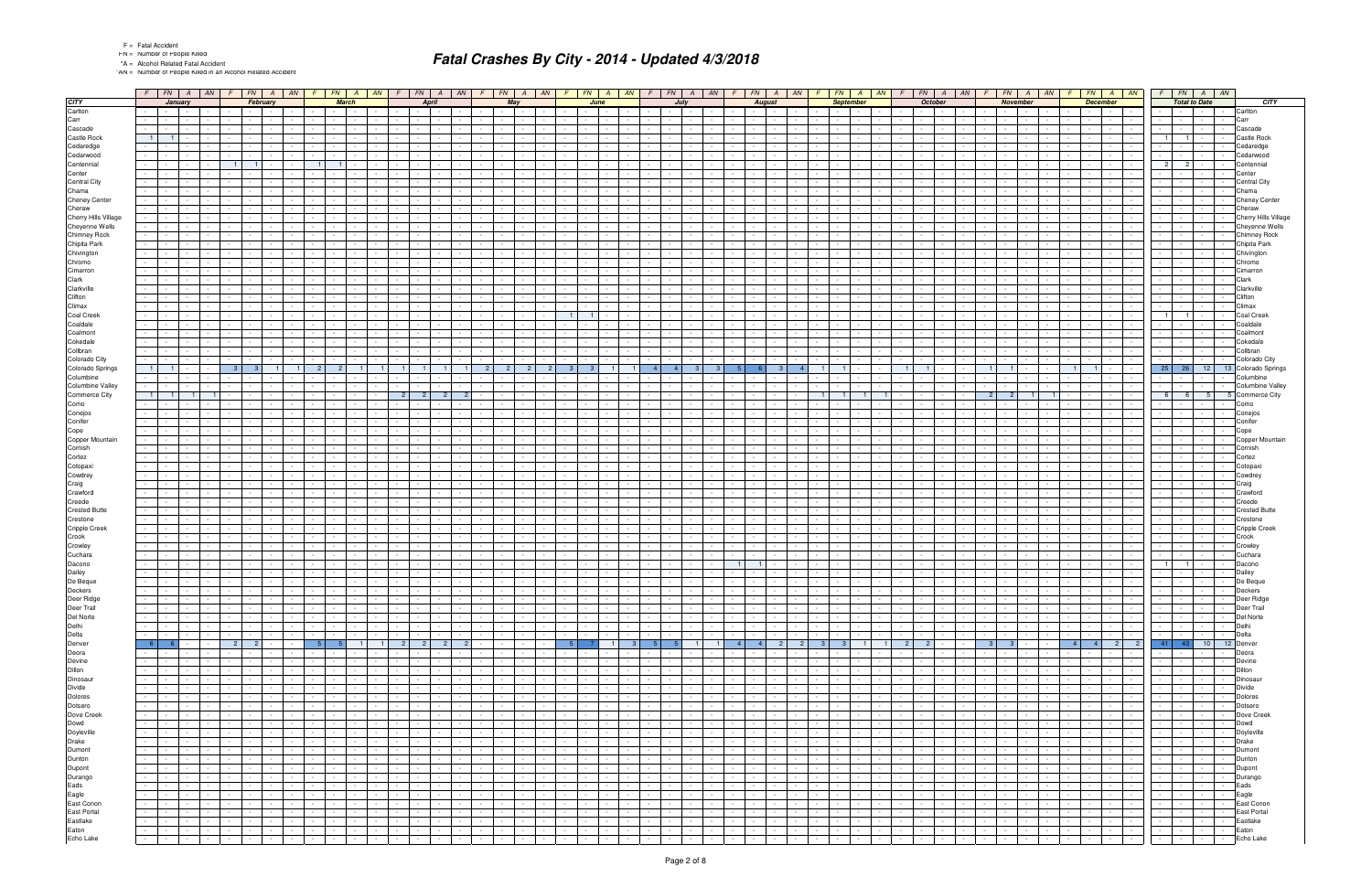"AN = Number of People Killed in an Alcohol Related Accident

|                                        |                |                                                                                                                                                                                                                                                                                                                                                                                                                                                                                   |                      |                                     |                                             |                                                       |                                                  |                 |                                       | $F$   FN   A   AN   F   FN   A   AN   F   FN   A   AN      |                      |                                                | $F$ $FN$ $A$ $AN$                                       |                          |                                          |                               |                      |                                                    |                                                     |                              |                                                      |                                                                                             | $F$   FN   A   AN   $F$   FN   A   AN   F   FN   A   AN   F   FN   A   AN   F                                                                      |                                             |                                                  | $FN$ $A$ $AN$ $F$                                        |                                            | $FN$ $A$ $AN$                                                                                                                                                    |                      | $F$ $FN$ $A$ $AN$                                               |                              |                                          | $F$ $FN$ $A$ $AN$                                                      |                                                       | $F$ $FN$ $A$ $AN$                                                                            |                                       |
|----------------------------------------|----------------|-----------------------------------------------------------------------------------------------------------------------------------------------------------------------------------------------------------------------------------------------------------------------------------------------------------------------------------------------------------------------------------------------------------------------------------------------------------------------------------|----------------------|-------------------------------------|---------------------------------------------|-------------------------------------------------------|--------------------------------------------------|-----------------|---------------------------------------|------------------------------------------------------------|----------------------|------------------------------------------------|---------------------------------------------------------|--------------------------|------------------------------------------|-------------------------------|----------------------|----------------------------------------------------|-----------------------------------------------------|------------------------------|------------------------------------------------------|---------------------------------------------------------------------------------------------|----------------------------------------------------------------------------------------------------------------------------------------------------|---------------------------------------------|--------------------------------------------------|----------------------------------------------------------|--------------------------------------------|------------------------------------------------------------------------------------------------------------------------------------------------------------------|----------------------|-----------------------------------------------------------------|------------------------------|------------------------------------------|------------------------------------------------------------------------|-------------------------------------------------------|----------------------------------------------------------------------------------------------|---------------------------------------|
| <b>CITY</b>                            |                |                                                                                                                                                                                                                                                                                                                                                                                                                                                                                   | January              |                                     |                                             | February                                              |                                                  |                 | <b>March</b>                          |                                                            |                      | April                                          |                                                         |                          | May                                      |                               |                      | June                                               |                                                     |                              |                                                      | July                                                                                        | <b>August</b>                                                                                                                                      |                                             | <b>September</b>                                 |                                                          |                                            | October                                                                                                                                                          |                      | November                                                        |                              |                                          | <b>December</b>                                                        |                                                       | <b>Total to Date</b>                                                                         | CITY                                  |
| Carlton                                |                | <b>Contract</b>                                                                                                                                                                                                                                                                                                                                                                                                                                                                   | $\sim$               |                                     |                                             |                                                       |                                                  |                 |                                       |                                                            |                      |                                                |                                                         |                          |                                          |                               |                      |                                                    |                                                     |                              |                                                      |                                                                                             |                                                                                                                                                    |                                             |                                                  |                                                          |                                            |                                                                                                                                                                  |                      | $\sim$                                                          |                              |                                          |                                                                        |                                                       |                                                                                              | Carlton                               |
| Carr                                   |                | $\sim 100$                                                                                                                                                                                                                                                                                                                                                                                                                                                                        |                      |                                     |                                             |                                                       |                                                  |                 |                                       |                                                            |                      |                                                |                                                         |                          |                                          |                               |                      |                                                    |                                                     |                              |                                                      |                                                                                             |                                                                                                                                                    |                                             |                                                  |                                                          |                                            |                                                                                                                                                                  |                      | $\sim$                                                          |                              |                                          |                                                                        |                                                       |                                                                                              | Carr                                  |
| Cascade<br>Castle Rock                 | $1 \mid$       |                                                                                                                                                                                                                                                                                                                                                                                                                                                                                   |                      |                                     |                                             |                                                       |                                                  |                 |                                       |                                                            |                      |                                                |                                                         |                          |                                          |                               |                      |                                                    |                                                     |                              |                                                      |                                                                                             |                                                                                                                                                    |                                             |                                                  |                                                          |                                            |                                                                                                                                                                  |                      |                                                                 |                              |                                          |                                                                        |                                                       |                                                                                              | Cascade<br>Castle Rock                |
| Cedaredge                              |                |                                                                                                                                                                                                                                                                                                                                                                                                                                                                                   |                      |                                     |                                             |                                                       |                                                  |                 |                                       |                                                            |                      |                                                |                                                         |                          |                                          |                               |                      |                                                    |                                                     |                              |                                                      |                                                                                             |                                                                                                                                                    |                                             |                                                  |                                                          |                                            |                                                                                                                                                                  |                      |                                                                 |                              |                                          |                                                                        |                                                       |                                                                                              | Cedaredge                             |
| Cedarwood                              |                |                                                                                                                                                                                                                                                                                                                                                                                                                                                                                   |                      |                                     |                                             |                                                       |                                                  |                 |                                       |                                                            |                      |                                                |                                                         |                          |                                          |                               |                      |                                                    |                                                     |                              |                                                      |                                                                                             |                                                                                                                                                    |                                             |                                                  |                                                          |                                            |                                                                                                                                                                  |                      |                                                                 |                              |                                          |                                                                        |                                                       |                                                                                              | Cedarwood                             |
| Centennial                             |                |                                                                                                                                                                                                                                                                                                                                                                                                                                                                                   |                      |                                     | $\blacksquare$ 1                            |                                                       |                                                  | $\blacksquare$  |                                       |                                                            |                      |                                                |                                                         |                          |                                          |                               |                      |                                                    |                                                     |                              |                                                      |                                                                                             |                                                                                                                                                    |                                             |                                                  |                                                          |                                            |                                                                                                                                                                  |                      |                                                                 |                              |                                          |                                                                        | 2 <sup>1</sup><br>$\overline{2}$                      |                                                                                              | Centennial                            |
| Center                                 |                |                                                                                                                                                                                                                                                                                                                                                                                                                                                                                   |                      |                                     |                                             |                                                       |                                                  |                 |                                       |                                                            |                      |                                                |                                                         |                          |                                          |                               |                      |                                                    |                                                     |                              |                                                      |                                                                                             |                                                                                                                                                    |                                             |                                                  |                                                          |                                            |                                                                                                                                                                  |                      |                                                                 |                              |                                          |                                                                        |                                                       |                                                                                              | Center                                |
| <b>Central City</b>                    |                |                                                                                                                                                                                                                                                                                                                                                                                                                                                                                   |                      |                                     |                                             |                                                       |                                                  |                 |                                       |                                                            |                      |                                                |                                                         |                          |                                          |                               |                      |                                                    |                                                     |                              |                                                      |                                                                                             |                                                                                                                                                    |                                             |                                                  |                                                          |                                            |                                                                                                                                                                  |                      |                                                                 |                              |                                          |                                                                        |                                                       |                                                                                              | <b>Central City</b>                   |
| Chama                                  |                |                                                                                                                                                                                                                                                                                                                                                                                                                                                                                   |                      |                                     |                                             |                                                       |                                                  |                 |                                       |                                                            |                      |                                                |                                                         |                          |                                          |                               |                      |                                                    |                                                     |                              |                                                      |                                                                                             |                                                                                                                                                    |                                             |                                                  |                                                          |                                            |                                                                                                                                                                  |                      |                                                                 |                              |                                          |                                                                        |                                                       |                                                                                              | Chama                                 |
| Cheney Center                          |                |                                                                                                                                                                                                                                                                                                                                                                                                                                                                                   |                      |                                     |                                             |                                                       |                                                  |                 |                                       |                                                            |                      |                                                |                                                         |                          |                                          |                               |                      |                                                    |                                                     |                              |                                                      |                                                                                             |                                                                                                                                                    |                                             |                                                  |                                                          |                                            |                                                                                                                                                                  |                      |                                                                 |                              |                                          |                                                                        |                                                       |                                                                                              | Cheney Center                         |
| Cheraw                                 |                |                                                                                                                                                                                                                                                                                                                                                                                                                                                                                   |                      |                                     |                                             |                                                       |                                                  |                 |                                       |                                                            |                      |                                                |                                                         |                          |                                          |                               |                      |                                                    |                                                     |                              |                                                      |                                                                                             |                                                                                                                                                    |                                             |                                                  |                                                          |                                            |                                                                                                                                                                  |                      |                                                                 |                              |                                          |                                                                        |                                                       |                                                                                              | Cheraw<br><b>Cherry Hills Village</b> |
| Cherry Hills Village<br>Cheyenne Wells |                |                                                                                                                                                                                                                                                                                                                                                                                                                                                                                   |                      |                                     |                                             |                                                       |                                                  |                 |                                       |                                                            |                      |                                                |                                                         |                          |                                          |                               |                      |                                                    |                                                     |                              |                                                      |                                                                                             |                                                                                                                                                    |                                             |                                                  |                                                          |                                            |                                                                                                                                                                  |                      |                                                                 |                              |                                          |                                                                        |                                                       |                                                                                              | Cheyenne Wells                        |
| Chimney Rock                           |                |                                                                                                                                                                                                                                                                                                                                                                                                                                                                                   |                      |                                     |                                             |                                                       |                                                  |                 |                                       |                                                            |                      |                                                |                                                         |                          |                                          |                               |                      |                                                    |                                                     |                              |                                                      |                                                                                             |                                                                                                                                                    |                                             |                                                  |                                                          |                                            |                                                                                                                                                                  |                      |                                                                 |                              |                                          |                                                                        |                                                       |                                                                                              | <b>Chimney Rock</b>                   |
| Chipita Park                           |                |                                                                                                                                                                                                                                                                                                                                                                                                                                                                                   |                      |                                     |                                             |                                                       |                                                  |                 |                                       |                                                            |                      |                                                |                                                         |                          |                                          |                               |                      |                                                    |                                                     |                              |                                                      |                                                                                             |                                                                                                                                                    |                                             |                                                  |                                                          |                                            |                                                                                                                                                                  |                      |                                                                 |                              |                                          |                                                                        |                                                       |                                                                                              | Chipita Park                          |
| Chivington                             |                |                                                                                                                                                                                                                                                                                                                                                                                                                                                                                   |                      |                                     |                                             |                                                       |                                                  |                 |                                       |                                                            |                      |                                                |                                                         |                          |                                          |                               |                      |                                                    |                                                     |                              |                                                      |                                                                                             |                                                                                                                                                    |                                             |                                                  |                                                          |                                            |                                                                                                                                                                  |                      |                                                                 |                              |                                          |                                                                        |                                                       |                                                                                              | Chivingtor                            |
| Chromo                                 |                |                                                                                                                                                                                                                                                                                                                                                                                                                                                                                   |                      |                                     |                                             |                                                       |                                                  |                 |                                       |                                                            |                      |                                                |                                                         |                          |                                          |                               |                      |                                                    |                                                     |                              |                                                      |                                                                                             |                                                                                                                                                    |                                             |                                                  |                                                          |                                            |                                                                                                                                                                  |                      |                                                                 |                              |                                          |                                                                        |                                                       |                                                                                              | Chromo                                |
| Cimarron                               | $\sim 10$      |                                                                                                                                                                                                                                                                                                                                                                                                                                                                                   |                      |                                     |                                             |                                                       |                                                  |                 |                                       |                                                            |                      |                                                |                                                         |                          |                                          |                               |                      |                                                    |                                                     |                              |                                                      |                                                                                             |                                                                                                                                                    |                                             |                                                  |                                                          |                                            |                                                                                                                                                                  |                      |                                                                 |                              |                                          |                                                                        |                                                       |                                                                                              | Cimarror                              |
| Clark                                  |                |                                                                                                                                                                                                                                                                                                                                                                                                                                                                                   |                      |                                     |                                             |                                                       |                                                  |                 |                                       |                                                            |                      |                                                |                                                         |                          |                                          |                               |                      |                                                    |                                                     |                              |                                                      |                                                                                             |                                                                                                                                                    |                                             |                                                  |                                                          |                                            |                                                                                                                                                                  |                      |                                                                 |                              |                                          |                                                                        |                                                       |                                                                                              | Clark                                 |
| Clarkville                             |                |                                                                                                                                                                                                                                                                                                                                                                                                                                                                                   |                      |                                     |                                             |                                                       |                                                  |                 |                                       |                                                            |                      |                                                |                                                         |                          |                                          |                               |                      |                                                    |                                                     |                              |                                                      |                                                                                             |                                                                                                                                                    |                                             |                                                  |                                                          |                                            |                                                                                                                                                                  |                      |                                                                 |                              |                                          |                                                                        |                                                       |                                                                                              | Clarkville                            |
| Clifton<br>Climax                      | $\sim 10$      |                                                                                                                                                                                                                                                                                                                                                                                                                                                                                   |                      |                                     |                                             |                                                       |                                                  |                 |                                       |                                                            |                      |                                                |                                                         |                          |                                          |                               |                      |                                                    |                                                     |                              |                                                      |                                                                                             |                                                                                                                                                    |                                             |                                                  |                                                          |                                            |                                                                                                                                                                  |                      |                                                                 |                              |                                          |                                                                        |                                                       |                                                                                              | Clifton<br>Climax                     |
| Coal Creek                             |                |                                                                                                                                                                                                                                                                                                                                                                                                                                                                                   |                      |                                     |                                             |                                                       |                                                  |                 |                                       |                                                            |                      |                                                |                                                         |                          |                                          |                               | $\overline{1}$       |                                                    |                                                     |                              |                                                      |                                                                                             |                                                                                                                                                    |                                             |                                                  |                                                          |                                            |                                                                                                                                                                  |                      |                                                                 |                              |                                          |                                                                        |                                                       |                                                                                              | Coal Creek                            |
| Coaldale                               |                |                                                                                                                                                                                                                                                                                                                                                                                                                                                                                   |                      |                                     |                                             |                                                       |                                                  |                 |                                       |                                                            |                      |                                                |                                                         |                          |                                          |                               |                      |                                                    |                                                     |                              |                                                      |                                                                                             |                                                                                                                                                    |                                             |                                                  |                                                          |                                            |                                                                                                                                                                  |                      |                                                                 |                              |                                          |                                                                        |                                                       |                                                                                              | Coaldale                              |
| Coalmont                               |                |                                                                                                                                                                                                                                                                                                                                                                                                                                                                                   |                      |                                     |                                             |                                                       |                                                  |                 |                                       |                                                            |                      |                                                |                                                         |                          |                                          |                               |                      |                                                    |                                                     |                              |                                                      |                                                                                             |                                                                                                                                                    |                                             |                                                  |                                                          |                                            |                                                                                                                                                                  |                      |                                                                 |                              |                                          |                                                                        |                                                       |                                                                                              | Coalmont                              |
| Cokedale                               |                |                                                                                                                                                                                                                                                                                                                                                                                                                                                                                   |                      |                                     |                                             |                                                       |                                                  |                 |                                       |                                                            |                      |                                                |                                                         |                          |                                          |                               |                      |                                                    |                                                     |                              |                                                      |                                                                                             |                                                                                                                                                    |                                             |                                                  |                                                          |                                            |                                                                                                                                                                  |                      |                                                                 |                              |                                          |                                                                        |                                                       |                                                                                              | Cokedale                              |
| Collbran                               |                |                                                                                                                                                                                                                                                                                                                                                                                                                                                                                   |                      |                                     |                                             |                                                       |                                                  |                 |                                       |                                                            |                      |                                                |                                                         |                          |                                          |                               |                      |                                                    |                                                     |                              |                                                      |                                                                                             |                                                                                                                                                    |                                             |                                                  |                                                          |                                            |                                                                                                                                                                  |                      |                                                                 |                              |                                          |                                                                        |                                                       |                                                                                              | Collbran                              |
| Colorado City                          |                |                                                                                                                                                                                                                                                                                                                                                                                                                                                                                   |                      |                                     |                                             |                                                       |                                                  |                 |                                       |                                                            |                      |                                                |                                                         |                          |                                          |                               |                      |                                                    |                                                     |                              |                                                      |                                                                                             |                                                                                                                                                    |                                             |                                                  |                                                          |                                            |                                                                                                                                                                  |                      |                                                                 |                              |                                          |                                                                        |                                                       |                                                                                              | Colorado City                         |
| Colorado Springs<br>Columbine          | 1 <sup>1</sup> |                                                                                                                                                                                                                                                                                                                                                                                                                                                                                   |                      |                                     | - 3                                         |                                                       |                                                  |                 |                                       |                                                            |                      |                                                |                                                         |                          | -2                                       |                               |                      | -3                                                 |                                                     |                              | -4                                                   |                                                                                             |                                                                                                                                                    |                                             |                                                  |                                                          |                                            |                                                                                                                                                                  |                      |                                                                 |                              |                                          |                                                                        | $25$   26                                             | 12                                                                                           | 13 Colorado Springs<br>Columbine      |
| <b>Columbine Valley</b>                |                |                                                                                                                                                                                                                                                                                                                                                                                                                                                                                   |                      |                                     |                                             |                                                       |                                                  |                 |                                       |                                                            |                      |                                                |                                                         |                          |                                          |                               |                      |                                                    |                                                     |                              |                                                      |                                                                                             |                                                                                                                                                    |                                             |                                                  |                                                          |                                            |                                                                                                                                                                  |                      |                                                                 |                              |                                          |                                                                        |                                                       |                                                                                              | <b>Columbine Valley</b>               |
| Commerce City                          | $\blacksquare$ |                                                                                                                                                                                                                                                                                                                                                                                                                                                                                   |                      |                                     |                                             |                                                       |                                                  |                 |                                       |                                                            |                      | $\overline{2}$                                 |                                                         |                          |                                          |                               |                      |                                                    |                                                     |                              |                                                      |                                                                                             |                                                                                                                                                    |                                             |                                                  |                                                          |                                            |                                                                                                                                                                  |                      |                                                                 |                              |                                          |                                                                        | 6<br>-6                                               | 5                                                                                            | <b>Commerce City</b>                  |
| Como                                   |                |                                                                                                                                                                                                                                                                                                                                                                                                                                                                                   |                      |                                     |                                             |                                                       |                                                  |                 |                                       |                                                            |                      |                                                |                                                         |                          |                                          |                               |                      |                                                    |                                                     |                              |                                                      |                                                                                             |                                                                                                                                                    |                                             |                                                  |                                                          |                                            |                                                                                                                                                                  |                      |                                                                 |                              |                                          |                                                                        |                                                       |                                                                                              | Como                                  |
| Conejos                                |                |                                                                                                                                                                                                                                                                                                                                                                                                                                                                                   |                      |                                     |                                             |                                                       |                                                  |                 |                                       |                                                            |                      |                                                |                                                         |                          |                                          |                               |                      |                                                    |                                                     |                              |                                                      |                                                                                             |                                                                                                                                                    |                                             |                                                  |                                                          |                                            |                                                                                                                                                                  |                      |                                                                 |                              |                                          |                                                                        |                                                       |                                                                                              | Conejos                               |
| Conifer                                |                |                                                                                                                                                                                                                                                                                                                                                                                                                                                                                   |                      |                                     |                                             |                                                       |                                                  |                 |                                       |                                                            |                      |                                                |                                                         |                          |                                          |                               |                      |                                                    |                                                     |                              |                                                      |                                                                                             |                                                                                                                                                    |                                             |                                                  |                                                          |                                            |                                                                                                                                                                  |                      |                                                                 |                              |                                          |                                                                        |                                                       |                                                                                              | Conifer                               |
| Cope                                   |                |                                                                                                                                                                                                                                                                                                                                                                                                                                                                                   |                      |                                     |                                             |                                                       |                                                  |                 |                                       |                                                            |                      |                                                |                                                         |                          |                                          |                               |                      |                                                    |                                                     |                              |                                                      |                                                                                             |                                                                                                                                                    |                                             |                                                  |                                                          |                                            |                                                                                                                                                                  |                      |                                                                 |                              |                                          |                                                                        |                                                       |                                                                                              | Cope                                  |
| Copper Mountain                        |                |                                                                                                                                                                                                                                                                                                                                                                                                                                                                                   |                      |                                     |                                             |                                                       |                                                  |                 |                                       |                                                            |                      |                                                |                                                         |                          |                                          |                               |                      |                                                    |                                                     |                              |                                                      |                                                                                             |                                                                                                                                                    |                                             |                                                  |                                                          |                                            |                                                                                                                                                                  |                      |                                                                 |                              |                                          |                                                                        |                                                       |                                                                                              | Copper Mountain                       |
| Cornish<br>Cortez                      |                |                                                                                                                                                                                                                                                                                                                                                                                                                                                                                   |                      |                                     |                                             |                                                       |                                                  |                 |                                       |                                                            |                      |                                                |                                                         |                          |                                          |                               |                      |                                                    |                                                     |                              |                                                      |                                                                                             |                                                                                                                                                    |                                             |                                                  |                                                          |                                            |                                                                                                                                                                  |                      |                                                                 |                              |                                          |                                                                        |                                                       |                                                                                              | Cornish<br>Cortez                     |
| Cotopaxi                               |                |                                                                                                                                                                                                                                                                                                                                                                                                                                                                                   |                      |                                     |                                             |                                                       |                                                  |                 |                                       |                                                            |                      |                                                |                                                         |                          |                                          |                               |                      |                                                    |                                                     |                              |                                                      |                                                                                             |                                                                                                                                                    |                                             |                                                  |                                                          |                                            |                                                                                                                                                                  |                      |                                                                 |                              |                                          |                                                                        |                                                       |                                                                                              | Cotopax                               |
| Cowdrey                                |                |                                                                                                                                                                                                                                                                                                                                                                                                                                                                                   |                      |                                     |                                             |                                                       |                                                  |                 |                                       |                                                            |                      |                                                |                                                         |                          |                                          |                               |                      |                                                    |                                                     |                              |                                                      |                                                                                             |                                                                                                                                                    |                                             |                                                  |                                                          |                                            |                                                                                                                                                                  |                      |                                                                 |                              |                                          |                                                                        |                                                       |                                                                                              | Cowdrey                               |
| Craig                                  |                |                                                                                                                                                                                                                                                                                                                                                                                                                                                                                   |                      |                                     |                                             |                                                       |                                                  |                 |                                       |                                                            |                      |                                                |                                                         |                          |                                          |                               |                      |                                                    |                                                     |                              |                                                      |                                                                                             |                                                                                                                                                    |                                             |                                                  |                                                          |                                            |                                                                                                                                                                  |                      |                                                                 |                              |                                          |                                                                        |                                                       |                                                                                              | Craig                                 |
| Crawford                               |                |                                                                                                                                                                                                                                                                                                                                                                                                                                                                                   |                      |                                     |                                             |                                                       |                                                  |                 |                                       |                                                            |                      |                                                |                                                         |                          |                                          |                               |                      |                                                    |                                                     |                              |                                                      |                                                                                             |                                                                                                                                                    |                                             |                                                  |                                                          |                                            |                                                                                                                                                                  |                      |                                                                 |                              |                                          |                                                                        |                                                       |                                                                                              | Crawford                              |
| Creede                                 |                |                                                                                                                                                                                                                                                                                                                                                                                                                                                                                   |                      |                                     |                                             |                                                       |                                                  |                 |                                       |                                                            |                      |                                                |                                                         |                          |                                          |                               |                      |                                                    |                                                     |                              |                                                      |                                                                                             |                                                                                                                                                    |                                             |                                                  |                                                          |                                            |                                                                                                                                                                  |                      |                                                                 |                              |                                          |                                                                        |                                                       |                                                                                              | Creede                                |
| <b>Crested Butte</b>                   |                |                                                                                                                                                                                                                                                                                                                                                                                                                                                                                   |                      |                                     |                                             |                                                       |                                                  |                 |                                       |                                                            |                      |                                                |                                                         |                          |                                          |                               |                      |                                                    |                                                     |                              |                                                      |                                                                                             |                                                                                                                                                    |                                             |                                                  |                                                          |                                            |                                                                                                                                                                  |                      |                                                                 |                              |                                          |                                                                        |                                                       |                                                                                              | <b>Crested Butte</b>                  |
| Crestone                               |                |                                                                                                                                                                                                                                                                                                                                                                                                                                                                                   |                      |                                     |                                             |                                                       |                                                  |                 |                                       |                                                            |                      |                                                |                                                         |                          |                                          |                               |                      |                                                    |                                                     |                              |                                                      |                                                                                             |                                                                                                                                                    |                                             |                                                  |                                                          |                                            |                                                                                                                                                                  |                      |                                                                 |                              |                                          |                                                                        |                                                       |                                                                                              | <b>Crestone</b>                       |
| Cripple Creek<br>Crook                 | $\sim$         |                                                                                                                                                                                                                                                                                                                                                                                                                                                                                   |                      |                                     |                                             |                                                       |                                                  |                 |                                       |                                                            |                      |                                                |                                                         |                          |                                          |                               |                      |                                                    |                                                     |                              |                                                      |                                                                                             |                                                                                                                                                    |                                             |                                                  |                                                          |                                            |                                                                                                                                                                  |                      |                                                                 |                              |                                          |                                                                        |                                                       |                                                                                              | <b>Cripple Creek</b><br>Crook         |
| Crowley                                |                |                                                                                                                                                                                                                                                                                                                                                                                                                                                                                   |                      |                                     |                                             |                                                       |                                                  |                 |                                       |                                                            |                      |                                                |                                                         |                          |                                          |                               |                      |                                                    |                                                     |                              |                                                      |                                                                                             |                                                                                                                                                    |                                             |                                                  |                                                          |                                            |                                                                                                                                                                  |                      |                                                                 |                              |                                          |                                                                        |                                                       |                                                                                              | Crowley                               |
| Cuchara                                |                |                                                                                                                                                                                                                                                                                                                                                                                                                                                                                   |                      |                                     |                                             |                                                       |                                                  |                 |                                       |                                                            |                      |                                                |                                                         |                          |                                          |                               |                      |                                                    |                                                     |                              |                                                      |                                                                                             |                                                                                                                                                    |                                             |                                                  |                                                          |                                            |                                                                                                                                                                  |                      |                                                                 |                              |                                          |                                                                        |                                                       |                                                                                              | Cuchara                               |
| Dacono                                 |                |                                                                                                                                                                                                                                                                                                                                                                                                                                                                                   |                      |                                     |                                             |                                                       |                                                  |                 |                                       |                                                            |                      |                                                |                                                         |                          |                                          |                               |                      |                                                    |                                                     |                              |                                                      |                                                                                             |                                                                                                                                                    |                                             |                                                  |                                                          |                                            |                                                                                                                                                                  |                      |                                                                 |                              |                                          |                                                                        |                                                       |                                                                                              | Dacono                                |
| Dailey                                 |                |                                                                                                                                                                                                                                                                                                                                                                                                                                                                                   |                      |                                     |                                             |                                                       |                                                  |                 |                                       |                                                            |                      |                                                |                                                         |                          |                                          |                               |                      |                                                    |                                                     |                              |                                                      |                                                                                             |                                                                                                                                                    |                                             |                                                  |                                                          |                                            |                                                                                                                                                                  |                      |                                                                 |                              |                                          |                                                                        |                                                       |                                                                                              | Dailey                                |
| De Beque                               |                | <b>Contract</b>                                                                                                                                                                                                                                                                                                                                                                                                                                                                   | $\sim$               |                                     |                                             |                                                       |                                                  |                 |                                       |                                                            |                      |                                                |                                                         |                          |                                          |                               |                      |                                                    |                                                     |                              |                                                      |                                                                                             |                                                                                                                                                    |                                             |                                                  |                                                          |                                            |                                                                                                                                                                  |                      |                                                                 |                              |                                          |                                                                        |                                                       |                                                                                              | De Beque                              |
| Deckers                                |                | the contract of<br>$\overline{\mathcal{L}^{\mathcal{L}}(\mathcal{L}^{\mathcal{L}}(\mathcal{L}^{\mathcal{L}}(\mathcal{L}^{\mathcal{L}}(\mathcal{L}^{\mathcal{L}}(\mathcal{L}^{\mathcal{L}}(\mathcal{L}^{\mathcal{L}}(\mathcal{L}^{\mathcal{L}}(\mathcal{L}^{\mathcal{L}}(\mathcal{L}^{\mathcal{L}}(\mathcal{L}^{\mathcal{L}}(\mathcal{L}^{\mathcal{L}}(\mathcal{L}^{\mathcal{L}}(\mathcal{L}^{\mathcal{L}}(\mathcal{L}^{\mathcal{L}}(\mathcal{L}^{\mathcal{L}}(\mathcal{L}^{\math$ |                      |                                     |                                             |                                                       |                                                  |                 |                                       |                                                            |                      |                                                | the contract of the contract of                         |                          | the contract of the con-                 | and the property of the con-  |                      | the contract of the con-                           |                                                     |                              | $\sim$ $-$                                           | the contract of the con-<br>$  -$                                                           | $\sim$                                                                                                                                             |                                             |                                                  | the contract of the contract of the con-                 |                                            |                                                                                                                                                                  |                      | <b>Service Control</b><br>$\mathbf{1}$ $\mathbf{1}$             |                              | the property of                          | and the property of the con-                                           |                                                       | and the contract of the contract                                                             | Deckers                               |
| Deer Ridge<br>Deer Trail               |                | <b>Contract Contract Contract</b>                                                                                                                                                                                                                                                                                                                                                                                                                                                 | $\sim$<br>$\sim 100$ | $\sim$ $-$                          | $\sim$ $-$<br>the contract of the con-      | $\sim$ $-$<br>$\sim 10^{-11}$                         | <b>Contract</b>                                  | $\sim$ $-$      | $\sim 10^{-11}$                       | $\sim 10^{-1}$<br>$\sim 10^{-11}$<br>and the con-          |                      | the contract of the con-<br>the contract of    | and the state<br>and the state of the state             | $\sim$ $\sim$ $\sim$     | $\sim 100$                               | l – I                         | $\sim$<br>$\sim$     | <b>Contract Contract</b><br><b>Service Control</b> | $\sim 10^{-11}$<br><b>Service</b>                   | $\sim$<br>$\sim 10^{-1}$     | $\sim 10^{-1}$                                       | <b>Contract Contract</b><br><b>Contract</b><br>and the contract of the contract of the con- | $\sim 10^{-11}$<br>$\sim 10^{-1}$<br><b>Contract</b><br><b>Contract Contract Contract</b><br>$\sim 10^{-10}$ m $^{-1}$<br><b>Security</b> Security | <b>Contract</b><br>$\sim$ $-$<br>$\sim$ $-$ | $\sim$ $\sim$ $\sim$                             | $\sim 10^{-1}$<br><b>Contract</b><br>and the company     | $\sim 10^{-1}$<br>the contract of the con- | $\sim 10^{-11}$<br><b>Contract Contract</b><br>the contract of                                                                                                   |                      |                                                                 | $\sim 10^{-1}$               | the control of the                       | $\sim$<br><b>Contract</b><br>$\sim$ $-$                                | $\sim$ $-$                                            | $\sim$<br>the control of the<br>the contract of                                              | Deer Ridge<br>Deer Trail              |
| Del Norte                              |                | <b>Second Second Second</b>                                                                                                                                                                                                                                                                                                                                                                                                                                                       |                      | $\sim 10^{-10}$                     | the contract of                             | $\sim$ $-$                                            | $\sim$ 100 $\pm$ 100 $\pm$                       |                 |                                       | $-1 - 1 - 1 - 1 - 1$                                       |                      | <b>Contract Contract</b>                       | <b>Contract Contract</b>                                |                          | .                                        |                               | $\sim 10^{-1}$       |                                                    |                                                     |                              |                                                      |                                                                                             | .                                                                                                                                                  |                                             |                                                  | <b>Committee Street Section</b>                          |                                            | the collection of the collection                                                                                                                                 |                      |                                                                 |                              |                                          |                                                                        | $1 - 1 - 1 - 1$                                       | $\sim 10^{-1}$                                                                               | Del Norte                             |
| Delhi                                  |                |                                                                                                                                                                                                                                                                                                                                                                                                                                                                                   |                      | <b>Contract Contract</b>            | <b>Second Control</b>                       | $\sim$ $-$                                            | <b>Contract</b>                                  | $\sim 10^{-11}$ |                                       | and the contract                                           |                      | the contract of                                | المحال المناو                                           |                          |                                          |                               | $\sim 10^{-1}$       | the contract of the contract of                    |                                                     |                              |                                                      |                                                                                             |                                                                                                                                                    | $\sim 100$                                  |                                                  |                                                          |                                            | <u>and the state of the state of the state</u>                                                                                                                   |                      | $-1 - 1 - 1 - 1 - 1$                                            |                              |                                          | $-1 - 1 - 1 - 1$                                                       | 1 - 1 - 1 - 1 -                                       |                                                                                              | Delhi                                 |
| Delta                                  |                | and the contract                                                                                                                                                                                                                                                                                                                                                                                                                                                                  |                      |                                     | the contract of                             | $\sim$                                                | <b>Contract</b>                                  | $\sim 10^{-10}$ | $\sim$ $-$                            | the contract of                                            |                      | the contract of                                | the contract of                                         |                          | .                                        |                               | $\sim$ $-$           | <b>Contract Contract</b>                           | $\sim 10^{-11}$                                     | $\sim 10^{-11}$              |                                                      | the contract of                                                                             | $-1 - 1 - 1 - 1$<br>the contract of                                                                                                                |                                             |                                                  |                                                          | the contract of the con-                   | the contract of                                                                                                                                                  |                      |                                                                 | $\sim 100$                   |                                          | $\sim$ $-$                                                             | $1 - 1 - 1 - 1$                                       | $\sim$ $-$                                                                                   | Delta                                 |
| Denver                                 |                | $6 \mid 6 \mid -$                                                                                                                                                                                                                                                                                                                                                                                                                                                                 |                      | <b>Contract</b>                     |                                             | $2 \mid 2 \mid$                                       | $\mathbf{1}$ and $\mathbf{1}$                    |                 |                                       |                                                            |                      |                                                | 5 5 1 1 2 2 2 2                                         |                          | the contract of the contract of the con- |                               |                      |                                                    |                                                     |                              |                                                      |                                                                                             | $5$ 7 1 3 5 5 1 1 4 4 2 2 3 3 1 1 2 2 -                                                                                                            |                                             |                                                  |                                                          |                                            |                                                                                                                                                                  |                      |                                                                 |                              |                                          | $4 \mid 4 \mid 2 \mid 2$                                               |                                                       | $ 41 $ 43 10 12 Denver                                                                       |                                       |
| Deora                                  |                | $\sim$ 1 $\sim$ 1                                                                                                                                                                                                                                                                                                                                                                                                                                                                 | $\sim 10^{-1}$       | $\sim$ $-$                          | $\sim$ $\sim$ $\sim$                        | <b>Contract</b><br>$\sim$                             | $\sim$ $-$                                       | $\sim 10^{-11}$ | <b>Contract</b>                       | $\sim$                                                     | $\sim$ $\sim$        | $\sim 10^{-11}$                                | the contract of                                         | $\sim 10^{-11}$          | <b>Contract Contract</b>                 | $\sim$                        |                      | the contract                                       | $\sim 10^{-11}$                                     | $\sim$ $-$                   | $\sim 10^{-11}$                                      | $\sim$ $-$<br>$\sim 10^{-11}$<br><b>Contract Contract</b>                                   | $\sim$<br>$\sim 10^{-1}$<br><b>Contractor</b><br><b>Contract</b>                                                                                   | $\sim$                                      |                                                  | $\sim$ $-$                                               | $\sim$ $\sim$ $\sim$                       | $\sim 10^{-11}$<br><b>Contract Contract</b>                                                                                                                      | <b>Service</b>       | <b>Contract Contract</b>                                        | $\sim$                       | the control of the                       | $\sim 10^{-1}$<br>$\sim$ $-$                                           | $\sim 10^{-11}$<br>$\sim 10^{-1}$                     | $\sim$ 100 $\mu$<br>$\sim$                                                                   | Deora                                 |
| Devine<br>Dillon                       |                | <b>Service</b> Service                                                                                                                                                                                                                                                                                                                                                                                                                                                            | $\sim 100$           | $\sim 10^{-10}$<br>$\sim 10^{-11}$  | $\sim 10^{-11}$<br>the contract of the con- | <b>Contract Contract</b><br>$\sim$<br>$\sim$ $-$      | <b>Contract</b><br>$\mathbf{I}$ and $\mathbf{I}$ | $\sim 10^{-11}$ | $\sim 10^{-11}$                       | $\sim$ $\sim$ $\sim$ $\sim$<br>$\sim 10^{-11}$<br>$     -$ | $\sim$ $\sim$ $\sim$ | $\sim 100$<br><b>Contract Contract</b>         | and the property of the con-<br>and the property of the | <b>Contract</b>          | $\sim 10^{-11}$                          | $\mathbf{I}$ and $\mathbf{I}$ | $\sim$<br>$\sim$ $-$ | the contract of                                    | $\sim$ $-$<br>$\sim$ $\sim$                         | $\sim$ $-$<br>$\sim 10^{-1}$ | $\sim 10^{-11}$                                      | the contract of<br>$\sim 10^{-10}$                                                          | $\sim 10^{-11}$<br><b>Contract</b><br>$\sim 10^{-1}$                                                                                               | <b>Contract</b><br>$\sim$ $-$<br>$\sim$     | <b>Service</b>                                   | the contract of<br>the contract of the con-              | $\sim$ $\sim$                              | $\sim 10^{-11}$<br>and the state of the state<br>the contract of the contract of the contract of the contract of the contract of the contract of the contract of | $\sim$ $-$           | and the property of the con-<br>$-1 - 1 - 1 - 1 - 1 - 1$        | $\sim$ $-$                   | the control of the                       | $\sim$ $-$<br><b>Contractor</b>                                        | <b>Contract Contract</b><br>1940   1940   1940   1940 | the control of the<br>$\sim$ $-$                                                             | Devine<br>Dillon                      |
| Dinosaur                               |                | <b>Second Second Second</b><br><b>Carl Carl Carl</b>                                                                                                                                                                                                                                                                                                                                                                                                                              | $\sim 10^{-1}$       | $\sim$ 100 $\mu$                    | $\sim$ $-$                                  | <b>Contractor</b><br>$\sim$                           | $\sim$ $-$                                       | $\sim$          | $\sim$ $-$                            | $\sim$ $-$<br>$\sim 10^{-1}$                               | $\sim$ $\sim$        | $\sim 10^{-10}$                                | and the state                                           | $\sim 10^{-11}$          | <b>Contract Contract</b>                 | $\sim$                        |                      | <b>Service</b> Service<br>the contract of          | $\sim 10^{-11}$                                     | $\sim$ $\sim$                | $\sim 10^{-11}$                                      | $\sim$ $\sim$ $\sim$<br>$\sim 10^{-11}$<br><b>Contract</b>                                  | $\sim 10^{-1}$<br>$\sim 10^{-1}$<br><b>Contract</b><br><b>Contract</b>                                                                             | $\sim$                                      | <b>Service</b>                                   | $\sim$<br>$\mathbf{I}$ and $\mathbf{I}$                  | $\sim 10^{-11}$                            | $\sim 10^{-11}$<br>$\sim$ $\sim$ $\sim$ $\sim$                                                                                                                   | $\sim 100$           | $\sim 10^{-11}$<br><b>Contract</b>                              | $\sim$                       | <b>Second Control</b><br>the contract of | $\sim$ $\sim$ $\sim$ $\sim$<br>$\sim$<br>$\sim$ $-$<br><b>Contract</b> | $\sim$ $-$                                            | $\frac{1}{2}$ $\frac{1}{2}$ $\frac{1}{2}$<br>$\sim 10^{-1}$                                  | Dinosaur                              |
| Divide                                 |                | $-1 - 1 - 1 - 1$                                                                                                                                                                                                                                                                                                                                                                                                                                                                  |                      |                                     | <b>Service</b>                              | $\mathbf{I}$ and $\mathbf{I}$<br>$\sim$               | <b>Contract</b>                                  |                 | $\sim$ $\sim$ $\sim$ $\sim$           | <b>Contract Contract</b>                                   |                      | the contract of the con-                       | the contract of the con-                                | <b>Service</b>           |                                          |                               | $\sim$ $-$           | the contract of                                    | <b>Contract</b>                                     | $\sim$ $-$                   | <b>Contract</b>                                      | the contract of<br><b>Contractor</b>                                                        | $\sim 10^{-10}$<br>$\sim 10^{-1}$<br><b>Contract</b><br><b>Contract</b>                                                                            | $\sim$ $-$                                  | $\sim$ $\sim$ $\sim$ $\sim$                      | the contract of the con-                                 | <b>Service</b>                             | <b>Contract</b><br>the contract of the con-                                                                                                                      |                      | the contract of the                                             | $\sim$ $-$                   | the contract of                          | $\sim$                                                                 |                                                       | the contract of the contract of<br>$\sim$ $-$                                                | Divide                                |
| Dolores                                |                | the contract of the con-                                                                                                                                                                                                                                                                                                                                                                                                                                                          |                      |                                     | $\sim$ $-$                                  |                                                       |                                                  |                 | $\sim$ $\sim$ $\sim$ $\sim$           | <b>Contract</b><br>$\sim$ $-$                              |                      | the contract of                                | <b>Contract Contract</b>                                |                          | the contract of                          | <b>Contract Contract</b>      |                      | the control of the                                 | <b>Service</b>                                      | $\sim$ $-$                   | <b>Contract</b>                                      | <b>Contract</b>                                                                             | <b>Service Control</b><br><b>Contract</b><br>$\sim 10^{-1}$                                                                                        | <b>Contract</b>                             | <b>Contract</b>                                  | $\sim$<br>$\mathbf{I}$ and $\mathbf{I}$                  | $\sim 10^{-1}$                             | $\sim 10^{-10}$<br><b>Contract Contract</b>                                                                                                                      |                      | the contract of                                                 |                              | the control of the                       | <b>Contract Contract</b>                                               | $\sim$ $-$<br>.                                       | $\mathbf{I}$ $\mathbf{I}$<br>$\sim$ $-$                                                      | Dolores                               |
| Dotsero                                |                | the contract of the con-                                                                                                                                                                                                                                                                                                                                                                                                                                                          |                      | $\sim 10^{-10}$                     | <b>Contract Contract Contract</b>           | $\sim$ $-$                                            | $\mathbf{I}$                                     |                 |                                       | the contract of the con-                                   |                      | the contract of                                | and the state                                           |                          |                                          | $\sim$                        |                      | the contract                                       | $\sim 10^{-10}$                                     | $\sim 10^{-1}$               |                                                      | and the contract of the contract of the con-<br><b>Contract</b>                             | <b>Service State</b><br>$\sim 10^{-11}$<br>$\sim 100$ km s $^{-1}$                                                                                 | $\sim$                                      |                                                  |                                                          | <b>Security</b> Security                   | and the state                                                                                                                                                    |                      | the contract of the con-                                        | $\sim$ $-$                   | the contract of                          | $\sim$<br>$\mathbf{1}$ $\mathbf{1}$                                    |                                                       | the contract of the contract of the con-                                                     | Dotsero                               |
| Dove Creek                             |                |                                                                                                                                                                                                                                                                                                                                                                                                                                                                                   |                      | <b>Contract</b>                     | $\sim$                                      | $\sim$<br><b>Contract</b>                             | <b>Contract</b>                                  | $\sim$ $-$      | $\sim$                                | $\sim$<br>$\sim 10^{-11}$                                  |                      | the contract of the con-                       | and the state                                           | <b>Contract Contract</b> | and the state of the state of            | $\sim$                        |                      | 14 H J J J                                         | $\sim 10^{-10}$                                     | $\sim$                       | $\sim 10^{-11}$                                      | <b>Carl Carl</b><br><b>Contractor</b>                                                       | $\sim 10^{-11}$<br>$\sim 10^{-10}$<br>$\sim 10^{-1}$                                                                                               | <b>Contract Contract</b><br>$\sim$ $-$      | <b>Contract Contract</b>                         | the contract of the                                      | $\sim 10^{-10}$                            | $\sim 10^{-10}$<br>the contract of                                                                                                                               |                      | the contract of the contract of                                 | $\sim 10^{-1}$               | the control of the                       | $\sim$<br><b>Contract Contract</b>                                     | $\sim$ $-$                                            | $\sim$<br>$\mathbf{1}$ $\mathbf{1}$                                                          | Dove Creek                            |
| Dowd                                   |                | the property of the con-                                                                                                                                                                                                                                                                                                                                                                                                                                                          |                      | $\sim$ 100 $\mu$                    | $\sim 10^{-11}$                             | <b>Contract Contract</b><br>$\sim$                    | $\sim 10^{-11}$                                  |                 | $\sim$                                | <b>Contract Contract Contract</b><br>$\sim$ $-$            | $\sim$ $\sim$ $\sim$ | $\sim 100$                                     | the contract of                                         |                          |                                          |                               |                      | <b>Second Control</b>                              | $\sim$ $\sim$ $\sim$                                | $\sim$ $-$                   | $\sim$ $-$                                           | $\sim$ $\sim$ $\sim$<br><b>Contract</b><br><b>Contract Contract</b>                         | $\sim 10^{-11}$<br>$\sim 100$<br>$\sim 100$ km s $^{-1}$<br>$\blacksquare$                                                                         |                                             | $\sim$ $\sim$ $\sim$                             | the contract of                                          |                                            | $\sim 10^{-10}$<br>the contract of                                                                                                                               |                      | the contract of the con-                                        |                              | the control of the                       | $\sim 10^{-10}$<br>$\sim$                                              | $\sim$ $-$                                            | $\sim$ $\sim$ $\sim$ $\sim$                                                                  | Dowd                                  |
| Doyleville                             |                | <b>Service Control</b>                                                                                                                                                                                                                                                                                                                                                                                                                                                            | $\sim 100$           | $\sim 10^{-11}$                     | the contract of                             | $\sim$                                                | <b>Contract</b>                                  |                 | <b>Service</b>                        | the contract of                                            |                      | the contract of                                | and the property of the con-                            | $\sim$ $-$               | the contract of                          |                               | $\sim$ $-$           | the contract of                                    | <b>Contract</b>                                     | $\sim$ $-$                   | $\sim$ $-$                                           | the contract of the con-<br><b>Contract</b>                                                 | $\sim$ 100 $\pm$<br>$\sim 10^{-1}$<br><b>Contract</b><br>$\sim 100$                                                                                |                                             | <b>Contract Contract</b>                         | $\sim$<br>$\mathbf{I}$ and $\mathbf{I}$                  | the contract of                            | and the state of the state                                                                                                                                       | <b>Service</b>       | the company of the com-                                         |                              | the control of the                       | <b>Contract Contract</b><br>$\sim$ $-$                                 |                                                       | the contract of the contract of<br>$\sim$ $-$                                                | Doyleville                            |
| Drake<br>Dumont                        |                | $\sim$ 100 $\sim$ 100<br>the contract of the contract of the con-                                                                                                                                                                                                                                                                                                                                                                                                                 | $\sim 10^{-1}$       | <b>Contract</b><br>$\sim$ 100 $\mu$ | $\sim$                                      | <b>Service</b><br>$\sim$<br><b>Contract</b><br>$\sim$ | $\sim 10^{-10}$                                  |                 | $\sim$ $\sim$                         | <b>Carl Carl</b>                                           | $  -$                | $\sim 10^{-11}$                                | and the state<br>and the property of the con-           | <b>Service</b>           |                                          |                               | $\sim$<br>$\sim$     | 14 H T                                             | $\sim 10^{-10}$                                     | $\sim$ $-$<br>$\sim$ $-$     | $\sim 10^{-11}$                                      | <b>Committee</b><br><b>Contract Contract</b><br>$\sim$ $-$<br><b>Contract Contract</b>      | $\sim 10^{-1}$<br>$\sim 10^{-1}$<br>$\sim 100$ km s $^{-1}$<br>$\sim$ 100 $\pm$                                                                    | $\sim$ $-$<br><b>Contract Contract</b>      | <b>Contract Contract</b>                         | $\sim$ $-$<br><b>Contract</b>                            | <b>Service</b><br><b>Service</b>           | <b>Contract</b><br>the contract of the con-                                                                                                                      |                      | <b>Contract Contract</b>                                        | $\sim$                       | the contract of the                      | $\sim$<br>$\sim$ $-$<br>$\sim$                                         | $\sim$ $-$                                            | $\mathbf{1}$ $\mathbf{1}$<br>$\sim$ $\sim$<br>$\mathbf{I}$ and $\mathbf{I}$<br>$\sim$ $\sim$ | Drake<br>Dumont                       |
| Dunton                                 |                |                                                                                                                                                                                                                                                                                                                                                                                                                                                                                   | $\sim 100$           | $\sim 10^{-11}$                     | $\sim$ $-$<br>$\sim 10^{-11}$               | $\mathbf{I}$ and $\mathbf{I}$                         | <b>Contract</b>                                  |                 | $\sim$<br>$\sim$ $\sim$ $\sim$ $\sim$ | $\sim 10^{-11}$<br>the contract of                         | $\sim$ $\sim$ $\sim$ | $\sim 100$<br>the contract of                  | and the property of the con-                            |                          |                                          |                               |                      | the contract of<br><b>Contract Contract</b>        | $\sim$ $\sim$ $\sim$<br>$\sim$ $\sim$ $\sim$ $\sim$ | $\sim$ $-$                   | <b>Contract</b><br><b>Contract Contract Contract</b> | $\sim 10^{-11}$<br>the contract of the con-                                                 | $\sim 100$<br><b>Contract</b><br>$\sim 10^{-11}$<br>and the state<br><b>Contract</b><br>$\sim 10^{-11}$<br>$\sim$                                  |                                             | $\sim$ $\sim$ $\sim$<br><b>Contract Contract</b> | the contract of<br>and the state of the state            | the contract of                            | the contract of<br>$\sim 10^{-10}$<br>and the state of the state                                                                                                 |                      | the contract of the con-<br>the contract of the contract of the |                              | the control of the<br>the contract of    | <b>Contract</b><br>$\sim$ $-$<br><b>Contract Contract</b>              | $\sim$                                                | $\sim$ $-$                                                                                   | Dunton                                |
| Dupont                                 |                | <b>Service</b> Service                                                                                                                                                                                                                                                                                                                                                                                                                                                            | $\sim 10^{-1}$       | $\sim 100$                          | $\sim$                                      | $\sim 10^{-11}$<br>$\sim$                             | $\sim 10^{-11}$                                  | $\sim$          | $\sim$ $\sim$ $\sim$                  | $\sim$ $-$<br>$\sim 10^{-1}$                               |                      | $\sim 10^{-11}$                                | and the state                                           | $\sim 10^{-11}$          | <b>Contract Contract State</b>           |                               | $\sim$ $-$           | the control of the                                 | $\sim 10^{-11}$                                     | $\sim$                       | $\sim 10^{-11}$                                      | and the state<br><b>Contract</b>                                                            | $\sim$<br><b>Contract</b><br>$\sim 10^{-1}$                                                                                                        | <b>Contract</b><br>$\sim$                   | $\sim$ $\sim$ $\sim$                             | $\sim 10^{-1}$<br>$\sim 10^{-11}$                        | $\sim 10$                                  | $\sim 10^{-11}$<br>the contract of                                                                                                                               |                      | the contract of the con-                                        | $\sim$ $-$                   | the contract of                          | $\sim$<br>$\sim$ $\sim$ $\sim$                                         |                                                       | $\sim$<br>the contract of the contract of                                                    | Dupont                                |
| Durango                                |                | the contract of the contract of the con-                                                                                                                                                                                                                                                                                                                                                                                                                                          |                      | <b>Contract Contract</b>            | the contract of the                         |                                                       |                                                  |                 | <b>Contract Contract</b>              | $\sim 10^{-11}$<br>$\sim 100$                              | $\sim$ $\sim$ $\sim$ | $\sim 10^{-11}$                                | and the state of the state                              |                          | the contract of                          | $\mathbf{1}$ and $\mathbf{1}$ |                      | the contract of                                    | <b>Contract Contract</b>                            | $\sim$                       | $\sim 10^{-10}$                                      | <b>Contract Contract Street</b><br>$\sim 10^{-11}$<br><b>Contractor</b>                     | $\sim 10^{-11}$<br>$\sim 10^{-11}$<br><b>Contract</b><br>$\mathbf{I}$                                                                              |                                             |                                                  | the contract of                                          |                                            | <b>Contract</b><br>the contract of the con-                                                                                                                      |                      |                                                                 | $\sim 10^{-1}$               | the contract of                          | <b>Contract Contract</b><br>$\sim$ $-$                                 |                                                       | the contract of<br>$\sim$                                                                    | Durango                               |
| Eads                                   |                | the contract of the contract of the con-                                                                                                                                                                                                                                                                                                                                                                                                                                          |                      | $\sim 10^{-10}$                     | <b>Contract Contract</b>                    | $\sim$ $-$                                            | <b>Contract</b>                                  | $\sim$ $-$      | $\sim$ $-$                            | the contract of                                            |                      | $\sim$ $\sim$ $\sim$ $\sim$                    | the contract of                                         |                          |                                          |                               | $\sim$ $-$           | <b>Service State</b>                               | $\sim$ $\sim$ $\sim$                                | $\sim 10^{-1}$               | $\sim 10^{-1}$                                       | <b>Contract Contract</b>                                                                    | <b>Contract Contract</b><br>$\sim 10^{-1}$<br><b>Contract</b>                                                                                      | $\sim$ 100 $\sim$<br>$\sim$ $-$             | $\sim$ $\sim$                                    | the contract of                                          | the company of                             | the contract of                                                                                                                                                  |                      |                                                                 | $\sim 10^{-1}$               | the contract of                          | $\sim$                                                                 | and the state of the                                  | $\sim$ $\sim$ $\sim$ $\sim$<br>$\sim$                                                        | Eads                                  |
| Eagle<br>East Conon<br>East Portal     |                | the contract of the contract of the contract of the contract of the contract of the contract of the contract of the contract of the contract of the contract of the contract of the contract of the contract of the contract o                                                                                                                                                                                                                                                    |                      | $\sim 10^{-11}$                     | $\sim 10^{-11}$                             | $\sim$ $-$                                            | <b>Contract</b>                                  |                 |                                       | and the company                                            |                      | the contract of the con-                       | the company                                             |                          | $-1$ $-1$ $-1$                           |                               | $\sim$ $-$           | the contract of                                    | $\sim 10^{-11}$                                     | $\sim$ $-$                   | $\sim$ $-$                                           | and the control<br><b>Contract</b>                                                          | $\sim 10^{-11}$<br><b>Contract</b><br>$\sim 10^{-11}$<br>$\sim$ 100 $\pm$                                                                          | $\sim$ $-$                                  | <b>Contract Contract</b>                         | $\mathbf{I}$ and $\mathbf{I}$                            |                                            | <b>Contract</b><br>and the state of the state                                                                                                                    |                      | $-1$ . $-1$ . $-1$                                              | $\sim 100$                   | the control of the                       | the contract of                                                        |                                                       | $\sim 10^{-1}$                                                                               | Eagle                                 |
|                                        |                | the contract of the contract of the con-                                                                                                                                                                                                                                                                                                                                                                                                                                          |                      | <b>Service</b>                      | the contract of the                         | $\sim$                                                |                                                  |                 | $\sim$ $\sim$ $\sim$                  | $\sim$ $\sim$<br>$\sim 10^{-11}$                           | $\sim$ $\sim$ $\sim$ | <b>Contract</b>                                | <b>Contract Contract</b>                                |                          | the contract of the con-                 |                               | $\sim$ $-$           | the contract of                                    | $\sim 10^{-11}$                                     | $\sim$ $-$                   | $\sim 10^{-11}$                                      | $\sim 10^{-10}$<br>$\sim$ $-$                                                               | <b>Contract Contract</b><br>the contract of<br>$\sim 100$ km s $^{-1}$                                                                             | $\sim$                                      | <b>Contract</b>                                  | <b>Contract Contract</b>                                 | <b>Service</b>                             | $\sim 10^{-10}$<br>and the state of the state                                                                                                                    |                      |                                                                 | $\sim 100$                   | the control of the                       | $\sim$ $-$<br>$\sim$ $-$                                               |                                                       | the contract of<br>$\sim$ $-$                                                                | East Conon                            |
| Eastlake                               |                | $-1 - 1 - 1 - 1$<br>the contract of the contract of the contract of the contract of the contract of the contract of the contract of the contract of the contract of the contract of the contract of the contract of the contract of the contract o                                                                                                                                                                                                                                |                      | <b>Contract Contract</b>            | $\sim 10^{-11}$                             | $\mathbf{I}$ and $\mathbf{I}$<br>$\sim$               | <b>Contract</b>                                  | $\sim$ $-$      | $\sim$ $-$                            | <b>Contract Contract</b>                                   |                      | <b>Contract Contract</b>                       | the contract of                                         |                          |                                          |                               | $\sim$ $-$           | the contract of                                    | $\sim 10^{-11}$                                     | $\sim 10^{-1}$               | $\sim 10^{-11}$                                      | the contract of<br><b>Contract Contract</b>                                                 | <b>Carl Park</b><br>$\sim 10^{-11}$<br>$\sim 100$ km s $^{-1}$                                                                                     | $\mathbf{I}$ and $\mathbf{I}$<br>$\sim$     | $\sim$ $\sim$                                    | the contract of                                          | <b>Second Control</b>                      | the contract of                                                                                                                                                  |                      |                                                                 | $\sim 10^{-1}$               | the contract of                          | <b>Contract Contract</b><br>$\sim$                                     | <b>Contract Contract</b>                              | the contract of<br>$\sim$                                                                    | <b>East Portal</b><br>Eastlake        |
| Eaton                                  |                | the contract of the contract of the contract of the contract of the contract of the contract of the contract of the contract of the contract of the contract of the contract of the contract of the contract of the contract o                                                                                                                                                                                                                                                    |                      | $\sim$ 100 $\mu$                    | $\sim$<br>$\sim$                            | $\sim$<br><b>Contractor</b><br>$\sim$                 | <b>Contract</b>                                  | $\sim$          | $\sim$ $\sim$ $\sim$                  | <b>Contract</b>                                            |                      | the contract of<br>$\sim$ $\sim$ $\sim$ $\sim$ | the contract of<br>and the property of the con-         | $\sim$ $\sim$ $\sim$     | the contract of<br>and the state of      | $\sim$                        | $\sim$ $-$           | the contract<br>the contract of                    | $\sim$ $-$<br><b>Service</b>                        | $\sim$ $-$<br>$\sim$ $-$     | $\sim 10^{-11}$<br>$\sim 10^{-11}$                   | $\sim$ $-$<br>$\sim$ $\sim$ $\sim$<br>$\sim 10^{-10}$<br><b>Contract Contract</b>           | $\sim$ $-$<br>$\sim 100$ km s $^{-1}$<br>$\sim 10^{-1}$<br>$\sim 100$<br>$\sim 10^{-11}$<br>$\sim 100$ km s $^{-1}$<br>$\sim 10^{-11}$             | $\sim$ $-$<br>$\sim$ 100 $\sim$<br>$\sim$   | <b>Contract</b><br><b>Service</b>                | $\sim 10^{-1}$<br>$\sim 100$<br><b>Contract Contract</b> | $\sim$<br>$\sim 10^{-11}$                  | $\sim 10^{-11}$<br>and the state of the state<br><b>Contract Contract</b><br>$\sim 10^{-10}$                                                                     | $\sim$ $\sim$ $\sim$ | $-1$ . $-1$ . $-1$                                              | $\sim 100$<br>$\sim 10^{-1}$ | the control of the<br>the contract of    | $\sim$ $\sim$<br>the control of<br><b>Service</b><br>$\sim$ $-$        | $\sim$ $-$<br><b>Contract</b>                         | the contract of the con-<br>$\sim$ $-$<br>$\mathbf{I}$ and $\mathbf{I}$<br>$\sim$ $-$        | Eaton                                 |
| Echo Lake                              |                | <b>Second Second Second</b>                                                                                                                                                                                                                                                                                                                                                                                                                                                       |                      | $\sim$ $\sim$ $\sim$                | $\sim 10^{-1}$                              | $\sim$ $\sim$ $\sim$<br>$\sim$                        | $\sim 100$ km s $^{-1}$                          | $\sim$          |                                       | <b>Second Contract Contract</b>                            |                      |                                                | $-1 - 1 - 1 - 1 - 1$                                    |                          |                                          |                               | $\sim$               | <b>Second Control</b>                              | $\sim$ $-$                                          | $\sim 10^{-1}$               |                                                      |                                                                                             |                                                                                                                                                    | $\sim$                                      |                                                  | $-1 - 1 - 1 - 1$                                         |                                            | the contract of the contract of the contract of the contract of the contract of the contract of the contract of                                                  |                      |                                                                 |                              | <b>Service</b> Service                   | $\sim 10^{-11}$<br>$\sim$                                              | $\sim$ $\sim$ $\sim$                                  | the contract of<br>$\sim$                                                                    | Echo Lake                             |
|                                        |                |                                                                                                                                                                                                                                                                                                                                                                                                                                                                                   |                      |                                     |                                             |                                                       |                                                  |                 |                                       |                                                            |                      |                                                |                                                         |                          |                                          |                               |                      |                                                    |                                                     |                              |                                                      |                                                                                             |                                                                                                                                                    |                                             |                                                  |                                                          |                                            |                                                                                                                                                                  |                      |                                                                 |                              |                                          |                                                                        |                                                       |                                                                                              |                                       |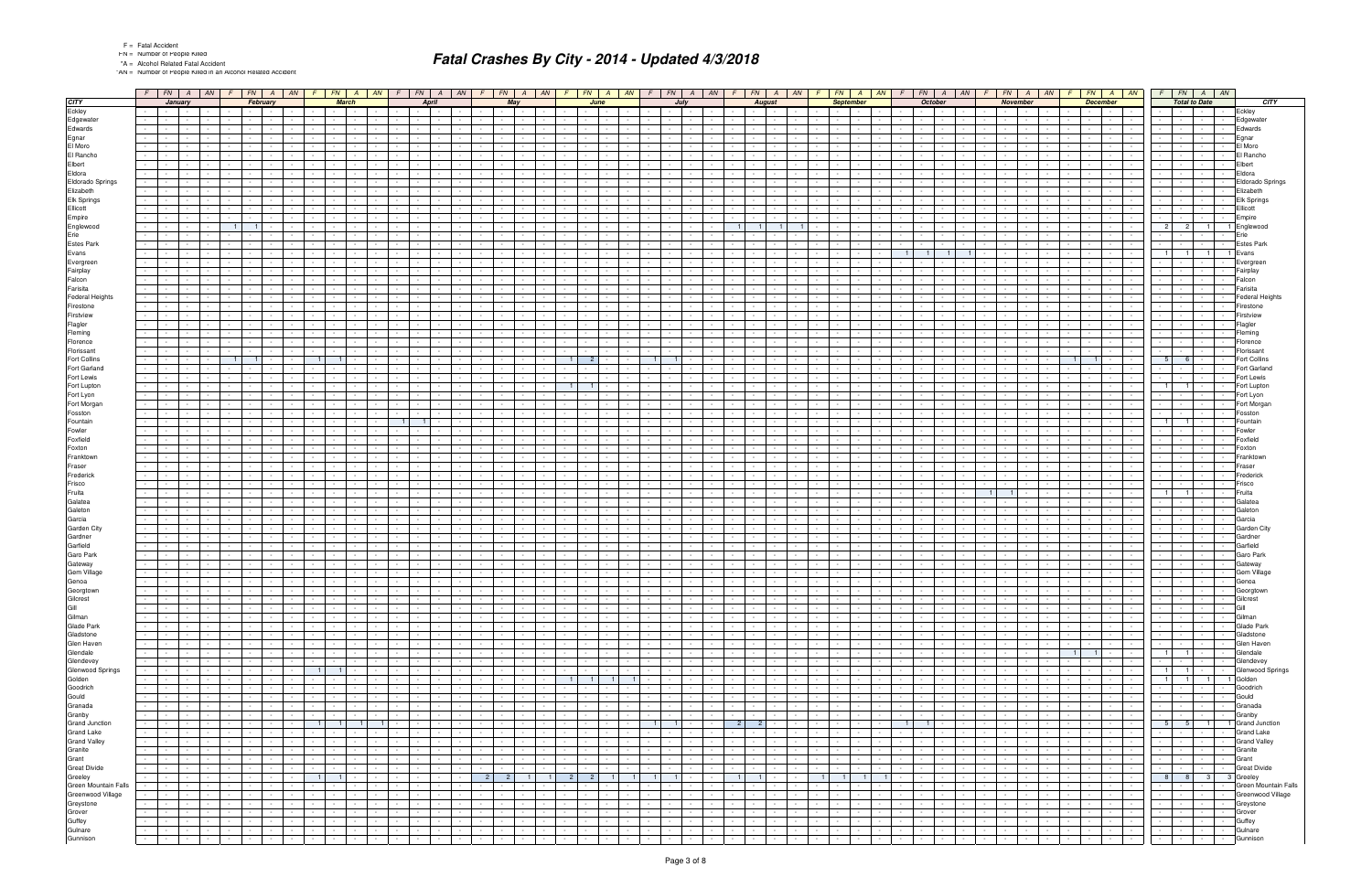|  |  | <b>Fatal Accide</b> |
|--|--|---------------------|
|--|--|---------------------|

"AN = Number of People Killed in an Alcohol Related Accident

|                                                                                                                                                                                                                                                                                               | $F$ $\mid$ FN $\mid$ A $\mid$ AN $\mid$ F $\mid$ FN $\mid$ A $\mid$ AN $\mid$ F |                          |                 |                      |                                          |                          |                         |                 | $FN$   A   AN                             |                  |        | $F$   $FN$   $A$   $AN$                       |                 |                                                                | $F \mid FN \mid$ | $A$ $AN$                               |                                    |                 | $FN$   A   AN              |                |                  | $F$   $FN$   $A$   $AN$                                  |                      |                             | $FN$ $A$                                 | AN               |                        | FN                      | $\overline{A}$<br>AN                    |                          | $FN \mid A \mid AN$                                            |                                    |                                 | $FN \mid A \mid$             | AN              |                                           |                           | $FN$ $A$ $AN$            |                          | $FN$   $A$   $AN$                                                                                                                                                                                                                                                                                                                                                                                                                                                                         |                       |                          |
|-----------------------------------------------------------------------------------------------------------------------------------------------------------------------------------------------------------------------------------------------------------------------------------------------|---------------------------------------------------------------------------------|--------------------------|-----------------|----------------------|------------------------------------------|--------------------------|-------------------------|-----------------|-------------------------------------------|------------------|--------|-----------------------------------------------|-----------------|----------------------------------------------------------------|------------------|----------------------------------------|------------------------------------|-----------------|----------------------------|----------------|------------------|----------------------------------------------------------|----------------------|-----------------------------|------------------------------------------|------------------|------------------------|-------------------------|-----------------------------------------|--------------------------|----------------------------------------------------------------|------------------------------------|---------------------------------|------------------------------|-----------------|-------------------------------------------|---------------------------|--------------------------|--------------------------|-------------------------------------------------------------------------------------------------------------------------------------------------------------------------------------------------------------------------------------------------------------------------------------------------------------------------------------------------------------------------------------------------------------------------------------------------------------------------------------------|-----------------------|--------------------------|
| <b>CITY</b>                                                                                                                                                                                                                                                                                   |                                                                                 | January                  |                 |                      | February                                 |                          |                         |                 | <b>March</b>                              |                  |        | <b>April</b>                                  |                 |                                                                | May              |                                        |                                    |                 | June                       |                |                  | July                                                     |                      |                             | <b>August</b>                            |                  |                        | <b>September</b>        |                                         |                          | <b>October</b>                                                 |                                    | <b>November</b>                 |                              |                 |                                           | <b>December</b>           |                          |                          | <b>Total to Date</b>                                                                                                                                                                                                                                                                                                                                                                                                                                                                      |                       | <b>CITY</b>              |
| Eckley                                                                                                                                                                                                                                                                                        | <b>Contract</b>                                                                 |                          |                 |                      |                                          |                          |                         |                 | the contract of                           |                  |        |                                               |                 |                                                                | $\sim 10^{-11}$  |                                        |                                    |                 |                            |                |                  |                                                          |                      |                             |                                          |                  |                        | <b>Contract</b>         | $\sim$                                  |                          |                                                                |                                    |                                 |                              |                 | $\sim 10^{-11}$                           | $\sim$ $-$                |                          |                          |                                                                                                                                                                                                                                                                                                                                                                                                                                                                                           |                       | Eckley                   |
| Edgewater                                                                                                                                                                                                                                                                                     |                                                                                 |                          |                 |                      |                                          |                          |                         |                 |                                           |                  |        |                                               |                 |                                                                |                  |                                        |                                    |                 |                            |                |                  |                                                          |                      |                             |                                          |                  |                        |                         |                                         |                          |                                                                |                                    |                                 |                              |                 |                                           |                           |                          |                          |                                                                                                                                                                                                                                                                                                                                                                                                                                                                                           |                       | Edgewater                |
| Edwards                                                                                                                                                                                                                                                                                       |                                                                                 |                          |                 |                      |                                          |                          |                         |                 |                                           |                  |        |                                               |                 |                                                                |                  |                                        |                                    |                 |                            |                |                  |                                                          |                      |                             |                                          |                  |                        |                         |                                         |                          |                                                                |                                    |                                 |                              |                 |                                           |                           |                          |                          |                                                                                                                                                                                                                                                                                                                                                                                                                                                                                           |                       | Edwards                  |
| Egnar                                                                                                                                                                                                                                                                                         |                                                                                 |                          |                 |                      |                                          |                          |                         |                 |                                           |                  |        |                                               |                 |                                                                |                  |                                        |                                    |                 |                            |                |                  |                                                          |                      |                             |                                          |                  |                        |                         |                                         |                          |                                                                |                                    |                                 |                              |                 |                                           |                           |                          |                          |                                                                                                                                                                                                                                                                                                                                                                                                                                                                                           |                       | Egnar                    |
| El Moro                                                                                                                                                                                                                                                                                       |                                                                                 |                          |                 |                      |                                          |                          |                         |                 |                                           |                  |        |                                               |                 |                                                                |                  |                                        |                                    |                 |                            |                |                  |                                                          |                      |                             |                                          |                  |                        |                         |                                         |                          |                                                                |                                    |                                 |                              |                 |                                           |                           |                          |                          |                                                                                                                                                                                                                                                                                                                                                                                                                                                                                           |                       | El Moro                  |
| El Rancho                                                                                                                                                                                                                                                                                     |                                                                                 |                          |                 |                      |                                          |                          |                         |                 |                                           |                  |        |                                               |                 |                                                                |                  |                                        |                                    |                 |                            |                |                  |                                                          |                      |                             |                                          |                  |                        |                         |                                         |                          |                                                                |                                    |                                 |                              |                 |                                           |                           |                          |                          |                                                                                                                                                                                                                                                                                                                                                                                                                                                                                           |                       | El Rancho                |
| Elbert                                                                                                                                                                                                                                                                                        |                                                                                 |                          |                 |                      |                                          |                          |                         |                 |                                           |                  |        |                                               |                 |                                                                |                  |                                        |                                    |                 |                            |                |                  |                                                          |                      |                             |                                          |                  |                        |                         |                                         |                          |                                                                |                                    |                                 |                              |                 |                                           |                           |                          |                          |                                                                                                                                                                                                                                                                                                                                                                                                                                                                                           |                       | Elbert                   |
| Eldora                                                                                                                                                                                                                                                                                        |                                                                                 |                          |                 |                      |                                          |                          |                         |                 |                                           |                  |        |                                               |                 |                                                                |                  |                                        |                                    |                 |                            |                |                  |                                                          |                      |                             |                                          |                  |                        |                         |                                         |                          |                                                                |                                    |                                 |                              |                 |                                           |                           |                          |                          |                                                                                                                                                                                                                                                                                                                                                                                                                                                                                           |                       | Eldora                   |
| Eldorado Springs                                                                                                                                                                                                                                                                              |                                                                                 |                          |                 |                      |                                          |                          |                         |                 |                                           |                  |        |                                               |                 |                                                                |                  |                                        |                                    |                 |                            |                |                  |                                                          |                      |                             |                                          |                  |                        |                         |                                         |                          |                                                                |                                    |                                 |                              |                 |                                           |                           |                          |                          |                                                                                                                                                                                                                                                                                                                                                                                                                                                                                           |                       | Eldorado Springs         |
| Elizabeth                                                                                                                                                                                                                                                                                     |                                                                                 |                          |                 |                      |                                          |                          |                         |                 |                                           |                  |        |                                               |                 |                                                                |                  |                                        |                                    |                 |                            |                |                  |                                                          |                      |                             |                                          |                  |                        |                         |                                         |                          |                                                                |                                    |                                 |                              |                 |                                           |                           |                          |                          |                                                                                                                                                                                                                                                                                                                                                                                                                                                                                           |                       | Elizabeth                |
| Elk Springs                                                                                                                                                                                                                                                                                   |                                                                                 |                          |                 |                      |                                          |                          |                         |                 |                                           |                  |        |                                               |                 |                                                                |                  |                                        |                                    |                 |                            |                |                  |                                                          |                      |                             |                                          |                  |                        |                         |                                         |                          |                                                                |                                    |                                 |                              |                 |                                           |                           |                          |                          |                                                                                                                                                                                                                                                                                                                                                                                                                                                                                           |                       | Elk Springs              |
| Ellicott                                                                                                                                                                                                                                                                                      |                                                                                 |                          |                 |                      |                                          |                          |                         |                 |                                           |                  |        |                                               |                 |                                                                |                  |                                        |                                    |                 |                            |                |                  |                                                          |                      |                             |                                          |                  |                        |                         |                                         |                          |                                                                |                                    |                                 |                              |                 |                                           |                           |                          |                          |                                                                                                                                                                                                                                                                                                                                                                                                                                                                                           |                       | Ellicott                 |
| Empire                                                                                                                                                                                                                                                                                        |                                                                                 |                          |                 |                      |                                          |                          |                         |                 |                                           |                  |        |                                               |                 |                                                                |                  |                                        |                                    |                 |                            |                |                  |                                                          |                      |                             |                                          |                  |                        |                         |                                         |                          |                                                                |                                    |                                 |                              |                 |                                           |                           |                          |                          |                                                                                                                                                                                                                                                                                                                                                                                                                                                                                           |                       | Empire                   |
| Englewood                                                                                                                                                                                                                                                                                     |                                                                                 |                          |                 |                      |                                          |                          |                         |                 |                                           |                  |        |                                               |                 |                                                                |                  |                                        |                                    |                 |                            |                |                  |                                                          |                      |                             |                                          |                  |                        |                         |                                         |                          |                                                                |                                    |                                 |                              |                 |                                           |                           |                          |                          |                                                                                                                                                                                                                                                                                                                                                                                                                                                                                           |                       | Englewood                |
| Erie                                                                                                                                                                                                                                                                                          |                                                                                 |                          |                 |                      |                                          |                          |                         |                 |                                           |                  |        |                                               |                 |                                                                |                  |                                        |                                    |                 |                            |                |                  |                                                          |                      |                             |                                          |                  |                        |                         |                                         |                          |                                                                |                                    |                                 |                              |                 |                                           |                           |                          |                          |                                                                                                                                                                                                                                                                                                                                                                                                                                                                                           |                       | Erie                     |
| Estes Park                                                                                                                                                                                                                                                                                    |                                                                                 |                          |                 |                      |                                          |                          |                         |                 |                                           |                  |        |                                               |                 |                                                                |                  |                                        |                                    |                 |                            |                |                  |                                                          |                      |                             |                                          |                  |                        |                         |                                         |                          |                                                                |                                    |                                 |                              |                 |                                           |                           |                          |                          |                                                                                                                                                                                                                                                                                                                                                                                                                                                                                           |                       | Estes Parl               |
| Evans                                                                                                                                                                                                                                                                                         |                                                                                 |                          |                 |                      |                                          |                          |                         |                 |                                           |                  |        |                                               |                 |                                                                |                  |                                        |                                    |                 |                            |                |                  |                                                          |                      |                             |                                          |                  |                        |                         |                                         |                          |                                                                |                                    |                                 |                              |                 |                                           |                           |                          |                          |                                                                                                                                                                                                                                                                                                                                                                                                                                                                                           |                       | 1 Evans                  |
| Evergreen                                                                                                                                                                                                                                                                                     |                                                                                 |                          |                 |                      |                                          |                          |                         |                 |                                           |                  |        |                                               |                 |                                                                |                  |                                        |                                    |                 |                            |                |                  |                                                          |                      |                             |                                          |                  |                        |                         |                                         |                          |                                                                |                                    |                                 |                              |                 |                                           |                           |                          |                          |                                                                                                                                                                                                                                                                                                                                                                                                                                                                                           |                       | Evergree                 |
| Fairplay                                                                                                                                                                                                                                                                                      |                                                                                 |                          |                 |                      |                                          |                          |                         |                 |                                           |                  |        |                                               |                 |                                                                |                  |                                        |                                    |                 |                            |                |                  |                                                          |                      |                             |                                          |                  |                        |                         |                                         |                          |                                                                |                                    |                                 |                              |                 |                                           |                           |                          |                          |                                                                                                                                                                                                                                                                                                                                                                                                                                                                                           |                       | Fairplay                 |
| Falcon                                                                                                                                                                                                                                                                                        |                                                                                 |                          |                 |                      |                                          |                          |                         |                 |                                           |                  |        |                                               |                 |                                                                |                  |                                        |                                    |                 |                            |                |                  |                                                          |                      |                             |                                          |                  |                        |                         |                                         |                          |                                                                |                                    |                                 |                              |                 |                                           |                           |                          |                          |                                                                                                                                                                                                                                                                                                                                                                                                                                                                                           |                       | Falcon                   |
| Farisita                                                                                                                                                                                                                                                                                      |                                                                                 |                          |                 |                      |                                          |                          |                         |                 |                                           |                  |        |                                               |                 |                                                                |                  |                                        |                                    |                 |                            |                |                  |                                                          |                      |                             |                                          |                  |                        |                         |                                         |                          |                                                                |                                    |                                 |                              |                 |                                           |                           |                          |                          |                                                                                                                                                                                                                                                                                                                                                                                                                                                                                           |                       | Farisita                 |
| <b>Federal Heights</b>                                                                                                                                                                                                                                                                        |                                                                                 |                          |                 |                      |                                          |                          |                         |                 |                                           |                  |        |                                               |                 |                                                                |                  |                                        |                                    |                 |                            |                |                  |                                                          |                      |                             |                                          |                  |                        |                         |                                         |                          |                                                                |                                    |                                 |                              |                 |                                           |                           |                          |                          |                                                                                                                                                                                                                                                                                                                                                                                                                                                                                           |                       | Federal Heights          |
|                                                                                                                                                                                                                                                                                               |                                                                                 |                          |                 |                      |                                          |                          |                         |                 |                                           |                  |        |                                               |                 |                                                                |                  |                                        |                                    |                 |                            |                |                  |                                                          |                      |                             |                                          |                  |                        |                         |                                         |                          |                                                                |                                    |                                 |                              |                 |                                           |                           |                          |                          |                                                                                                                                                                                                                                                                                                                                                                                                                                                                                           |                       | Firestone                |
| Firestone<br>Firstview                                                                                                                                                                                                                                                                        |                                                                                 |                          |                 |                      |                                          |                          |                         |                 |                                           |                  |        |                                               |                 |                                                                |                  |                                        |                                    |                 |                            |                |                  |                                                          |                      |                             |                                          |                  |                        |                         |                                         |                          |                                                                |                                    |                                 |                              |                 |                                           |                           |                          |                          |                                                                                                                                                                                                                                                                                                                                                                                                                                                                                           |                       | Firstview                |
| Flagler                                                                                                                                                                                                                                                                                       |                                                                                 |                          |                 |                      |                                          |                          |                         |                 |                                           |                  |        |                                               |                 |                                                                |                  |                                        |                                    |                 |                            |                |                  |                                                          |                      |                             |                                          |                  |                        |                         |                                         |                          |                                                                |                                    |                                 |                              |                 |                                           |                           |                          |                          |                                                                                                                                                                                                                                                                                                                                                                                                                                                                                           |                       | Flagler                  |
| Fleming                                                                                                                                                                                                                                                                                       |                                                                                 |                          |                 |                      |                                          |                          |                         |                 |                                           |                  |        |                                               |                 |                                                                |                  |                                        |                                    |                 |                            |                |                  |                                                          |                      |                             |                                          |                  |                        |                         |                                         |                          |                                                                |                                    |                                 |                              |                 |                                           |                           |                          |                          |                                                                                                                                                                                                                                                                                                                                                                                                                                                                                           |                       | Fleming                  |
| Florence                                                                                                                                                                                                                                                                                      |                                                                                 |                          |                 |                      |                                          |                          |                         |                 |                                           |                  |        |                                               |                 |                                                                |                  |                                        |                                    |                 |                            |                |                  |                                                          |                      |                             |                                          |                  |                        |                         |                                         |                          |                                                                |                                    |                                 |                              |                 |                                           |                           |                          |                          |                                                                                                                                                                                                                                                                                                                                                                                                                                                                                           |                       | Florence                 |
| Florissant                                                                                                                                                                                                                                                                                    |                                                                                 |                          |                 |                      |                                          |                          |                         |                 |                                           |                  |        |                                               |                 |                                                                |                  |                                        |                                    |                 |                            |                |                  |                                                          |                      |                             |                                          |                  |                        |                         |                                         |                          |                                                                |                                    |                                 |                              |                 |                                           |                           |                          |                          |                                                                                                                                                                                                                                                                                                                                                                                                                                                                                           |                       | Florissant               |
| Fort Collins                                                                                                                                                                                                                                                                                  |                                                                                 |                          |                 |                      |                                          |                          |                         |                 | $\mathbf{1}$                              |                  |        |                                               |                 |                                                                |                  |                                        |                                    |                 |                            |                |                  |                                                          |                      |                             |                                          |                  |                        |                         |                                         |                          |                                                                |                                    |                                 |                              |                 |                                           |                           |                          | -5                       | 6                                                                                                                                                                                                                                                                                                                                                                                                                                                                                         |                       | <b>Fort Collins</b>      |
| Fort Garland                                                                                                                                                                                                                                                                                  |                                                                                 |                          |                 |                      |                                          |                          |                         |                 |                                           |                  |        |                                               |                 |                                                                |                  |                                        |                                    |                 |                            |                |                  |                                                          |                      |                             |                                          |                  |                        |                         |                                         |                          |                                                                |                                    |                                 |                              |                 |                                           |                           |                          |                          |                                                                                                                                                                                                                                                                                                                                                                                                                                                                                           |                       | Fort Garland             |
| Fort Lewis                                                                                                                                                                                                                                                                                    |                                                                                 |                          |                 |                      |                                          |                          |                         |                 |                                           |                  |        |                                               |                 |                                                                |                  |                                        |                                    |                 |                            |                |                  |                                                          |                      |                             |                                          |                  |                        |                         |                                         |                          |                                                                |                                    |                                 |                              |                 |                                           |                           |                          |                          |                                                                                                                                                                                                                                                                                                                                                                                                                                                                                           |                       | Fort Lewis               |
|                                                                                                                                                                                                                                                                                               |                                                                                 |                          |                 |                      |                                          |                          |                         |                 |                                           |                  |        |                                               |                 |                                                                |                  |                                        |                                    |                 |                            |                |                  |                                                          |                      |                             |                                          |                  |                        |                         |                                         |                          |                                                                |                                    |                                 |                              |                 |                                           |                           |                          |                          | 11                                                                                                                                                                                                                                                                                                                                                                                                                                                                                        |                       |                          |
| Fort Lupton<br>Fort Lyon                                                                                                                                                                                                                                                                      |                                                                                 |                          |                 |                      |                                          |                          |                         |                 |                                           |                  |        |                                               |                 |                                                                |                  |                                        |                                    |                 |                            |                |                  |                                                          |                      |                             |                                          |                  |                        |                         |                                         |                          |                                                                |                                    |                                 |                              |                 |                                           |                           |                          |                          |                                                                                                                                                                                                                                                                                                                                                                                                                                                                                           |                       | Fort Lupton<br>Fort Lyon |
| Fort Morgan                                                                                                                                                                                                                                                                                   |                                                                                 |                          |                 |                      |                                          |                          |                         |                 |                                           |                  |        |                                               |                 |                                                                |                  |                                        |                                    |                 |                            |                |                  |                                                          |                      |                             |                                          |                  |                        |                         |                                         |                          |                                                                |                                    |                                 |                              |                 |                                           |                           |                          |                          |                                                                                                                                                                                                                                                                                                                                                                                                                                                                                           |                       | Fort Morgan              |
|                                                                                                                                                                                                                                                                                               |                                                                                 |                          |                 |                      |                                          |                          |                         |                 |                                           |                  |        |                                               |                 |                                                                |                  |                                        |                                    |                 |                            |                |                  |                                                          |                      |                             |                                          |                  |                        |                         |                                         |                          |                                                                |                                    |                                 |                              |                 |                                           |                           |                          |                          |                                                                                                                                                                                                                                                                                                                                                                                                                                                                                           |                       |                          |
| Fosston<br>Fountain                                                                                                                                                                                                                                                                           |                                                                                 |                          |                 |                      |                                          |                          |                         |                 |                                           |                  |        |                                               |                 |                                                                |                  |                                        |                                    |                 |                            |                |                  |                                                          |                      |                             |                                          |                  |                        |                         |                                         |                          |                                                                |                                    |                                 |                              |                 |                                           |                           |                          |                          |                                                                                                                                                                                                                                                                                                                                                                                                                                                                                           |                       | Fosston<br>Fountain      |
| Fowler                                                                                                                                                                                                                                                                                        |                                                                                 |                          |                 |                      |                                          |                          |                         |                 |                                           |                  |        |                                               |                 |                                                                |                  |                                        |                                    |                 |                            |                |                  |                                                          |                      |                             |                                          |                  |                        |                         |                                         |                          |                                                                |                                    |                                 |                              |                 |                                           |                           |                          |                          |                                                                                                                                                                                                                                                                                                                                                                                                                                                                                           |                       | Fowlei                   |
| Foxfield                                                                                                                                                                                                                                                                                      |                                                                                 |                          |                 |                      |                                          |                          |                         |                 |                                           |                  |        |                                               |                 |                                                                |                  |                                        |                                    |                 |                            |                |                  |                                                          |                      |                             |                                          |                  |                        |                         |                                         |                          |                                                                |                                    |                                 |                              |                 |                                           |                           |                          |                          |                                                                                                                                                                                                                                                                                                                                                                                                                                                                                           |                       | Foxfield                 |
| Foxton                                                                                                                                                                                                                                                                                        |                                                                                 |                          |                 |                      |                                          |                          |                         |                 |                                           |                  |        |                                               |                 |                                                                |                  |                                        |                                    |                 |                            |                |                  |                                                          |                      |                             |                                          |                  |                        |                         |                                         |                          |                                                                |                                    |                                 |                              |                 |                                           |                           |                          |                          |                                                                                                                                                                                                                                                                                                                                                                                                                                                                                           |                       | Foxtor                   |
| Franktown                                                                                                                                                                                                                                                                                     |                                                                                 |                          |                 |                      |                                          |                          |                         |                 |                                           |                  |        |                                               |                 |                                                                |                  |                                        |                                    |                 |                            |                |                  |                                                          |                      |                             |                                          |                  |                        |                         |                                         |                          |                                                                |                                    |                                 |                              |                 |                                           |                           |                          |                          |                                                                                                                                                                                                                                                                                                                                                                                                                                                                                           |                       | Franktown                |
| Fraser                                                                                                                                                                                                                                                                                        |                                                                                 |                          |                 |                      |                                          |                          |                         |                 |                                           |                  |        |                                               |                 |                                                                |                  |                                        |                                    |                 |                            |                |                  |                                                          |                      |                             |                                          |                  |                        |                         |                                         |                          |                                                                |                                    |                                 |                              |                 |                                           |                           |                          |                          |                                                                                                                                                                                                                                                                                                                                                                                                                                                                                           |                       | Fraser                   |
| Frederick                                                                                                                                                                                                                                                                                     |                                                                                 |                          |                 |                      |                                          |                          |                         |                 |                                           |                  |        |                                               |                 |                                                                |                  |                                        |                                    |                 |                            |                |                  |                                                          |                      |                             |                                          |                  |                        |                         |                                         |                          |                                                                |                                    |                                 |                              |                 |                                           |                           |                          |                          |                                                                                                                                                                                                                                                                                                                                                                                                                                                                                           |                       | Fredericl                |
| Frisco                                                                                                                                                                                                                                                                                        |                                                                                 |                          |                 |                      |                                          |                          |                         |                 |                                           |                  |        |                                               |                 |                                                                |                  |                                        |                                    |                 |                            |                |                  |                                                          |                      |                             |                                          |                  |                        |                         |                                         |                          |                                                                |                                    |                                 |                              |                 |                                           |                           |                          |                          |                                                                                                                                                                                                                                                                                                                                                                                                                                                                                           |                       | Frisco                   |
| Fruita                                                                                                                                                                                                                                                                                        |                                                                                 |                          |                 |                      |                                          |                          |                         |                 |                                           |                  |        |                                               |                 |                                                                |                  |                                        |                                    |                 |                            |                |                  |                                                          |                      |                             |                                          |                  |                        |                         |                                         |                          |                                                                |                                    |                                 |                              |                 |                                           |                           |                          |                          |                                                                                                                                                                                                                                                                                                                                                                                                                                                                                           |                       | Fruita                   |
| Galatea                                                                                                                                                                                                                                                                                       |                                                                                 |                          |                 |                      |                                          |                          |                         |                 |                                           |                  |        |                                               |                 |                                                                |                  |                                        |                                    |                 |                            |                |                  |                                                          |                      |                             |                                          |                  |                        |                         |                                         |                          |                                                                |                                    |                                 |                              |                 |                                           |                           |                          |                          |                                                                                                                                                                                                                                                                                                                                                                                                                                                                                           |                       | Galatea                  |
| Galeton                                                                                                                                                                                                                                                                                       |                                                                                 |                          |                 |                      |                                          |                          |                         |                 |                                           |                  |        |                                               |                 |                                                                |                  |                                        |                                    |                 |                            |                |                  |                                                          |                      |                             |                                          |                  |                        |                         |                                         |                          |                                                                |                                    |                                 |                              |                 |                                           |                           |                          |                          |                                                                                                                                                                                                                                                                                                                                                                                                                                                                                           |                       | Galetor                  |
| Garcia                                                                                                                                                                                                                                                                                        |                                                                                 |                          |                 |                      |                                          |                          |                         |                 |                                           |                  |        |                                               |                 |                                                                |                  |                                        |                                    |                 |                            |                |                  |                                                          |                      |                             |                                          |                  |                        |                         |                                         |                          |                                                                |                                    |                                 |                              |                 |                                           |                           |                          |                          |                                                                                                                                                                                                                                                                                                                                                                                                                                                                                           |                       | Garcia                   |
| Garden City                                                                                                                                                                                                                                                                                   |                                                                                 |                          |                 |                      |                                          |                          |                         |                 |                                           |                  |        |                                               |                 |                                                                |                  |                                        |                                    |                 |                            |                |                  |                                                          |                      |                             |                                          |                  |                        |                         |                                         |                          |                                                                |                                    |                                 |                              |                 |                                           |                           |                          |                          |                                                                                                                                                                                                                                                                                                                                                                                                                                                                                           |                       | Garden City              |
| Gardner                                                                                                                                                                                                                                                                                       |                                                                                 |                          |                 |                      |                                          |                          |                         |                 |                                           |                  |        |                                               |                 |                                                                |                  |                                        |                                    |                 |                            |                |                  |                                                          |                      |                             |                                          |                  |                        |                         |                                         |                          |                                                                |                                    |                                 |                              |                 |                                           |                           |                          |                          |                                                                                                                                                                                                                                                                                                                                                                                                                                                                                           |                       | Gardneı                  |
| Garfield                                                                                                                                                                                                                                                                                      |                                                                                 |                          |                 |                      |                                          |                          |                         |                 |                                           |                  |        |                                               |                 |                                                                |                  |                                        |                                    |                 |                            |                |                  |                                                          |                      |                             |                                          |                  |                        |                         |                                         |                          |                                                                |                                    |                                 |                              |                 |                                           |                           |                          |                          |                                                                                                                                                                                                                                                                                                                                                                                                                                                                                           |                       | Garfield                 |
| Garo Park                                                                                                                                                                                                                                                                                     |                                                                                 |                          |                 |                      |                                          |                          |                         |                 |                                           |                  |        |                                               |                 |                                                                |                  |                                        |                                    |                 |                            |                |                  |                                                          |                      |                             |                                          |                  |                        |                         |                                         |                          |                                                                |                                    |                                 |                              |                 |                                           |                           |                          |                          |                                                                                                                                                                                                                                                                                                                                                                                                                                                                                           |                       | Garo Park                |
| Gateway                                                                                                                                                                                                                                                                                       |                                                                                 |                          |                 |                      |                                          |                          |                         |                 |                                           |                  |        |                                               |                 |                                                                |                  |                                        |                                    |                 |                            |                |                  |                                                          |                      |                             |                                          |                  |                        |                         |                                         |                          |                                                                |                                    |                                 |                              |                 |                                           |                           |                          |                          |                                                                                                                                                                                                                                                                                                                                                                                                                                                                                           |                       | atewa                    |
| Gem Village                                                                                                                                                                                                                                                                                   |                                                                                 |                          |                 |                      |                                          |                          |                         |                 |                                           |                  |        |                                               |                 |                                                                |                  |                                        |                                    |                 |                            |                |                  |                                                          |                      |                             |                                          |                  |                        |                         |                                         |                          |                                                                |                                    |                                 |                              |                 |                                           |                           |                          |                          |                                                                                                                                                                                                                                                                                                                                                                                                                                                                                           |                       | Gem Village              |
| Genoa                                                                                                                                                                                                                                                                                         | $\sim$ $-$                                                                      |                          |                 |                      |                                          | $\sim$                   | $\sim$                  |                 | $\sim$                                    |                  |        |                                               |                 |                                                                | $\sim$           |                                        |                                    |                 |                            |                |                  |                                                          |                      |                             |                                          |                  |                        |                         |                                         |                          |                                                                |                                    |                                 |                              |                 |                                           |                           |                          |                          |                                                                                                                                                                                                                                                                                                                                                                                                                                                                                           |                       | Genoa                    |
|                                                                                                                                                                                                                                                                                               |                                                                                 |                          |                 |                      |                                          |                          |                         |                 |                                           |                  |        |                                               |                 |                                                                |                  |                                        | $\sim$                             |                 |                            |                |                  |                                                          |                      |                             |                                          |                  |                        |                         |                                         |                          |                                                                |                                    |                                 |                              |                 |                                           |                           | $\sim$                   |                          |                                                                                                                                                                                                                                                                                                                                                                                                                                                                                           |                       |                          |
|                                                                                                                                                                                                                                                                                               | $\sim$ 1 $\sim$<br>$\sim$                                                       | $\sim 10^{-11}$          | $\sim 10^{-1}$  | $\sim 10^{-1}$       | $\mathbf{r}$<br>$\sim 10^{-10}$          | $\sim 10^{-11}$          | $\sim 10^{-11}$         | $\sim$          | <b>Contract</b><br>$\sim$                 |                  |        | $\sim 10^{-11}$<br>$\sim 10^{-1}$             | $\sim$          | $\overline{\phantom{a}}$ . The set of $\overline{\phantom{a}}$ |                  | <b>Contract</b>                        | <b>Contract</b><br>$\sim 100$      | $\sim$          | <b>Contract</b>            | $\sim$         |                  | $\sim 10^{-1}$<br>$\sim 10^{-1}$<br>$\sim 10^{-11}$      | $\sim 10^{-11}$      | $\sim 10^{-1}$              | $\sim 10^{-11}$                          | $\sim 10^{-1}$   | $\sim 10^{-1}$         | $\sim 10^{-11}$         | $\sim$<br>$\sim 100$                    | $\sim$                   | $\sim$                                                         | $\sim 10^{-1}$                     | $\sim 10^{-11}$                 | $\sim 10^{-1}$               | $\sim 10^{-11}$ | and the state<br><b>Contract Contract</b> | $\sim 10^{-11}$           | $\overline{\phantom{a}}$ |                          | $\frac{1}{\left \frac{1}{\left \frac{1}{\left \frac{1}{\left \frac{1}{\left \frac{1}{\left \frac{1}{\left \frac{1}{\left \frac{1}{\left \frac{1}{\left \frac{1}{\left \frac{1}{\left \frac{1}{\left \frac{1}{\left \frac{1}{\left \frac{1}{\left \frac{1}{\left \frac{1}{\left \frac{1}{\left \frac{1}{\left \frac{1}{\left \frac{1}{\left \frac{1}{\left \frac{1}{\left \frac{1}{\left \frac{1}{\left \frac{1}{\left \frac{1}{\left \frac{1}{\left \frac{1}{\left \frac{1}{\left \frac{$ | - ceorgrown<br>$\sim$ | Gilcrest                 |
|                                                                                                                                                                                                                                                                                               | $\sim 100$                                                                      | $\sim 10^{-11}$          |                 | <b>Contract</b>      | <b>Contract Contract</b>                 | <b>Contract</b>          | $\sim$ 100 $\pm$        | $\sim$          | the contract of                           |                  |        | $\sim$ $\sim$ $\sim$<br>$\sim$ 100 $\pm$      | $\sim$          | the contract of the con-                                       |                  | <b>Contract Contract</b><br>$\sim 100$ |                                    | $\sim$          | <b>Contract Contract</b>   |                |                  | $\sim$<br>$\sim$ $\sim$ $\sim$<br>$\sim$ $-$             | $\sim 100$           | <b>Contract Contract</b>    | $\sim 100$                               |                  | $\sim$                 | <b>Contract</b>         | $\sim$<br>$\sim$                        |                          | $\sim$<br>$\sim 100$                                           |                                    | the contract of the             |                              | $\sim 100$      | the contract of the                       | <b>Contract Contract</b>  | $\sim$                   | <b>Contract Contract</b> | the contract of the con-                                                                                                                                                                                                                                                                                                                                                                                                                                                                  | $\sim$                | Gill                     |
|                                                                                                                                                                                                                                                                                               | $\sim$ $-$                                                                      |                          |                 | $\sim$               | <b>Contract</b>                          | $\sim 10^{-11}$          | $\sim$ 100 $\pm$        | $\sim$          | $\sim$                                    |                  |        | $\sim 10^{-11}$<br>$\sim$ $-$                 |                 | $\sim 10^{-1}$                                                 | $\sim 10^{-11}$  |                                        | $\sim 10^{-11}$                    | $\sim$          | <b>Service</b>             |                |                  | $\sim$ $-$                                               | $\sim$ 100 $\pm$     | $\sim 10^{-1}$              | $\sim 10^{-11}$                          |                  | $\sim$                 | $\sim 100$              | $\sim$                                  |                          | $\sim$<br>$\sim$ $-$                                           |                                    | the control of the              |                              | $\sim 10^{-11}$ | the contract of                           | $\sim 10^{-10}$           | $\sim$                   | $\sim 10^{-10}$          | $\sim 100$<br>$\mathbf{I}$                                                                                                                                                                                                                                                                                                                                                                                                                                                                | $\sim$                | Gilman                   |
|                                                                                                                                                                                                                                                                                               | the contract of                                                                 | $\sim 10^{-11}$          | $\sim 10^{-1}$  | $\sim$ $\sim$ $\sim$ | and the contract                         |                          |                         | $\sim$          | and the state                             |                  |        | 1994 - Paul Bernard, Antonio                  | $\sim 10^{-11}$ | the contract of                                                |                  | <b>Contract Contract</b>               | $\sim 10^{-10}$                    | $\sim$          | the contract of the con-   |                |                  | and the state of the state<br>$\sim$ $-$                 |                      |                             | the contract of the contract of the con- | $\sim 100$       | $\sim 10^{-1}$         | $\sim 100$              | the contract of                         |                          | $\mathbf{I}$ and $\mathbf{I}$<br><b>Contract</b><br>$\sim$ $-$ | $\sim$                             |                                 | and the contract of the con- |                 | and the state                             | <b>Contract</b>           | $\sim 10^{-1}$           |                          | $-1 - 1 - 1 - 1 - 1$                                                                                                                                                                                                                                                                                                                                                                                                                                                                      |                       | Glade Park               |
|                                                                                                                                                                                                                                                                                               | the contract of                                                                 | <b>Contract Contract</b> | $\sim$ $-$      | $\sim 10^{-11}$      | <b>Contract Contract Contract</b>        | $\sim 10^{-11}$          | $\sim 100$ km s $^{-1}$ | $\sim$          | the contract                              |                  | $\sim$ | $\sim 10^{-1}$                                | $\sim$ $-$      | <b>Committee</b>                                               |                  | $\sim 100$                             | $\sim$ $-$                         | $\sim$          | $\sim$ $-$                 | $\sim$         |                  | $\sim$<br>$\sim$ $\sim$ $\sim$<br>$\sim$ $-$             | $\sim 10^{-11}$      | $\sim$ $-$                  | $\sim 10^{-1}$                           | $\sim$ 100 $\mu$ | $\sim 10$              | $\sim 100$              | $\sim$<br>$\sim$ 100 $\mu$              | $\overline{\phantom{a}}$ | $\sim$ $-$<br>$\sim$                                           | $\sim$ $-$                         |                                 | $-1 - 1$                     | $\sim 10^{-1}$  | start in the con-                         | <b>Contractor</b>         | $\sim$                   | <b>Contract Contract</b> | <b>Contract Contract Contract</b>                                                                                                                                                                                                                                                                                                                                                                                                                                                         | $\sim$                | Gladstone                |
|                                                                                                                                                                                                                                                                                               | the control of the                                                              | $\sim$ $-$               |                 | $\sim$               | <b>Contract</b>                          | $\sim 100$               | $\sim 100$              | $\sim$          | <b>Contract Contract</b>                  |                  |        | $\sim$ $\sim$ $\sim$<br>$\sim$ $-$            |                 | <b>Contract Contract</b>                                       |                  | <b>Contract</b>                        | $\sim 10^{-1}$<br>$\sim 10^{-11}$  | $\sim$          | <b>Service</b>             |                |                  | $\sim$<br>$\sim$ $\sim$ $\sim$<br>$\sim$ $-$             | $\sim 100$           | $\sim 10^{-1}$              | $\sim$ $-$                               |                  | $\sim$                 | $\sim 100$              | $\sim 100$<br>$\sim$                    |                          | $\sim$ $-$<br>$\sim$ $-$                                       |                                    | the control of the con-         |                              | $\sim 100$      | the contract of                           | <b>Contractor</b>         | $\sim$                   |                          |                                                                                                                                                                                                                                                                                                                                                                                                                                                                                           | $\sim$                | Glen Haven               |
|                                                                                                                                                                                                                                                                                               | $\sim$ $-$                                                                      | $\sim$ $  -$             | $\sim 10^{-1}$  | $\sim 10^{-11}$      | $\sim 10^{-10}$                          | $\sim 100$               | $\sim 100$              | $\sim$ $-$      | <b>Contract Contract</b><br>$\sim$        |                  |        | $\sim 10^{-11}$<br>$\sim$ $-$                 | $\sim$          | the contract of                                                |                  | $\sim 10^{-11}$                        | $\sim 10^{-11}$<br>$\sim 10^{-1}$  | $\sim$          | <b>Contract</b>            |                |                  | $\sim$ $-$<br>$\sim$<br><b>Contract</b>                  | $\sim$ 100 $\pm$     | $\sim 10^{-11}$             | $\sim 10^{-1}$                           | $\sim$ $-$       | $\sim 100$             | $\sim 100$              | $\sim$<br>$\sim$ 100 $\mu$              |                          | $\sim$                                                         | $\sim$ $-$                         | the contract of                 |                              | $\sim 10^{-11}$ |                                           |                           | $\sim$                   |                          | $1 \quad 1 \quad -1$                                                                                                                                                                                                                                                                                                                                                                                                                                                                      | $\sim$                | Glendale                 |
|                                                                                                                                                                                                                                                                                               | the contract of                                                                 | <b>Contract Contract</b> | $\sim 10^{-1}$  | $\sim 10^{-11}$      | <b>Contract Contract Contract</b>        | $\sim$ $-$               | $\sim 100$ km s $^{-1}$ | $\sim$          | the contract                              |                  |        | $\sim$ $\sim$ $\sim$<br>$\sim$ $-$            | $\sim$ $-$      | the contract of                                                |                  | <b>Contract Contract</b>               | $\sim 100$<br><b>Contract</b>      | $\sim$          | $\sim$ $-$                 | $\sim$         |                  | $\sim$ $\sim$ $\sim$<br>$\sim$ $-$<br>$\sim$             | $\sim 100$           |                             | $\sim 10^{-1}$                           | $\sim$ 100 $\mu$ | $\sim 10$              | $\sim 10^{-11}$         | $\sim$<br><b>State State</b>            | $\sim$                   | <b>Service</b><br>$\sim 10^{-11}$                              | $\sim 100$                         |                                 |                              | $\sim 10^{-1}$  | the contract of                           | <b>Contractor</b>         | $\sim$                   |                          | $\overline{\mathcal{F}}$ , $\overline{\mathcal{F}}$ , $\overline{\mathcal{F}}$ , $\overline{\mathcal{F}}$                                                                                                                                                                                                                                                                                                                                                                                 | $\sim$ $-$            | Glendevey                |
|                                                                                                                                                                                                                                                                                               | $\sim 10^{-11}$                                                                 | <b>Contract Contract</b> |                 | $\sim$               | <b>Contract</b>                          | $\sim 10^{-11}$          | $\sim 100$              |                 |                                           |                  |        | $\sim$ $\sim$ $\sim$<br>$\sim$ $-$            |                 | and the state                                                  |                  | $\sim 10^{-11}$                        | $\sim 10^{-1}$<br>$\sim$ $-$       | $\sim$          | <b>Service</b>             |                |                  | $\sim$<br>$\sim$ $\sim$ $\sim$<br>$\sim$ $-$             | $\sim 100$           | $\sim 100$                  | $\sim$ $-$                               |                  | $\sim$                 | $\sim$ 100 $\pm$        | $\sim$<br>$\sim$ 100 $\mu$              |                          | $\sim$<br>$\sim$ $-$                                           |                                    | the contract of                 |                              | $\sim 100$      | <b>Contract Contract</b>                  | $\sim 10^{-10}$ m $^{-1}$ | $\sim$ $\sim$            |                          | $-1$ $1 - 1$                                                                                                                                                                                                                                                                                                                                                                                                                                                                              | $\sim$                | Glenwood Springs         |
|                                                                                                                                                                                                                                                                                               | $\sim$ $-$                                                                      | $\sim 10^{-11}$          | $\sim 10^{-1}$  | <b>Contract</b>      | <b>Contract Contract</b>                 | $\sim 100$               | $\sim 100$              | $\sim$          | <b>Contract Contract</b>                  |                  |        | $\sim$ $-$<br><b>Contract</b>                 | $\sim 10^{-10}$ | the contract of                                                |                  |                                        | $\sim 100$<br>1 <sup>1</sup>       |                 | $1 \mid 1 \mid$            | $\blacksquare$ |                  | $\sim$ 10 $\sim$<br>$\sim$<br><b>Contract</b>            | $\sim 10^{-11}$      | $\sim 10^{-11}$             | $\sim 10^{-1}$                           | $\sim 100$       | $\sim 100$             | $\sim 100$              | $\sim$<br>$\sim$ 100 $\mu$              |                          | <b>Service</b><br>$\sim$<br>$\sim$ $-$                         |                                    | the contract of                 |                              | $\sim 10^{-11}$ | the contract of                           | <b>Contract</b>           | $\sim 10^{-1}$           |                          | 1 1 1 1 Golden                                                                                                                                                                                                                                                                                                                                                                                                                                                                            |                       |                          |
|                                                                                                                                                                                                                                                                                               | the contract of                                                                 | $\sim 10^{-11}$          | $\sim$ $-$      | $\sim 10^{-11}$      | <b>Contract Contract Contract</b>        | <b>Contract Contract</b> |                         | $\sim$          | and the state                             |                  | $\sim$ | $\sim 10^{-1}$<br>$\sim$ $\sim$ $\sim$        | $\sim$          | the contract of                                                |                  |                                        | $\sim 100$<br>$\sim$               | $\sim$          | $\sim$ $\sim$ $\sim$       | $\sim$         |                  | $\sim 10^{-1}$<br>$\sim$<br>$\sim$ $\sim$ $\sim$         | $\sim 100$           |                             | $\sim 10^{-11}$                          |                  | $\sim$                 | $\sim 10^{-10}$         | $\sim$<br>$\sim 10^{-11}$               | $\sim$                   | $\sim$ $-$<br>$\sim 100$                                       | $\sim 10^{-11}$                    |                                 |                              | $\sim 10^{-11}$ | <b>Contract Contract</b>                  | $\sim 10^{-10}$           | $\sim 10^{-1}$           |                          | $-1 - 1 - 1$                                                                                                                                                                                                                                                                                                                                                                                                                                                                              | $\sim$                | Goodrich                 |
|                                                                                                                                                                                                                                                                                               | $\sim 10^{-1}$                                                                  | $\sim 10^{-11}$          |                 | $\sim 10^{-1}$       | <b>Contractor</b>                        | $\sim 10^{-11}$          | $\sim 100$              | $\sim$          | and the state of the state                |                  |        | <b>Service</b><br>$\sim$ 10 $\sim$            |                 | $\sim$ $\sim$ $\sim$                                           | $\sim 100$       | $\sim 10^{-1}$                         | $\sim 10^{-11}$<br>$\sim$ $-$      | $\sim$          | <b>Contract Contract</b>   | $\sim$         |                  | $\sim$ $-$<br><b>Contract Contract</b><br>$\sim 10^{-1}$ | $\sim$ 100 $\mu$     | $\sim$ 10 $\pm$             | $\sim$ $-$                               |                  | $\sim 10^{-1}$         | $\sim 100$              | $\sim$<br>$\sim$                        |                          | $\sim$ $-$<br>$\sim 10^{-11}$                                  |                                    | <b>Service</b> Service          |                              | $\sim 10^{-11}$ | the contract                              | <b>Contractor</b>         | $\sim$                   |                          | the contract of the con-                                                                                                                                                                                                                                                                                                                                                                                                                                                                  | $\sim$                | Gould                    |
|                                                                                                                                                                                                                                                                                               | the contract of the con-                                                        | $\sim 10^{-11}$          | $\sim$ $-$      | $\sim$ $ -$          |                                          | $\sim 10^{-10}$          | $\sim 100$ m $^{-1}$    | $\sim$          | and the state of the state                |                  | $\sim$ | $ -$<br>$\sim 10^{-1}$                        | $\sim$ $-$      | the contract of                                                |                  |                                        | $\sim 100$<br><b>Contract</b>      | $\sim$          | $\sim$ $-$                 | $\sim$         | $\sim$           | $\sim 10^{-1}$<br>$\sim$ $-$<br>$ -$                     | $\sim 10^{-11}$      |                             | $\sim 10^{-1}$                           | $\sim 100$       | $\sim$                 | <b>Contract</b>         | $\sim$<br>$\sim$ 100 $\mu$              | $\sim$                   | $\sim 10^{-11}$<br>$\sim$ $-$                                  | $\sim 10^{-11}$<br>$\sim 10^{-1}$  | the contract of the contract of |                              | $\sim 100$      | the contract of                           | <b>Contract</b>           | $\sim 10^{-11}$          |                          |                                                                                                                                                                                                                                                                                                                                                                                                                                                                                           | $\sim$                | Granada                  |
|                                                                                                                                                                                                                                                                                               | the contract of                                                                 | $\sim 10^{-11}$          | $\sim$ $\sim$   | $\sim 10^{-11}$      | $-1 - 1 - 1 - 1$                         |                          |                         | $\sim$ $-$      | <b>Contract Contract</b>                  |                  |        | the control of the                            | $\sim$ $-$      | the contract of                                                |                  | <b>Service Control</b>                 | $\sim$ $-$                         | $\sim$          |                            | $\sim$         |                  | $\sim$ $-$<br>$\sim$ $\sim$ $\sim$<br>$\sim 10^{-1}$     | $\sim$ $\sim$ $\sim$ |                             | and the con-                             | $\sim 100$       | $\sim$ $-$             | <b>Contract</b>         | $\sim$<br>$\sim$ 100 $\mu$              |                          | $\sim$ $-$<br>$\sim$ 100 $\mu$<br>$\sim$ $-$                   |                                    | the company of                  |                              | $\sim 10^{-11}$ | the contract of                           |                           | and the state            |                          |                                                                                                                                                                                                                                                                                                                                                                                                                                                                                           | $\sim$ $-$            | Granby                   |
|                                                                                                                                                                                                                                                                                               | $\sim$ $-$                                                                      | $\sim 10^{-11}$          |                 | $\sim 10^{-11}$      | $\sim 10^{-10}$                          | $\sim 10^{-11}$          | $\sim 100$              |                 | $1 \quad 1 \quad 1$                       | $\blacksquare$ 1 | $\sim$ | $\sim$ $\sim$ $\sim$<br>$\sim$ $-$            | $\sim$ $-$      | <b>Contract Contract</b>                                       |                  | $\sim 10^{-10}$                        | $\sim 10^{-11}$<br>$\sim 10^{-11}$ | $\sim$ $-$      | $\sim$                     | $\sim$         |                  | $1 \quad 1$<br>$\sim$ $-$                                |                      | $2 \mid 2 \mid$             |                                          | $\sim$ $\sim$    | $\sim$                 | $\sim 10^{-11}$         | <b>Service State</b>                    |                          | $1 \mid 1 \mid$<br>$\sim$                                      | $\sim 10^{-11}$                    | <b>Service Control</b>          |                              | $\sim 10^{-11}$ | and the state                             | $\sim 10^{-10}$           | $\sim 10^{-1}$           |                          |                                                                                                                                                                                                                                                                                                                                                                                                                                                                                           |                       | 5 5 1 1 Grand Junction   |
|                                                                                                                                                                                                                                                                                               | $-1 - 1$                                                                        | <b>Contract</b>          | $\sim$ $-$      |                      | the contract of the contract of the con- |                          |                         | $\sim 10^{-11}$ | <b>Contract Contract</b>                  |                  | $\sim$ | <b>Contract Contract</b>                      | $\sim 10^{-11}$ | <b>Contract Contract</b>                                       |                  | the contract of                        | <b>Contract</b>                    | $\sim$          |                            | $\sim$         | $\sim$ $\sim$    | $\sim 10^{-1}$<br>$\sim$<br>$ -$                         |                      | sa kalendar                 |                                          | <b>Contract</b>  | <b>Service</b> Service |                         | <b>Second Control</b>                   | $\sim$                   | $\sim$ $-$<br>$\sim$ 100 $\sim$<br>$\sim$ $ \sim$              | $\sim$                             |                                 | <b>Contract Contract</b>     | $\sim 100$      | the contract of                           | $\sim 10^{-10}$ m $^{-1}$ | $\sim 10^{-11}$          |                          | जिला गाउँ व                                                                                                                                                                                                                                                                                                                                                                                                                                                                               | $\sim$                | Grand Lake               |
|                                                                                                                                                                                                                                                                                               | the control of the                                                              | $\sim$ $-$               | $\sim$ $-$      | $\sim 10^{-11}$      | and the contract of the con-             |                          |                         | $\sim$          | the contract of                           |                  |        | <b>Contract Contract</b>                      | $\sim$ $-$      | <b>Contract Contract</b>                                       |                  | <b>Service Control</b>                 | $\sim$ $-$                         | $\sim$          |                            | $\sim$         |                  | $\sim$ $-$<br>$\sim$ $\sim$ $\sim$<br>$\sim$ $-$         | $\sim 100$           | $\sim$ $-$                  | $\sim 100$                               |                  | $\sim$                 | <b>Contract</b>         | $\sim$                                  |                          | $\sim$ $-$<br><b>Service</b><br>$\sim$ $-$                     | $\sim 10^{-1}$                     | the company of                  |                              | $\sim 10^{-11}$ | the contract of                           | $\sim 10^{-10}$           | $\overline{\phantom{a}}$ |                          | $-1 - 1 - 1 - 1 - 1$                                                                                                                                                                                                                                                                                                                                                                                                                                                                      |                       | <b>Grand Valley</b>      |
|                                                                                                                                                                                                                                                                                               | $\sim$ $-$                                                                      | $\sim 10^{-11}$          |                 | $\sim 10^{-11}$      | $\sim 10^{-10}$                          | $\sim 10^{-11}$          | $\sim 100$              | $\sim$          | <b>Contract Contract</b>                  |                  |        | <b>Contract</b><br>$\sim$ $-$                 | <b>Service</b>  | $\sim$ $-$                                                     | $\sim 100$       | <b>Contract</b>                        | $\sim$ $-$<br>$\sim 10^{-1}$       | $\sim$ $-$      | $\sim$ $\sim$ $\sim$       | $\sim$         |                  | $\sim$ $-$<br><b>Contract</b><br>$\sim$ $-$              | $\sim 100$           | $\sim 100$                  | $\sim 10^{-11}$                          | $\sim 100$       | $\sim 10$              | $\sim 100$              | $\sim$ $-$<br>$\sim$                    |                          | $\sim$                                                         | $\sim 10^{-11}$                    | <b>Service Control</b>          |                              | $\sim 10^{-11}$ | the contract of                           | $\sim 100$ km s $^{-1}$   | $\sim$                   |                          |                                                                                                                                                                                                                                                                                                                                                                                                                                                                                           | $\sim$                | Granite                  |
|                                                                                                                                                                                                                                                                                               | $\sim$ 1 $\sim$ 1                                                               | <b>Contract Contract</b> |                 |                      |                                          |                          |                         | $\sim$          | <b>Contract Contract</b>                  |                  |        | the control of the                            | $\sim$ $-$      | the contract of                                                |                  |                                        | $\sim 100$<br>$\sim 10^{-10}$      | $\sim$          | $\sim$ $  \sim$            | $\sim$         |                  | $\sim 10^{-1}$<br>$\sim$ $\sim$ $\sim$<br>$\sim$         | $\sim$ $-$           | $\sim$ $-$                  | $\sim 100$                               |                  | $\sim$                 | $\sim 100$ km s $^{-1}$ | the contract of                         |                          | $\sim$ $-$                                                     | $\sim$ $-$                         |                                 | <b>Contract Contract</b>     | $\sim 10^{-1}$  | the contract of                           | $\sim 10^{-10}$           | $\sim$                   |                          | $\overline{\cdot}$ , $\overline{\cdot}$ , $\overline{\cdot}$ , $\overline{\cdot}$ , $\overline{\cdot}$ , $\overline{\cdot}$                                                                                                                                                                                                                                                                                                                                                               | $\sim$                | Grant                    |
|                                                                                                                                                                                                                                                                                               | $\sim$ $-$                                                                      | $\sim 10^{-11}$          | $\sim$          | $\sim 10^{-1}$       | <b>Contractor</b>                        | $\sim 10^{-11}$          | $\sim 100$              | $\sim$          | <b>Service</b><br>$\sim$                  |                  |        | $\sim$ $-$<br><b>Contract Contract</b>        | $\sim 10^{-11}$ | $\sim$ $  -$                                                   | $\sim 100$       | <b>Contractor</b><br>$\sim 100$        | <b>Contract</b>                    | $\sim$          | <b>Contract</b>            | $\sim$         |                  | $\sim$<br><b>Contract Contract</b><br>$\sim 10^{-1}$     | $\sim$ 100 $\pm$     | $\sim 10^{-10}$             | $\sim 100$                               |                  | $\sim 10$              | <b>Contract</b>         | $\sim$<br>$\sim$                        | $\sim$                   | $\sim$ $-$<br>$\sim$ $-$                                       | $\sim$                             | $\sim$ $\sim$ $\sim$            | $\sim 100$                   | $\sim$ $-$      | the contract of                           | <b>Contract Contract</b>  | $\sim$                   |                          | <b>Second Second Second</b>                                                                                                                                                                                                                                                                                                                                                                                                                                                               | $\sim$                | <b>Great Divide</b>      |
|                                                                                                                                                                                                                                                                                               | $\sim$ 1 $\sim$ 1                                                               | $\sim 10^{-11}$          |                 | $\sim$ $\sim$ $\sim$ | the contract of the con-                 |                          |                         |                 | $1 \quad 1$                               |                  |        | <b>Contract Contract</b>                      | $\sim$ $-$      |                                                                |                  |                                        | 2 2 1 1 2 2 1 1                    |                 |                            |                |                  | 1111<br>$\sim 10^{-1}$                                   |                      | $1 \quad 1$                 |                                          | $\sim 10^{-11}$  | $1 \mid 1 \mid$        |                         |                                         |                          | $\sim$ $-$<br><b>Contract</b>                                  |                                    | the contract of the contract of |                              | $\sim 10^{-10}$ | the contract of                           | <b>Contract Contract</b>  | $\sim 100$               |                          | 8 8 3 3 Greeley                                                                                                                                                                                                                                                                                                                                                                                                                                                                           |                       |                          |
|                                                                                                                                                                                                                                                                                               |                                                                                 | $\sim 10^{-11}$          |                 | $\sim 100$           | $\sim 10^{-10}$                          | $\sim 10^{-1}$           | $\sim 100$              | $\sim$          | $ -$<br>$\sim$                            |                  | $\sim$ | $\sim$ $\sim$ $\sim$<br>$\sim 10^{-11}$       | $\sim$ $-$      | <b>Second Control</b>                                          |                  | <b>Service</b>                         | $\sim$<br>$\sim 10^{-11}$          | $\sim$          | $\sim 100$                 |                |                  | $\sim 10^{-11}$<br>$\sim 100$<br>$\sim$                  | $\sim 100$           | $\sim 10^{-10}$             | $\sim 10^{-11}$                          | $\sim 100$       | $\sim 10$              | $\sim 10^{-11}$         | $\sim$<br>$\sim$                        |                          | $\sim$                                                         | $\sim 10^{-11}$                    | the company of                  |                              | $\sim 10^{-1}$  | <b>Service</b> Service                    | $\sim 10^{-10}$           | $\sim$                   |                          |                                                                                                                                                                                                                                                                                                                                                                                                                                                                                           | $\sim$                | Green Mountain Falls     |
|                                                                                                                                                                                                                                                                                               | <b>Service</b> State                                                            | $\sim 10^{-11}$          | $\sim$ $\sim$   | $\sim 10^{-11}$      | <b>Contract</b>                          | $\sim 10^{-11}$          | <b>Contract</b>         | $\sim$          | <b>Contract Contract</b>                  |                  |        | $\sim 10^{-1}$<br>$\sim$ $\sim$ $\sim$        | $\sim$ $-$      | $\sim$ $-$                                                     | $\sim 100$       | <b>Contract</b><br>$\sim 100$          | $\sim$                             | $\sim$          | <b>Contract Contract</b>   |                |                  | $\sim$<br><b>Contract Contract</b><br>$\sim$ 10 $\sim$   | $\sim 100$           | $\sim 10^{-1}$              | $\sim 10^{-11}$                          |                  | $\sim 10$              | $\sim 100$              | $\sim 10^{-1}$<br>$\sim$ $\sim$         |                          | $\sim$<br>$\sim 10^{-11}$                                      |                                    | <b>Contract Contract</b>        |                              | $\sim 10^{-11}$ | <b>Contract Contract</b>                  |                           | <b>Committee</b>         |                          | 医十分下半                                                                                                                                                                                                                                                                                                                                                                                                                                                                                     | $\sim$                | Greenwood Village        |
|                                                                                                                                                                                                                                                                                               | the contract of the con-                                                        | $\sim 10^{-11}$          | $\sim$ $-$      | $\sim$ $\sim$ $\sim$ | the contract of the                      |                          | $\mathbf{r}$            | $\sim$          | and the state of the state of             |                  | $\sim$ | $\sim$ $\sim$ $\sim$ $\sim$<br>$\sim 10^{-1}$ | $\sim 10^{-11}$ | the contract of                                                |                  | $\sim$ $\sim$ $\sim$ $\sim$            | $\sim 100$<br><b>Contract</b>      | $\sim$          |                            | $\sim$         | $\sim$           | $\sim$<br>$\sim$ $\sim$ $\sim$<br>$\sim$ $-$             | $\sim 10^{-11}$      | $\sim$ $\sim$ $\sim$ $\sim$ | <b>Contract</b>                          | $\sim 100$       | $\sim 10$              | $\sim 100$              | $\sim$<br>$\sim$ 100 $\mu$              | $\overline{\phantom{a}}$ | $\sim$ $-$<br>$\sim$                                           | $\sim 10^{-11}$                    | the contract of the contract of |                              | <b>Contract</b> | the contract of the con-                  | <b>Contract Contract</b>  | $\sim 100$               |                          | $-1$ $-1$ $-1$                                                                                                                                                                                                                                                                                                                                                                                                                                                                            | $\sim$                | Greystone                |
|                                                                                                                                                                                                                                                                                               | $\sim 10^{-1}$                                                                  | $\sim 10^{-11}$          |                 | $-1 - 1 - 1$         |                                          | $\sim 10^{-11}$          | $\sim 10^{-11}$         | $\sim$          | $\sim$ $\sim$ $\sim$<br>$\sim$            |                  |        | $\sim$ $\sim$ $\sim$<br>$\sim$ $-$            | $\sim$          | $\sim$ $-$                                                     | $\sim 10^{-10}$  | $\sim 10^{-11}$                        | $\sim$ $-$<br>$\sim 10^{-11}$      | $\sim$          | $\sim 100$                 | $\sim$         |                  | $\sim$<br>$\sim$<br>$\sim 100$                           | $\sim 100$           | $\sim 10^{-1}$              | $\sim 10^{-11}$                          |                  | $\sim 10$              | $\sim 10^{-11}$         | $\sim$<br>$\sim$ 100 $\mu$              |                          | $\sim$                                                         | $\sim 10^{-11}$                    | the contract of                 |                              | $\sim 10^{-11}$ | <b>Contract Contract</b>                  | <b>Contract</b>           | $\sim$                   |                          | the contract of the con-                                                                                                                                                                                                                                                                                                                                                                                                                                                                  | $\sim$                | Grover                   |
|                                                                                                                                                                                                                                                                                               | <b>Second Control</b>                                                           | <b>Contract</b>          | $\sim$ $\sim$   | $\sim 10^{-11}$      | <b>Contract</b>                          | $\sim 10^{-11}$          | $\sim 100$              | $\sim$          | $\sim$ $\sim$ $\sim$ $\sim$<br>$\sim$ $-$ |                  |        | $\sim 10^{-11}$<br>$\sim$ $\sim$ $\sim$       | $\sim$ $-$      | the contract of                                                |                  | $\sim 10^{-10}$                        | $\sim 100$<br>$\sim 10^{-11}$      | $\sim$          | $\sim$                     | $\sim$         |                  | $\sim$<br>$\sim$ $\sim$ $\sim$<br>$\sim$ 10 $\sim$       | $\sim 10^{-11}$      | $\sim 10^{-1}$              | $\sim 10^{-11}$                          |                  | $\sim$                 | $\sim 100$              | $\sim$<br>$\sim$                        |                          | $\sim 10^{-11}$<br>$\sim$ $-$                                  |                                    | <b>Contract Contract</b>        |                              | $\sim 10^{-11}$ | the contract of                           | <b>Contract</b>           | $\sim$                   |                          | the contract of                                                                                                                                                                                                                                                                                                                                                                                                                                                                           | $\sim$                | Guffey                   |
|                                                                                                                                                                                                                                                                                               | the contract of                                                                 | <b>Contract</b>          | $\sim 10^{-11}$ | $\sim$ $\sim$ $\sim$ | the contract of the con-                 |                          | <b>Common</b>           | $\sim$          | and the state of the state of             | $\sim$           | $\sim$ | $\sim$ $\sim$ $\sim$ $\sim$<br>$\sim 100$     | $\sim 10^{-11}$ | the contract of                                                |                  | the company of the company             | <b>Contract</b>                    | $\sim$ $-$      | $\sim$ $ \sim$ $-$         | $\sim$         | <b>Service</b>   | $\sim$<br>$\sim$ $\sim$ $\sim$<br>$\sim$ $-$             | <b>Contract</b>      |                             | the contract of the con-                 | $\sim 10^{-11}$  | $\sim$                 | <b>Contract</b>         | $\sim$ $-$<br><b>Contract</b>           | $\sim$                   | <b>Contract</b><br>$\sim$ $-$                                  | $\sim 10^{-11}$<br>$\sim$          |                                 | the contract of the con-     | $\sim 10^{-11}$ | the contract of the con-                  | <b>Contract</b>           | $\sim 10^{-1}$           | $\sim 10^{-10}$          | the contract of                                                                                                                                                                                                                                                                                                                                                                                                                                                                           | $\sim$                | Gulnare                  |
| Georgtown<br>Gilcrest<br>Gill<br>Gilman<br>Glade Park<br>Glades Park<br>Glades Park<br>Glades<br>Genevood Springs<br>Golden<br>Godich<br>Grand Lake<br>Grand Lake<br>Grand Lake<br>Grand Lake<br>Grand Lake<br>Grand Lake<br>Grand Lake<br>Grand Lake<br>Grand Lake<br>Grand Lake<br>Grand La | the contract of the con-                                                        | $\sim 10^{-11}$          | $\sim 10^{-11}$ | $\sim$ $  -$         |                                          |                          |                         | $\sim 10^{-1}$  | <b>Contract Contract</b>                  |                  | $\sim$ | and the state                                 | $\sim 10^{-11}$ | <b>Contract Contract</b>                                       |                  | and the control                        | $\sim 10^{-10}$                    | $\sim 10^{-11}$ | $\sim$ 100 $\pm$ 100 $\pm$ | $\sim$         | $\sim$ 100 $\mu$ | $\sim 10^{-11}$<br>$\sim$<br>$\sim$ $\sim$ $\sim$        | $\sim$ $ -$          |                             | <b>Contract</b>                          | <b>Contract</b>  | $\sim 10^{-1}$         | $\sim 10^{-10}$         | $\sim 10^{-11}$<br>$\sim 100$ m $^{-1}$ | $\sim$                   | $\sim$ $-$                                                     | $\sim 10^{-11}$<br>$\sim 10^{-11}$ |                                 | and the state                | $\sim 10^{-11}$ | <b>Contract Contract</b>                  | $\sim 10^{-10}$           | $\sim$                   |                          |                                                                                                                                                                                                                                                                                                                                                                                                                                                                                           | $\sim$                | Gunnison                 |
|                                                                                                                                                                                                                                                                                               |                                                                                 |                          |                 |                      |                                          |                          |                         |                 |                                           |                  |        |                                               |                 |                                                                |                  |                                        |                                    |                 |                            |                |                  |                                                          |                      |                             |                                          |                  |                        |                         |                                         |                          |                                                                |                                    |                                 |                              |                 |                                           |                           |                          |                          |                                                                                                                                                                                                                                                                                                                                                                                                                                                                                           |                       |                          |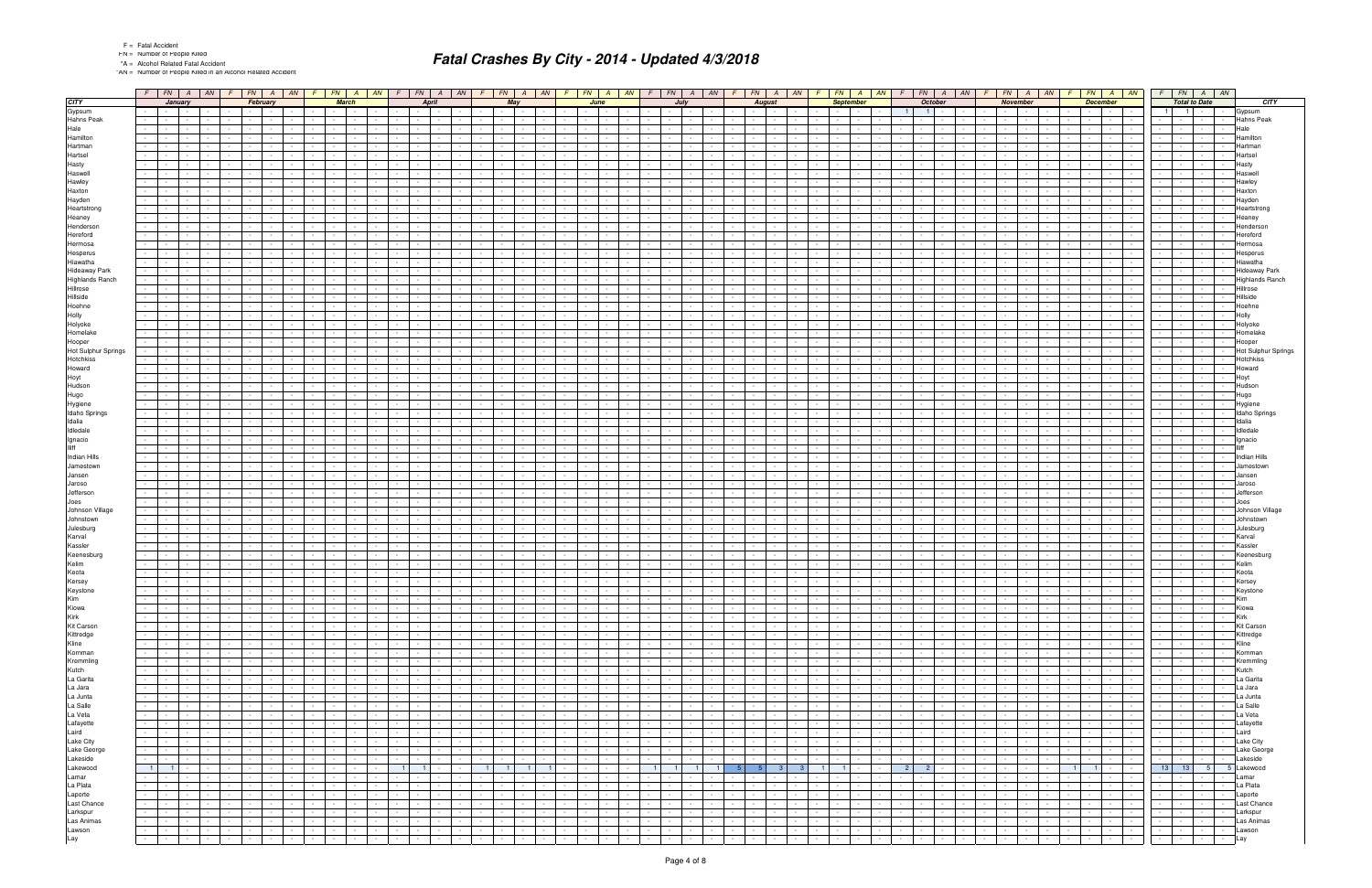|  |  | <b>Fatal Accide</b> |
|--|--|---------------------|
|--|--|---------------------|

"AN = Number of People Killed in an Alcohol Related Accident

|                                          |                          |                                                                             |                              |                                             |                                                                                                                                                                                                                                                                                                                                                                                                                                                                                        |                               |                          |                                    |                            | $F$   FN   A   AN   F   FN   A   AN   F   FN   A   AN |                                    | $F \mid FN \mid$                                     | $A$ $AN$                                             |                                         |                                    |                                                      |                          | $F$ $F$ $A$ $A$ $A$ $F$ $F$ $A$ $A$ $A$ $F$ $F$ $A$ $A$ |                                                       |                                       |                                                                                                                                                                                                                                |                                                        |                                                       |                                             | $FN$ $A$<br>AM                   |                | FN  <br>$\overline{A}$                                                                                                                                                                                                                                  | AN                                                             | FN                                    |                                                                               | AN                                          | FN                                             | A                                                    | AN              |                                                      |                 | $FN$ $A$ $AN$                    | $F$ $FN$ $A$ $AN$                                                                                                                                                                                                                                                                                                                                   |                                                  |                 |                     |
|------------------------------------------|--------------------------|-----------------------------------------------------------------------------|------------------------------|---------------------------------------------|----------------------------------------------------------------------------------------------------------------------------------------------------------------------------------------------------------------------------------------------------------------------------------------------------------------------------------------------------------------------------------------------------------------------------------------------------------------------------------------|-------------------------------|--------------------------|------------------------------------|----------------------------|-------------------------------------------------------|------------------------------------|------------------------------------------------------|------------------------------------------------------|-----------------------------------------|------------------------------------|------------------------------------------------------|--------------------------|---------------------------------------------------------|-------------------------------------------------------|---------------------------------------|--------------------------------------------------------------------------------------------------------------------------------------------------------------------------------------------------------------------------------|--------------------------------------------------------|-------------------------------------------------------|---------------------------------------------|----------------------------------|----------------|---------------------------------------------------------------------------------------------------------------------------------------------------------------------------------------------------------------------------------------------------------|----------------------------------------------------------------|---------------------------------------|-------------------------------------------------------------------------------|---------------------------------------------|------------------------------------------------|------------------------------------------------------|-----------------|------------------------------------------------------|-----------------|----------------------------------|-----------------------------------------------------------------------------------------------------------------------------------------------------------------------------------------------------------------------------------------------------------------------------------------------------------------------------------------------------|--------------------------------------------------|-----------------|---------------------|
| <b>CITY</b>                              |                          |                                                                             | January                      |                                             |                                                                                                                                                                                                                                                                                                                                                                                                                                                                                        | February                      |                          |                                    |                            | <b>March</b>                                          |                                    |                                                      | April                                                |                                         | May                                |                                                      |                          |                                                         | June                                                  |                                       | July                                                                                                                                                                                                                           |                                                        |                                                       |                                             | <b>August</b>                    |                | <b>September</b>                                                                                                                                                                                                                                        |                                                                |                                       | <b>October</b>                                                                |                                             |                                                | <b>November</b>                                      |                 |                                                      | <b>December</b> |                                  | <b>Total to Date</b>                                                                                                                                                                                                                                                                                                                                |                                                  |                 | <b>CITY</b>         |
| Gypsum                                   |                          | and the property of the con-                                                |                              |                                             |                                                                                                                                                                                                                                                                                                                                                                                                                                                                                        |                               |                          |                                    |                            |                                                       |                                    | $\sim$ $-$                                           |                                                      |                                         | $\sim$                             |                                                      |                          |                                                         |                                                       |                                       |                                                                                                                                                                                                                                |                                                        |                                                       | the contract of the con-                    |                                  |                |                                                                                                                                                                                                                                                         |                                                                | $\overline{1}$                        | $\vert$ 1   $\vert$ -                                                         |                                             | $\sim 10^{-11}$                                |                                                      |                 |                                                      | $\sim$          | <b>Contract Contract</b>         | $\blacksquare$<br>$\blacksquare$ 1                                                                                                                                                                                                                                                                                                                  |                                                  |                 | Gypsum              |
| Hahns Peak                               |                          |                                                                             |                              |                                             |                                                                                                                                                                                                                                                                                                                                                                                                                                                                                        |                               |                          |                                    |                            |                                                       |                                    |                                                      |                                                      |                                         |                                    |                                                      |                          |                                                         |                                                       |                                       |                                                                                                                                                                                                                                |                                                        |                                                       |                                             |                                  |                |                                                                                                                                                                                                                                                         |                                                                |                                       |                                                                               |                                             |                                                |                                                      |                 |                                                      |                 |                                  |                                                                                                                                                                                                                                                                                                                                                     |                                                  |                 | Hahns Peak          |
| Hale                                     |                          |                                                                             |                              |                                             |                                                                                                                                                                                                                                                                                                                                                                                                                                                                                        |                               |                          |                                    |                            |                                                       |                                    |                                                      |                                                      |                                         |                                    |                                                      |                          |                                                         |                                                       |                                       |                                                                                                                                                                                                                                |                                                        |                                                       |                                             |                                  |                |                                                                                                                                                                                                                                                         |                                                                |                                       |                                                                               |                                             |                                                |                                                      |                 |                                                      |                 |                                  |                                                                                                                                                                                                                                                                                                                                                     |                                                  | Hale            |                     |
| Hamilton                                 |                          |                                                                             |                              |                                             |                                                                                                                                                                                                                                                                                                                                                                                                                                                                                        |                               |                          |                                    |                            |                                                       |                                    |                                                      |                                                      |                                         |                                    |                                                      |                          |                                                         |                                                       |                                       |                                                                                                                                                                                                                                |                                                        |                                                       |                                             |                                  |                |                                                                                                                                                                                                                                                         |                                                                |                                       |                                                                               |                                             |                                                |                                                      |                 |                                                      |                 |                                  |                                                                                                                                                                                                                                                                                                                                                     |                                                  |                 | Hamilton            |
| Hartman                                  |                          |                                                                             |                              |                                             |                                                                                                                                                                                                                                                                                                                                                                                                                                                                                        |                               |                          |                                    |                            |                                                       |                                    |                                                      |                                                      |                                         |                                    |                                                      |                          |                                                         |                                                       |                                       |                                                                                                                                                                                                                                |                                                        |                                                       |                                             |                                  |                |                                                                                                                                                                                                                                                         |                                                                |                                       |                                                                               |                                             |                                                |                                                      |                 |                                                      |                 |                                  |                                                                                                                                                                                                                                                                                                                                                     |                                                  |                 | Hartman             |
| Hartsel                                  |                          |                                                                             |                              |                                             |                                                                                                                                                                                                                                                                                                                                                                                                                                                                                        |                               |                          |                                    |                            |                                                       |                                    |                                                      |                                                      |                                         |                                    |                                                      |                          |                                                         |                                                       |                                       |                                                                                                                                                                                                                                |                                                        |                                                       |                                             |                                  |                |                                                                                                                                                                                                                                                         |                                                                |                                       |                                                                               |                                             |                                                |                                                      |                 |                                                      |                 |                                  |                                                                                                                                                                                                                                                                                                                                                     |                                                  | Hartsel         |                     |
| Hasty<br>Haswell                         |                          |                                                                             |                              |                                             |                                                                                                                                                                                                                                                                                                                                                                                                                                                                                        |                               |                          |                                    |                            |                                                       |                                    |                                                      |                                                      |                                         |                                    |                                                      |                          |                                                         |                                                       |                                       |                                                                                                                                                                                                                                |                                                        |                                                       |                                             |                                  |                |                                                                                                                                                                                                                                                         |                                                                |                                       |                                                                               |                                             |                                                |                                                      |                 |                                                      |                 |                                  |                                                                                                                                                                                                                                                                                                                                                     |                                                  | Hasty<br>Haswel |                     |
| Hawley                                   |                          |                                                                             |                              |                                             |                                                                                                                                                                                                                                                                                                                                                                                                                                                                                        |                               |                          |                                    |                            |                                                       |                                    |                                                      |                                                      |                                         |                                    |                                                      |                          |                                                         |                                                       |                                       |                                                                                                                                                                                                                                |                                                        |                                                       |                                             |                                  |                |                                                                                                                                                                                                                                                         |                                                                |                                       |                                                                               |                                             |                                                |                                                      |                 |                                                      |                 |                                  |                                                                                                                                                                                                                                                                                                                                                     |                                                  | Hawley          |                     |
| Haxton                                   |                          |                                                                             |                              |                                             |                                                                                                                                                                                                                                                                                                                                                                                                                                                                                        |                               |                          |                                    |                            |                                                       |                                    |                                                      |                                                      |                                         |                                    |                                                      |                          |                                                         |                                                       |                                       |                                                                                                                                                                                                                                |                                                        |                                                       |                                             |                                  |                |                                                                                                                                                                                                                                                         |                                                                |                                       |                                                                               |                                             |                                                |                                                      |                 |                                                      |                 |                                  |                                                                                                                                                                                                                                                                                                                                                     |                                                  | Haxton          |                     |
| Hayden                                   |                          |                                                                             |                              |                                             |                                                                                                                                                                                                                                                                                                                                                                                                                                                                                        |                               |                          |                                    |                            |                                                       |                                    |                                                      |                                                      |                                         |                                    |                                                      |                          |                                                         |                                                       |                                       |                                                                                                                                                                                                                                |                                                        |                                                       |                                             |                                  |                |                                                                                                                                                                                                                                                         |                                                                |                                       |                                                                               |                                             |                                                |                                                      |                 |                                                      |                 |                                  |                                                                                                                                                                                                                                                                                                                                                     |                                                  | Hayder          |                     |
| Heartstrong                              |                          |                                                                             |                              |                                             |                                                                                                                                                                                                                                                                                                                                                                                                                                                                                        |                               |                          |                                    |                            |                                                       |                                    |                                                      |                                                      |                                         |                                    |                                                      |                          |                                                         |                                                       |                                       |                                                                                                                                                                                                                                |                                                        |                                                       |                                             |                                  |                |                                                                                                                                                                                                                                                         |                                                                |                                       |                                                                               |                                             |                                                |                                                      |                 |                                                      |                 |                                  |                                                                                                                                                                                                                                                                                                                                                     |                                                  |                 | Heartstron          |
| Heaney                                   |                          |                                                                             |                              |                                             |                                                                                                                                                                                                                                                                                                                                                                                                                                                                                        |                               |                          |                                    |                            |                                                       |                                    |                                                      |                                                      |                                         |                                    |                                                      |                          |                                                         |                                                       |                                       |                                                                                                                                                                                                                                |                                                        |                                                       |                                             |                                  |                |                                                                                                                                                                                                                                                         |                                                                |                                       |                                                                               |                                             |                                                |                                                      |                 |                                                      |                 |                                  |                                                                                                                                                                                                                                                                                                                                                     |                                                  | Heaney          |                     |
| Henderson                                |                          |                                                                             |                              |                                             |                                                                                                                                                                                                                                                                                                                                                                                                                                                                                        |                               |                          |                                    |                            |                                                       |                                    |                                                      |                                                      |                                         |                                    |                                                      |                          |                                                         |                                                       |                                       |                                                                                                                                                                                                                                |                                                        |                                                       |                                             |                                  |                |                                                                                                                                                                                                                                                         |                                                                |                                       |                                                                               |                                             |                                                |                                                      |                 |                                                      |                 |                                  |                                                                                                                                                                                                                                                                                                                                                     |                                                  |                 | Hendersor           |
| Hereford                                 |                          |                                                                             |                              |                                             |                                                                                                                                                                                                                                                                                                                                                                                                                                                                                        |                               |                          |                                    |                            |                                                       |                                    |                                                      |                                                      |                                         |                                    |                                                      |                          |                                                         |                                                       |                                       |                                                                                                                                                                                                                                |                                                        |                                                       |                                             |                                  |                |                                                                                                                                                                                                                                                         |                                                                |                                       |                                                                               |                                             |                                                |                                                      |                 |                                                      |                 |                                  |                                                                                                                                                                                                                                                                                                                                                     |                                                  |                 | Hereford            |
| Hermosa                                  |                          |                                                                             |                              |                                             |                                                                                                                                                                                                                                                                                                                                                                                                                                                                                        |                               |                          |                                    |                            |                                                       |                                    |                                                      |                                                      |                                         |                                    |                                                      |                          |                                                         |                                                       |                                       |                                                                                                                                                                                                                                |                                                        |                                                       |                                             |                                  |                |                                                                                                                                                                                                                                                         |                                                                |                                       |                                                                               |                                             |                                                |                                                      |                 |                                                      |                 |                                  |                                                                                                                                                                                                                                                                                                                                                     |                                                  |                 | lermosa             |
| Hesperus                                 |                          |                                                                             |                              |                                             |                                                                                                                                                                                                                                                                                                                                                                                                                                                                                        |                               |                          |                                    |                            |                                                       |                                    |                                                      |                                                      |                                         |                                    |                                                      |                          |                                                         |                                                       |                                       |                                                                                                                                                                                                                                |                                                        |                                                       |                                             |                                  |                |                                                                                                                                                                                                                                                         |                                                                |                                       |                                                                               |                                             |                                                |                                                      |                 |                                                      |                 |                                  |                                                                                                                                                                                                                                                                                                                                                     |                                                  |                 | -lesperus           |
| Hiawatha                                 |                          |                                                                             |                              |                                             |                                                                                                                                                                                                                                                                                                                                                                                                                                                                                        |                               |                          |                                    |                            |                                                       |                                    |                                                      |                                                      |                                         |                                    |                                                      |                          |                                                         |                                                       |                                       |                                                                                                                                                                                                                                |                                                        |                                                       |                                             |                                  |                |                                                                                                                                                                                                                                                         |                                                                |                                       |                                                                               |                                             |                                                |                                                      |                 |                                                      |                 |                                  |                                                                                                                                                                                                                                                                                                                                                     |                                                  |                 | Hiawatha            |
| <b>Hideaway Park</b>                     |                          |                                                                             |                              |                                             |                                                                                                                                                                                                                                                                                                                                                                                                                                                                                        |                               |                          |                                    |                            |                                                       |                                    |                                                      |                                                      |                                         |                                    |                                                      |                          |                                                         |                                                       |                                       |                                                                                                                                                                                                                                |                                                        |                                                       |                                             |                                  |                |                                                                                                                                                                                                                                                         |                                                                |                                       |                                                                               |                                             |                                                |                                                      |                 |                                                      |                 |                                  |                                                                                                                                                                                                                                                                                                                                                     |                                                  |                 | Hideaway Park       |
| <b>Highlands Ranch</b>                   |                          |                                                                             |                              |                                             |                                                                                                                                                                                                                                                                                                                                                                                                                                                                                        |                               |                          |                                    |                            |                                                       |                                    |                                                      |                                                      |                                         |                                    |                                                      |                          |                                                         |                                                       |                                       |                                                                                                                                                                                                                                |                                                        |                                                       |                                             |                                  |                |                                                                                                                                                                                                                                                         |                                                                |                                       |                                                                               |                                             |                                                |                                                      |                 |                                                      |                 |                                  |                                                                                                                                                                                                                                                                                                                                                     |                                                  |                 | Highlands Ranch     |
| Hillrose<br>Hillside                     |                          |                                                                             |                              |                                             |                                                                                                                                                                                                                                                                                                                                                                                                                                                                                        |                               |                          |                                    |                            |                                                       |                                    |                                                      |                                                      |                                         |                                    |                                                      |                          |                                                         |                                                       |                                       |                                                                                                                                                                                                                                |                                                        |                                                       |                                             |                                  |                |                                                                                                                                                                                                                                                         |                                                                |                                       |                                                                               |                                             |                                                |                                                      |                 |                                                      |                 |                                  |                                                                                                                                                                                                                                                                                                                                                     |                                                  | Hillrose        |                     |
| Hoehne                                   |                          |                                                                             |                              |                                             |                                                                                                                                                                                                                                                                                                                                                                                                                                                                                        |                               |                          |                                    |                            |                                                       |                                    |                                                      |                                                      |                                         |                                    |                                                      |                          |                                                         |                                                       |                                       |                                                                                                                                                                                                                                |                                                        |                                                       |                                             |                                  |                |                                                                                                                                                                                                                                                         |                                                                |                                       |                                                                               |                                             |                                                |                                                      |                 |                                                      |                 |                                  |                                                                                                                                                                                                                                                                                                                                                     |                                                  | Hillside        | Hoehne              |
| Holly                                    |                          |                                                                             |                              |                                             |                                                                                                                                                                                                                                                                                                                                                                                                                                                                                        |                               |                          |                                    |                            |                                                       |                                    |                                                      |                                                      |                                         |                                    |                                                      |                          |                                                         |                                                       |                                       |                                                                                                                                                                                                                                |                                                        |                                                       |                                             |                                  |                |                                                                                                                                                                                                                                                         |                                                                |                                       |                                                                               |                                             |                                                |                                                      |                 |                                                      |                 |                                  |                                                                                                                                                                                                                                                                                                                                                     |                                                  | Holly           |                     |
| Holyoke                                  |                          |                                                                             |                              |                                             |                                                                                                                                                                                                                                                                                                                                                                                                                                                                                        |                               |                          |                                    |                            |                                                       |                                    |                                                      |                                                      |                                         |                                    |                                                      |                          |                                                         |                                                       |                                       |                                                                                                                                                                                                                                |                                                        |                                                       |                                             |                                  |                |                                                                                                                                                                                                                                                         |                                                                |                                       |                                                                               |                                             |                                                |                                                      |                 |                                                      |                 |                                  |                                                                                                                                                                                                                                                                                                                                                     |                                                  | Holyoke         |                     |
| Homelake                                 |                          |                                                                             |                              |                                             |                                                                                                                                                                                                                                                                                                                                                                                                                                                                                        |                               |                          |                                    |                            |                                                       |                                    |                                                      |                                                      |                                         |                                    |                                                      |                          |                                                         |                                                       |                                       |                                                                                                                                                                                                                                |                                                        |                                                       |                                             |                                  |                |                                                                                                                                                                                                                                                         |                                                                |                                       |                                                                               |                                             |                                                |                                                      |                 |                                                      |                 |                                  |                                                                                                                                                                                                                                                                                                                                                     |                                                  |                 | Homelak             |
| Hooper                                   |                          |                                                                             |                              |                                             |                                                                                                                                                                                                                                                                                                                                                                                                                                                                                        |                               |                          |                                    |                            |                                                       |                                    |                                                      |                                                      |                                         |                                    |                                                      |                          |                                                         |                                                       |                                       |                                                                                                                                                                                                                                |                                                        |                                                       |                                             |                                  |                |                                                                                                                                                                                                                                                         |                                                                |                                       |                                                                               |                                             |                                                |                                                      |                 |                                                      |                 |                                  |                                                                                                                                                                                                                                                                                                                                                     |                                                  |                 | looper              |
| Hot Sulphur Springs                      |                          |                                                                             |                              |                                             |                                                                                                                                                                                                                                                                                                                                                                                                                                                                                        |                               |                          |                                    |                            |                                                       |                                    |                                                      |                                                      |                                         |                                    |                                                      |                          |                                                         |                                                       |                                       |                                                                                                                                                                                                                                |                                                        |                                                       |                                             |                                  |                |                                                                                                                                                                                                                                                         |                                                                |                                       |                                                                               |                                             |                                                |                                                      |                 |                                                      |                 |                                  |                                                                                                                                                                                                                                                                                                                                                     |                                                  |                 | Hot Sulphur Springs |
| Hotchkiss                                | $\sim$                   |                                                                             |                              |                                             |                                                                                                                                                                                                                                                                                                                                                                                                                                                                                        |                               |                          |                                    |                            |                                                       |                                    |                                                      |                                                      |                                         |                                    |                                                      |                          |                                                         |                                                       |                                       |                                                                                                                                                                                                                                |                                                        |                                                       |                                             |                                  |                |                                                                                                                                                                                                                                                         |                                                                |                                       |                                                                               |                                             |                                                |                                                      |                 |                                                      |                 |                                  |                                                                                                                                                                                                                                                                                                                                                     |                                                  |                 | Hotchkis:           |
| Howard                                   |                          |                                                                             |                              |                                             |                                                                                                                                                                                                                                                                                                                                                                                                                                                                                        |                               |                          |                                    |                            |                                                       |                                    |                                                      |                                                      |                                         |                                    |                                                      |                          |                                                         |                                                       |                                       |                                                                                                                                                                                                                                |                                                        |                                                       |                                             |                                  |                |                                                                                                                                                                                                                                                         |                                                                |                                       |                                                                               |                                             |                                                |                                                      |                 |                                                      |                 |                                  |                                                                                                                                                                                                                                                                                                                                                     |                                                  | Howard          |                     |
| Hoyt                                     |                          |                                                                             |                              |                                             |                                                                                                                                                                                                                                                                                                                                                                                                                                                                                        |                               |                          |                                    |                            |                                                       |                                    |                                                      |                                                      |                                         |                                    |                                                      |                          |                                                         |                                                       |                                       |                                                                                                                                                                                                                                |                                                        |                                                       |                                             |                                  |                |                                                                                                                                                                                                                                                         |                                                                |                                       |                                                                               |                                             |                                                |                                                      |                 |                                                      |                 |                                  |                                                                                                                                                                                                                                                                                                                                                     |                                                  | Hoyt            |                     |
| Hudson<br>Hugo                           |                          |                                                                             |                              |                                             |                                                                                                                                                                                                                                                                                                                                                                                                                                                                                        |                               |                          |                                    |                            |                                                       |                                    |                                                      |                                                      |                                         |                                    |                                                      |                          |                                                         |                                                       |                                       |                                                                                                                                                                                                                                |                                                        |                                                       |                                             |                                  |                |                                                                                                                                                                                                                                                         |                                                                |                                       |                                                                               |                                             |                                                |                                                      |                 |                                                      |                 |                                  |                                                                                                                                                                                                                                                                                                                                                     |                                                  | Hudson<br>Hugo  |                     |
| Hygiene                                  |                          |                                                                             |                              |                                             |                                                                                                                                                                                                                                                                                                                                                                                                                                                                                        |                               |                          |                                    |                            |                                                       |                                    |                                                      |                                                      |                                         |                                    |                                                      |                          |                                                         |                                                       |                                       |                                                                                                                                                                                                                                |                                                        |                                                       |                                             |                                  |                |                                                                                                                                                                                                                                                         |                                                                |                                       |                                                                               |                                             |                                                |                                                      |                 |                                                      |                 |                                  |                                                                                                                                                                                                                                                                                                                                                     |                                                  |                 | Hygiene             |
| Idaho Springs                            |                          |                                                                             |                              |                                             |                                                                                                                                                                                                                                                                                                                                                                                                                                                                                        |                               |                          |                                    |                            |                                                       |                                    |                                                      |                                                      |                                         |                                    |                                                      |                          |                                                         |                                                       |                                       |                                                                                                                                                                                                                                |                                                        |                                                       |                                             |                                  |                |                                                                                                                                                                                                                                                         |                                                                |                                       |                                                                               |                                             |                                                |                                                      |                 |                                                      |                 |                                  |                                                                                                                                                                                                                                                                                                                                                     |                                                  |                 | Idaho Springs       |
| Idalia                                   |                          |                                                                             |                              |                                             |                                                                                                                                                                                                                                                                                                                                                                                                                                                                                        |                               |                          |                                    |                            |                                                       |                                    |                                                      |                                                      |                                         |                                    |                                                      |                          |                                                         |                                                       |                                       |                                                                                                                                                                                                                                |                                                        |                                                       |                                             |                                  |                |                                                                                                                                                                                                                                                         |                                                                |                                       |                                                                               |                                             |                                                |                                                      |                 |                                                      |                 |                                  |                                                                                                                                                                                                                                                                                                                                                     |                                                  | Idalia          |                     |
| Idledale                                 |                          |                                                                             |                              |                                             |                                                                                                                                                                                                                                                                                                                                                                                                                                                                                        |                               |                          |                                    |                            |                                                       |                                    |                                                      |                                                      |                                         |                                    |                                                      |                          |                                                         |                                                       |                                       |                                                                                                                                                                                                                                |                                                        |                                                       |                                             |                                  |                |                                                                                                                                                                                                                                                         |                                                                |                                       |                                                                               |                                             |                                                |                                                      |                 |                                                      |                 |                                  |                                                                                                                                                                                                                                                                                                                                                     |                                                  | Idledale        |                     |
| Ignacio                                  |                          |                                                                             |                              |                                             |                                                                                                                                                                                                                                                                                                                                                                                                                                                                                        |                               |                          |                                    |                            |                                                       |                                    |                                                      |                                                      |                                         |                                    |                                                      |                          |                                                         |                                                       |                                       |                                                                                                                                                                                                                                |                                                        |                                                       |                                             |                                  |                |                                                                                                                                                                                                                                                         |                                                                |                                       |                                                                               |                                             |                                                |                                                      |                 |                                                      |                 |                                  |                                                                                                                                                                                                                                                                                                                                                     |                                                  | Ignacio         |                     |
| <b>Illiff</b>                            |                          |                                                                             |                              |                                             |                                                                                                                                                                                                                                                                                                                                                                                                                                                                                        |                               |                          |                                    |                            |                                                       |                                    |                                                      |                                                      |                                         |                                    |                                                      |                          |                                                         |                                                       |                                       |                                                                                                                                                                                                                                |                                                        |                                                       |                                             |                                  |                |                                                                                                                                                                                                                                                         |                                                                |                                       |                                                                               |                                             |                                                |                                                      |                 |                                                      |                 |                                  |                                                                                                                                                                                                                                                                                                                                                     |                                                  |                 |                     |
| Indian Hills                             |                          |                                                                             |                              |                                             |                                                                                                                                                                                                                                                                                                                                                                                                                                                                                        |                               |                          |                                    |                            |                                                       |                                    |                                                      |                                                      |                                         |                                    |                                                      |                          |                                                         |                                                       |                                       |                                                                                                                                                                                                                                |                                                        |                                                       |                                             |                                  |                |                                                                                                                                                                                                                                                         |                                                                |                                       |                                                                               |                                             |                                                |                                                      |                 |                                                      |                 |                                  |                                                                                                                                                                                                                                                                                                                                                     |                                                  |                 | Indian Hills        |
| Jamestown                                |                          |                                                                             |                              |                                             |                                                                                                                                                                                                                                                                                                                                                                                                                                                                                        |                               |                          |                                    |                            |                                                       |                                    |                                                      |                                                      |                                         |                                    |                                                      |                          |                                                         |                                                       |                                       |                                                                                                                                                                                                                                |                                                        |                                                       |                                             |                                  |                |                                                                                                                                                                                                                                                         |                                                                |                                       |                                                                               |                                             |                                                |                                                      |                 |                                                      |                 |                                  |                                                                                                                                                                                                                                                                                                                                                     |                                                  | Jansen          |                     |
| Jansen<br>Jaroso                         |                          |                                                                             |                              |                                             |                                                                                                                                                                                                                                                                                                                                                                                                                                                                                        |                               |                          |                                    |                            |                                                       |                                    |                                                      |                                                      |                                         |                                    |                                                      |                          |                                                         |                                                       |                                       |                                                                                                                                                                                                                                |                                                        |                                                       |                                             |                                  |                |                                                                                                                                                                                                                                                         |                                                                |                                       |                                                                               |                                             |                                                |                                                      |                 |                                                      |                 |                                  |                                                                                                                                                                                                                                                                                                                                                     |                                                  | Jarosc          |                     |
| Jefferson                                |                          |                                                                             |                              |                                             |                                                                                                                                                                                                                                                                                                                                                                                                                                                                                        |                               |                          |                                    |                            |                                                       |                                    |                                                      |                                                      |                                         |                                    |                                                      |                          |                                                         |                                                       |                                       |                                                                                                                                                                                                                                |                                                        |                                                       |                                             |                                  |                |                                                                                                                                                                                                                                                         |                                                                |                                       |                                                                               |                                             |                                                |                                                      |                 |                                                      |                 |                                  |                                                                                                                                                                                                                                                                                                                                                     |                                                  |                 | leffersor           |
| Joes                                     |                          |                                                                             |                              |                                             |                                                                                                                                                                                                                                                                                                                                                                                                                                                                                        |                               |                          |                                    |                            |                                                       |                                    |                                                      |                                                      |                                         |                                    |                                                      |                          |                                                         |                                                       |                                       |                                                                                                                                                                                                                                |                                                        |                                                       |                                             |                                  |                |                                                                                                                                                                                                                                                         |                                                                |                                       |                                                                               |                                             |                                                |                                                      |                 |                                                      |                 |                                  |                                                                                                                                                                                                                                                                                                                                                     |                                                  | Joes            |                     |
| Johnson Village                          |                          |                                                                             |                              |                                             |                                                                                                                                                                                                                                                                                                                                                                                                                                                                                        |                               |                          |                                    |                            |                                                       |                                    |                                                      |                                                      |                                         |                                    |                                                      |                          |                                                         |                                                       |                                       |                                                                                                                                                                                                                                |                                                        |                                                       |                                             |                                  |                |                                                                                                                                                                                                                                                         |                                                                |                                       |                                                                               |                                             |                                                |                                                      |                 |                                                      |                 |                                  |                                                                                                                                                                                                                                                                                                                                                     |                                                  |                 | Johnson Village     |
| Johnstown                                |                          |                                                                             |                              |                                             |                                                                                                                                                                                                                                                                                                                                                                                                                                                                                        |                               |                          |                                    |                            |                                                       |                                    |                                                      |                                                      |                                         |                                    |                                                      |                          |                                                         |                                                       |                                       |                                                                                                                                                                                                                                |                                                        |                                                       |                                             |                                  |                |                                                                                                                                                                                                                                                         |                                                                |                                       |                                                                               |                                             |                                                |                                                      |                 |                                                      |                 |                                  |                                                                                                                                                                                                                                                                                                                                                     |                                                  |                 | Johnstown           |
| Julesburg                                |                          |                                                                             |                              |                                             |                                                                                                                                                                                                                                                                                                                                                                                                                                                                                        |                               |                          |                                    |                            |                                                       |                                    |                                                      |                                                      |                                         |                                    |                                                      |                          |                                                         |                                                       |                                       |                                                                                                                                                                                                                                |                                                        |                                                       |                                             |                                  |                |                                                                                                                                                                                                                                                         |                                                                |                                       |                                                                               |                                             |                                                |                                                      |                 |                                                      |                 |                                  |                                                                                                                                                                                                                                                                                                                                                     |                                                  |                 | Julesburg           |
| Karval                                   |                          |                                                                             |                              |                                             |                                                                                                                                                                                                                                                                                                                                                                                                                                                                                        |                               |                          |                                    |                            |                                                       |                                    |                                                      |                                                      |                                         |                                    |                                                      |                          |                                                         |                                                       |                                       |                                                                                                                                                                                                                                |                                                        |                                                       |                                             |                                  |                |                                                                                                                                                                                                                                                         |                                                                |                                       |                                                                               |                                             |                                                |                                                      |                 |                                                      |                 |                                  |                                                                                                                                                                                                                                                                                                                                                     |                                                  | Karval          |                     |
| Kassler                                  |                          |                                                                             |                              |                                             |                                                                                                                                                                                                                                                                                                                                                                                                                                                                                        |                               |                          |                                    |                            |                                                       |                                    |                                                      |                                                      |                                         |                                    |                                                      |                          |                                                         |                                                       |                                       |                                                                                                                                                                                                                                |                                                        |                                                       |                                             |                                  |                |                                                                                                                                                                                                                                                         |                                                                |                                       |                                                                               |                                             |                                                |                                                      |                 |                                                      |                 |                                  |                                                                                                                                                                                                                                                                                                                                                     |                                                  | Kassle          |                     |
| Keenesburg<br>Kelim                      |                          |                                                                             |                              |                                             |                                                                                                                                                                                                                                                                                                                                                                                                                                                                                        |                               |                          |                                    |                            |                                                       |                                    |                                                      |                                                      |                                         |                                    |                                                      |                          |                                                         |                                                       |                                       |                                                                                                                                                                                                                                |                                                        |                                                       |                                             |                                  |                |                                                                                                                                                                                                                                                         |                                                                |                                       |                                                                               |                                             |                                                |                                                      |                 |                                                      |                 |                                  |                                                                                                                                                                                                                                                                                                                                                     |                                                  | Kelim           | Keenesburg          |
| Keota                                    |                          |                                                                             |                              |                                             |                                                                                                                                                                                                                                                                                                                                                                                                                                                                                        |                               |                          |                                    |                            |                                                       |                                    |                                                      |                                                      |                                         |                                    |                                                      |                          |                                                         |                                                       |                                       |                                                                                                                                                                                                                                |                                                        |                                                       |                                             |                                  |                |                                                                                                                                                                                                                                                         |                                                                |                                       |                                                                               |                                             |                                                |                                                      |                 |                                                      |                 |                                  |                                                                                                                                                                                                                                                                                                                                                     |                                                  | Keota           |                     |
| Kersey                                   | $\sim 100$               | <b>Contractor</b>                                                           | $\sim$                       |                                             |                                                                                                                                                                                                                                                                                                                                                                                                                                                                                        |                               |                          |                                    |                            |                                                       |                                    |                                                      |                                                      |                                         |                                    |                                                      |                          |                                                         |                                                       |                                       |                                                                                                                                                                                                                                |                                                        |                                                       | $\sim$                                      |                                  |                |                                                                                                                                                                                                                                                         |                                                                |                                       |                                                                               |                                             |                                                |                                                      |                 |                                                      |                 |                                  |                                                                                                                                                                                                                                                                                                                                                     |                                                  | Kersey          |                     |
|                                          |                          |                                                                             |                              |                                             |                                                                                                                                                                                                                                                                                                                                                                                                                                                                                        |                               |                          |                                    |                            |                                                       |                                    |                                                      |                                                      |                                         |                                    |                                                      |                          |                                                         |                                                       |                                       |                                                                                                                                                                                                                                |                                                        |                                                       |                                             |                                  |                |                                                                                                                                                                                                                                                         |                                                                |                                       |                                                                               |                                             |                                                |                                                      |                 |                                                      |                 |                                  | <b>The Contract State</b>                                                                                                                                                                                                                                                                                                                           |                                                  |                 | keystone            |
| Keystone<br>Kim                          | $\omega_{\rm{max}}$      | <b>Contract</b>                                                             | $\sim$                       | $\sim$ $-$                                  | $\sim$                                                                                                                                                                                                                                                                                                                                                                                                                                                                                 |                               |                          |                                    |                            | $\sim$                                                | $\sim$                             | $\sim 10^{-1}$<br>$\sim$ $-$                         | $\sim 10^{-11}$                                      | $\sim 10^{-11}$                         | $\sim$                             | <b>Contract</b>                                      | $\sim$ $\sim$            | $\sim 10^{-1}$                                          | $\sim 10^{-11}$                                       | $\sim 10^{-11}$<br>$\sim 10^{-1}$     | $\sim 10^{-1}$                                                                                                                                                                                                                 | $\sim 10^{-11}$                                        | $\sim$<br>$\sim 10^{-1}$                              | <b>Contract</b>                             | $\sim 10^{-1}$<br>$\sim 10^{-1}$ | $\sim$         | <b>Contract</b><br>$\sim$                                                                                                                                                                                                                               |                                                                | $\sim$                                | $\sim 10^{-1}$                                                                | $\sim 10^{-1}$<br>$\sim 10^{-1}$            | $\sim 10^{-11}$                                | $\sim 10^{-10}$                                      | $\sim 10^{-11}$ | $\sim 10^{-11}$                                      | $\sim 10^{-1}$  | <b>Carl Carl</b>                 | $\overline{a}$ . The set of $\overline{a}$                                                                                                                                                                                                                                                                                                          | $\sim$<br><b>Contract</b>                        | Kim             |                     |
|                                          |                          | $-1 - 1 - 1$                                                                |                              |                                             |                                                                                                                                                                                                                                                                                                                                                                                                                                                                                        |                               |                          |                                    |                            |                                                       | the contract of the con-           | <b>Contract</b>                                      | the contract of the con-                             |                                         | $\sim$ $-$                         | the contract of the con-                             |                          | $\sim$ $-$                                              | $\mathbf{I}$ and $\mathbf{I}$                         | $\sim$ $\sim$<br>$\sim$ $\sim$ $\sim$ | <b>Contract</b>                                                                                                                                                                                                                | <b>Contract</b>                                        | $\sim$ 100 $\pm$<br>$\sim 100$                        | the contract of the con-                    |                                  | $\sim$         | $\mathbf{I}$ . The set of $\mathbf{I}$                                                                                                                                                                                                                  |                                                                |                                       | $\sim$ $-$                                                                    |                                             | the contract of the con-                       | and the state of the state                           |                 | the contract of the con-                             |                 | and the state of the state       | $-1 - 1 - 1 - 1$                                                                                                                                                                                                                                                                                                                                    |                                                  | Kiowa           |                     |
|                                          | $\sim$ $-$               |                                                                             | <b>Contract Contract</b>     |                                             | $\sim$                                                                                                                                                                                                                                                                                                                                                                                                                                                                                 |                               |                          |                                    |                            | $\sim$                                                |                                    | $\sim$ $-$<br>$\sim 10^{-11}$                        | <b>Contract Contract</b>                             | <b>Contract</b>                         | $\sim$                             | <b>Contract Contract</b>                             |                          | $\sim$                                                  | $\sim$ $-$                                            | $\sim$ $\sim$ $\sim$                  | $\sim 10^{-1}$                                                                                                                                                                                                                 | $\sim 10^{-11}$                                        | $\sim 10^{-1}$<br>$\sim 10^{-1}$                      | the contract of                             |                                  | $\sim$         | <b>Contract</b>                                                                                                                                                                                                                                         |                                                                | <b>Service</b>                        | $\sim$ $-$                                                                    | $\sim 10^{-1}$                              | <b>Contract</b>                                |                                                      |                 | the contract of                                      |                 | and the state of the state       | the contract of                                                                                                                                                                                                                                                                                                                                     |                                                  | Kirk            |                     |
| Kiowa<br>Kirk<br>Kit Carson<br>Kittredge |                          | the contract of the contract of the con-                                    |                              | $\sim 10^{-10}$                             | the contract of the con-                                                                                                                                                                                                                                                                                                                                                                                                                                                               |                               | $\sim$                   | <b>Contract</b>                    | the contract of            |                                                       | the contract of                    | <b>Contract Contract</b>                             | and the control                                      |                                         | <b>Contract Contract</b>           | and the state                                        |                          | and the state of the                                    | <b>Contract Contract State</b>                        | $\sim 10^{-1}$                        | the contract of the contract of the contract of the contract of the contract of the contract of the contract of the contract of the contract of the contract of the contract of the contract of the contract of the contract o |                                                        |                                                       | the contract of the con-                    | $\sim 100$                       |                | the contract of the contract of the con-                                                                                                                                                                                                                | $\mathbf{1}$ and $\mathbf{1}$                                  | $\sim$                                | $\frac{1}{2}$ , $\frac{1}{2}$ , $\frac{1}{2}$ , $\frac{1}{2}$ , $\frac{1}{2}$ | $\sim 10^{-11}$                             |                                                | .                                                    |                 |                                                      |                 | .                                |                                                                                                                                                                                                                                                                                                                                                     | $\sim$                                           |                 | <b>Kit Carson</b>   |
|                                          |                          | $-1 - 1 - 1 - 1$                                                            |                              | <b>Contract</b>                             | the contract of<br>the contract of                                                                                                                                                                                                                                                                                                                                                                                                                                                     |                               | $\sim$ $-$               | $\sim 10^{-11}$                    | $\sim$                     | <b>Contract</b><br><b>Contract</b>                    | the contract of<br>the contract of | $\sim 10^{-11}$<br>$\sim$ $  -$<br>$\sim 100$        | <b>Contract Contract</b><br>and the state            | $\sim$ $-$<br>$\sim 10^{-10}$           | $\sim 10^{-11}$<br>$\sim 100$      | <b>Contract Contract</b><br>the contract             |                          | $\sim$ $-$<br>$\sim 10^{-10}$<br>$\sim$ $-$             | $\mathbf{I}$ $\mathbf{I}$<br>l – I                    | $\sim$<br>$\sim$ $\sim$               | <b>Service State</b><br><b>Service</b> Service                                                                                                                                                                                 | the contract                                           | $\sim 10^{-1}$<br>$\sim 100$<br>$\sim 10^{-1}$        | <b>Contract Contract</b><br>the contract of | $\sim$ $\sim$                    | $\sim$         | the contract of<br>$\sim$ $-$<br>$\mathbf{I}$ and $\mathbf{I}$                                                                                                                                                                                          | $\sim$ $-$<br>$\sim$ $-$<br><b>Contract</b>                    | $\sim$                                | <b>Second Control</b><br>the contract                                         | $\sim 10^{-11}$<br><b>Contract Contract</b> | <b>Committee</b><br><b>Contract Contract</b>   | <b>Contract Contract</b><br><b>Contract Contract</b> |                 | <b>Contract Contract</b><br><b>Contract Contract</b> |                 | 드디 고<br><b>Contract Contract</b> | <b>Second Control</b><br>the contract of                                                                                                                                                                                                                                                                                                            | $\sim$ - $\sim$ 1<br>$\sim$<br>$\sim$            | Kline           | Kittredge           |
| Kline<br>Kornman                         | $\sim 10^{-11}$          |                                                                             | the contract of the con-     | $\sim 10^{-11}$                             | the contract of the                                                                                                                                                                                                                                                                                                                                                                                                                                                                    |                               |                          | <b>Contract</b>                    | $\sim$                     | $\sim 100$ km s $^{-1}$                               | the contract of                    | <b>Contract Contract</b>                             | <b>Contract Contract</b>                             | <b>Contract</b>                         | $\sim 10^{-11}$                    | <b>Contract Contract</b>                             | <b>Service</b>           | $\sim$ $-$                                              | $\sim 100$ km s $^{-1}$                               | $\sim$                                | the contract of                                                                                                                                                                                                                |                                                        | $\sim 10^{-11}$<br>$\sim 100$                         | the contract of                             | $\sim$ $\sim$                    | $\sim$         | $\mathbf{1}$ $\mathbf{1}$                                                                                                                                                                                                                               | $\sim$ $-$<br>$\sim$ $-$                                       | $\sim$<br>$\sim$ $\sim$ $\sim$ $\sim$ | $\sim$ $-$                                                                    | $\sim 10^{-11}$                             | and the control                                | and the property of the con-                         |                 | and the state of the state                           |                 | and the state of the state       |                                                                                                                                                                                                                                                                                                                                                     | $\sim$                                           |                 | Kornman             |
| Kremmling                                |                          | $-1 - 1 - 1 - 1$                                                            |                              | <b>Contract</b>                             |                                                                                                                                                                                                                                                                                                                                                                                                                                                                                        |                               | $\sim$ $-$               | $\sim 10^{-11}$                    | $\sim$                     | <b>Contract</b>                                       | the contract of                    | $\sim$ $  -$<br>$\sim 10^{-11}$                      | <b>Contract Contract</b>                             | <b>Service</b>                          | $\sim 10^{-11}$                    | <b>Contract Contract</b>                             | <b>Service</b>           | $\sim 10^{-1}$                                          | $\mathbf{1}$ $\mathbf{1}$                             | $\sim$                                | the contract of the con-                                                                                                                                                                                                       |                                                        | $\sim 10^{-1}$<br>$\sim 100$                          | <b>Contract Contract</b>                    | $\sim$ $\sim$                    |                | the contract of                                                                                                                                                                                                                                         | $\sim$ $-$<br><b>Contract</b>                                  | $\sim$                                | <b>Service</b> Service                                                        | $\sim 10^{-11}$                             | <b>Committee</b>                               | <b>Contract Contract</b>                             |                 | <b>Contract Contract</b>                             |                 | 1 - 1 국                          | <b>Second Control</b>                                                                                                                                                                                                                                                                                                                               | $\sim$<br><b>Contract Contract</b>               |                 | Kremmling           |
| Kutch                                    |                          |                                                                             |                              |                                             | the contract of the con-                                                                                                                                                                                                                                                                                                                                                                                                                                                               |                               |                          |                                    |                            | <b>Contract Contract</b>                              | the contract of the con-           | $\sim 100$                                           | the contract of the con-                             | $\sim 10^{-10}$                         | $\sim 100$                         | <b>Contract Contract</b>                             |                          | $\sim$ $-$                                              | l – I                                                 | $\sim$ $\sim$                         | the contract of                                                                                                                                                                                                                | the contract                                           | $\sim 10^{-1}$                                        | the contract of                             |                                  | $\sim$         | <b>The Contract of the Contract of the Contract of the Contract of the Contract of the Contract of the Contract of the Contract of the Contract of the Contract of the Contract of the Contract of The Contract of The Contract </b><br>$\sim 10^{-11}$ | <b>Contract</b>                                                |                                       | the contract                                                                  | <b>Contract Contract</b>                    | <b>Contract Contract Contract</b>              | <b>Contract Contract</b>                             |                 | the contract of the con-                             |                 | <b>Contract Contract</b>         | the control of the                                                                                                                                                                                                                                                                                                                                  | $\sim$                                           | Kutch           |                     |
| La Garita                                | $\sim$ $-$               |                                                                             | and the property of the con- | $\sim 10^{-11}$                             | <b>Service State</b>                                                                                                                                                                                                                                                                                                                                                                                                                                                                   |                               | $\sim$ $-$               | $\sim 100$                         | $\sim$                     | $\sim 100$ km s $^{-1}$                               | the contract of                    | <b>Contract Contract</b>                             | <b>Contract Contract</b>                             | $\sim 10^{-10}$                         | $\sim 10^{-1}$                     | <b>Contract Contract</b>                             | $\sim 10^{-1}$           | $\sim$ $-$                                              | $\sim 100$ km s $^{-1}$                               | $\sim$ $-$                            | the contract of                                                                                                                                                                                                                |                                                        | $\sim 10^{-11}$<br>$\sim 100$                         | the contract of                             | <b>Contract</b>                  | $\sim$         | <b>Contract Contract</b>                                                                                                                                                                                                                                | $\sim$ $-$<br>$\sim$ $-$                                       | $\sim$<br>$\sim$ $\sim$ $\sim$ $\sim$ | $\sim 10^{-1}$                                                                | $\sim 10^{-11}$                             | the contract of                                | and the property of the con-                         |                 | and the state of the state                           |                 | and the state of the state       | the contract of the con-                                                                                                                                                                                                                                                                                                                            | $\sim$                                           |                 | La Garita           |
| La Jara                                  |                          | $-1 - 1 - 1 - 1$                                                            |                              | $\sim 10^{-11}$                             | the contract of the contract of                                                                                                                                                                                                                                                                                                                                                                                                                                                        |                               | $\sim$ $-$               | <b>Contract</b>                    | $\sim$                     | $\sim 10^{-11}$                                       | the contract of                    | <b>Contract Contract</b>                             | and the control                                      |                                         | <b>Service State</b>               | the contract                                         |                          |                                                         | <b>Contract Contract Contract</b>                     | $\sim 10^{-1}$                        | $-1 - 1 - 1 - 1 - 1$                                                                                                                                                                                                           |                                                        |                                                       |                                             |                                  |                | the contract of the contract of the con-                                                                                                                                                                                                                | <b>Service</b>                                                 | $\sim$                                | <b>Contract Contract</b>                                                      | $\sim 10^{-11}$                             | the contract of the con-                       | and the state                                        |                 | and the state                                        |                 | 1949 - No. 1949                  | the contract of the con-                                                                                                                                                                                                                                                                                                                            | $\sim$                                           | La Jara         |                     |
| La Junta                                 | $\sim 10^{-11}$          |                                                                             | and the state of the state   | $\sim 10^{-10}$                             | the contract of the con-                                                                                                                                                                                                                                                                                                                                                                                                                                                               |                               | $\sim$                   |                                    |                            | <b>Contract</b><br>$\sim 10^{-11}$                    | $\sim 10^{-1}$                     | $\sim 10^{-11}$<br>$\sim 10^{-11}$                   | <b>Contract Contract</b><br>$\sim 100$               | <b>Service</b>                          | $\sim$                             | the contract of the con-                             |                          | $\sim$ $\sim$                                           | <b>Contract</b>                                       | $\sim$ $\sim$ $\sim$<br>$\sim$        | $\sim 10^{-11}$                                                                                                                                                                                                                |                                                        | $\sim$ 10 $\pm$<br>$\sim 10^{-11}$                    |                                             | and the control                  | $\sim 10^{-1}$ | <b>Contract Contract</b><br>$\sim$ $-$                                                                                                                                                                                                                  |                                                                |                                       | $\sim 10^{-11}$                                                               | $\sim$ 100 $\mu$<br>$\sim 100$              | $\sim 10^{-11}$                                | <b>Contract Contract</b>                             | $\sim 10^{-11}$ | and the contract                                     |                 | <b>Contract Contract</b>         | the contract of                                                                                                                                                                                                                                                                                                                                     | $\sim$                                           |                 | La Junta            |
| La Salle                                 |                          | the contract of the contract of the con-                                    |                              | $\sim 10^{-10}$                             | $\begin{array}{cccccccccccccc} \multicolumn{2}{c}{} & \multicolumn{2}{c}{} & \multicolumn{2}{c}{} & \multicolumn{2}{c}{} & \multicolumn{2}{c}{} & \multicolumn{2}{c}{} & \multicolumn{2}{c}{} & \multicolumn{2}{c}{} & \multicolumn{2}{c}{} & \multicolumn{2}{c}{} & \multicolumn{2}{c}{} & \multicolumn{2}{c}{} & \multicolumn{2}{c}{} & \multicolumn{2}{c}{} & \multicolumn{2}{c}{} & \multicolumn{2}{c}{} & \multicolumn{2}{c}{} & \multicolumn{2}{c}{} & \multicolumn{2}{c}{} & \$ |                               | $\sim$ $-$               | <b>Contractor</b>                  | <b>Contract Contract</b>   |                                                       | the contract of                    | <b>Contract Contract</b>                             | the contract of                                      | $\sim 10^{-10}$                         | $\sim 100$                         | the contract of the                                  |                          | $\sim 10^{-10}$                                         | the contract of                                       | $\sim$ $-$                            |                                                                                                                                                                                                                                |                                                        |                                                       | and the contract                            | $\sim 100$                       |                | $-1 - 1$<br>$\sim$ $-$                                                                                                                                                                                                                                  | $\sim$ $-$                                                     | $-1 - 1 - 1 - 1 - 1$                  |                                                                               | $\sim 10^{-11}$                             | and the state                                  | <b>Contract Contract</b>                             |                 | <b>Contract Contract</b>                             |                 | <b>Common</b>                    | <b>The Contract of the Contract of the Contract of the Contract of the Contract of the Contract of the Contract o</b>                                                                                                                                                                                                                               | <b>Contract Contract</b><br>$\sim$               | La Salle        |                     |
| La Veta<br>Lafayette                     |                          | the contract of the contract of<br>the contract of the contract of the con- |                              | $\sim 10^{-11}$<br><b>Contract Contract</b> | the contract of the<br>the contract of the con-                                                                                                                                                                                                                                                                                                                                                                                                                                        |                               | $\sim$ $-$<br>$\sim$ $-$ | $\sim$ $-$<br><b>Contract</b>      | $\sim$ $\sim$              | <b>Contract</b><br><b>Contract</b>                    | the contract of<br>the contract of | and the control<br><b>Contract Contract</b>          | <b>Contract Contract</b><br><b>Contract Contract</b> | <b>Contract</b><br>$\sim$ $\sim$ $\sim$ | $\sim 10^{-11}$<br>$\sim 100$      | <b>Contract Contract</b><br><b>Contract Contract</b> |                          | $\sim$ $-$<br><b>Contract</b><br>$\sim$ $-$             | <b>Contract Contract</b><br>$\mathbf{1}$ $\mathbf{1}$ | $\sim$ $-$<br>$\sim$ $-$              | the contract of the con-<br>the contract of the con-                                                                                                                                                                           | <b>Contract Contract</b><br>and the state of the state | $\sim 10^{-11}$<br>$\sim 10^{-11}$                    | and the state<br>and the state              | $\sim 10^{-1}$                   | $\sim$         | $\mathbf{I}$ $\mathbf{I}$<br>the contract of the con-                                                                                                                                                                                                   | $\sim$ $-$<br><b>Contract</b><br>$\sim 10^{-11}$<br>$\sim 100$ | $\sim$ $-$<br>$\sim$ $-$<br>$\sim$    | $\sim 10^{-1}$<br><b>Contract Contract</b>                                    | <b>Contract</b><br>$\sim 10^{-11}$          | and the state<br>the contract of the con-      | and the property of the con-<br>and the contract     |                 | <b>Service</b> Service                               |                 | and the state of the state<br>.  | the contract of<br>$-1 - 1 - 1 - 1$                                                                                                                                                                                                                                                                                                                 | $\sim$<br><b>Contractor</b><br>$\sim$            | La Veta         | Lafayette           |
| Laird                                    |                          | $-1 - 1 - 1$                                                                |                              | $\sim 10^{-10}$                             | <b>Contract Contract State</b>                                                                                                                                                                                                                                                                                                                                                                                                                                                         |                               |                          | $\sim 10^{-11}$                    | $\sim$ $-$                 | $\sim 10^{-11}$                                       | the contract of                    | 그대다                                                  | <b>Contract Contract</b>                             |                                         | 그래도                                | <b>Contract Contract</b>                             |                          | $\sim$ $-$<br>$\sim 10^{-10}$                           | $\mathbf{I}$ $\mathbf{I}$                             | $\sim$                                | $\sim$ $\sim$ $\sim$ $\sim$                                                                                                                                                                                                    | 1941 F                                                 | $\sim 10^{-1}$                                        | <b>Contract Contract</b>                    | <b>Contract</b>                  |                | the contract of the contract of                                                                                                                                                                                                                         | $\sim$<br>$\sim 10^{-11}$                                      | $\sim$                                | ा । - ना                                                                      | $\sim 10^{-11}$                             | 국내민                                            | and the state                                        |                 |                                                      |                 | 2000   2010   2011   201         | $\overline{a}$ and $\overline{a}$ and $\overline{a}$ and $\overline{a}$ and $\overline{a}$ and $\overline{a}$ and $\overline{a}$ and $\overline{a}$                                                                                                                                                                                                 | $\sim$                                           | Laird           |                     |
| Lake City                                |                          | <u>and the state</u>                                                        |                              | $\sim 10^{-11}$                             | $\sim 10^{-11}$                                                                                                                                                                                                                                                                                                                                                                                                                                                                        | $\mathbf{I}$ and $\mathbf{I}$ | $\sim$                   | $\sim$ $-$<br><b>Contract</b>      |                            | <b>Contract</b>                                       | the contract of                    | $\sim$ $-$<br>$\sim 10^{-11}$                        | <b>Contract Contract</b>                             | <b>Contract</b>                         | $\sim 10^{-1}$                     | <b>Contract Contract</b>                             |                          | $\sim$ $-$                                              | $\sim 100$ km s $^{-1}$                               | $\sim$ $-$                            | <b>Second Second</b>                                                                                                                                                                                                           | $\sim$ $-$                                             | $\sim 10^{-11}$<br>$\sim 100$                         | and the state                               |                                  | $\sim$         | $\mathbf{I}$ $\mathbf{I}$                                                                                                                                                                                                                               | $\sim$ $-$<br><b>Service</b>                                   | $\sim$<br>$\sim$ $-$                  | $\sim 10^{-1}$                                                                | $\sim 10^{-11}$                             | the contract of                                | and the property of the con-                         |                 | <b>Contract Contract</b>                             |                 | $\sim$ $\sim$                    | $-1 - 1 - 1 - 1$                                                                                                                                                                                                                                                                                                                                    | $\sim 10^{-1}$                                   |                 | <b>Lake City</b>    |
| Lake George                              |                          | the contract of the contract of the con-                                    |                              | <b>Contract</b>                             | and the state of the state of the                                                                                                                                                                                                                                                                                                                                                                                                                                                      |                               | $\sim$ $-$               | <b>Contract</b>                    | the contract of the con-   |                                                       | the contract of                    | and the contract of the con-                         | and the control                                      |                                         | and the state                      | and the state of                                     |                          | $\sim$ $\sim$ $\sim$ $\sim$                             | <b>Contract Contract State</b>                        | $\sim 10^{-1}$                        | the contract of the contract of the con-                                                                                                                                                                                       |                                                        |                                                       | the contract of the con-                    | $\sim 100$                       |                | .                                                                                                                                                                                                                                                       |                                                                | $\sim$                                | $-1$ $-1$                                                                     | $\sim 10^{-11}$                             |                                                | and the state of the state                           |                 |                                                      |                 | .                                |                                                                                                                                                                                                                                                                                                                                                     |                                                  |                 | Lake George         |
| Lakeside                                 |                          | $-1 - 1 - 1 - 1$                                                            |                              | $\sim 10^{-10}$                             | <b>Committee</b>                                                                                                                                                                                                                                                                                                                                                                                                                                                                       |                               | $\sim$ $-$               | $\sim 10^{-11}$                    | $\sim$ 100 $\pm$ 100 $\pm$ |                                                       | <b>Carl Carl</b>                   | <b>Contract</b>                                      | <b>Contract Contract</b>                             |                                         | जिल्ला प                           | and the state                                        |                          | $\sim$ $-$<br>$\sim 10^{-10}$                           | $\mathbf{I}$ $\mathbf{I}$                             | $\sim$                                | <b>Committee</b>                                                                                                                                                                                                               | $\sim$ T $\sim$                                        | $\sim 10^{-1}$                                        | <b>Contract Contract</b>                    | <b>Contract</b>                  | $\sim$         | $\mathbb{L} \times \mathbb{L}$                                                                                                                                                                                                                          | $\sim$ $-$<br>$\sim$ $-$                                       | $\sim$ 1.000 $\sim$ 1.000 $\sim$      |                                                                               | $\sim 10^{-11}$                             | <u>जिल्ला पुरुष</u>                            | and the state                                        |                 |                                                      |                 | 2000   2010   2011   201         | $\overline{a}$ , $\overline{a}$ , $\overline{a}$ , $\overline{a}$ , $\overline{a}$ , $\overline{a}$ , $\overline{a}$ , $\overline{a}$ , $\overline{a}$ , $\overline{a}$ , $\overline{a}$ , $\overline{a}$ , $\overline{a}$ , $\overline{a}$ , $\overline{a}$ , $\overline{a}$ , $\overline{a}$ , $\overline{a}$ , $\overline{a}$ , $\overline{a}$ , | $\sim 10^{-11}$                                  |                 | Lakeside            |
| Lakewood                                 |                          | $-1$ $-1$ $-$                                                               |                              | <b>Contract</b>                             | and the state of the state of the                                                                                                                                                                                                                                                                                                                                                                                                                                                      |                               | $\sim$ $-$               | $\sim 10^{-11}$                    | the contract of            |                                                       | <b>Contract Contract</b>           | $-1$ $1$ $-1$ $-1$                                   |                                                      |                                         |                                    | $1 \mid 1 \mid 1 \mid 1$                             |                          | $\sim 10^{-1}$                                          | $\mathbf{1}$ $\mathbf{1}$                             | $\sim$                                | $1 \ 1 \ 1 \ 1$                                                                                                                                                                                                                |                                                        |                                                       | $5 \vert 5 \vert$                           | 3 <sup>1</sup>                   | 3              |                                                                                                                                                                                                                                                         | $\sim$                                                         | $2 \mid 2 \mid$                       |                                                                               | $\sim 10^{-11}$                             | and the control of the                         | <b>Contract Contract</b>                             |                 |                                                      |                 | $-1$ $1$ $ \overline{1}$         | 13 13 5 5 Lakewood                                                                                                                                                                                                                                                                                                                                  |                                                  |                 |                     |
| Lamar                                    |                          | the contract of the contract of the                                         |                              | $\sim 10^{-11}$                             | and the state of the state of the                                                                                                                                                                                                                                                                                                                                                                                                                                                      |                               | $\sim$ $-$               | <b>Contract Contract</b>           | the contract of            |                                                       | the contract of                    | the contract of                                      | <b>Contract Contract</b>                             | $\sim 10^{-10}$                         | $\sim 100$                         | and the state                                        | <b>Contract Contract</b> |                                                         | the contract of                                       | $\sim$ $-$                            | 14 H H H                                                                                                                                                                                                                       |                                                        | <b>Contract</b><br>$\sim 10^{-11}$                    | and the state of the state                  |                                  |                | the contract of the contract of<br>$\sim$                                                                                                                                                                                                               | $\sim$ $-$                                                     | $\sim$<br>$ -$                        | $\sim 100$                                                                    | $\sim 10^{-11}$                             | and the control                                | and the property of the con-                         |                 |                                                      |                 |                                  | $-1 - 1 - 1 - 1$                                                                                                                                                                                                                                                                                                                                    | $\sim$                                           | Lamar           |                     |
| La Plata                                 |                          | te and the contract of the con-                                             |                              | $\sim 10^{-10}$                             | <b>Contract Contract Contract</b>                                                                                                                                                                                                                                                                                                                                                                                                                                                      |                               | $\sim$ $-$               | $\sim 10^{-11}$                    |                            | the collection of the collection                      | <b>Carl Carl</b>                   | <b>Contract Contract</b>                             | and the control of the                               |                                         | <b>Contract Contract</b>           | and the state                                        |                          | $\sim$ $\sim$ $\sim$                                    |                                                       |                                       | <b>Contract Contract</b>                                                                                                                                                                                                       | <b>Contract Contract</b>                               | $\sim 10^{-1}$                                        | and the state<br><b>Carl Park</b>           |                                  |                | $-1 - 1 - 1 - 1$<br>$-1 - 1 - 1$                                                                                                                                                                                                                        | $\sim 10^{-11}$                                                | $\sim$                                | $\frac{1}{2}$ , $\frac{1}{2}$ , $\frac{1}{2}$ , $\frac{1}{2}$ , $\frac{1}{2}$ | $\sim 10^{-11}$                             | $-1 - 1$                                       | the contract of                                      |                 | 77   L.                                              |                 | <b>Contract</b>                  | <b>Second Contract Contract</b>                                                                                                                                                                                                                                                                                                                     | $\sim$                                           |                 | La Plata            |
| Laporte<br>Last Chance                   |                          | the contract of the con-<br>$    -$                                         |                              | <b>Contract</b><br><b>Contract Contract</b> | and the state of the state of the<br>the contract of                                                                                                                                                                                                                                                                                                                                                                                                                                   |                               | $\sim$<br>$\sim$ $-$     | $\sim 10^{-11}$<br>$\sim 10^{-11}$ | $\sim 10^{-11}$            | $\sim 10^{-10}$<br>$\sim 10^{-11}$                    | the contract of                    | <b>Contract Contract</b><br><b>Contract Contract</b> | and the control<br>the contract of                   | <b>Contract Contract</b>                | <b>Carl Park</b><br>$\sim 10^{-1}$ | the contract<br>the contract of the                  | <b>Service</b>           | $\sim 10^{-1}$<br>$\sim$                                | $\mathbf{1}$ $\mathbf{1}$<br>$\sim$ $\sim$            | $\sim 10^{-1}$<br>$\sim$              | <b>Contract Contract Contract</b><br>the contract of                                                                                                                                                                           | <b>Contract Contract</b>                               | $\sim 10^{-11}$<br>$\sim 10^{-11}$<br><b>Contract</b> | the contract of                             | $\sim$<br>$\sim$ $-$             | $\sim$         | $\sim$<br>$\mathbf{I}$ and $\mathbf{I}$<br>$\sim$                                                                                                                                                                                                       | <b>Contract</b><br>$\sim$ $-$                                  | $\sim$<br>$\sim$<br>$ -$              | $\sim 100$<br>$\sim 10^{-1}$                                                  | $\sim 10^{-11}$<br>$\sim 10^{-11}$          | <b>Carl Park</b><br>the contract of            | the contract of the con-<br><b>Contract Contract</b> |                 | <b>Contract Contract</b>                             |                 | the contract of                  | $-1 - 1 - 1$<br>the contract of                                                                                                                                                                                                                                                                                                                     | $\sim$<br><b>Contract Contract</b><br>$\sim$     | Laporte         | Last Chance         |
| Larkspur                                 |                          | te and the contract of the con-                                             |                              | $\sim 10^{-10}$                             | <b>Contract Contract State</b>                                                                                                                                                                                                                                                                                                                                                                                                                                                         |                               |                          |                                    | <b>Contract Contract</b>   |                                                       | the contract of                    | <b>Contract Contract</b>                             | <b>Contract Contract</b>                             |                                         | <b>Service State</b>               | <b>Contract Contract</b>                             |                          | $\sim$ $-$                                              |                                                       | $\sim$ $-$                            | the control of the                                                                                                                                                                                                             | <b>Contract Contract</b>                               | $\sim$ $ -$                                           | and the state                               |                                  |                | <b>Second Control</b>                                                                                                                                                                                                                                   | $\sim$<br>$\sim$                                               | $\sim$                                | and the state                                                                 | $\sim 10^{-11}$                             | <b>Contract Contract</b>                       | and the state                                        |                 |                                                      |                 |                                  | <b>Second Control</b>                                                                                                                                                                                                                                                                                                                               | $\mathbf{I}$ $\mathbf{I}$ $\mathbf{I}$<br>$\sim$ |                 | Larkspur            |
| Las Animas                               | $\mathcal{L}_{\rm{max}}$ |                                                                             | and the state                | $\sim$ $-$                                  | $\sim 10^{-1}$                                                                                                                                                                                                                                                                                                                                                                                                                                                                         | $\mathbf{I}$ and $\mathbf{I}$ | $\sim$ $-$               | $\sim$ 100 $\mu$                   | $\sim$                     | $\sim$                                                | the contract of                    | <b>Contract</b><br>$\sim 10^{-11}$                   | the contract of the con-                             | <b>Service</b>                          | $\sim 10^{-11}$                    | and the state                                        |                          | $\sim 10^{-1}$                                          | <b>The Contract Contract Contract</b>                 | $\sim$                                | the contract of                                                                                                                                                                                                                |                                                        | $\sim 10^{-1}$<br>$\sim$ $\sim$                       | and the state                               |                                  | $\sim$         | $\mathbf{1}$ and $\mathbf{1}$<br>$\sim$                                                                                                                                                                                                                 | <b>Contract</b>                                                | $\sim$<br>$ -$                        | $\sim 10^{-1}$                                                                | <b>Contract</b>                             | $\sim$ $\sim$ $\sim$ $\sim$<br>$\sim 10^{-11}$ | <b>Contractor</b>                                    | $\sim 100$      |                                                      | 6. Pol          | the college                      | <b>All Street</b>                                                                                                                                                                                                                                                                                                                                   | $\sim$<br><b>Contractor</b>                      |                 | Las Animas          |
| Lawson                                   |                          | <b>Report Follows</b>                                                       |                              | $\sim$ 100 $\mu$                            | the contract of                                                                                                                                                                                                                                                                                                                                                                                                                                                                        |                               | $\sim$                   | $\sim 10^{-11}$                    | $\sim$ $\sim$              | <b>Contract</b>                                       | the contract of                    | the contract of                                      | the contract of the con-                             | <b>Contract Contract</b>                | $\sim 10^{-1}$                     | the contract of the                                  |                          | <b>Contract</b>                                         | the contract of the contract of                       | $\sim$ $-$                            | the contract of the con-                                                                                                                                                                                                       | $\sim$ $-$                                             | $\sim 10^{-1}$<br><b>Contract</b>                     | the contract of                             | $\sim$ $-$                       |                | $-1 - 1$<br>$\sim$                                                                                                                                                                                                                                      | $\sim$                                                         | $\sim$                                | the contract of                                                               | $\sim 10^{-11}$                             | the contract of                                | the contract of                                      |                 | $\sim$ $\sim$ $\sim$                                 | $\sim 100$      | the contract of                  | the control of the                                                                                                                                                                                                                                                                                                                                  | <b>Contract Contract</b><br>$\sim$               | Lawson          |                     |
| Lay                                      |                          |                                                                             | <b>Contract Contract</b>     | $\sim 10^{-10}$                             | $\sim$ $-$                                                                                                                                                                                                                                                                                                                                                                                                                                                                             | $\mathbf{r}$ and $\mathbf{r}$ | $\sim$                   |                                    | $\sim$                     | $\sim$ $-$                                            | the contract of                    | $\sim 10^{-11}$                                      | the contract of                                      | $\sim 100$                              | $\sim$                             | the contract of the                                  |                          | $\sim$ $-$                                              | $\sim 100$ km s $^{-1}$                               | $\sim$ $\sim$                         | the control of the                                                                                                                                                                                                             | and the state                                          | $\sim$                                                | <b>Contract Contract</b>                    | $\sim 10^{-11}$                  | $\sim$         | $\sim 100$ m $^{-1}$<br>$\sim$                                                                                                                                                                                                                          |                                                                | $\sim$ $\sim$ $\sim$                  | $\sim 10^{-1}$                                                                | $\sim 10^{-11}$                             | <b>Second Control</b>                          | <b>Contract Contract</b>                             |                 | <b>Contract Contract</b>                             |                 | <b>Contract Contract</b>         | the company's                                                                                                                                                                                                                                                                                                                                       | <b>Contract</b><br>$\sim$                        | Lay             |                     |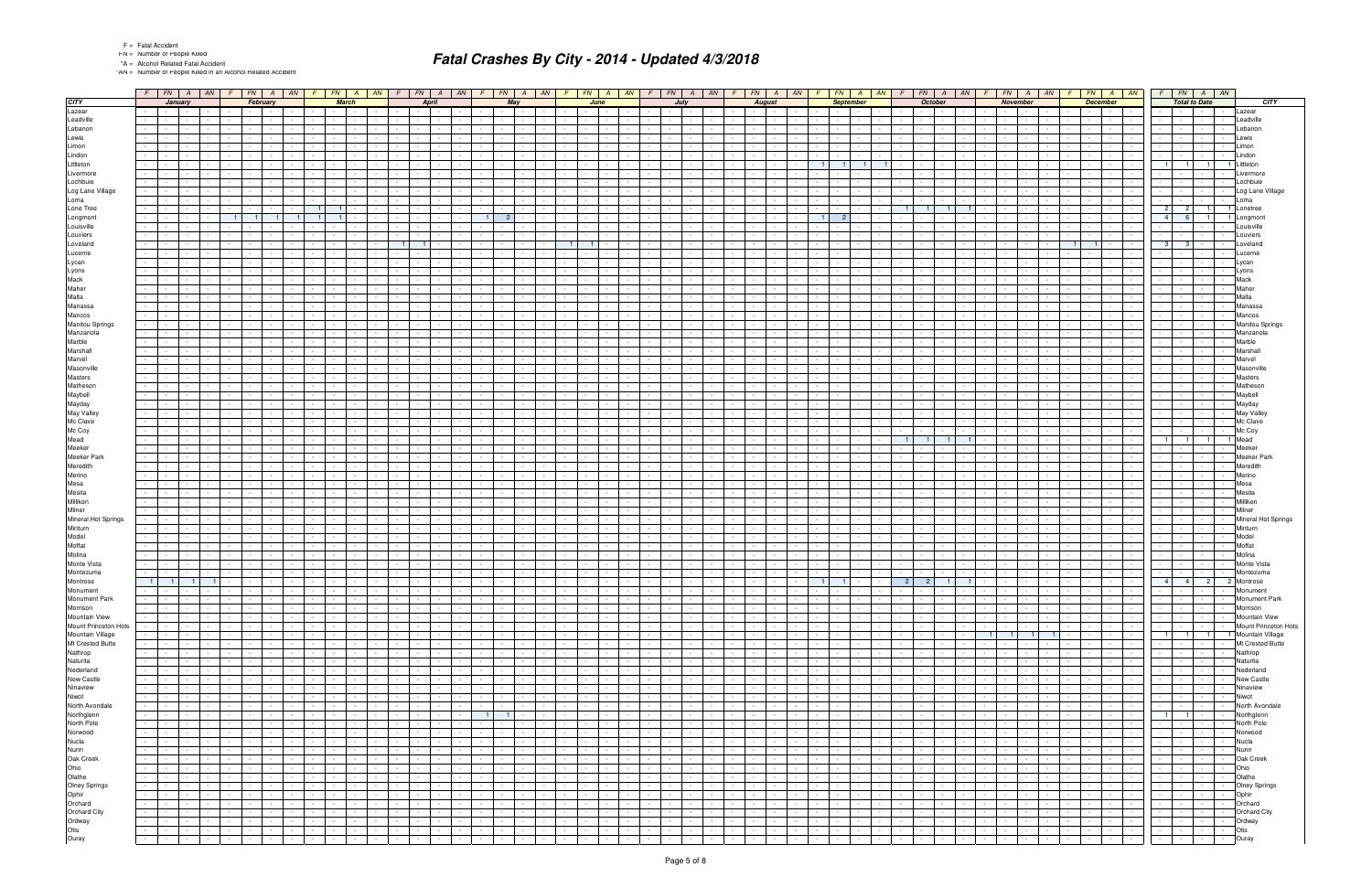|  |  | <b>Fatal Accide</b> |
|--|--|---------------------|
|--|--|---------------------|

"AN = Number of People Killed in an Alcohol Related Accident

|                      |                      |                                       |                          |            |                                    |                |              |            |              | $F$ $\vert$ FN $\vert$ A $\vert$ AN $\vert$ $F$ $\vert$ FN $\vert$ A $\vert$ AN $\vert$ AN $\vert$ AN $\vert$ AN $\vert$ |                      |                               | $F$   FN   A   AN   F   FN   A   AN |                          |                               |                  |                 |                      |                  |               |                         | $FN$   A   AN   F   FN   A   AN |                  | F.                                         | $FN$ $A$ $AN$                      |                  |                                    | $FN$ $A$                 | AN | F                         | $FN$ $A$ $AN$  |                 |                           | $FN$ $A$                                 | AN             |                                        |                 | $F$ $FN$ $A$ $AN$                   |                                    | $F$ $FN$ $A$ $AN$                               |
|----------------------|----------------------|---------------------------------------|--------------------------|------------|------------------------------------|----------------|--------------|------------|--------------|--------------------------------------------------------------------------------------------------------------------------|----------------------|-------------------------------|-------------------------------------|--------------------------|-------------------------------|------------------|-----------------|----------------------|------------------|---------------|-------------------------|---------------------------------|------------------|--------------------------------------------|------------------------------------|------------------|------------------------------------|--------------------------|----|---------------------------|----------------|-----------------|---------------------------|------------------------------------------|----------------|----------------------------------------|-----------------|-------------------------------------|------------------------------------|-------------------------------------------------|
|                      |                      | January<br>the contract of the con-   |                          |            |                                    | February       |              |            | <b>March</b> |                                                                                                                          |                      | <b>April</b>                  |                                     |                          |                               | May              |                 |                      | June             |               |                         | July                            |                  |                                            | <b>August</b>                      |                  |                                    | <b>September</b>         |    |                           | <b>October</b> |                 |                           | November                                 |                |                                        | <b>December</b> |                                     |                                    | <b>Total to Date</b>                            |
|                      |                      | <b>Contract Contract</b>              |                          |            |                                    |                |              |            |              |                                                                                                                          |                      | $\sim$ $-$                    |                                     |                          | $\sim$                        |                  |                 |                      |                  |               |                         |                                 |                  |                                            | $\sim$                             |                  |                                    |                          |    |                           |                |                 |                           |                                          |                |                                        |                 |                                     |                                    |                                                 |
|                      |                      |                                       |                          |            |                                    |                |              |            |              |                                                                                                                          |                      |                               |                                     |                          |                               |                  |                 |                      |                  |               |                         |                                 |                  |                                            |                                    |                  |                                    |                          |    |                           |                |                 |                           |                                          |                |                                        |                 |                                     |                                    |                                                 |
|                      |                      |                                       |                          |            |                                    |                |              |            |              |                                                                                                                          |                      |                               |                                     |                          |                               |                  |                 |                      |                  |               |                         |                                 |                  |                                            |                                    |                  |                                    |                          |    |                           |                |                 |                           |                                          |                |                                        |                 |                                     |                                    |                                                 |
|                      |                      |                                       |                          |            |                                    |                |              |            |              |                                                                                                                          |                      |                               |                                     |                          |                               |                  |                 |                      |                  |               |                         |                                 |                  |                                            |                                    |                  |                                    |                          |    |                           |                |                 |                           |                                          |                |                                        |                 |                                     |                                    |                                                 |
|                      |                      |                                       |                          |            |                                    |                |              |            |              |                                                                                                                          |                      |                               |                                     |                          |                               |                  |                 |                      |                  |               |                         |                                 |                  |                                            |                                    |                  |                                    |                          |    |                           |                |                 |                           |                                          |                |                                        |                 |                                     |                                    |                                                 |
|                      |                      |                                       |                          |            |                                    |                |              |            |              |                                                                                                                          |                      |                               |                                     |                          |                               |                  |                 |                      |                  |               |                         |                                 |                  |                                            |                                    |                  |                                    |                          |    |                           |                |                 |                           |                                          |                |                                        |                 |                                     |                                    |                                                 |
|                      |                      |                                       |                          |            |                                    |                |              |            |              |                                                                                                                          |                      |                               |                                     |                          |                               |                  |                 |                      |                  |               |                         |                                 |                  |                                            |                                    |                  |                                    | 11                       |    |                           |                |                 |                           |                                          |                |                                        |                 |                                     |                                    | 1 <sup>1</sup>                                  |
|                      |                      |                                       |                          |            |                                    |                |              |            |              |                                                                                                                          |                      |                               |                                     |                          |                               |                  |                 |                      |                  |               |                         |                                 |                  |                                            |                                    |                  |                                    |                          |    |                           |                |                 |                           |                                          |                |                                        |                 |                                     |                                    |                                                 |
|                      |                      |                                       |                          |            |                                    |                |              |            |              |                                                                                                                          |                      |                               |                                     |                          |                               |                  |                 |                      |                  |               |                         |                                 |                  |                                            |                                    |                  |                                    |                          |    |                           |                |                 |                           |                                          |                |                                        |                 |                                     |                                    |                                                 |
|                      |                      |                                       |                          |            |                                    |                |              |            |              |                                                                                                                          |                      |                               |                                     |                          |                               |                  |                 |                      |                  |               |                         |                                 |                  |                                            |                                    |                  |                                    |                          |    |                           |                |                 |                           |                                          |                |                                        |                 |                                     | $\sim$                             |                                                 |
|                      |                      |                                       |                          |            |                                    |                |              |            |              |                                                                                                                          |                      |                               |                                     |                          |                               |                  |                 |                      |                  |               |                         |                                 |                  |                                            |                                    |                  |                                    |                          |    |                           |                |                 |                           |                                          |                |                                        |                 |                                     |                                    |                                                 |
|                      |                      |                                       |                          |            |                                    |                |              |            |              |                                                                                                                          |                      |                               |                                     |                          |                               |                  |                 |                      |                  |               |                         |                                 |                  |                                            |                                    |                  |                                    |                          |    |                           |                |                 |                           |                                          |                |                                        |                 |                                     |                                    | 21<br>1 <sup>1</sup><br>1 Lonetree              |
|                      | $\sim$               |                                       |                          |            | 11                                 | $\blacksquare$ | $\mathbf{1}$ |            |              |                                                                                                                          |                      |                               |                                     |                          |                               |                  |                 |                      |                  |               |                         |                                 |                  |                                            |                                    |                  |                                    | 2 <sup>1</sup>           |    |                           |                |                 |                           |                                          |                |                                        |                 |                                     | $\overline{4}$                     | $\blacksquare$<br>1 Longmon                     |
|                      |                      |                                       |                          |            |                                    |                |              |            |              |                                                                                                                          |                      |                               |                                     |                          |                               |                  |                 |                      |                  |               |                         |                                 |                  |                                            |                                    |                  |                                    |                          |    |                           |                |                 |                           |                                          |                |                                        |                 |                                     |                                    |                                                 |
|                      |                      |                                       |                          |            |                                    |                |              |            |              |                                                                                                                          |                      |                               |                                     |                          |                               |                  |                 |                      |                  |               |                         |                                 |                  |                                            |                                    |                  |                                    |                          |    |                           |                |                 |                           |                                          |                |                                        |                 |                                     |                                    |                                                 |
|                      | $\sim$               |                                       |                          |            |                                    |                |              |            |              |                                                                                                                          | - 11                 |                               |                                     |                          |                               |                  |                 |                      | $\overline{1}$   |               |                         |                                 |                  |                                            |                                    |                  |                                    |                          |    |                           |                |                 |                           |                                          |                | 1 <sup>1</sup>                         |                 |                                     |                                    | - 3                                             |
|                      |                      |                                       |                          |            |                                    |                |              |            |              |                                                                                                                          |                      |                               |                                     |                          |                               |                  |                 |                      |                  |               |                         |                                 |                  |                                            |                                    |                  |                                    |                          |    |                           |                |                 |                           |                                          |                |                                        |                 |                                     |                                    |                                                 |
|                      |                      |                                       |                          |            |                                    |                |              |            |              |                                                                                                                          |                      |                               |                                     |                          |                               |                  |                 |                      |                  |               |                         |                                 |                  |                                            |                                    |                  |                                    |                          |    |                           |                |                 |                           |                                          |                |                                        |                 |                                     |                                    |                                                 |
|                      |                      |                                       |                          |            |                                    |                |              |            |              |                                                                                                                          |                      |                               |                                     |                          |                               |                  |                 |                      |                  |               |                         |                                 |                  |                                            |                                    |                  |                                    |                          |    |                           |                |                 |                           |                                          |                |                                        |                 |                                     |                                    |                                                 |
|                      |                      |                                       |                          |            |                                    |                |              |            |              |                                                                                                                          |                      |                               |                                     |                          |                               |                  |                 |                      |                  |               |                         |                                 |                  |                                            |                                    |                  |                                    |                          |    |                           |                |                 |                           |                                          |                |                                        |                 |                                     |                                    |                                                 |
|                      |                      |                                       |                          |            |                                    |                |              |            |              |                                                                                                                          |                      |                               |                                     |                          |                               |                  |                 |                      |                  |               |                         |                                 |                  |                                            |                                    |                  |                                    |                          |    |                           |                |                 |                           |                                          |                |                                        |                 |                                     |                                    |                                                 |
|                      |                      |                                       |                          |            |                                    |                |              |            |              |                                                                                                                          |                      |                               |                                     |                          |                               |                  |                 |                      |                  |               |                         |                                 |                  |                                            |                                    |                  |                                    |                          |    |                           |                |                 |                           |                                          |                |                                        |                 |                                     |                                    |                                                 |
|                      |                      |                                       |                          |            |                                    |                |              |            |              |                                                                                                                          |                      |                               |                                     |                          |                               |                  |                 |                      |                  |               |                         |                                 |                  |                                            |                                    |                  |                                    |                          |    |                           |                |                 |                           |                                          |                |                                        |                 |                                     |                                    |                                                 |
|                      |                      |                                       |                          |            |                                    |                |              |            |              |                                                                                                                          |                      |                               |                                     |                          |                               |                  |                 |                      |                  |               |                         |                                 |                  |                                            |                                    |                  |                                    |                          |    |                           |                |                 |                           |                                          |                |                                        |                 |                                     |                                    |                                                 |
|                      |                      |                                       |                          |            |                                    |                |              |            |              |                                                                                                                          |                      |                               |                                     |                          |                               |                  |                 |                      |                  |               |                         |                                 |                  |                                            |                                    |                  |                                    |                          |    |                           |                |                 |                           |                                          |                |                                        |                 |                                     |                                    |                                                 |
|                      |                      |                                       |                          |            |                                    |                |              |            |              |                                                                                                                          |                      |                               |                                     |                          |                               |                  |                 |                      |                  |               |                         |                                 |                  |                                            |                                    |                  |                                    |                          |    |                           |                |                 |                           |                                          |                |                                        |                 |                                     |                                    |                                                 |
|                      |                      |                                       |                          |            |                                    |                |              |            |              |                                                                                                                          |                      |                               |                                     |                          |                               |                  |                 |                      |                  |               |                         |                                 |                  |                                            |                                    |                  |                                    |                          |    |                           |                |                 |                           |                                          |                |                                        |                 |                                     |                                    |                                                 |
|                      |                      |                                       |                          |            |                                    |                |              |            |              |                                                                                                                          |                      |                               |                                     |                          |                               |                  |                 |                      |                  |               |                         |                                 |                  |                                            |                                    |                  |                                    |                          |    |                           |                |                 |                           |                                          |                |                                        |                 |                                     |                                    |                                                 |
|                      |                      |                                       |                          |            |                                    |                |              |            |              |                                                                                                                          |                      |                               |                                     |                          |                               |                  |                 |                      |                  |               |                         |                                 |                  |                                            |                                    |                  |                                    |                          |    |                           |                |                 |                           |                                          |                |                                        |                 |                                     |                                    |                                                 |
|                      |                      |                                       |                          |            |                                    |                |              |            |              |                                                                                                                          |                      |                               |                                     |                          |                               |                  |                 |                      |                  |               |                         |                                 |                  |                                            |                                    |                  |                                    |                          |    |                           |                |                 |                           |                                          |                |                                        |                 |                                     |                                    |                                                 |
|                      |                      |                                       |                          |            |                                    |                |              |            |              |                                                                                                                          |                      |                               |                                     |                          |                               |                  |                 |                      |                  |               |                         |                                 |                  |                                            |                                    |                  |                                    |                          |    |                           |                |                 |                           |                                          |                |                                        |                 |                                     |                                    |                                                 |
|                      |                      |                                       |                          |            |                                    |                |              |            |              |                                                                                                                          |                      |                               |                                     |                          |                               |                  |                 |                      |                  |               |                         |                                 |                  |                                            |                                    |                  |                                    |                          |    |                           |                |                 |                           |                                          |                |                                        |                 |                                     |                                    |                                                 |
|                      |                      |                                       |                          |            |                                    |                |              |            |              |                                                                                                                          |                      |                               |                                     |                          |                               |                  |                 |                      |                  |               |                         |                                 |                  |                                            |                                    |                  |                                    |                          |    |                           |                |                 |                           |                                          |                |                                        |                 |                                     |                                    |                                                 |
|                      |                      |                                       |                          |            |                                    |                |              |            |              |                                                                                                                          |                      |                               |                                     |                          |                               |                  |                 |                      |                  |               |                         |                                 |                  |                                            |                                    |                  |                                    |                          |    |                           |                |                 |                           |                                          |                |                                        |                 |                                     |                                    |                                                 |
|                      |                      |                                       |                          |            |                                    |                |              |            |              |                                                                                                                          |                      |                               |                                     |                          |                               |                  |                 |                      |                  |               |                         |                                 |                  |                                            |                                    |                  |                                    |                          |    |                           |                |                 |                           |                                          |                |                                        |                 |                                     |                                    |                                                 |
|                      |                      |                                       |                          |            |                                    |                |              |            |              |                                                                                                                          |                      |                               |                                     |                          |                               |                  |                 |                      |                  |               |                         |                                 |                  |                                            |                                    |                  |                                    |                          |    |                           |                |                 |                           |                                          |                |                                        |                 |                                     |                                    |                                                 |
|                      |                      |                                       |                          |            |                                    |                |              |            |              |                                                                                                                          |                      |                               |                                     |                          |                               |                  |                 |                      |                  |               |                         |                                 |                  |                                            |                                    |                  |                                    |                          |    |                           |                |                 |                           |                                          |                |                                        |                 |                                     |                                    |                                                 |
|                      |                      |                                       |                          |            |                                    |                |              |            |              |                                                                                                                          |                      |                               |                                     |                          |                               |                  |                 |                      |                  |               |                         |                                 |                  |                                            |                                    |                  |                                    |                          |    |                           |                |                 |                           |                                          |                |                                        |                 |                                     |                                    |                                                 |
|                      |                      |                                       |                          |            |                                    |                |              |            |              |                                                                                                                          |                      |                               |                                     |                          |                               |                  |                 |                      |                  |               |                         |                                 |                  |                                            |                                    |                  |                                    |                          |    |                           |                |                 |                           |                                          |                |                                        |                 |                                     |                                    |                                                 |
|                      |                      |                                       |                          |            |                                    |                |              |            |              |                                                                                                                          |                      |                               |                                     |                          |                               |                  |                 |                      |                  |               |                         |                                 |                  |                                            |                                    |                  |                                    |                          |    |                           |                |                 |                           |                                          |                |                                        |                 |                                     |                                    | $\overline{1}$<br>1 Mead                        |
|                      |                      |                                       |                          |            |                                    |                |              |            |              |                                                                                                                          |                      |                               |                                     |                          |                               |                  |                 |                      |                  |               |                         |                                 |                  |                                            |                                    |                  |                                    |                          |    |                           |                |                 |                           |                                          |                |                                        |                 |                                     |                                    |                                                 |
|                      |                      |                                       |                          |            |                                    |                |              |            |              |                                                                                                                          |                      |                               |                                     |                          |                               |                  |                 |                      |                  |               |                         |                                 |                  |                                            |                                    |                  |                                    |                          |    |                           |                |                 |                           |                                          |                |                                        |                 |                                     |                                    |                                                 |
|                      | $\sim$               |                                       |                          |            |                                    |                |              |            |              |                                                                                                                          |                      |                               |                                     |                          |                               |                  |                 |                      |                  |               |                         |                                 |                  |                                            |                                    |                  |                                    |                          |    |                           |                |                 |                           |                                          |                |                                        |                 |                                     |                                    |                                                 |
|                      |                      |                                       |                          |            |                                    |                |              |            |              |                                                                                                                          |                      |                               |                                     |                          |                               |                  |                 |                      |                  |               |                         |                                 |                  |                                            |                                    |                  |                                    |                          |    |                           |                |                 |                           |                                          |                |                                        |                 |                                     |                                    |                                                 |
|                      |                      |                                       |                          |            |                                    |                |              |            |              |                                                                                                                          |                      |                               |                                     |                          |                               |                  |                 |                      |                  |               |                         |                                 |                  |                                            |                                    |                  |                                    |                          |    |                           |                |                 |                           |                                          |                |                                        |                 |                                     |                                    |                                                 |
|                      |                      |                                       |                          |            |                                    |                |              |            |              |                                                                                                                          |                      |                               |                                     |                          |                               |                  |                 |                      |                  |               |                         |                                 |                  |                                            |                                    |                  |                                    |                          |    |                           |                |                 |                           |                                          |                |                                        |                 |                                     |                                    |                                                 |
|                      |                      |                                       |                          |            |                                    |                |              |            |              |                                                                                                                          |                      |                               |                                     |                          |                               |                  |                 |                      |                  |               |                         |                                 |                  |                                            |                                    |                  |                                    |                          |    |                           |                |                 |                           |                                          |                |                                        |                 |                                     |                                    |                                                 |
|                      |                      |                                       |                          |            |                                    |                |              |            |              |                                                                                                                          |                      |                               |                                     |                          |                               |                  |                 |                      |                  |               |                         |                                 |                  |                                            |                                    |                  |                                    |                          |    |                           |                |                 |                           |                                          |                |                                        |                 |                                     |                                    |                                                 |
|                      |                      |                                       |                          |            |                                    |                |              |            |              |                                                                                                                          |                      |                               |                                     |                          |                               |                  |                 |                      |                  |               |                         |                                 |                  |                                            |                                    |                  |                                    |                          |    |                           |                |                 |                           |                                          |                |                                        |                 |                                     |                                    |                                                 |
|                      |                      |                                       |                          |            |                                    |                |              |            |              |                                                                                                                          |                      |                               |                                     |                          |                               |                  |                 |                      |                  |               |                         |                                 |                  |                                            |                                    |                  |                                    |                          |    |                           |                |                 |                           |                                          |                |                                        |                 |                                     |                                    |                                                 |
|                      |                      |                                       |                          |            |                                    |                |              |            |              |                                                                                                                          |                      |                               |                                     |                          |                               |                  |                 |                      |                  |               |                         |                                 |                  |                                            |                                    |                  |                                    |                          |    |                           |                |                 |                           |                                          |                |                                        |                 |                                     |                                    |                                                 |
|                      |                      |                                       |                          |            |                                    |                |              |            |              |                                                                                                                          |                      |                               |                                     |                          |                               |                  |                 |                      |                  |               |                         |                                 |                  |                                            |                                    |                  |                                    |                          |    |                           |                |                 |                           |                                          |                |                                        |                 |                                     |                                    |                                                 |
|                      |                      |                                       |                          |            |                                    |                |              |            |              |                                                                                                                          |                      |                               |                                     |                          |                               |                  |                 |                      |                  |               |                         |                                 |                  |                                            |                                    |                  |                                    |                          |    |                           |                |                 |                           |                                          |                |                                        |                 |                                     |                                    |                                                 |
|                      |                      |                                       |                          |            |                                    |                |              |            |              |                                                                                                                          |                      |                               |                                     |                          |                               |                  |                 |                      |                  |               |                         |                                 |                  |                                            |                                    |                  |                                    |                          |    |                           |                |                 |                           |                                          |                |                                        |                 |                                     |                                    |                                                 |
|                      |                      |                                       |                          |            |                                    |                |              |            |              |                                                                                                                          |                      |                               |                                     |                          |                               |                  |                 |                      |                  |               |                         |                                 |                  |                                            |                                    |                  |                                    |                          |    |                           |                |                 |                           |                                          |                |                                        |                 |                                     |                                    |                                                 |
|                      |                      |                                       |                          |            |                                    |                |              |            |              |                                                                                                                          |                      |                               |                                     |                          |                               |                  |                 |                      |                  |               |                         |                                 |                  |                                            |                                    |                  |                                    |                          |    |                           |                |                 |                           |                                          |                |                                        |                 |                                     |                                    |                                                 |
|                      | $\vert$ 1            | $\blacksquare$ 1                      | $\blacksquare$           |            |                                    |                |              |            |              |                                                                                                                          |                      |                               |                                     |                          |                               |                  |                 |                      |                  |               |                         |                                 |                  |                                            |                                    |                  |                                    | 1 <sup>1</sup>           |    | 2                         | $2 \mid$       |                 |                           |                                          |                |                                        |                 |                                     | $\overline{4}$                     | 4 <sup>1</sup><br>2 <sup>1</sup><br>2 Montrose  |
|                      | $\sim$<br>$\sim$ $-$ |                                       |                          |            |                                    |                |              |            |              |                                                                                                                          |                      |                               |                                     |                          |                               |                  |                 |                      |                  |               |                         |                                 |                  |                                            | $\sim$                             |                  |                                    |                          |    |                           |                |                 |                           |                                          |                | $\blacksquare$                         |                 |                                     | $\sim$                             |                                                 |
|                      | $\sim$               | <b>Contract Contract</b>              | $\sim$                   | $\sim$     | $\sim$<br>$\sim$                   |                |              |            |              |                                                                                                                          |                      | $\sim$ $-$                    |                                     | $\sim$ $-$               | $\sim$                        | $\sim$           | $\sim$          | $\sim$               |                  | $\sim$        | $\sim$ $-$              | $\sim$                          | $\sim$ $-$       | $\sim$<br>$\sim 100$                       | $\sim$                             | $\sim 100$       | $\sim$<br><b>Contract</b>          | $\sim$                   |    | $\sim$                    | $\sim$         | $\sim 100$      | $\sim 10^{-11}$           | $\sim 100$                               | $\sim$ $-$     | <b>Contract Contract</b><br>$\sim 100$ |                 | $\sim$<br><b>Contract</b>           | $\sim$<br><b>Contract</b>          | <b>Contract</b><br>$\sim$                       |
|                      | $\sim$               | <b>Contract Contract Contract</b>     | $\sim 10^{-1}$           |            | $\sim$                             |                |              |            |              |                                                                                                                          | $\sim$               | $\sim 10^{-1}$<br>$\sim$      |                                     | $\sim$                   | $\sim$                        | $\sim$ 100 $\pm$ | $\sim$          |                      | <b>Service</b>   | $\sim$        | $\sim$ $-$              | $\sim 100$                      | $\sim$ 100 $\pm$ | $\sim$<br>$\sim 10^{-11}$                  | $\sim$ $-$                         | $\sim$ $-$       | $\sim$<br>$\sim 10^{-11}$          | $\sim$                   |    | $\sim$ $-$                | $\sim$         |                 | $\sim 10^{-11}$           | $\sim 10^{-1}$                           | $\sim$ $-$     | the contract of                        |                 | $\sim$<br>$\sim 100$                | $\sim 10^{-1}$<br>$\sim 100$       | $\sim$ $\sim$ $\sim$ $\sim$<br>$\sim$ 100 $\pm$ |
|                      | $\sim$               | and the property of the con-          |                          |            | $\sim$<br><b>Contract</b>          |                | $\sim$       | $\sim$     | $\sim$       | $\sim$                                                                                                                   | $\sim 10^{-1}$       | $\sim 100$                    | $\sim$                              | $\sim 100$               | $\sim$ $-$                    | $\sim$ $\sim$    | $\sim 10^{-1}$  | $\sim$               | <b>Service</b>   | $\sim$        | $\sim$<br>$\sim$        | $\sim$ $-$                      | $\sim 10^{-1}$   | $\sim 10$<br><b>Contract Contract</b>      | $\sim 10^{-11}$                    | $\sim$ $-$       | $\sim$                             | the contract             |    | $\sim$                    | $\sim$         | $\sim 10^{-11}$ |                           | the contract of                          | $\sim$ $-$     | <b>Contract Contract</b>               |                 | $\sim$<br><b>Contract</b>           | $\sim 10^{-1}$<br>$\sim 10^{-11}$  | $\sim$ $\sim$ $\sim$ $\sim$                     |
| Mount Princeton Hots | $\sim$               | <b>Contract</b>                       | $\sim 10^{-11}$          | $\sim$     | $\sim$<br>$\sim$                   |                |              | $\sim$     | $\sim$       | $\sim$                                                                                                                   | $\sim 10^{-1}$       | $\sim 10^{-1}$<br>$\sim$      | $\sim$                              | $\sim$                   | $\sim$                        | <b>Service</b>   | $\sim$          |                      | $\sim$           | $\sim$        | $\sim$<br>$\sim$        | $\sim 100$                      | $\sim$           | $\sim 10$<br>$\sim 10^{-1}$                | $\sim$                             | $\sim$           | $\sim$<br><b>Service</b>           | $\sim$                   |    |                           | $\sim$         | $\sim 10^{-11}$ | $\sim 10^{-11}$           | $\sim 10^{-1}$                           | $\sim$         | <b>Contract</b><br>$\sim 10^{-11}$     |                 | $\sim$<br>$\sim$ $-$                | $\sim 10^{-1}$<br>$\sim$ 100 $\mu$ |                                                 |
|                      |                      | $-1 - 1 - 1 - 1$                      |                          |            | $\sim$<br><b>Contract</b>          |                |              | $\sim$ $-$ | $\sim$       | $\sim$                                                                                                                   | <b>Service</b>       | $\sim 100$                    | $\sim$<br>$\sim$ $-$                | <b>Service</b>           | $\sim$                        | <b>Service</b>   | $\sim$          | $\sim$               | <b>Service</b>   | $\sim$        | $\sim$<br>$\sim$        | <b>Contract</b>                 | $\sim$ 100 $\pm$ | $\sim$<br>$\sim 10^{-10}$                  | $\sim$ $-$                         | $\sim$ $-$       | $\sim$                             | the contract             |    | $\sim$ $-$                | $\sim$ $-$     | $\sim 10^{-11}$ | 1 <sup>1</sup>            | $-1$ $1$                                 | $\blacksquare$ | the contract of the                    |                 | $\sim$ $-$<br>$\sim$                | $\blacksquare$ 1                   | 1 1 Mountain Village                            |
|                      | $\sim$               | $\sim 10^{-10}$                       | $\sim$                   |            | $\sim$                             |                |              |            |              |                                                                                                                          | $\sim$ $-$           | $\sim$ $-$                    |                                     | $\sim$                   | $\sim$                        | $\sim$           | $\sim$          |                      |                  | $\sim$        |                         | $\sim$                          |                  | $\sim$<br>$\sim$                           | $\sim$                             |                  | $\sim$                             | $\sim$                   |    |                           | $\sim$         |                 | $\sim$                    |                                          |                | $\sim 100$<br><b>Service</b>           |                 | $\sim$<br>$\sim$ $-$                | $\sim$                             | $\sim$ $-$<br>$\sim 10^{-11}$                   |
|                      | $\sim$               | <b>Contractor</b>                     | $\sim$ $-$               | $\sim$     | $\sim$<br>$\sim 100$               |                |              | $\sim$     |              |                                                                                                                          | $\sim$               | $\sim 10^{-11}$               | $\sim$<br>$\sim$                    | $\sim$ 100 $\mu$         | $\sim$                        | $\sim 100$       | $\sim$          |                      |                  | $\sim$        | $\sim$                  | $\sim 100$                      |                  | $\sim 10$<br>$\sim 10^{-11}$               | $\sim$                             |                  | $\sim$<br>$\sim 100$               | $\sim$                   |    |                           | $\sim$         | $\sim$ $-$      | $\sim 10^{-11}$           | $\sim 10^{-1}$                           | $\sim$         | the contract of                        |                 | $\sim$<br>$\sim$ $-$                | $\sim$ $-$                         | $\sim$ $-$<br>$\sim 10^{-1}$                    |
|                      |                      |                                       |                          |            |                                    |                |              |            |              |                                                                                                                          |                      |                               |                                     |                          |                               |                  |                 |                      |                  |               |                         |                                 |                  |                                            |                                    |                  |                                    |                          |    |                           |                |                 |                           |                                          |                |                                        |                 |                                     |                                    |                                                 |
|                      | $\sim$               | <b>Contract Contract</b>              | $\sim$                   |            | $\sim$<br><b>Contract</b>          |                |              | $\sim$     |              | $\sim$                                                                                                                   | $\sim$               | $\sim 100$                    | $\sim$<br>$\sim$                    | $\sim$                   | $\sim$                        | $\sim 10^{-11}$  | $\sim$          |                      | $\sim$ $ \sim$   | $\sim$        | $\sim$<br>$\sim$        | $\sim 100$                      | $\sim$           | $\sim$<br><b>Contract</b>                  | $\sim$                             | $\sim$ $-$       | $\sim$                             | $\sim$                   |    | $\sim$ $-$                | $\sim$ $-$     | $\sim 100$      | $\sim$ $\sim$ $\sim$      | $\sim 10^{-1}$                           | $\sim$         | the contract of the                    |                 | $\sim$<br>$\sim$ $-$                | $\sim$                             | the contract                                    |
|                      | $\sim$               | $\sim 10^{-11}$                       | $\sim$                   |            | $\sim$                             |                |              |            |              |                                                                                                                          | $\sim$               | $\sim$                        |                                     | $\sim$                   | $\sim$                        | $\sim$           |                 |                      |                  |               |                         | $\sim$                          |                  | $\sim$                                     | $\sim$                             |                  | $\sim$                             |                          |    |                           |                |                 | $\sim 100$                | $\sim$                                   |                | $\sim 10^{-1}$<br>$\sim$               |                 | $\sim$<br>$\sim$ $-$                | $\sim$                             | <b>Service</b><br>$\sim$                        |
|                      | $\sim 10^{-1}$       | <b>Contractor</b>                     | $\sim$                   |            | $\sim$                             |                |              | $\sim$     |              |                                                                                                                          | $\sim$               | $\sim 10^{-11}$               | $\sim$<br>$\sim$                    | $\sim$ 100 $\mu$         | $\sim$                        | <b>Service</b>   | $\sim$          |                      | $\sim$ 100 $\mu$ | $\sim$        | $\sim$                  | $\sim 100$                      |                  | $\sim 100$<br><b>Contract</b>              | $\sim 10^{-1}$                     | $\sim$ $-$       | $\sim$<br><b>Service</b>           | $\sim$                   |    |                           | $\sim$         | $\sim$          |                           | $\sim$ $\sim$ $\sim$<br>$\sim$ 100 $\mu$ | $\sim$         | the contract of                        |                 | $\sim$<br>$\sim 10^{-11}$           | $\sim$ $-$                         | <b>Contract Contract</b>                        |
|                      | $\sim 10^{-1}$       | <b>Contract Contract</b>              | $\sim 100$               | $\sim$     | $\sim$<br><b>State State</b>       | $\sim$         | $\sim$       | $\sim$     | $\sim$       | $\sim$ $-$                                                                                                               | $\sim$               | $\sim 10^{-11}$               | $\sim$<br><b>Contract Contract</b>  | <b>Contract Contract</b> | $\sim$                        | <b>Contract</b>  | $\sim$ $-$      | $\sim$               | <b>Service</b>   | $\sim$        | $\sim$<br>$\sim$ $-$    | <b>Contract</b>                 | $\sim$ 100 $\pm$ | $\sim 10$<br><b>Contract Contract</b>      | $\sim 10^{-10}$                    | $\sim$           | $\sim$                             | the contract of the con- |    | $\sim$ $-$                | $\sim$ $-$     | $\sim 100$      | $\sim$ $\sim$ $\sim$      | $\sim$ 100 $\pm$                         | $\sim$ $-$     | the contract of                        |                 | $\sim$<br>$\sim 100$ m $^{-1}$      | $\sim$                             | and the state of the state                      |
|                      | $\sim$               | <b>Contractor</b><br>$\sim$ 100 $\pm$ |                          |            | $\sim$                             |                |              |            |              |                                                                                                                          | $\sim$               | $\sim$ $-$                    |                                     | <b>Contract</b>          | $\sim$ $-$                    | <b>Service</b>   | $\sim$          |                      |                  | $\sim$ $\sim$ | $\sim$                  | $\sim$ 100 $\pm$                | $\sim$           | $\sim$<br>$\sim$                           | $\sim$                             | $\sim$           | $\sim$<br><b>Service</b>           | $\sim$                   |    |                           | $\sim 10^{-1}$ |                 | <b>Service</b>            | $\sim 100$                               |                | <b>Service</b><br>$\sim 100$           |                 | <b>Contract</b><br>$\sim$           | $\sim$                             | <b>Contract Contract</b><br>$\sim$              |
|                      |                      | $\sim 100$ m $^{-1}$                  | $\sim$                   |            | $\sim$<br>$\sim 100$               |                |              | $\sim$     |              | $\sim$                                                                                                                   | $\sim$ $-$           | $\sim 10^{-11}$               | $\sim$<br>$\sim$                    | $\sim 10^{-11}$          | $\sim$ $-$                    | $\sim$           | $\sim$          |                      | $\sim$           | $\sim$        | $\sim$                  | $\sim 100$                      | $\sim$ $\sim$    | $\sim 10$<br>$\sim$ $-$                    | $\sim$                             | $\sim$ $-$       | $\sim$<br>$\sim 10^{-11}$          | $\sim$                   |    |                           | $\sim$         |                 | $\sim 10^{-11}$           | $\sim 10^{-1}$                           | $\sim$         | <b>Contract Contract</b>               |                 | $\sim 10^{-11}$<br>$\sim$           | $\sim$                             | <b>1999</b><br>$\sim 10^{-1}$                   |
|                      | $\sim$               |                                       |                          | $\sim$     | $\sim$<br><b>Contract Contract</b> | $\sim$         |              | $\sim$     | $\sim$       | $\sim$                                                                                                                   | $\sim$               | $\sim 10^{-11}$               | $\sim 10^{-10}$<br>$\sim$           |                          | $\vert$ 1<br>$\blacksquare$ 1 | the contract     |                 | $\sim$               | <b>Service</b>   | $\sim$        |                         | $\sim$ $-$<br>$\sim 100$        | $\sim$ $-$       | $\sim 100$                                 | $\sim 10^{-11}$                    |                  | $\sim$                             | the contract             |    | <b>Service</b>            | $\sim$ $-$     |                 |                           | $\sim$ $\sim$<br>$\sim 10^{-1}$          | $\sim$         | the contract of                        |                 | $\sim$<br>$\sim 10^{-1}$            | 1 <sup>1</sup>                     | $-1$ $-1$<br>Northglenn                         |
|                      | $\sim 10^{-1}$       | and the property of the con-          |                          |            | $\sim$                             |                |              |            |              |                                                                                                                          | $\sim$               | $\sim$                        |                                     | <b>Service</b>           | $\sim$                        | $\sim$           | $\sim$          |                      |                  | $\sim$        |                         | $\sim$                          |                  | $\sim$<br>$\sim$                           | $\sim$                             |                  | $\sim$<br>$\sim$                   | $\sim$                   |    |                           | $\sim$         |                 | $\sim$ 100 $\pm$          | $\sim 100$                               |                | $\sim$<br>$\sim$                       |                 | $\sim$<br>$\sim 10^{-11}$           | $\sim$                             | $\sim$<br><b>Contractor</b>                     |
|                      | $\sim$               | <b>Contract</b>                       | $\sim$                   |            | <b>Contract</b>                    |                |              | $\sim$ $-$ | $\sim$       | $\sim$                                                                                                                   | $\sim$               | $\sim 10^{-11}$               | <b>Contract Contract</b><br>$\sim$  | $\sim 10^{-11}$          | $\sim$                        | $\sim 10^{-11}$  | $\sim 10^{-11}$ | $\sim$               | <b>Service</b>   | $\sim$        | $\sim$<br>$\sim$ $\sim$ | <b>Contract</b>                 | $\sim$ 100 $\pm$ | $\sim 100$<br>$\sim 10^{-11}$              | $\sim 10^{-11}$                    | $\sim 100$       | $\sim$<br><b>Contract</b>          | $\sim$                   |    | $\sim$ $-$                | $\sim$ $-$     | $\sim 10^{-11}$ | $\sim 10^{-11}$           | $\sim 10^{-1}$                           | $\sim$         | the contract of                        |                 | $\sim$<br>$\sim 10^{-11}$           | $\sim$<br>$\sim$ $-$               | $\sim$ $\sim$ $\sim$ $\sim$<br>$\sim$           |
|                      | $\sim 100$           | <b>Contract</b>                       | $\sim 100$               | $\sim$ $-$ | $\sim$                             |                |              | $\sim$     | $\sim$       | $\sim$                                                                                                                   | $\sim$               | $\sim 10^{-11}$               | <b>Service</b><br>$\sim$            | $\sim$                   | $\sim$                        | $\sim 100$       | $\sim$ $-$      | $\sim$               | <b>Service</b>   | $\sim$        | $\sim$                  | $\sim 100$                      | $\sim$ 100 $\mu$ | $\sim 10$                                  | <b>Contract</b><br>$\sim 10^{-11}$ |                  | $\sim$                             | the contract             |    | <b>Service</b>            | $\sim$ $-$     |                 |                           | $\sim$ $\sim$<br>$\sim 10^{-1}$          | $\sim$         | the contract of                        |                 |                                     | $\sim$                             | <b>Contract Contract</b>                        |
|                      |                      |                                       |                          |            |                                    |                |              |            |              |                                                                                                                          |                      |                               |                                     |                          |                               |                  |                 |                      |                  | $\sim$        |                         |                                 |                  | $\sim$<br>$\sim$                           | $\sim$                             |                  | $\sim$<br>$\sim$                   |                          |    |                           |                |                 |                           |                                          |                |                                        |                 |                                     |                                    |                                                 |
|                      | $\sim 10^{-1}$       |                                       | $\sim 10^{-1}$           |            | $\sim$<br><b>Contract Contract</b> | $\sim$         |              |            |              |                                                                                                                          |                      |                               |                                     |                          |                               |                  |                 |                      |                  |               |                         |                                 |                  |                                            |                                    |                  |                                    |                          |    |                           |                |                 |                           |                                          |                |                                        |                 | $\sim$<br>$\sim$ 100 $\mu$          |                                    |                                                 |
|                      | $\sim$               | <b>Contract</b>                       | $\sim$                   |            | $\sim$                             |                |              | $\sim$ $-$ |              |                                                                                                                          | $\sim$               | $\sim$                        |                                     | $\sim 10^{-11}$          | $\sim$                        | <b>Service</b>   | $\sim$          |                      |                  |               |                         | $\sim$                          |                  |                                            |                                    |                  |                                    | $\sim$                   |    |                           | $\sim$         |                 | $\sim 100$                | $\sim 100$                               |                | $\sim$<br>$\sim$ $-$                   |                 | $\sim$<br>$\sim$ $-$                | $\sim$                             | <b>Contract Contract</b><br>$\sim$              |
|                      | $\sim 100$           | the contract of the con-              |                          |            | $\sim$<br><b>Contract</b>          |                |              | $\sim$ $-$ |              | $\sim$                                                                                                                   | $\sim$ $\sim$ $\sim$ | $\sim 100$                    | $\sim$<br>$\sim 10^{-11}$           | <b>Contract Contract</b> | $\sim$ $-$                    | <b>Service</b>   | $\sim$ $ \sim$  |                      | <b>Service</b>   | $\sim$        | $\sim$<br>$\sim$        | $\sim 100$                      | $\sim$ 100 $\pm$ | $\sim 100$<br>$\sim 10^{-10}$              | $\sim 10^{-11}$                    | $\sim 100$       | $\sim$                             | the contract of the con- |    | $\sim$ $-$                | $\sim$ $-$     | $\sim 100$      | $\sim$ $\sim$ $\sim$      | $\sim 100$                               | $\sim$         | the contract of                        |                 | <b>Contract</b><br>$\sim$ $-$       | $\sim$                             | $\sim$ $\sim$ $\sim$ $\sim$                     |
|                      | $\sim$               | $\sim$ 100 $\pm$                      | $\sim$                   |            | $\sim$                             |                |              |            |              |                                                                                                                          | $\sim$               | $\sim$ $-$<br>$\sim 10^{-1}$  | $\sim$                              | $\sim$                   | $\sim$                        | $\sim$ 100 $\pm$ | $\sim$          |                      |                  | $\sim$        | $\sim$                  | $\sim$                          |                  | $\sim 10$<br>$\sim$ $-$                    | $\sim$                             |                  | $\sim$<br>$\sim 10^{-11}$          | $\sim$                   |    |                           | $\sim$         |                 | $\sim$                    | $\sim 10^{-1}$                           | $\sim$         | $\sim 100$<br>$\sim 10^{-1}$           |                 | $\sim$<br>$\sim$                    | $\sim$                             | $\sim 100$ km s $^{-1}$<br>$\sim$               |
|                      | $\sim 100$           | <b>Contract</b>                       | $\sim 10^{-11}$          |            | $\sim$<br>$\mathbf{I}$             |                |              | $\sim$     |              |                                                                                                                          | $\sim$ $\sim$ $\sim$ | $\sim 10^{-11}$               | $\sim$<br>$\sim$                    | $\sim 10^{-11}$          | $\sim$ $-$                    | <b>Service</b>   | $\sim$          |                      |                  | $\sim$        | $\sim$<br>$\sim$        | $\sim 100$                      | $\sim$ $\sim$    | $\sim 100$<br>$\sim 10^{-1}$               | $\sim 10^{-11}$                    | $\sim$ $-$       | $\sim$                             | $\sim$ $-$               |    |                           | $\sim$ $-$     | $\sim$ $-$      |                           | $\sim 10^{-1}$<br>$\sim$ $\sim$          | $\sim$ $-$     | the contract of                        |                 | $\sim$<br>$\sim 10^{-11}$           | $\sim 10^{-1}$                     | and the state of the state                      |
|                      | $\sim$               | $\sim$ $ -$                           | $\sim 100$               |            | $\sim$<br><b>Contract Contract</b> |                | $\sim$       | $\sim 100$ | $\sim$       | $\sim$                                                                                                                   | $\sim$ $\sim$        | $\sim 10^{-10}$               | $\sim$<br>$\sim$ $-$                | <b>Contract Contract</b> | $\sim$ $-$                    | $\sim 10^{-11}$  | $\sim$ $-$      |                      | $\sim$           | $\sim$        | $\sim$<br>$\sim$        | $\sim 100$                      | $\sim$ 100 $\pm$ | 19 Jul<br><b>Contract Contract</b>         | $\sim$                             | $\sim$ 100 $\pm$ | $\sim$<br><b>Contract Contract</b> | $\sim$ $-$               |    | $\sim$ $-$                | $\sim$ $-$     | $\sim$ $-$      | $\sim$ $  -$              | $\sim$ 100 $\pm$                         | $\sim$ $-$     | the contract of                        |                 | $\sim$<br><b>Contractor</b>         | $\sim$                             | $\sim$ $\sim$ $\sim$ $\sim$                     |
|                      | $\sim$               | <b>Contract Contract</b>              | $\sim$ $-$               | $\sim$     | $\sim$<br>$\sim$                   |                |              | $\sim$ $-$ |              | $\sim$                                                                                                                   | $\sim$ $\sim$        | $\sim$ $-$<br>$\sim 10^{-1}$  | $\sim$                              | $\sim$                   | $\sim$                        | $\sim 10^{-11}$  | $\sim$          |                      |                  | $\sim$        | $\sim$<br>$\sim$        | $\sim$ $-$                      | $\sim$           | $\sim 10$<br>$\sim$ 10 $\pm$               | $\sim$                             | $\sim$           | $\sim$<br><b>Service</b>           | $\sim$                   |    | $\sim$                    | $\sim$ $\sim$  | $\sim 10^{-1}$  | $\sim$                    | $\sim 100$                               | $\sim$         | the contract of                        |                 | $\sim$<br>$\sim 10^{-11}$           | $\sim$                             | $\sim$ $\sim$ $\sim$ $\sim$<br>$\sim 10^{-1}$   |
|                      | $\sim$               | <b>Contractor</b>                     | $\sim$                   |            | $\sim$<br><b>Contract</b>          |                |              | $\sim$     |              | $\sim$                                                                                                                   | <b>Contract</b>      | $\sim 100$                    | $\sim$<br>$\sim$                    | $\sim$ $-$               | $\sim$                        | <b>Service</b>   | $\sim$          |                      | $\sim$ 100 $\mu$ | $\sim$        | $\sim$                  | $\sim$ 100 $\pm$                | $\sim$ $-$       | $\sim 10$<br>$\sim 10^{-11}$               | $\sim$                             | $\sim$ $-$       | $\sim$<br><b>Service</b>           | $\sim$                   |    | $\sim$                    | $\sim$         | $\sim$          | $\sim 10^{-11}$           | $\sim 10^{-1}$                           | $\sim$         | $\sim 100$<br><b>Service</b>           |                 | $\sim$<br>$\sim$ $-$                | $\sim$                             | $\sim$ $-$                                      |
|                      | $\sim 10$            | $\sim$ 100 $\pm$                      | $\sim 100$               | $\sim$     | $\sim$<br><b>State Street</b>      |                |              | $\sim$     | $\sim$       | $\sim$ $-$                                                                                                               | $\sim$ $\sim$        | $\sim 10^{-10}$               | $\sim$<br>$\sim$                    | $\sim 10^{-11}$          | $\sim$ $-$                    | <b>Service</b>   | $\sim$ $-$      |                      | $\sim$           | $\sim$        | $\sim$<br>$\sim$        | $\sim 100$                      | $\sim$ 100 $\pm$ | $\sim 10$<br><b>Contract Contract</b>      | $\sim$                             | $\sim$ 100 $\pm$ | $\sim$<br><b>Contract Contract</b> | $\sim$ $-$               |    | $\sim$ $-$                | $\sim 100$     | $\sim$ $-$      | $\sim 10^{-11}$           | $\sim$ 100 $\pm$                         | $\sim$ $-$     | the contract of                        |                 | $\sim$<br><b>Contract Contract</b>  | $\sim$<br>$\sim$                   | <b>Contract Contract</b>                        |
|                      |                      | <b>Contractor</b>                     |                          | $\sim$     | $\sim$<br>$\sim$                   |                |              | $\sim$ $-$ | $\sim$       | $\sim$                                                                                                                   | $\sim$ $\sim$        | $\sim 10^{-1}$                | $\sim$                              | <b>Contract</b>          |                               | $\sim 10^{-11}$  | $\sim$          |                      | $\sim$           | $\sim$        | $\sim$<br>$\sim$ $-$    | $\sim 100$                      | $\sim$ 100 $\mu$ | $\sim 10^{-11}$                            |                                    | $\sim$ 100 $\mu$ | $\sim$<br><b>Service</b>           | $\sim$                   |    | $\sim$ $-$                | $\sim$         | $\sim$ $-$      |                           | $\sim 100$                               | $\sim$         |                                        |                 | <b>Service</b>                      |                                    |                                                 |
|                      | $\sim 100$<br>$\sim$ |                                       | $\sim$ $-$<br>$\sim 100$ | $\sim$     | $\sim$<br><b>Contractor</b>        |                | $\sim$       | $\sim$ $-$ | $\sim$       | $\sim$                                                                                                                   | $\sim$ $\sim$ $\sim$ | $\sim 10^{-11}$<br>$\sim 100$ | <b>Contract</b><br>$\sim$           | $\sim 10^{-11}$          | $\sim$ $-$<br>$\sim$ $-$      | $\sim 10^{-11}$  | $\sim$          | $\sim$ $-$<br>$\sim$ | <b>Service</b>   | $\sim$ $\sim$ | $\sim$                  | $\sim$ $-$<br>$\sim 10^{-11}$   | $\sim 10^{-1}$   | $\sim 10$<br>$\sim 100$<br>$\sim 10^{-11}$ | $\sim$<br>$\sim 10^{-10}$          | $\sim 100$       | $\sim$                             | <b>Service</b>           |    | $\sim 10^{-11}$<br>$\sim$ | $\sim$         | $\sim 10^{-11}$ | $\sim$<br>$\sim 10^{-11}$ | $\sim 10^{-11}$                          | $\sim$         | the contract of<br>the contract of     |                 | $\sim$<br>$\sim 10^{-11}$<br>$\sim$ | $\sim$<br>$\sim$ $-$<br>$\sim$     | the contract<br>$\sim$ $-$<br>$\sim$            |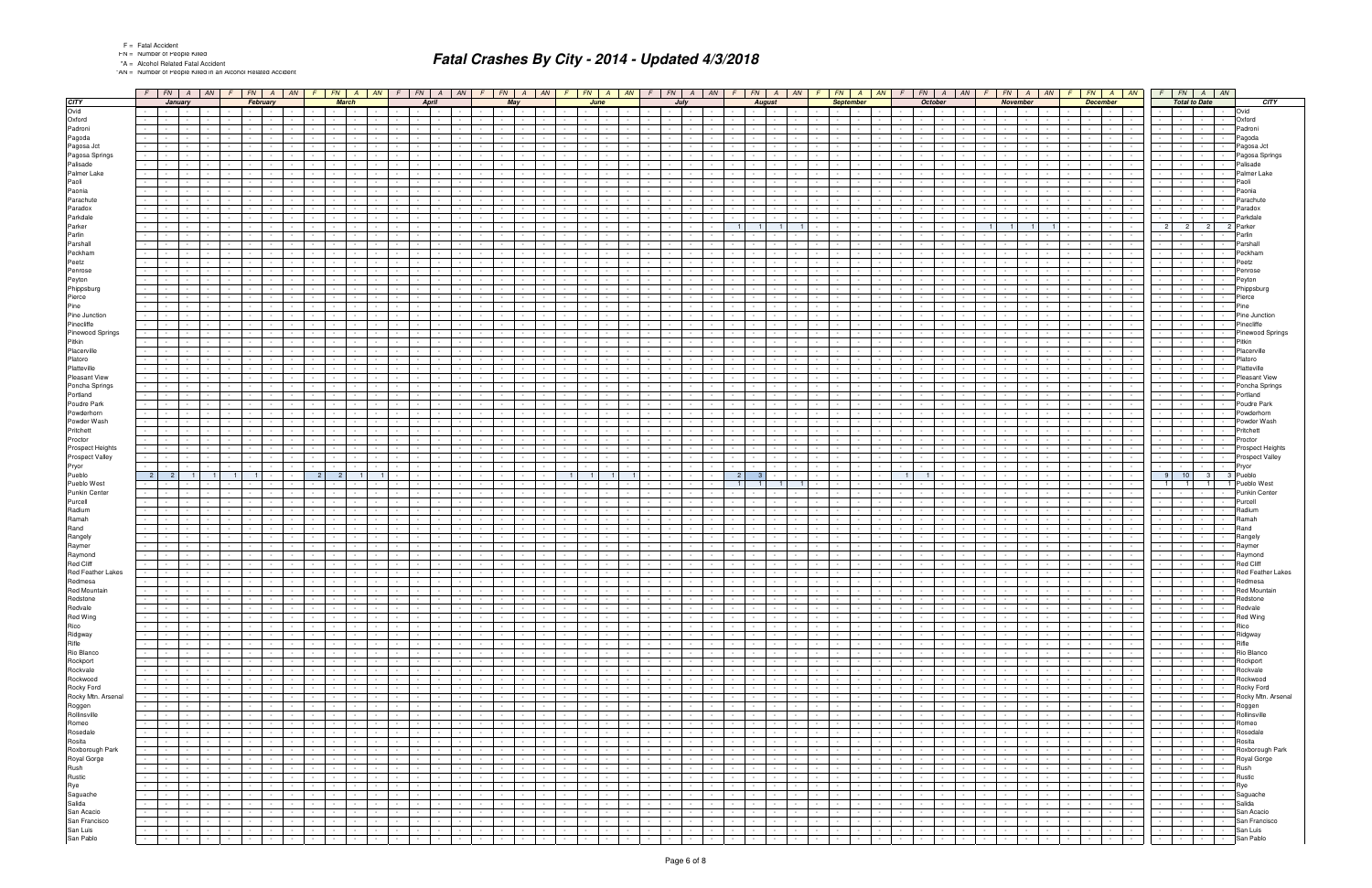"AN = Number of People Killed in an Alcohol Related Accident

|                                                            |                                    |                                     |                      | $F$ $FN$ $A$ $AN$ |        | $F$   FN   A   AN   F   FN   A   AN |                      |                                                           |                |                                                                    |                      |                               |                               | $F$ $FN$ $A$ $AN$                          |                                      | F                    | $FN$ $A$ $AN$                        |                  |                                             |                          |        |                          |                                                                               | $F$   FN   A   AN   F   FN   A   AN | $F$   $FN$   $A$                                                 | AM                                            |                  |                          | $FN$   A   AN   F                   |                  | $FN$   A   AN                               |                                              | FN                           |                                    | $A$ $AN$ $F$                      |                  |                  | $FN$ $A$ $AN$                                             | $F$ $FN$ $A$ $AN$                                    |                               |                  |                              |
|------------------------------------------------------------|------------------------------------|-------------------------------------|----------------------|-------------------|--------|-------------------------------------|----------------------|-----------------------------------------------------------|----------------|--------------------------------------------------------------------|----------------------|-------------------------------|-------------------------------|--------------------------------------------|--------------------------------------|----------------------|--------------------------------------|------------------|---------------------------------------------|--------------------------|--------|--------------------------|-------------------------------------------------------------------------------|-------------------------------------|------------------------------------------------------------------|-----------------------------------------------|------------------|--------------------------|-------------------------------------|------------------|---------------------------------------------|----------------------------------------------|------------------------------|------------------------------------|-----------------------------------|------------------|------------------|-----------------------------------------------------------|------------------------------------------------------|-------------------------------|------------------|------------------------------|
| <b>CITY</b>                                                |                                    |                                     | January              |                   |        | February                            |                      |                                                           |                | <b>March</b>                                                       |                      |                               | April                         |                                            |                                      |                      | May                                  |                  |                                             | June                     |        |                          | July                                                                          |                                     |                                                                  | <b>August</b>                                 |                  | <b>September</b>         |                                     |                  | October                                     |                                              |                              | <b>November</b>                    |                                   |                  | <b>December</b>  |                                                           |                                                      | <b>Total to Date</b>          |                  | <b>CITY</b>                  |
| Ovid                                                       | $\sim$                             | <b>Contract</b>                     | $\sim$               |                   |        |                                     |                      |                                                           |                | $\sim$ $\sim$<br>$\sim$                                            |                      |                               | $\sim$                        |                                            |                                      | $\sim$               |                                      |                  |                                             |                          |        |                          | the contract of the con-                                                      |                                     | <b>Contract Contract</b>                                         | $\sim$                                        |                  |                          |                                     |                  |                                             |                                              | $\sim$ $-$                   |                                    |                                   |                  | $\sim$           | $\sim$ $\sim$ $\sim$ $\sim$<br>$\sim$                     | $\sim$ $-$                                           |                               |                  | Ovid                         |
| Oxford                                                     | $\sim$                             |                                     |                      |                   |        |                                     |                      |                                                           |                |                                                                    |                      |                               |                               |                                            |                                      |                      |                                      |                  |                                             |                          |        |                          |                                                                               |                                     |                                                                  |                                               |                  |                          |                                     |                  |                                             |                                              |                              |                                    |                                   |                  |                  | <b>Service</b>                                            |                                                      |                               |                  | Oxford                       |
| Padroni<br>Pagoda                                          | $\sim$                             |                                     |                      |                   |        |                                     |                      |                                                           |                |                                                                    |                      |                               |                               |                                            |                                      |                      |                                      |                  |                                             |                          |        |                          |                                                                               |                                     |                                                                  |                                               |                  |                          |                                     |                  |                                             |                                              |                              |                                    |                                   |                  |                  | $\sim$                                                    |                                                      |                               |                  | Padroni<br>Pagoda            |
| Pagosa Jct                                                 | $\sim$<br>$\sim$                   |                                     |                      |                   |        |                                     |                      |                                                           |                |                                                                    |                      |                               |                               |                                            |                                      |                      |                                      |                  |                                             |                          |        |                          |                                                                               |                                     |                                                                  |                                               |                  |                          |                                     |                  |                                             |                                              |                              |                                    |                                   |                  |                  |                                                           |                                                      |                               |                  | Pagosa Jct                   |
| Pagosa Springs                                             |                                    |                                     |                      |                   |        |                                     |                      |                                                           |                |                                                                    |                      |                               |                               |                                            |                                      |                      |                                      |                  |                                             |                          |        |                          |                                                                               |                                     |                                                                  |                                               |                  |                          |                                     |                  |                                             |                                              |                              |                                    |                                   |                  |                  |                                                           |                                                      |                               |                  | Pagosa Springs               |
| Palisade                                                   | $\sim$                             |                                     |                      |                   |        |                                     |                      |                                                           |                |                                                                    |                      |                               |                               |                                            |                                      |                      |                                      |                  |                                             |                          |        |                          |                                                                               |                                     |                                                                  |                                               |                  |                          |                                     |                  |                                             |                                              |                              |                                    |                                   |                  |                  |                                                           |                                                      |                               |                  | Palisade                     |
| Palmer Lake                                                |                                    |                                     |                      |                   |        |                                     |                      |                                                           |                |                                                                    |                      |                               |                               |                                            |                                      |                      |                                      |                  |                                             |                          |        |                          |                                                                               |                                     |                                                                  |                                               |                  |                          |                                     |                  |                                             |                                              |                              |                                    |                                   |                  |                  |                                                           |                                                      |                               |                  | Palmer Lake                  |
| Paoli                                                      |                                    |                                     |                      |                   |        |                                     |                      |                                                           |                |                                                                    |                      |                               |                               |                                            |                                      |                      |                                      |                  |                                             |                          |        |                          |                                                                               |                                     |                                                                  |                                               |                  |                          |                                     |                  |                                             |                                              |                              |                                    |                                   |                  |                  |                                                           |                                                      |                               |                  | Paoli                        |
| Paonia                                                     | $\sim$                             |                                     |                      |                   |        |                                     |                      |                                                           |                |                                                                    |                      |                               |                               |                                            |                                      |                      |                                      |                  |                                             |                          |        |                          |                                                                               |                                     |                                                                  |                                               |                  |                          |                                     |                  |                                             |                                              |                              |                                    |                                   |                  |                  |                                                           |                                                      |                               |                  | Paonia                       |
| Parachute                                                  |                                    |                                     |                      |                   |        |                                     |                      |                                                           |                |                                                                    |                      |                               |                               |                                            |                                      |                      |                                      |                  |                                             |                          |        |                          |                                                                               |                                     |                                                                  |                                               |                  |                          |                                     |                  |                                             |                                              |                              |                                    |                                   |                  |                  |                                                           |                                                      |                               |                  | Parachut                     |
| Paradox<br>Parkdale                                        | $\sim$<br>$\sim$                   |                                     |                      |                   |        |                                     |                      |                                                           |                |                                                                    |                      |                               |                               |                                            |                                      |                      |                                      |                  |                                             |                          |        |                          |                                                                               |                                     |                                                                  |                                               |                  |                          |                                     |                  |                                             |                                              |                              |                                    |                                   |                  |                  |                                                           |                                                      |                               |                  | Paradox<br>Parkdale          |
| Parker                                                     |                                    |                                     |                      |                   |        |                                     |                      |                                                           |                |                                                                    |                      |                               |                               |                                            |                                      |                      |                                      |                  |                                             |                          |        |                          |                                                                               |                                     |                                                                  |                                               |                  |                          |                                     |                  |                                             |                                              |                              |                                    |                                   |                  |                  |                                                           | 2 <sup>1</sup><br>2                                  | $\overline{c}$                |                  | Parker                       |
| Parlin                                                     | $\sim$                             |                                     |                      |                   |        |                                     |                      |                                                           |                |                                                                    |                      |                               |                               |                                            |                                      |                      |                                      |                  |                                             |                          |        |                          |                                                                               |                                     |                                                                  |                                               |                  |                          |                                     |                  |                                             |                                              |                              |                                    |                                   |                  |                  |                                                           |                                                      |                               |                  | Parlin                       |
| Parshall                                                   | $\sim$                             |                                     |                      |                   |        |                                     |                      |                                                           |                |                                                                    |                      |                               |                               |                                            |                                      |                      |                                      |                  |                                             |                          |        |                          |                                                                               |                                     |                                                                  |                                               |                  |                          |                                     |                  |                                             |                                              |                              |                                    |                                   |                  |                  |                                                           |                                                      |                               |                  | Parshal                      |
| Peckham                                                    | $\sim$                             |                                     |                      |                   |        |                                     |                      |                                                           |                |                                                                    |                      |                               |                               |                                            |                                      |                      |                                      |                  |                                             |                          |        |                          |                                                                               |                                     |                                                                  |                                               |                  |                          |                                     |                  |                                             |                                              |                              |                                    |                                   |                  |                  |                                                           |                                                      |                               |                  | Peckhan                      |
| Peetz                                                      | $\sim$                             |                                     |                      |                   |        |                                     |                      |                                                           |                |                                                                    |                      |                               |                               |                                            |                                      |                      |                                      |                  |                                             |                          |        |                          |                                                                               |                                     |                                                                  |                                               |                  |                          |                                     |                  |                                             |                                              |                              |                                    |                                   |                  |                  |                                                           |                                                      |                               |                  | Peetz                        |
| Penrose                                                    |                                    |                                     |                      |                   |        |                                     |                      |                                                           |                |                                                                    |                      |                               |                               |                                            |                                      |                      |                                      |                  |                                             |                          |        |                          |                                                                               |                                     |                                                                  |                                               |                  |                          |                                     |                  |                                             |                                              |                              |                                    |                                   |                  |                  |                                                           |                                                      |                               |                  | Penrose                      |
| Peyton                                                     |                                    |                                     |                      |                   |        |                                     |                      |                                                           |                |                                                                    |                      |                               |                               |                                            |                                      |                      |                                      |                  |                                             |                          |        |                          |                                                                               |                                     |                                                                  |                                               |                  |                          |                                     |                  |                                             |                                              |                              |                                    |                                   |                  |                  |                                                           |                                                      |                               |                  | Peyton                       |
| Phippsburg                                                 |                                    |                                     |                      |                   |        |                                     |                      |                                                           |                |                                                                    |                      |                               |                               |                                            |                                      |                      |                                      |                  |                                             |                          |        |                          |                                                                               |                                     |                                                                  |                                               |                  |                          |                                     |                  |                                             |                                              |                              |                                    |                                   |                  |                  |                                                           |                                                      |                               |                  | Phippsburg                   |
| Pierce<br>Pine                                             |                                    |                                     |                      |                   |        |                                     |                      |                                                           |                |                                                                    |                      |                               |                               |                                            |                                      |                      |                                      |                  |                                             |                          |        |                          |                                                                               |                                     |                                                                  |                                               |                  |                          |                                     |                  |                                             |                                              |                              |                                    |                                   |                  |                  |                                                           |                                                      |                               |                  | Pierce<br>Pine               |
| Pine Junction                                              |                                    |                                     |                      |                   |        |                                     |                      |                                                           |                |                                                                    |                      |                               |                               |                                            |                                      |                      |                                      |                  |                                             |                          |        |                          |                                                                               |                                     |                                                                  |                                               |                  |                          |                                     |                  |                                             |                                              |                              |                                    |                                   |                  |                  |                                                           |                                                      |                               |                  | Pine Junction                |
| Pinecliffe                                                 |                                    |                                     |                      |                   |        |                                     |                      |                                                           |                |                                                                    |                      |                               |                               |                                            |                                      |                      |                                      |                  |                                             |                          |        |                          |                                                                               |                                     |                                                                  |                                               |                  |                          |                                     |                  |                                             |                                              |                              |                                    |                                   |                  |                  |                                                           |                                                      |                               |                  | Pinecliffe                   |
| Pinewood Springs                                           | $\sim$                             |                                     |                      |                   |        |                                     |                      |                                                           |                |                                                                    |                      |                               |                               |                                            |                                      |                      |                                      |                  |                                             |                          |        |                          |                                                                               |                                     |                                                                  |                                               |                  |                          |                                     |                  |                                             |                                              |                              |                                    |                                   |                  |                  |                                                           |                                                      |                               |                  | <b>Pinewood Springs</b>      |
| Pitkin                                                     |                                    |                                     |                      |                   |        |                                     |                      |                                                           |                |                                                                    |                      |                               |                               |                                            |                                      |                      |                                      |                  |                                             |                          |        |                          |                                                                               |                                     |                                                                  |                                               |                  |                          |                                     |                  |                                             |                                              |                              |                                    |                                   |                  |                  |                                                           |                                                      |                               |                  | Pitkin                       |
| Placerville                                                |                                    |                                     |                      |                   |        |                                     |                      |                                                           |                |                                                                    |                      |                               |                               |                                            |                                      |                      |                                      |                  |                                             |                          |        |                          |                                                                               |                                     |                                                                  |                                               |                  |                          |                                     |                  |                                             |                                              |                              |                                    |                                   |                  |                  |                                                           |                                                      |                               |                  | Placerville                  |
| Platoro                                                    | $\sim$                             |                                     |                      |                   |        |                                     |                      |                                                           |                |                                                                    |                      |                               |                               |                                            |                                      |                      |                                      |                  |                                             |                          |        |                          |                                                                               |                                     |                                                                  |                                               |                  |                          |                                     |                  |                                             |                                              |                              |                                    |                                   |                  |                  |                                                           |                                                      |                               |                  | Platoro                      |
| Platteville                                                |                                    |                                     |                      |                   |        |                                     |                      |                                                           |                |                                                                    |                      |                               |                               |                                            |                                      |                      |                                      |                  |                                             |                          |        |                          |                                                                               |                                     |                                                                  |                                               |                  |                          |                                     |                  |                                             |                                              |                              |                                    |                                   |                  |                  |                                                           |                                                      |                               |                  | Platteville<br>Pleasant View |
| <b>Pleasant View</b><br>Poncha Springs                     | $\sim$                             |                                     |                      |                   |        |                                     |                      |                                                           |                |                                                                    |                      |                               |                               |                                            |                                      |                      |                                      |                  |                                             |                          |        |                          |                                                                               |                                     |                                                                  |                                               |                  |                          |                                     |                  |                                             |                                              |                              |                                    |                                   |                  |                  |                                                           |                                                      |                               |                  | Poncha Springs               |
| Portland                                                   |                                    |                                     |                      |                   |        |                                     |                      |                                                           |                |                                                                    |                      |                               |                               |                                            |                                      |                      |                                      |                  |                                             |                          |        |                          |                                                                               |                                     |                                                                  |                                               |                  |                          |                                     |                  |                                             |                                              |                              |                                    |                                   |                  |                  |                                                           |                                                      |                               |                  | Portland                     |
| Poudre Park                                                |                                    |                                     |                      |                   |        |                                     |                      |                                                           |                |                                                                    |                      |                               |                               |                                            |                                      |                      |                                      |                  |                                             |                          |        |                          |                                                                               |                                     |                                                                  |                                               |                  |                          |                                     |                  |                                             |                                              |                              |                                    |                                   |                  |                  |                                                           |                                                      |                               |                  | Poudre Park                  |
| Powderhorn                                                 | $\sim$                             |                                     |                      |                   |        |                                     |                      |                                                           |                |                                                                    |                      |                               |                               |                                            |                                      |                      |                                      |                  |                                             |                          |        |                          |                                                                               |                                     |                                                                  |                                               |                  |                          |                                     |                  |                                             |                                              |                              |                                    |                                   |                  |                  |                                                           |                                                      |                               |                  | Powderhorr                   |
| Powder Wash                                                |                                    |                                     |                      |                   |        |                                     |                      |                                                           |                |                                                                    |                      |                               |                               |                                            |                                      |                      |                                      |                  |                                             |                          |        |                          |                                                                               |                                     |                                                                  |                                               |                  |                          |                                     |                  |                                             |                                              |                              |                                    |                                   |                  |                  |                                                           |                                                      |                               |                  | Powder Wash                  |
| Pritchett                                                  |                                    |                                     |                      |                   |        |                                     |                      |                                                           |                |                                                                    |                      |                               |                               |                                            |                                      |                      |                                      |                  |                                             |                          |        |                          |                                                                               |                                     |                                                                  |                                               |                  |                          |                                     |                  |                                             |                                              |                              |                                    |                                   |                  |                  |                                                           |                                                      |                               |                  | Pritchett                    |
| Proctor                                                    | $\sim 100$                         |                                     |                      |                   |        |                                     |                      |                                                           |                |                                                                    |                      |                               |                               |                                            |                                      |                      |                                      |                  |                                             |                          |        |                          |                                                                               |                                     |                                                                  |                                               |                  |                          |                                     |                  |                                             |                                              |                              |                                    |                                   |                  |                  |                                                           | $\sim$                                               |                               |                  | Proctor                      |
| Prospect Heights                                           | $\sim$                             |                                     |                      |                   |        |                                     |                      |                                                           |                |                                                                    |                      |                               |                               |                                            |                                      |                      |                                      |                  |                                             |                          |        |                          |                                                                               |                                     |                                                                  |                                               |                  |                          |                                     |                  |                                             |                                              |                              |                                    |                                   |                  |                  |                                                           |                                                      |                               |                  | Prospect Heights             |
| Prospect Valley<br>Pryor                                   |                                    |                                     |                      |                   |        |                                     |                      |                                                           |                |                                                                    |                      |                               |                               |                                            |                                      |                      |                                      |                  |                                             |                          |        |                          |                                                                               |                                     |                                                                  |                                               |                  |                          |                                     |                  |                                             |                                              |                              |                                    |                                   |                  |                  |                                                           |                                                      |                               |                  | Prospect Valley<br>Pryor     |
| Pueblo                                                     | 2 <sup>1</sup>                     |                                     |                      |                   |        |                                     |                      |                                                           | $\overline{2}$ | $\overline{2}$                                                     |                      |                               |                               |                                            |                                      |                      |                                      |                  | $\mathbf{1}$                                |                          |        |                          |                                                                               |                                     |                                                                  |                                               |                  |                          |                                     |                  |                                             |                                              |                              |                                    |                                   |                  |                  |                                                           | 9 <sup>1</sup><br>10                                 | 3 <sup>1</sup>                | 3 Pueblo         |                              |
| Pueblo West                                                |                                    |                                     |                      |                   |        |                                     |                      |                                                           |                |                                                                    |                      |                               |                               |                                            |                                      |                      |                                      |                  |                                             |                          |        |                          |                                                                               |                                     |                                                                  |                                               |                  |                          |                                     |                  |                                             |                                              |                              |                                    |                                   |                  |                  |                                                           | $\overline{1}$                                       | $\overline{1}$                |                  | Pueblo West                  |
| Punkin Center                                              |                                    |                                     |                      |                   |        |                                     |                      |                                                           |                |                                                                    |                      |                               |                               |                                            |                                      |                      |                                      |                  |                                             |                          |        |                          |                                                                               |                                     |                                                                  |                                               |                  |                          |                                     |                  |                                             |                                              |                              |                                    |                                   |                  |                  |                                                           |                                                      |                               |                  | Punkin Center                |
| Purcell                                                    |                                    |                                     |                      |                   |        |                                     |                      |                                                           |                |                                                                    |                      |                               |                               |                                            |                                      |                      |                                      |                  |                                             |                          |        |                          |                                                                               |                                     |                                                                  |                                               |                  |                          |                                     |                  |                                             |                                              |                              |                                    |                                   |                  |                  |                                                           |                                                      |                               |                  | Purcell                      |
| Radium                                                     | $\sim$                             |                                     |                      |                   |        |                                     |                      |                                                           |                |                                                                    |                      |                               |                               |                                            |                                      |                      |                                      |                  |                                             |                          |        |                          |                                                                               |                                     |                                                                  |                                               |                  |                          |                                     |                  |                                             |                                              |                              |                                    |                                   |                  |                  |                                                           |                                                      |                               |                  | Radium                       |
| Ramah<br>Rand                                              |                                    |                                     |                      |                   |        |                                     |                      |                                                           |                |                                                                    |                      |                               |                               |                                            |                                      |                      |                                      |                  |                                             |                          |        |                          |                                                                               |                                     |                                                                  |                                               |                  |                          |                                     |                  |                                             |                                              |                              |                                    |                                   |                  |                  |                                                           |                                                      |                               |                  | Ramah                        |
|                                                            |                                    |                                     |                      |                   |        |                                     |                      |                                                           |                |                                                                    |                      |                               |                               |                                            |                                      |                      |                                      |                  |                                             |                          |        |                          |                                                                               |                                     |                                                                  |                                               |                  |                          |                                     |                  |                                             |                                              |                              |                                    |                                   |                  |                  |                                                           |                                                      |                               |                  | Rand<br>Rangely              |
|                                                            | $\sim$                             |                                     |                      |                   |        |                                     |                      |                                                           |                |                                                                    |                      |                               |                               |                                            |                                      |                      |                                      |                  |                                             |                          |        |                          |                                                                               |                                     |                                                                  |                                               |                  |                          |                                     |                  |                                             |                                              |                              |                                    |                                   |                  |                  |                                                           |                                                      |                               |                  | Raymer                       |
| Rangely                                                    | $\sim$                             |                                     |                      |                   |        |                                     |                      |                                                           |                |                                                                    |                      |                               |                               |                                            |                                      |                      |                                      |                  |                                             |                          |        |                          |                                                                               |                                     |                                                                  |                                               |                  |                          |                                     |                  |                                             |                                              |                              |                                    |                                   |                  |                  |                                                           |                                                      |                               |                  |                              |
| Raymer                                                     | $\sim$<br>$\sim$                   |                                     |                      |                   |        |                                     |                      |                                                           |                |                                                                    |                      |                               |                               |                                            |                                      |                      |                                      |                  |                                             |                          |        |                          |                                                                               |                                     |                                                                  |                                               |                  |                          |                                     |                  |                                             |                                              |                              |                                    |                                   |                  |                  |                                                           |                                                      |                               |                  |                              |
| Raymond                                                    |                                    |                                     |                      |                   |        |                                     |                      |                                                           |                |                                                                    |                      |                               |                               |                                            |                                      |                      |                                      |                  |                                             |                          |        |                          |                                                                               |                                     |                                                                  |                                               |                  |                          |                                     |                  |                                             |                                              |                              |                                    |                                   |                  |                  |                                                           |                                                      |                               |                  | Raymond<br><b>Red Cliff</b>  |
| Red Cliff<br>Red Feather Lakes                             |                                    |                                     |                      |                   |        |                                     |                      |                                                           |                |                                                                    |                      |                               |                               |                                            |                                      |                      |                                      |                  |                                             |                          |        |                          |                                                                               |                                     |                                                                  |                                               |                  |                          |                                     |                  |                                             |                                              |                              |                                    |                                   |                  |                  |                                                           |                                                      |                               |                  | <b>Red Feather Lakes</b>     |
| Redmesa                                                    | $\sim$                             | $\sim$                              | $\sim$               |                   |        |                                     |                      |                                                           |                | $\sim$ $-$<br>$\sim$                                               |                      |                               | $\sim$                        | $\sim$ $-$                                 |                                      |                      |                                      |                  |                                             |                          |        |                          | $\sim$<br>$\sim$                                                              |                                     | $\sim$<br>$\sim$                                                 |                                               |                  |                          |                                     |                  |                                             |                                              | $\sim$                       |                                    |                                   |                  |                  | $\sim$                                                    | $\sim$                                               |                               | $\sim$           | Redmesa                      |
| Red Mountai                                                |                                    |                                     |                      |                   |        |                                     |                      |                                                           |                |                                                                    |                      |                               |                               |                                            |                                      |                      |                                      |                  |                                             |                          |        |                          |                                                                               |                                     |                                                                  |                                               |                  |                          |                                     |                  |                                             |                                              |                              |                                    |                                   |                  |                  |                                                           |                                                      |                               |                  | <b>Red Mountair</b>          |
| Redstone                                                   | $\sim$                             | $\sim$ 10 $\pm$                     | $\sim$               |                   |        |                                     |                      |                                                           |                | $\sim$<br>$\sim$                                                   |                      |                               | $\sim$                        | $\sim$ $\sim$                              |                                      | $\sim$               |                                      |                  | $\sim$                                      |                          |        |                          | $\sim$<br>$\sim$                                                              |                                     | $\sim$<br>$\sim$ 10 $\pm$                                        | $\sim$                                        |                  |                          |                                     |                  |                                             |                                              |                              |                                    |                                   |                  | $\sim$           | $\sim 10^{-11}$<br>$\sim$                                 | $\sim$<br>$\sim 100$                                 |                               | $\sim$           | Redstone                     |
| Redvale                                                    | $\sim$                             | $\sim$ 100 $\pm$<br>$\sim$ $-$      | $\sim$<br>$\sim$     |                   |        |                                     | $\sim$               |                                                           |                | <b>Contract</b><br>$\sim$ $-$<br>$\sim$<br>$\sim$                  | $\sim$               | $\sim$                        | $\sim$                        | the contract of the con-                   |                                      | $\sim$               | $\sim 100$                           |                  | $\sim 10^{-1}$<br>$\sim$                    | $\sim$ $-$               |        | $\sim$                   | the contract of<br>$\sim$ $\sim$<br>$\sim$                                    |                                     | $\sim 100$<br><b>Contract</b><br>$\sim$ $-$                      | $\sim$                                        | $\sim$           |                          |                                     | $\sim$           |                                             |                                              | $\sim 10^{-11}$              | $\sim 10^{-11}$<br>$\sim$          |                                   |                  | $\sim$           | the contract of<br>$\sim$                                 | the contract of                                      | $\sim$                        | $\sim$<br>$\sim$ | Redvale                      |
| Red Wing                                                   | $\sim$                             | <b>Second Contract</b>              | $\sim$               |                   |        |                                     | $\sim$               |                                                           |                | the contract                                                       | $\sim$               | $\sim$                        | $\sim$<br>$\sim$              | and the state                              |                                      | $\sim$<br>$\sim$     | <b>Contract</b>                      |                  | $\sim$ $-$                                  | $\sim$                   |        | $\sim 10^{-1}$           | and the state                                                                 |                                     | $\sim$<br>$\sim 100$<br>$\sim 10^{-11}$                          | $\sim$<br>$\sim$                              | $\sim$           |                          | $\sim$                              | $\sim$           | $\sim$                                      | $\sim$<br>$\sim$ $\sim$                      | $\sim$ $  -$                 | $\sim 10^{-10}$                    | $\sim$ $-$                        |                  | $\sim$<br>$\sim$ | $\sim 10^{-11}$<br>the contract                           | $\sim$ $\sim$<br>$\sim$ 100 $\pm$<br>the contract of | $\sim$                        | $\sim$           | Red Wing<br>Rico             |
| Rico                                                       | $\sim 10^{-1}$                     | $\sim 100$                          | $\sim$               | $\sim$            |        |                                     | $\sim$               | $\sim 100$                                                |                | $\sim$ $\sim$ $\sim$<br>$\sim$ 100 $\mu$                           | $\sim$               | <b>Service</b>                | $\sim$                        | the contract                               | $\sim$                               | $\sim$               | <b>Contractor</b>                    | $\sim$           | $\sim$ $-$                                  | $\sim$ $-$               |        | $\sim 100$               | $\sim$ $\sim$ $\sim$ $\sim$<br>$\sim 10^{-11}$                                |                                     | $\sim 100$<br><b>Contractor</b>                                  | $\sim$ $-$                                    | $\sim$           | $\sim$ $-$               | $\sim$<br>$\sim$                    | $\sim$ $-$       | $\sim$                                      | $\sim$<br>$\sim$                             | $\sim 10^{-11}$              | <b>Contract Contract</b>           | $\sim$ $-$                        | $\sim$           | $\sim$           | the contract of                                           | the control of the                                   | <b>Service</b>                | $\sim$           | Ridgway                      |
| Ridgway<br>Rifle                                           | $\sim 10^{-1}$                     | $\sim 100$                          | $\sim$               |                   |        |                                     |                      |                                                           |                | $\sim 10^{-11}$<br>$\sim$                                          |                      |                               | $\sim$                        | <b>Contract Contract</b>                   | $\sim$                               | $\sim$               |                                      |                  | $\sim$ $-$                                  |                          |        | $\sim$                   | $\sim$<br>$\sim 100$                                                          |                                     | $\sim$<br>$\sim 100$                                             | $\sim$                                        |                  |                          | $\sim$                              |                  |                                             |                                              | $\sim$                       | $\sim$ $\sim$                      |                                   |                  | $\sim$           | the contract of the con-                                  | the contract of                                      |                               | $\sim$           | Rifle                        |
| Rio Blanco                                                 | $\sim$                             | $\sim$ 100 $\pm$                    | $\sim$               |                   |        |                                     |                      |                                                           |                | $\sim 10^{-11}$<br>$\sim$ $-$                                      | $\sim$               | $\sim$                        | $\sim$                        | <b>Contract Contract</b>                   | $\sim$                               | $\sim$               |                                      |                  | $\sim$ $-$                                  |                          |        | $\sim$                   | $\sim 10^{-1}$<br>$\sim$                                                      |                                     | $\sim$<br>$\sim$ 100 $\pm$                                       | $\sim$                                        | $\sim$           |                          |                                     |                  |                                             |                                              | $\sim$                       | $\sim 10^{-11}$                    | $\sim$                            |                  | $\sim$           | $\sim$ $\sim$<br>$\sim$                                   | $\sim 100$                                           |                               | $\sim$           | Rio Blanco                   |
| Rockport                                                   | $\omega_{\rm{max}}$                | $\sim 100$                          | $\sim$               |                   |        |                                     | $\sim$               | $\sim 100$                                                |                | $\sim$ $\sim$ $\sim$<br>$\sim$ 100 $\mu$                           | $\sim$               | <b>Service</b>                | $\sim$                        | and the state of the state                 |                                      | $\sim$               | <b>Contract Contract</b>             | $\sim$           | $\sim$ $-$                                  | $\sim$                   |        | $\sim 100$               | $\sim$ $-$<br>$\sim 10^{-11}$                                                 |                                     | $\sim 100$<br><b>Contractor</b>                                  | $\sim$ $-$                                    | $\sim$           |                          | $\sim$                              |                  | <b>Service</b><br>$\sim$ $-$                | $\sim$                                       | $\sim$ $-$                   | <b>Contract Contract</b>           | $\sim$ $-$                        | $\sim$           | $\sim$           | <b>Service</b>                                            | the contract of                                      | $\sim$ $-$                    | $\sim$           | Rockport                     |
| Rockvale                                                   | $\sim$                             | $\sim 100$                          | $\sim$               |                   |        |                                     |                      |                                                           |                | $\sim$ 100 $\pm$<br>$\sim$                                         |                      |                               | $\sim$                        | $\sim$                                     | $\sim$                               | $\sim$               |                                      |                  | $\sim$ $-$                                  |                          |        | $\sim$                   | $\sim$<br>$\sim 100$                                                          |                                     | $\sim$<br>$\sim$ $\sim$                                          | $\sim$                                        |                  |                          | $\sim$                              |                  |                                             |                                              | $\sim$                       | $\sim$ $\sim$                      |                                   |                  | $\sim$           | the contract of the con-                                  | the contract of                                      |                               | $\sim$           | Rockvale                     |
| Rockwood                                                   | $\sim$                             | $\sim 10^{-1}$                      | $\sim$               |                   |        |                                     | $\sim$               | <b>Contract</b>                                           |                | $\sim 10^{-11}$<br>$\sim$ $-$                                      | $\sim$               | $\sim$                        | $\sim$                        | <b>Contract</b>                            | $\sim$<br>$\sim$                     | $\sim$               | $\sim 10^{-1}$                       |                  | $\sim$ $-$                                  |                          |        | $\sim$                   | $\sim$ $-$<br>$\sim 10^{-1}$                                                  |                                     | $\sim$<br>$\sim 10^{-1}$                                         | $\sim$                                        | $\sim$           |                          | $\sim$                              | $\sim$           | $\sim$                                      | $\sim$<br>$\sim$                             | $\sim$                       | $\sim 10^{-11}$<br><b>Service</b>  | $\sim$                            |                  | $\sim$           | $\sim$ $\sim$<br>$\sim 100$                               | $\sim 100$<br>$\sim 100$                             | <b>Service</b>                | $\sim$           | Rockwood                     |
|                                                            |                                    | <b>All Service</b><br>$\sim 100$    | $\sim$<br>$\sim$ $-$ |                   |        |                                     | $\sim$ $-$           |                                                           |                | the contract of<br>$\sim$ 100 $\mu$<br>$\sim$ $-$                  | $\sim$               |                               | $\sim$<br>$\sim$              | <b>Contract Contract</b><br>$\sim$         | $\sim$                               | $\sim$<br>$\sim$ $-$ | <b>Contract</b>                      | $\sim$           | $\sim 10^{-1}$<br>$\sim$                    | $\sim$                   |        | $\sim 100$<br>$\sim$     | and the state<br>$\sim$ $\sim$<br>$\sim 10^{-11}$                             |                                     | $\sim 100$<br>$\sim 100$ km s $^{-1}$<br>$\sim$<br>$\sim$ $\sim$ | $\sim$<br>$\sim$                              | $\sim$<br>$\sim$ | $\sim$                   | $\sim$                              |                  |                                             |                                              | $\sim$ $  -$<br>$\sim$       | $\sim$ $-$                         | $\sim$ $-$<br>$\sim$ $-$          |                  | $\sim$<br>$\sim$ | the contract<br><b>Contract Contract</b><br>$\sim$ $\sim$ | <b>Service</b> State<br><b>Service</b>               | $\sim$ 100 $\mu$              | $\sim$<br>$\sim$ | Rocky Ford                   |
| Rocky Ford<br>Rocky Mtn. Arsenal                           | $\sim$                             | the contract                        | $\sim$               | $\sim$ $-$        |        | $\sim$ 100 $\mu$                    | $\sim$               | $\sim 100$                                                |                | <b>Contract</b><br>$\sim$ $-$                                      | $\sim$               | $\sim$ $-$                    | $\sim$                        | the contract of the                        | $\sim$                               | $\sim$               | <b>Contract</b>                      |                  | $\sim$ $-$                                  | $\sim$                   |        | $\sim$                   | $\sim$ $-$<br><b>Contract</b>                                                 |                                     | $\sim 100$<br><b>Contract</b>                                    | $\sim$ $-$                                    | $\sim$           | $\sim$ $-$               | $\sim$<br>$\sim$                    | $\sim$           | $\sim$ $\sim$                               | $\sim$                                       | $\sim 10^{-11}$              | <b>Contract Contract</b>           | $\sim$ $-$                        |                  | $\sim$           | the company                                               | $\sim 10^{-1}$<br>the contract of                    | $\sim$                        | $\sim$           | Rocky Mtn. Arsenal<br>Roggen |
| Roggen<br>Rollinsville                                     | $\sim$                             | $\sim 10^{-1}$                      | $\sim$               |                   |        |                                     | $\sim$               |                                                           |                | $\sim 10^{-11}$<br>$\sim$ $-$                                      | $\sim$               |                               | $\sim$                        | $\sim 10^{-11}$                            | $\sim$                               | $\sim$               | $\sim 10^{-11}$                      |                  | $\sim$ $-$                                  |                          |        | $\sim$                   | $\sim$ $\sim$<br>$\sim 10^{-1}$                                               |                                     | $\sim$<br>$\sim 100$                                             | $\sim$                                        | $\sim$           | $\sim$                   |                                     |                  |                                             |                                              | $\sim$                       | $\sim$ $-$                         | $\sim$                            |                  | $\sim$           | the control of the                                        | <b>Service</b> State                                 |                               | $\sim$           | Rollinsville                 |
| Romeo                                                      | $\sim 100$                         | $\sim$ 100 $\pm$                    | $\sim$               |                   |        |                                     | $\sim$               |                                                           |                | $\sim 10^{-1}$<br>$\sim 100$                                       | $\sim$               | $\sim$                        | $\sim$                        | <b>Service</b>                             | $\sim$                               | $\sim$               | $\sim 100$                           |                  | $\sim$ $-$                                  | $\sim$                   |        | $\sim 100$               | $\sim 10^{-1}$<br>$\sim 10^{-11}$                                             |                                     | $\sim 100$<br>$\sim 100$                                         | $\sim$                                        | $\sim$           |                          | $\sim$                              |                  | $\sim$                                      |                                              | $\sim$ $-$                   | <b>Contract</b>                    | $\sim$ $-$                        |                  | $\sim$           | <b>Contract Contract</b>                                  | the contract of                                      |                               | $\sim$           | Romeo                        |
| Rosedale                                                   | $\sim 10^{-1}$                     | $\sim 100$                          | $\sim$               |                   |        |                                     |                      | $\sim 100$                                                |                | <b>Contract</b><br>$\sim$ $-$                                      | $\sim$               | <b>Service</b>                | $\sim$                        | <b>Contract Contract</b>                   | $\sim$ $-$<br>$\sim$ 100 $\mu$       | $\sim$               | <b>Service</b>                       |                  | $\sim$ $-$                                  | $\sim$                   |        | $\sim$                   | <b>Contract</b><br>$\sim 10^{-11}$                                            |                                     | $\sim 10$<br><b>Contract</b>                                     | $\sim$<br>$\sim$                              | $\sim$           |                          | $\sim$                              | $\sim$           | $\sim$ $-$                                  | $\sim$                                       | $\sim$ $-$                   | <b>Service</b>                     | $\sim$ $-$                        | $\sim$           | $\sim$           | the company                                               | the control of the                                   | $\sim 10^{-11}$               | $\sim$           | Rosedale                     |
| Rosita                                                     | $\sim$                             | $\sim$ $-$                          | $\sim$               |                   |        |                                     | $\sim$               |                                                           |                | $\sim$<br>$\sim$ $-$                                               | $\sim$               |                               | $\sim$                        | $\sim 10^{-11}$                            | $\sim$                               | $\sim$               | $\sim$                               |                  | $\sim$ $-$                                  |                          |        | $\sim$                   | $\sim$<br>$\sim 10^{-1}$                                                      |                                     | $\sim$<br>$\sim 10^{-1}$                                         | $\sim$                                        | $\sim$           | $\sim$                   |                                     |                  |                                             | $\sim$                                       | $\sim$                       | $\sim$                             | $\sim$                            |                  | $\sim$           | $\sim$ $\sim$ $\sim$<br>$\sim 100$                        | <b>Service</b> State                                 |                               | $\sim$           | Rosita                       |
| Roxborough Park                                            |                                    | <b>Second Control</b>               | $\sim$ $-$           |                   |        |                                     | $\sim$               |                                                           |                | $\sim$ $\sim$ $\sim$<br>$\sim 10^{-1}$                             | $\sim$               | $\sim$                        | $\sim$                        | <b>Contract Contract</b>                   | $\sim$ $-$<br>$\sim$                 | $\sim$               | <b>Contract</b>                      |                  | $\sim$ $-$                                  | $\sim$                   |        | $\sim 100$               | $\sim 10^{-10}$<br>$\sim 10^{-11}$                                            |                                     | $\sim 100$<br>$\sim 10^{-1}$                                     | $\sim$                                        | $\sim$           |                          | $\sim$                              |                  | $\sim$<br>$\sim$                            | $\sim$                                       | $\sim$ $-$                   | <b>Contract</b>                    | $\sim$ $-$                        |                  | $\sim$           | the contract                                              | the contract of                                      | <b>Service</b>                | $\sim$           | Roxborough Park              |
|                                                            | $\mathcal{L}_{\rm{max}}$           | <b>Contract</b><br>$\sim$ 100 $\mu$ | $\sim$<br>$\sim$     |                   |        |                                     | $\sim$               |                                                           |                | $\sim 10^{-11}$<br>$\sim$ $-$                                      | $\sim$               | <b>Service</b>                | $\sim$                        | <b>Service</b><br><b>Contract Contract</b> | $\sim$<br>$\sim$ 100 $\mu$<br>$\sim$ | $\sim$               | $\sim$<br>$\sim 10^{-11}$            |                  | $\sim$ $-$<br>$\sim 10^{-1}$                | $\sim$                   |        | $\sim 100$               | <b>Contract Contract</b><br>$\sim 10^{-11}$<br>$\sim$ 100 $\mu$<br>$\sim$ $-$ |                                     | $\sim 100$<br>$\sim 100$<br>$\sim 10^{-11}$                      | $\sim$<br>$\sim$<br>$\sim$                    | $\sim$<br>$\sim$ | $\sim$<br>$\sim$         |                                     | $\sim$<br>$\sim$ | $\sim$<br>$\sim$                            | $\sim$                                       | $\sim$ $-$<br>$\sim 10^{-1}$ | <b>Contract</b><br>$\sim$          | $\sim$<br>$\sim$                  |                  | $\sim$           | <b>Service</b>                                            | the contract of                                      | <b>Contract</b><br>$\sim$     | $\sim$<br>$\sim$ | Royal Gorge                  |
|                                                            | $\sim$<br>$\sim$                   | $\sim$ $-$                          | $\sim$               |                   |        |                                     | $\sim$               |                                                           |                | $\sim 10^{-11}$<br>$\sim$ $-$<br><b>Service</b><br>$\sim$ $-$      | $\sim$               | $\sim$ 100 $\mu$              | $\sim$<br>$\sim$              | <b>Service</b>                             | $\sim$                               | $\sim$<br>$\sim$     | $\sim 100$                           |                  | $\sim$ $-$                                  | $\sim$                   |        | $\sim$<br>$\sim$         | <b>Contract</b><br>$\sim 10^{-11}$                                            |                                     | $\sim$<br>$\sim$<br>$\sim 100$                                   | $\sim$                                        | $\sim$           |                          | $\sim$                              | $\sim$           |                                             | $\sim$                                       | $\sim$ $-$                   | $\sim 10^{-11}$                    | $\sim$                            |                  | $\sim$<br>$\sim$ | the control of the<br><b>Contract Contract</b>            | <b>Service</b> State<br><b>Service</b> State         | $\sim$                        | $\sim$           | Rush<br>Rustic               |
|                                                            | $\sim 100$                         | $\sim 100$                          | $\sim$               |                   |        |                                     | $\sim$               |                                                           |                | $\sim 100$<br>$\sim$ $-$                                           | $\sim$               | $\sim 100$                    | $\sim$                        | <b>Contract Contract</b>                   | $\sim$ $-$<br>$\sim 100$             | $\sim$               |                                      |                  | $\sim$ $-$                                  |                          |        | $\sim 100$               | $\sim$ $-$<br>$\sim 10^{-11}$                                                 |                                     | $\sim 10$<br>$\sim 10^{-11}$                                     | $\sim$                                        | $\sim$           |                          | $\sim$                              | $\sim$           | $\sim$                                      |                                              | $\sim$ $-$                   | $\sim 10^{-11}$                    | $\sim$ $-$                        |                  | $\sim$           | <b>Contract Contract</b>                                  | <b>Service</b> State                                 |                               | $\sim$           | Rye                          |
|                                                            | $\mathcal{L}^{\mathcal{L}}$        | $\sim$ 100 $\mu$                    | $\sim$               |                   |        |                                     | $\sim$               | <b>Contract</b>                                           |                | $\sim 10^{-11}$<br>$\sim 10^{-1}$                                  | $\sim$ $-$           |                               | $\sim$                        | <b>Contract Contract</b>                   | $\sim$ $-$                           | $\sim$               | $\sim$                               |                  | $\sim$ $\sim$                               | $\sim$                   |        | $\sim$                   | $\sim$ 100 $\mu$<br>$\sim 10^{-11}$                                           |                                     | $\sim$<br>$\sim 100$                                             | $\sim$                                        | $\sim$           | $\sim$                   |                                     | $\sim$           | $\sim$                                      |                                              | $\sim$ $-$                   | $\sim$                             | $\sim$ $-$                        |                  | $\sim$           | the contract                                              | $\sim 100$                                           |                               | $\sim$           | Saguache                     |
| Royal Gorge<br>Rush<br>Rustic<br>Rye<br>Saguache<br>Salida | $\sim$                             | $\sim 100$                          | $\sim$               |                   |        |                                     | $\sim$               | $\sim 100$                                                |                | <b>Contract</b><br>$\sim 10^{-1}$                                  | $\sim$               | <b>Service</b>                | $\sim$ $-$                    | $\sim$ $-$                                 | $\sim 10^{-1}$<br>$\sim$             | $\sim$               | $\sim 100$                           |                  | $\sim 10^{-1}$                              | $\sim$                   |        | $\sim 100$               | $\sim$ $-$<br>$\sim 10^{-11}$                                                 | $\sim$                              | $\sim 100$<br>$\sim 10^{-11}$                                    | $\sim$                                        | $\sim$           | $\sim$                   | $\sim$<br>$\sim$                    | $\sim$           | $\sim$                                      | $\sim$<br>$\sim$                             | $\sim 10^{-11}$              | $\sim 10^{-11}$                    | $\sim$                            | $\sim$           | $\sim$           | the contract of                                           | the contract of                                      | $\sim$                        | $\sim$           | Salida                       |
| San Acacio                                                 | $\sim 10^{-1}$                     | <b>Contract</b>                     | $\sim$               |                   |        |                                     |                      |                                                           |                | $\sim 100$<br>$\sim$ $-$                                           | $\sim$               |                               | $\sim$                        |                                            | $\sim$                               | $\sim$               |                                      |                  | $\sim$ $-$                                  |                          |        | $\sim 100$               | $\sim 10^{-1}$<br>$\sim 10^{-1}$                                              |                                     | $\sim$<br>$\sim 10^{-11}$                                        | $\sim$                                        | $\sim$           |                          | $\sim$                              |                  | $\sim$<br>$\sim$                            |                                              | $\sim$ $-$                   | <b>Service</b>                     | $\sim$ $-$                        |                  | $\sim$           | <b>Contract Contract</b>                                  | the control of the                                   |                               | $\sim$           | San Acacio                   |
| San Francisco                                              | $\mathcal{L}_{\rm{max}}$           | $\sim 100$                          | $\sim$               | $\sim$            |        |                                     | $\sim$               | $\sim 100$                                                |                | $\sim 10^{-11}$<br>$\sim$ $\sim$                                   | $\sim$ $-$           | $\sim$                        | $\sim$                        | <b>Contract Contract</b>                   | $\sim$ $-$                           | $\sim$               | $\sim$ 100 $\mu$                     |                  | $\sim$ $\sim$                               | $\sim$                   |        | $\sim$                   | $\sim$ 100 $\mu$<br>$\sim 10^{-1}$                                            |                                     | $\sim$<br>$\sim 10^{-11}$                                        | $\sim$                                        | $\sim$           | $\sim$                   |                                     | $\sim$ 100 $\mu$ | $\sim$                                      | $\sim$<br>$\sim$ $-$                         | $\sim$ $-$                   | $\sim$ $\sim$                      | $\sim$                            | $\sim$           | $\sim$           | the contract                                              | $\sim 10^{-1}$<br><b>Contract Contract</b>           | $\sim$ $\sim$                 | $\sim$           | San Francisco                |
| San Luis<br>San Pablo                                      | $\mathcal{L}_{\rm{max}}$<br>$\sim$ | <b>Contract</b><br>$\sim 10^{-10}$  | $\sim$<br>$\sim$     | $\sim$ $-$        | $\sim$ | $\sim 10^{-11}$<br>$\sim 100$       | $\sim$ $-$<br>$\sim$ | $\sim 100$<br>$\sim$ $-$<br>$\sim 10^{-11}$<br>$\sim$ $-$ |                | $\sim 100$ km s $^{-1}$<br>$\sim$ $\sim$ $\sim$<br>the contract of | $\sim$ $-$<br>$\sim$ | $\sim 10^{-11}$<br>$\sim 100$ | $\sim$ $-$<br>$\sim 10^{-11}$ | the contract of<br>the contract of         | $\sim 100$<br>$\sim$ 100 $\mu$       | $\sim$<br>$\sim$ $-$ | <b>Contractor</b><br>$\sim 10^{-11}$ | $\sim$<br>$\sim$ | $\sim 10^{-1}$<br><b>Contract</b><br>$\sim$ | $\sim$ $-$<br>$\sim$ $-$ | $\sim$ | $\sim 100$<br>$\sim$ $-$ | the contract of the con-<br><b>CALL CALL</b>                                  | $\sim$ $-$<br>$\sim$ $-$            | $\sim$<br><b>Contract</b><br>$\sim$<br>$\sim 100$ km s $^{-1}$   | $\sim$<br>$\sim$<br>$\sim 10^{-11}$<br>$\sim$ | $\sim$<br>$\sim$ | $\sim$ $-$<br>$\sim$ $-$ | $\sim$<br>$\sim 10^{-11}$<br>$\sim$ | $\sim$<br>$\sim$ | <b>Contract</b><br>$\sim$ $-$<br>$\sim$ $-$ | $\sim$<br>$\sim$ $-$<br>$\sim$<br>$\sim$ $-$ | $\sim 100$<br>$\sim 10^{-1}$ | $\sim 10^{-10}$<br>$\sim 10^{-10}$ | $\sim 10^{-11}$<br>$\sim 10^{-1}$ | $\sim$<br>$\sim$ | $\sim$<br>$\sim$ | the contract of the con-<br><b>Service</b>                | the control of the<br><b>Service</b> Service         | $\sim 100$<br>$\sim 10^{-11}$ | $\sim$<br>$\sim$ | San Luis<br>San Pablo        |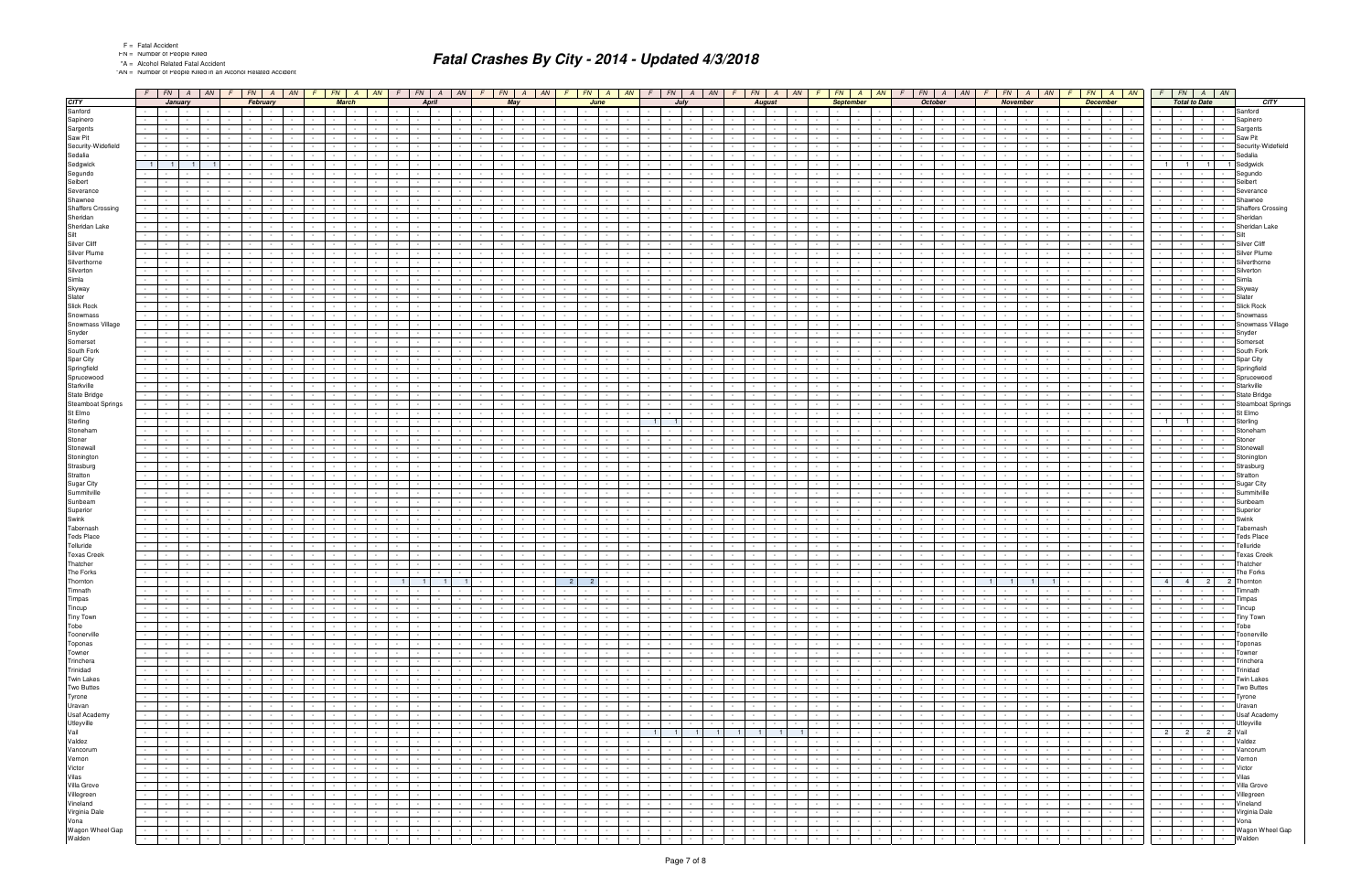"AN = Number of People Killed in an Alcohol Related Accident

|                                              | $F$ $FN$ $A$ $AN$                                                                                                                | $F N$ $A$ $AN$<br>$\sqrt{F}$                                   | $F$ $FN$ $A$<br>AN                                           | $F$ $FN$ $A$<br>AN                                                       | $F$ $FN$ $A$ $AN$                                         | $F$ $FN$<br>$A$   AN   $F$                                                                       |                                  | $FN$   A   AN                      | F                                  |                                   | $FN$ $A$ $AN$                              |        | $FN$ $A$ $AN$                                             | F.                                | $FN$   A   AN            |                               | $FN$ $A$ $AN$                            |                 |                                             | $FN$ $A$ $AN$                               | $F$ $FN$ $A$ $AN$                                                                       |                          |
|----------------------------------------------|----------------------------------------------------------------------------------------------------------------------------------|----------------------------------------------------------------|--------------------------------------------------------------|--------------------------------------------------------------------------|-----------------------------------------------------------|--------------------------------------------------------------------------------------------------|----------------------------------|------------------------------------|------------------------------------|-----------------------------------|--------------------------------------------|--------|-----------------------------------------------------------|-----------------------------------|--------------------------|-------------------------------|------------------------------------------|-----------------|---------------------------------------------|---------------------------------------------|-----------------------------------------------------------------------------------------|--------------------------|
| <b>CITY</b>                                  | January                                                                                                                          | February                                                       | <b>March</b>                                                 | <b>April</b>                                                             | May                                                       | June                                                                                             | Juh                              |                                    |                                    | <b>August</b>                     |                                            |        | <b>September</b>                                          |                                   | <b>October</b>           |                               | <b>November</b>                          |                 |                                             | <b>December</b>                             | <b>Total to Date</b>                                                                    | <b>CITY</b>              |
| Sanford                                      | $\sim$ $-$<br>$\sim 100$                                                                                                         | and the state                                                  | <b>Service</b>                                               | $\sim 100$                                                               | the contract of the                                       |                                                                                                  |                                  |                                    |                                    |                                   | $\sim$                                     |        | <b>Contract Contract</b><br>$\sim$                        |                                   | $\sim$ $-$               |                               | $\sim 100$<br>$\sim$ 100 $\pm$           |                 | $\sim$ $-$                                  | $\sim 100$<br>$\sim$                        | Sanford<br>$\sim$                                                                       |                          |
| Sapinero                                     |                                                                                                                                  |                                                                |                                                              |                                                                          |                                                           |                                                                                                  |                                  |                                    |                                    |                                   |                                            |        |                                                           |                                   |                          |                               |                                          |                 |                                             |                                             | Sapinero                                                                                |                          |
|                                              |                                                                                                                                  |                                                                |                                                              |                                                                          |                                                           |                                                                                                  |                                  |                                    |                                    |                                   |                                            |        |                                                           |                                   |                          |                               |                                          |                 |                                             |                                             |                                                                                         |                          |
| Sargents<br>Saw Pit                          | $\sim$                                                                                                                           | $\sim$                                                         |                                                              |                                                                          | $\sim$                                                    |                                                                                                  |                                  |                                    |                                    |                                   |                                            |        |                                                           |                                   |                          |                               |                                          |                 |                                             | $\sim$                                      | Sargents<br><b>Saw Pit</b><br>$\sim$                                                    |                          |
|                                              |                                                                                                                                  |                                                                |                                                              |                                                                          |                                                           |                                                                                                  |                                  |                                    |                                    |                                   |                                            |        |                                                           |                                   |                          |                               |                                          |                 |                                             |                                             |                                                                                         |                          |
| Security-Widefield                           |                                                                                                                                  |                                                                |                                                              |                                                                          |                                                           |                                                                                                  |                                  |                                    |                                    |                                   |                                            |        |                                                           |                                   |                          |                               |                                          |                 |                                             |                                             |                                                                                         | Security-Widefield       |
| Sedalia                                      |                                                                                                                                  |                                                                |                                                              |                                                                          |                                                           |                                                                                                  |                                  |                                    |                                    |                                   |                                            |        |                                                           |                                   |                          |                               |                                          |                 |                                             |                                             | Sedalia                                                                                 |                          |
| Sedgwick                                     | $\blacksquare$ 1<br>- 1 -<br>$\blacksquare$                                                                                      |                                                                |                                                              |                                                                          |                                                           |                                                                                                  |                                  |                                    |                                    |                                   |                                            |        |                                                           |                                   |                          |                               |                                          |                 |                                             |                                             | 1 Sedgwick<br>1 <sup>1</sup><br>$\overline{1}$                                          |                          |
| Segundo                                      |                                                                                                                                  |                                                                |                                                              |                                                                          |                                                           |                                                                                                  |                                  |                                    |                                    |                                   |                                            |        |                                                           |                                   |                          |                               |                                          |                 |                                             |                                             | Segundo                                                                                 |                          |
| Seibert                                      |                                                                                                                                  |                                                                |                                                              |                                                                          |                                                           |                                                                                                  |                                  |                                    |                                    |                                   |                                            |        |                                                           |                                   |                          |                               |                                          |                 |                                             |                                             | Seibert                                                                                 |                          |
| Severance                                    | $\sim$                                                                                                                           |                                                                |                                                              |                                                                          |                                                           |                                                                                                  |                                  |                                    |                                    |                                   |                                            |        |                                                           |                                   |                          |                               |                                          |                 |                                             | $\sim$                                      | Severance<br>$\sim$                                                                     |                          |
| Shawnee                                      |                                                                                                                                  |                                                                |                                                              |                                                                          |                                                           |                                                                                                  |                                  |                                    |                                    |                                   |                                            |        |                                                           |                                   |                          |                               |                                          |                 |                                             |                                             | Shawnee                                                                                 |                          |
| <b>Shaffers Crossing</b>                     |                                                                                                                                  |                                                                |                                                              |                                                                          |                                                           |                                                                                                  |                                  |                                    |                                    |                                   |                                            |        |                                                           |                                   |                          |                               |                                          |                 |                                             |                                             |                                                                                         | <b>Shaffers Crossing</b> |
| Sheridan                                     | $\sim$                                                                                                                           |                                                                |                                                              |                                                                          |                                                           |                                                                                                  |                                  |                                    |                                    |                                   |                                            |        |                                                           |                                   |                          |                               |                                          |                 |                                             |                                             | Sheridan<br>$\sim$<br>$\sim$                                                            |                          |
| Sheridan Lake                                |                                                                                                                                  |                                                                |                                                              |                                                                          |                                                           |                                                                                                  |                                  |                                    |                                    |                                   |                                            |        |                                                           |                                   |                          |                               |                                          |                 |                                             |                                             |                                                                                         | Sheridan Lake            |
| Silt                                         |                                                                                                                                  |                                                                |                                                              |                                                                          |                                                           |                                                                                                  |                                  |                                    |                                    |                                   |                                            |        |                                                           |                                   |                          |                               |                                          |                 |                                             |                                             |                                                                                         |                          |
| Silver Cliff                                 |                                                                                                                                  |                                                                |                                                              |                                                                          |                                                           |                                                                                                  |                                  |                                    |                                    |                                   |                                            |        |                                                           |                                   |                          |                               |                                          |                 |                                             |                                             | Silver Cliff                                                                            |                          |
| Silver Plume                                 |                                                                                                                                  |                                                                |                                                              |                                                                          |                                                           |                                                                                                  |                                  |                                    |                                    |                                   |                                            |        |                                                           |                                   |                          |                               |                                          |                 |                                             |                                             | Silver Plume                                                                            |                          |
| Silverthorne                                 |                                                                                                                                  |                                                                |                                                              |                                                                          |                                                           |                                                                                                  |                                  |                                    |                                    |                                   |                                            |        |                                                           |                                   |                          |                               |                                          |                 |                                             |                                             | Silverthorne                                                                            |                          |
| Silverton                                    |                                                                                                                                  |                                                                |                                                              |                                                                          |                                                           |                                                                                                  |                                  |                                    |                                    |                                   |                                            |        |                                                           |                                   |                          |                               |                                          |                 |                                             |                                             | Silverton                                                                               |                          |
| Simla                                        |                                                                                                                                  |                                                                |                                                              |                                                                          |                                                           |                                                                                                  |                                  |                                    |                                    |                                   |                                            |        |                                                           |                                   |                          |                               |                                          |                 |                                             |                                             | Simla                                                                                   |                          |
| Skyway                                       |                                                                                                                                  |                                                                |                                                              |                                                                          |                                                           |                                                                                                  |                                  |                                    |                                    |                                   |                                            |        |                                                           |                                   |                          |                               |                                          |                 |                                             |                                             | Skyway                                                                                  |                          |
| Slater                                       |                                                                                                                                  |                                                                |                                                              |                                                                          |                                                           |                                                                                                  |                                  |                                    |                                    |                                   |                                            |        |                                                           |                                   |                          |                               |                                          |                 |                                             |                                             | Slater                                                                                  |                          |
| Slick Rock                                   |                                                                                                                                  |                                                                |                                                              |                                                                          |                                                           |                                                                                                  |                                  |                                    |                                    |                                   |                                            |        |                                                           |                                   |                          |                               |                                          |                 |                                             |                                             | <b>Slick Rock</b>                                                                       |                          |
| Snowmass                                     |                                                                                                                                  |                                                                |                                                              |                                                                          |                                                           |                                                                                                  |                                  |                                    |                                    |                                   |                                            |        |                                                           |                                   |                          |                               |                                          |                 |                                             |                                             | Snowmass                                                                                |                          |
| Snowmass Village                             |                                                                                                                                  |                                                                |                                                              |                                                                          |                                                           |                                                                                                  |                                  |                                    |                                    |                                   |                                            |        |                                                           |                                   |                          |                               |                                          |                 |                                             |                                             |                                                                                         | Snowmass Village         |
| Snyder                                       |                                                                                                                                  |                                                                |                                                              |                                                                          |                                                           |                                                                                                  |                                  |                                    |                                    |                                   |                                            |        |                                                           |                                   |                          |                               |                                          |                 |                                             |                                             | Snyder                                                                                  |                          |
| Somerset                                     |                                                                                                                                  |                                                                |                                                              |                                                                          |                                                           |                                                                                                  |                                  |                                    |                                    |                                   |                                            |        |                                                           |                                   |                          |                               |                                          |                 |                                             |                                             | Somerset                                                                                |                          |
| South Fork                                   |                                                                                                                                  |                                                                |                                                              |                                                                          |                                                           |                                                                                                  |                                  |                                    |                                    |                                   |                                            |        |                                                           |                                   |                          |                               |                                          |                 |                                             |                                             | South Fork                                                                              |                          |
| Spar City                                    |                                                                                                                                  |                                                                |                                                              |                                                                          |                                                           |                                                                                                  |                                  |                                    |                                    |                                   |                                            |        |                                                           |                                   |                          |                               |                                          |                 |                                             |                                             | Spar City                                                                               |                          |
|                                              |                                                                                                                                  |                                                                |                                                              |                                                                          |                                                           |                                                                                                  |                                  |                                    |                                    |                                   |                                            |        |                                                           |                                   |                          |                               |                                          |                 |                                             |                                             | Springfield                                                                             |                          |
| Springfield<br>Sprucewood                    |                                                                                                                                  |                                                                |                                                              |                                                                          |                                                           |                                                                                                  |                                  |                                    |                                    |                                   |                                            |        |                                                           |                                   |                          |                               |                                          |                 |                                             |                                             | Sprucewood                                                                              |                          |
| Starkville                                   |                                                                                                                                  |                                                                |                                                              |                                                                          |                                                           |                                                                                                  |                                  |                                    |                                    |                                   |                                            |        |                                                           |                                   |                          |                               |                                          |                 |                                             |                                             | Starkville                                                                              |                          |
|                                              |                                                                                                                                  |                                                                |                                                              |                                                                          |                                                           |                                                                                                  |                                  |                                    |                                    |                                   |                                            |        |                                                           |                                   |                          |                               |                                          |                 |                                             |                                             | State Bridge                                                                            |                          |
| <b>State Bridge</b>                          |                                                                                                                                  |                                                                |                                                              |                                                                          |                                                           |                                                                                                  |                                  |                                    |                                    |                                   |                                            |        |                                                           |                                   |                          |                               |                                          |                 |                                             |                                             |                                                                                         |                          |
| <b>Steamboat Springs</b>                     |                                                                                                                                  |                                                                |                                                              |                                                                          |                                                           |                                                                                                  |                                  |                                    |                                    |                                   |                                            |        |                                                           |                                   |                          |                               |                                          |                 |                                             |                                             |                                                                                         | Steamboat Springs        |
| St Elmo                                      |                                                                                                                                  |                                                                |                                                              |                                                                          |                                                           |                                                                                                  |                                  |                                    |                                    |                                   |                                            |        |                                                           |                                   |                          |                               |                                          |                 |                                             |                                             | St Elmo                                                                                 |                          |
| Sterling                                     |                                                                                                                                  |                                                                |                                                              |                                                                          |                                                           |                                                                                                  |                                  |                                    |                                    |                                   |                                            |        |                                                           |                                   |                          |                               |                                          |                 |                                             |                                             | Sterling                                                                                |                          |
| Stoneham                                     |                                                                                                                                  |                                                                |                                                              |                                                                          |                                                           |                                                                                                  |                                  |                                    |                                    |                                   |                                            |        |                                                           |                                   |                          |                               |                                          |                 |                                             |                                             | Stoneham                                                                                |                          |
| Stoner                                       |                                                                                                                                  |                                                                |                                                              |                                                                          |                                                           |                                                                                                  |                                  |                                    |                                    |                                   |                                            |        |                                                           |                                   |                          |                               |                                          |                 |                                             |                                             | Stoner                                                                                  |                          |
| Stonewall                                    |                                                                                                                                  |                                                                |                                                              |                                                                          |                                                           |                                                                                                  |                                  |                                    |                                    |                                   |                                            |        |                                                           |                                   |                          |                               |                                          |                 |                                             |                                             | Stonewa                                                                                 |                          |
| Stonington                                   |                                                                                                                                  |                                                                |                                                              |                                                                          |                                                           |                                                                                                  |                                  |                                    |                                    |                                   |                                            |        |                                                           |                                   |                          |                               |                                          |                 |                                             |                                             | Stoningtor                                                                              |                          |
| Strasburg                                    |                                                                                                                                  |                                                                |                                                              |                                                                          |                                                           |                                                                                                  |                                  |                                    |                                    |                                   |                                            |        |                                                           |                                   |                          |                               |                                          |                 |                                             |                                             | Strasburo                                                                               |                          |
| Stratton                                     |                                                                                                                                  |                                                                |                                                              |                                                                          |                                                           |                                                                                                  |                                  |                                    |                                    |                                   |                                            |        |                                                           |                                   |                          |                               |                                          |                 |                                             |                                             | Stratton                                                                                |                          |
| Sugar City                                   |                                                                                                                                  |                                                                |                                                              |                                                                          |                                                           |                                                                                                  |                                  |                                    |                                    |                                   |                                            |        |                                                           |                                   |                          |                               |                                          |                 |                                             |                                             | Sugar City                                                                              |                          |
| Summitville                                  |                                                                                                                                  |                                                                |                                                              |                                                                          |                                                           |                                                                                                  |                                  |                                    |                                    |                                   |                                            |        |                                                           |                                   |                          |                               |                                          |                 |                                             |                                             | Summitville                                                                             |                          |
| Sunbeam                                      |                                                                                                                                  |                                                                |                                                              |                                                                          |                                                           |                                                                                                  |                                  |                                    |                                    |                                   |                                            |        |                                                           |                                   |                          |                               |                                          |                 |                                             |                                             | Sunbeam                                                                                 |                          |
| Superior                                     |                                                                                                                                  |                                                                |                                                              |                                                                          |                                                           |                                                                                                  |                                  |                                    |                                    |                                   |                                            |        |                                                           |                                   |                          |                               |                                          |                 |                                             |                                             | Superior                                                                                |                          |
| Swink                                        |                                                                                                                                  |                                                                |                                                              |                                                                          |                                                           |                                                                                                  |                                  |                                    |                                    |                                   |                                            |        |                                                           |                                   |                          |                               |                                          |                 |                                             |                                             | Swink                                                                                   |                          |
| Tabernash                                    |                                                                                                                                  |                                                                |                                                              |                                                                          |                                                           |                                                                                                  |                                  |                                    |                                    |                                   |                                            |        |                                                           |                                   |                          |                               |                                          |                 |                                             |                                             | Tabernash                                                                               |                          |
| <b>Teds Place</b>                            |                                                                                                                                  |                                                                |                                                              |                                                                          |                                                           |                                                                                                  |                                  |                                    |                                    |                                   |                                            |        |                                                           |                                   |                          |                               |                                          |                 |                                             |                                             | <b>Teds Place</b>                                                                       |                          |
| Telluride                                    |                                                                                                                                  |                                                                |                                                              |                                                                          |                                                           |                                                                                                  |                                  |                                    |                                    |                                   |                                            |        |                                                           |                                   |                          |                               |                                          |                 |                                             |                                             | Telluride                                                                               |                          |
| <b>Texas Creek</b>                           |                                                                                                                                  |                                                                |                                                              |                                                                          |                                                           |                                                                                                  |                                  |                                    |                                    |                                   |                                            |        |                                                           |                                   |                          |                               |                                          |                 |                                             |                                             | <b>Texas Creek</b>                                                                      |                          |
| Thatcher                                     |                                                                                                                                  |                                                                |                                                              |                                                                          |                                                           |                                                                                                  |                                  |                                    |                                    |                                   |                                            |        |                                                           |                                   |                          |                               |                                          |                 |                                             |                                             | Thatcher                                                                                |                          |
| The Forks                                    |                                                                                                                                  |                                                                |                                                              |                                                                          |                                                           |                                                                                                  |                                  |                                    |                                    |                                   |                                            |        |                                                           |                                   |                          |                               |                                          |                 |                                             |                                             | The Forks                                                                               |                          |
| Thornton                                     | $\sim 100$<br>$\sim$<br>$\sim$ $-$<br>$\sim$                                                                                     | $\sim$                                                         |                                                              | $\blacksquare$ 1<br>1 <sup>1</sup><br>$\blacksquare$ 1                   | $\sim$                                                    | $\overline{2}$<br>$\overline{\phantom{0}}$ 2                                                     |                                  |                                    | $\sim$                             |                                   | $\sim$<br>$\sim$ $-$                       |        |                                                           |                                   |                          | $\overline{1}$                | $1 \mid 1 \mid$                          |                 |                                             |                                             | $2^{\circ}$<br>4 <sup>1</sup><br>2 Thornton<br>$\overline{4}$                           |                          |
| Timnath                                      |                                                                                                                                  |                                                                |                                                              |                                                                          |                                                           |                                                                                                  |                                  |                                    |                                    |                                   |                                            |        |                                                           |                                   |                          |                               |                                          |                 |                                             |                                             | $\sim$<br>umnatr                                                                        |                          |
| Timpas                                       | $\mathcal{L}_{\mathrm{max}}$<br>$\sim 10^{-1}$<br>$\sim$ $-$<br>$\sim$                                                           | $\sim 10^{-11}$<br>$\sim$<br>$\sim$                            | $\sim$ $-$                                                   | $\sim 10^{-11}$<br>$\sim 10^{-11}$<br>$\sim$ 10 $\sim$                   | $\sim$ $-$<br>$\sim$                                      | $\sim$                                                                                           |                                  |                                    | $\sim$                             | $\sim 10^{-1}$                    | $\sim 100$<br>$\sim$                       |        | $\sim$<br>$\sim$                                          |                                   | $\sim 10^{-1}$           | $\sim 10^{-11}$               | $\sim 10^{-1}$<br>$\sim 10^{-1}$         |                 | <b>Contract</b><br>$\sim 100$               | $\sim$<br>$\sim 10^{-11}$                   | Timpas<br>$\sim 10^{-1}$<br><b>Contract</b><br>$\sim$<br>$\sim$ $-$                     |                          |
| Tincup<br>Tiny Town                          | $\sim 100$<br>the contract of the con-<br>$\sim$ $-$                                                                             | $\sim$<br>the contract                                         | <b>Contract</b>                                              | $\sim 10^{-11}$<br>$\sim$ 100 $\pm$                                      | the contract<br>$\sim$ $-$                                |                                                                                                  |                                  | $\sim$ 100 $\mu$                   | $\sim$                             | <b>Contract Contract</b>          | $\sim 10^{-11}$<br>$\sim$ 100 $\pm$        |        | <b>Service</b><br>$\sim$                                  | <b>Contract</b>                   | $\sim 10^{-11}$          | $\mathbf{I}$ $\mathbf{I}$     | $\sim$ $\sim$ $\sim$<br>$\sim$ 100 $\pm$ |                 | the contract of                             | $\sim$ 100 $\pm$<br>$\sim$                  | Tincup<br>$\sim$<br>and the property of the con-                                        |                          |
|                                              | $\sim 10^{-1}$<br>the contract of                                                                                                | <b>Contract</b><br>$\sim$                                      | $\sim$                                                       | $\sim$ $-$<br>$\sim$ $\sim$ $\sim$                                       | $\sim 100$<br>$\sim$                                      | $\sim 100$                                                                                       |                                  |                                    | $\sim$                             |                                   | $\sim$<br>$\sim$ 100 $\pm$                 |        | $\sim$                                                    |                                   | $\sim$                   |                               | $\sim$ $-$<br>$\sim 10^{-1}$             |                 | $\sim 100$<br><b>Contract Contract</b>      | $\sim 100$<br>$\sim$                        | <b>Tiny Town</b><br>$\sim 100$<br><b>Contract</b><br><b>Contract</b>                    |                          |
| Tobe                                         | .                                                                                                                                | $\sim$<br>and the state                                        | $\mathbf{I}$ and $\mathbf{I}$<br>$\sim$                      | $\sim$ $-$<br>$\sim 100$<br>$\sim$ $-$                                   | the contract of<br>$\sim$<br><b>Contract</b>              | $\sim$<br>$\sim$ $\sim$ $\sim$<br>$\sim$ $-$                                                     | <b>Contract</b><br>$\sim$        | $\sim 10^{-11}$                    | $\sim 10^{-1}$<br>$\sim 10^{-1}$   | $\sim 10^{-10}$                   | and the control                            | $\sim$ | <b>Contract Contract</b>                                  | <b>Contract Contract</b>          | the contract of          |                               | <b>Service Control</b>                   | $\sim 10^{-10}$ | and the state                               | $\mathbb{R}^n$<br><b>Contract</b>           | Tobe<br>$\sim 10$<br>10 Million 10 Million                                              |                          |
| Toonerville                                  | $\sim$ $\sim$<br>.<br>$\sim$                                                                                                     | $\sim$<br>the contract of the<br>$\sim$                        | <b>Contract</b><br>$\sim$                                    | $\sim 10^{-11}$<br>$\sim 10^{-10}$<br>$\sim$<br>$\sim$ $-$               | the contract of<br>$\sim$<br><b>Contract Contract</b>     | $\sim$<br>$\sim$<br><b>Contract</b><br>$\sim$ $ \sim$                                            | $\sim$ $-$<br>$\sim$ $-$         | $\sim 10^{-11}$                    | $\sim 10^{-1}$<br>$\sim$ 10 $\pm$  | $\sim 10^{-10}$                   | $\sim 10^{-11}$<br>$\sim 100$              | $\sim$ | <b>Contract Contract</b>                                  | $\sim$ $ \sim$                    | $\sim 10^{-11}$          | $\sim 100$                    | the contract of                          | $\sim$ $-$      | <b>Contract Contract</b>                    | ł,<br><b>Contract Contract</b>              | $\sim$<br>Toonerville<br>the contract of<br><b>Contract</b>                             |                          |
| Toponas                                      | $\sim 10^{-11}$<br>and the property of the                                                                                       | <b>Contract Contract</b><br>$\sim$                             | <b>Contract</b>                                              | $\sim 10^{-11}$<br>$\sim$                                                | <b>Contract Contract</b><br><b>Service</b><br>$\sim$      | $\sim 10^{-11}$<br>$\sim$<br>$\sim$                                                              | $\sim$ $-$                       | $\sim 10^{-11}$<br>$\sim$          | $\sim$                             | $\sim$ $\sim$                     | $\sim 10^{-11}$<br>$\sim$                  |        | <b>Service</b><br>$\sim$                                  |                                   | $\sim$ $-$               | $\sim 10^{-11}$               | the contract                             |                 | the contract of                             | $\sim$<br><b>Contract Contract</b>          | Toponas<br><b>Contract Contract</b><br>$\sim$<br>the contract of the con-               |                          |
| Towner                                       | $\sim 10^{-11}$<br>the contract of<br>$\sim$ 100 $\pm$                                                                           | $\sim$ $-$<br><b>Contract Contract</b>                         | $\sim 100$                                                   | $\sim 10^{-11}$<br>$\sim$ 100 $\pm$<br>$\sim$                            | and the state<br>$\sim$<br>$\sim$ $-$                     | <b>Contract Contract</b><br>$\sim$ 100 $\mu$<br>$\sim$                                           | $\sim$ $-$                       | $\sim 10^{-11}$                    | $\sim$                             | $\sim 10^{-11}$                   | $\sim 10^{-1}$<br>$\sim 100$               | $\sim$ | <b>Service</b><br>$\sim$                                  |                                   | $\sim$                   | $\sim$ 100 $\pm$              | $\sim$ $\sim$ $\sim$<br>$\sim 100$       | $\sim$ $-$      | <b>Contract Contract</b>                    | $\sim 10^{-11}$<br>$\sim$                   | Towner<br>$\sim$<br><b>Contract Contract</b><br>$\sim$                                  |                          |
| Trinchera                                    | $\sim$ $\sim$<br>and the state of the state of the state of the state of the state of the state of the state of the state of the | $\sim$<br>the contract of the<br>$\sim$                        | <b>Contract Contract</b><br>$\sim$ $\sim$                    | $\sim$ $-$<br>$\sim 10^{-10}$<br>$\sim$ $-$<br>$\sim$ $-$                | the contract of<br>$\sim$<br><b>Contract Contract</b>     | <b>Service</b><br>$\sim$<br>$\sim$<br><b>Service</b>                                             | $\sim$<br>$\sim$                 | $\sim 10^{-11}$                    | $\sim 10^{-1}$<br>$\sim$ 10 $\pm$  | $\sim 10^{-10}$                   | <b>Contract</b><br><b>Contract</b>         | $\sim$ | the contract of                                           | <b>Service</b>                    | $\sim 10^{-11}$          | $\sim 100$                    | the contract of                          | $\sim 10^{-11}$ | <b>Contract Contract</b>                    | ł,<br><b>Contract Contract</b>              | Trinchera<br>$\sim$<br>$\sim$ $\sim$ $\sim$ $\sim$<br>$\sim$<br><b>Service</b>          |                          |
| Trinidad                                     | $\sim 100$<br>the contract of<br>$\sim 100$                                                                                      | <b>Contract Contract</b><br>$\sim$                             | <b>Contract</b><br>$\sim$                                    | <b>Contract</b><br>$\sim$                                                | and the state of the state<br><b>Service</b><br>$\sim$    | $\sim$<br>$\sim$<br>$\sim$                                                                       | $\sim$ $-$                       | $\sim 10^{-11}$<br>$\sim$          | $\sim$                             | $\sim$ $\sim$                     | $\sim 10^{-11}$<br>$\sim$                  | $\sim$ | <b>Contract</b><br>$\sim$                                 |                                   | $\sim$ $-$               | $\mathbf{I}$                  | the contract                             |                 | the contract of the                         | $\sim$ $-$<br><b>Contract Contract</b>      | Trinidad<br><b>Contract Contract</b><br>$\sim$ $-$<br>and the state of the state of the |                          |
| <b>Twin Lakes</b>                            | $\sim 10^{-11}$<br>the contract of<br>$\sim 100$                                                                                 | $\sim$ $-$<br><b>Contract Contract</b><br>$\sim$ $-$           | $\sim 10^{-11}$<br>$\sim$                                    | $\sim 10^{-11}$<br>$\sim 10^{-1}$<br>$\sim$                              | <b>Contract Contract</b><br>$\sim$<br>$\sim$ $-$          | <b>Contract Contract</b><br>$\sim$ 100 $\mu$<br>$\sim$                                           | $\sim$ $-$<br>$\sim$ $-$         | $\sim 10^{-11}$                    | $\sim 10^{-1}$<br>$\sim 10^{-1}$   | <b>Contract</b>                   | $\sim 10^{-11}$<br>$\sim 100$              | $\sim$ | $\sim 10^{-10}$<br>$\sim$                                 | <b>Service</b>                    | $\sim$                   | $\sim 10^{-11}$               | $\sim$ $\sim$ $\sim$<br>$\sim 100$       | $\sim 10^{-11}$ | the contract of                             | $\sim 10^{-1}$<br>$\sim 100$                | <b>Twin Lakes</b><br>$\sim$<br>and the state of the state                               |                          |
| Two Buttes                                   | the contract of the contract of the con-                                                                                         | $\sim$<br><b>Contract Contract</b><br>$\sim$                   | <b>The Contract State</b><br>$\sim$ $-$                      | <b>Contract Contract</b><br>$\sim$ $-$                                   | <b>Contract Contract</b><br>$\sim 10^{-1}$<br>$\sim$      | $\sim$<br>$\sim$ $-$<br><b>Service</b>                                                           | $\sim$                           | $\sim 10^{-11}$<br>$\sim$          | $\sim 10^{-1}$                     | <b>Contract Contract Contract</b> | and the state                              | $\sim$ | the contract of                                           | $\sim$ $\sim$ $\sim$<br>$\sim$    | $\sim$ $-$               | $\sim 10^{-11}$               | the contract of                          | $\sim 10^{-11}$ | the contract of                             | $\sim 10^{-11}$<br><b>Contract</b>          | $\sim$<br>the contract<br><b>Two Buttes</b>                                             |                          |
| Tyrone                                       | <b>Contract Contract Contract</b><br>$\sim 100$                                                                                  | $\sim$ 100 $\mu$<br><b>Contractor</b><br>$\sim 10^{-1}$        | <b>Contract</b><br>$\sim$                                    | $\sim 10^{-11}$<br><b>Contract</b><br>$\sim 10^{-1}$                     | $\sim 10^{-1}$<br>$\sim$<br>$\sim$                        | $\sim$<br>$\sim$ $-$<br>$\sim$                                                                   | $\sim$ $-$                       | $\sim 10^{-10}$<br>$\sim$          | $\sim$                             | $\sim$ $\sim$                     | $\sim$<br>$\sim 100$                       | $\sim$ | $\sim$<br><b>Service</b>                                  |                                   | $\sim$                   | <b>Contract</b>               | $\sim$ $\sim$<br>$\sim 100$              | $\sim$ $-$      | <b>Contract Contract</b><br>$\sim 10^{-11}$ | $\sim$<br><b>Contract</b>                   | $\sim 10^{-10}$<br>Tyrone<br>$1 - 1$<br><b>Contractor</b><br>$\sim$ $\sim$              |                          |
|                                              | $\sim 100$                                                                                                                       | $\sim$<br><b>Contract Contract</b><br>$\sim$                   | $\sim$ $-$<br>$\sim$ $\sim$<br>$\sim$                        | $\sim 10^{-11}$<br>$\sim 10^{-11}$<br><b>Contract</b><br>$\sim 10^{-11}$ | the contract of<br><b>Contract Contract</b><br>$\sim$     | <b>Service</b><br>$\sim$<br>$\sim 10^{-10}$<br>$\sim$                                            | $\sim$ $-$<br>$\sim$             | $\sim 10^{-11}$                    | $\sim 10^{-11}$<br>$\sim 100$      | $\sim 10^{-10}$                   | the contract of                            | $\sim$ | <b>Contract Contract</b>                                  | <b>Contract Contract</b>          | the contract of the con- |                               | the contract of the contract of          | $\sim 100$      | the contract of                             | $\sim 10^{-11}$<br><b>Contract</b>          | Uravan                                                                                  |                          |
|                                              | $\sim 10^{-11}$<br>and the contract                                                                                              | $\sim$<br>and the state                                        | $\sim$ $-$<br>$\sim$                                         | <b>Contract</b><br>$\sim 10^{-1}$<br>$\sim$                              | <b>Contract Contract</b><br>$\sim$ $-$<br>$\sim$          | $\sim$<br>$\sim$                                                                                 | $\sim$                           | $\sim 10^{-11}$<br>$\sim$          | $\sim 10^{-1}$                     | <b>Contract</b>                   | $\sim 10^{-10}$<br>$\sim 100$              | $\sim$ | <b>Service</b><br>$\sim$ 100 $\pm$                        | <b>Service</b>                    | $\sim$ $-$               | $\sim 10^{-11}$               | $\sim$ $\sim$ $\sim$<br>$\sim 10^{-1}$   | $\sim$ $-$      | and the state of the state                  | $\sim$<br><b>Contract</b>                   | - - - - - - Usaf Academy                                                                |                          |
|                                              | .                                                                                                                                | $\sim$<br><b>Contract Contract</b><br>$\sim$                   | <b>Contract Contract</b><br>$\sim$ $-$                       | $\sim 10^{-10}$<br>$\sim 100$<br>$\sim$                                  | <b>Contract Contract</b><br>$\sim$ 100 $\mu$<br>$\sim$    | <b>Service</b><br>$\sim$<br>$\sim$                                                               | $\sim$ $-$                       | $\sim 10^{-11}$                    | $\sim 10^{-1}$                     | <b>Contract Contract</b>          | <b>Service</b><br>$\sim 100$               | $\sim$ | the contract of                                           | <b>Contract Contract</b>          | <b>Service</b> Service   |                               | <b>Service</b> Service                   | $\sim 10^{-11}$ | the contract of                             | $\sim 10^{-10}$<br>$\sim 10^{-1}$           | The Telecomputer of the Utleyville                                                      |                          |
| Uravan<br>Usaf Academy<br>Utleyville<br>Vail | $\sim 10^{-11}$<br><b>Contract Contract</b><br>$\sim 100$                                                                        | $\sim$<br>the contract<br>$\sim$                               | <b>Contract</b><br>$\sim$<br>$\sim$                          | $\sim 10^{-1}$<br>$\sim 10^{-11}$<br>$\sim 10^{-11}$<br>$\sim$ $-$       | the contract of<br><b>Contract Contract</b><br>$\sim$     | $\sim 100$<br>$\sim$ $-$<br>$\overline{\phantom{a}}$<br>$\sim$ 100 $\mu$                         | $\vert$ 1  <br>$\vert$ 1 $\vert$ | $-1$                               | $\blacksquare$ 1                   |                                   |                                            | $\sim$ | <b>Contract Contract</b>                                  | <b>Service</b>                    | the contract of          |                               | <b>Service State</b>                     | $\sim 10^{-1}$  | <b>Carl Carl Carl</b>                       | $\overline{a}$ and $\overline{a}$           | 2 2 2 2 Vail                                                                            |                          |
|                                              | $\sim 10^{-11}$<br>$\sim 10^{-10}$<br><b>Contract</b><br>$\sim 100$                                                              | $\sim$<br><b>Contract Contract Street</b><br>$\sim 10^{-1}$    | $\sim$ $-$<br>$\sim$                                         | <b>Contract</b><br>$\sim 10^{-1}$<br><b>Contract</b>                     | $\sim 100$<br>$\sim 10^{-11}$<br>$\sim$                   | $\sim$<br>$\sim$<br>$\sim$                                                                       |                                  | $\sim$ $-$                         | $\sim$                             | $\sim$                            | $\sim$                                     | $\sim$ | $\sim 10^{-11}$<br>$\sim$                                 | <b>Service</b>                    | $\sim$ $-$               | $\sim 10^{-11}$               | $\sim$ $\sim$ $\sim$<br>$\sim 10^{-1}$   | $\sim$ $-$      | and the state of the state                  | $\overline{\phantom{a}}$<br><b>Contract</b> | Valdez<br>$\sim 10^{-1}$<br>$\sim 10^{-10}$<br><b>Contractor</b><br>$\sim$              |                          |
| Valdez<br>Vancorum                           | .                                                                                                                                | $\sim 10^{-1}$<br><b>Contract Contract</b><br>$\sim$           | <b>The Contract State</b><br>$\sim$ $-$                      | $\sim$ $-$<br>$\sim 100$<br>$\sim$ $-$                                   | <b>Contract Contract</b><br>$\sim 10^{-1}$<br>$\sim$      | $\sim$ $\sim$<br>$\sim$<br>$\sim$ $-$                                                            | $\sim$ $-$<br>$\sim$             | $\sim 10^{-10}$                    | $\sim 10^{-11}$<br>$\sim 10^{-1}$  | <b>Contract</b>                   | and the state                              | $\sim$ | the contract of                                           | <b>Contract Contract</b>          | the contract of          |                               | <b>Service</b> Service                   | $\sim 10^{-11}$ | the contract of                             | $\sim 10^{-10}$<br>$\sim 10^{-1}$           | $\sim 10^{-11}$<br>Vancorum<br><b>Contract</b><br>and the state of the state            |                          |
| Vernon                                       | $\sim 10^{-11}$<br><b>Contract Contract</b><br>$\sim 100$                                                                        | $\sim$<br><b>Contract Contract</b><br>$\sim$                   | $\sim$                                                       | $\sim 10^{-1}$<br>$\sim 10^{-11}$<br>$\sim$ 100 $\pm$<br>$\sim$          | the contract of<br><b>Contract Contract</b>               | $\sim$<br>$\sim$ $-$                                                                             | $\sim$ $-$<br>$\sim$             |                                    | $\sim$<br>$\sim$ 10 $\pm$          | <b>Contract Contract</b>          | $\sim 10^{-11}$<br>$\sim 100$              | $\sim$ |                                                           |                                   | $\sim$ $-$               | $\sim 10^{-11}$               |                                          | $\sim 10^{-11}$ | <b>Service State</b>                        | J,<br>$\sim 10^{-10}$                       | $\sim 10^{-11}$<br>Vernon<br><b>Contract Contract</b>                                   |                          |
|                                              | $\sim 10$<br>$\sim$                                                                                                              | $\sim$<br>and the state                                        | <b>Contract</b><br><b>Contract Contract</b><br>$\sim$ $\sim$ | $\sim 100$                                                               | $\sim$<br>and the state<br><b>Service</b><br>$\sim$       | $\sim$ $\sim$<br>$\sim$ 100 $\mu$<br>$\sim 10^{-11}$<br>$\sim$ $-$<br>$\sim$ 100 $\mu$<br>$\sim$ | $\sim$ $-$<br>$\sim$             | <b>Contract</b><br>$\sim 10^{-11}$ | $\sim 10^{-1}$<br>$\sim$           | <b>Contract</b>                   | $\sim 100$                                 | $\sim$ | the contract of<br>$\sim 100$<br><b>Contract Contract</b> | <b>Service</b><br>$\sim 10^{-11}$ | $\sim$ $-$               | $\sim 10^{-11}$               | the contract of<br>and the state         | $\sim 10^{-11}$ |                                             | J,<br><b>Contractor</b>                     | and the state of the state of<br>Victor<br>$\sim 10^{-10}$<br><b>Contract Contract</b>  |                          |
|                                              | the contract of                                                                                                                  |                                                                |                                                              | $\sim 10^{-11}$                                                          |                                                           |                                                                                                  |                                  |                                    |                                    |                                   | $\sim 10^{-11}$                            |        |                                                           |                                   |                          |                               |                                          |                 | the contract of                             |                                             | and the state of the state                                                              |                          |
|                                              | $\sim 10^{-10}$<br>and the property of the<br>$\sim$ 100 $\pm$                                                                   | $\sim$<br>and the state                                        | $\sim 100$ km s $^{-1}$<br>$\sim$                            | $\sim 10^{-11}$<br>$\sim 10^{-1}$<br>$\sim$                              | <b>Contract Contract</b><br>$\sim$<br>$\sim$ 100 $\mu$    | <b>Service</b><br>$\sim$<br><b>Service</b><br>$\sim$                                             | $\sim$<br>$\sim$ $-$             | $\sim 10^{-10}$                    | $\sim 10^{-11}$<br>$\sim$ 10 $\pm$ | <b>Contract</b>                   | <b>Contract</b><br>$\sim$ 100 $\pm$        | $\sim$ | <b>Service</b><br>$\sim$ $-$                              | <b>Service</b>                    | $\sim 10^{-11}$          | $\sim 10^{-11}$               | <b>Contract Contract</b>                 | $\sim$ $-$      | <b>Contract Contract</b>                    | $\sim 100$ km s $^{-1}$<br>$\sim$           | Vilas<br>$\sim 10^{-11}$<br>and the state of the state                                  |                          |
| Victor<br>Vilas<br>Villa Grove<br>Villegreen | $-1 - 1 - 1 - 1 - 1$<br>$\sim$ 1                                                                                                 | $\sim$<br><b>Contract Contract</b><br>$\sim$<br>$\sim 10^{-1}$ | $\sim 100$ km s $^{-1}$<br>$\sim$                            | $\sim 10^{-11}$<br>$\sim$<br>$\sim 10^{-1}$<br>$\sim$                    | the contract of<br>$\sim 10^{-11}$<br>$\sim$ $-$          | $\sim$ $\sim$<br>$\sim$<br>$\sim$ $-$<br>$\sim$ 100 $\mu$                                        | $\sim$ $-$<br>$\sim$             | $\sim 10^{-11}$                    | $\sim 10^{-1}$<br>$\sim$ $-$       | $\sim 10^{-11}$                   | <b>Contract Contract</b>                   | $\sim$ | <b>Contract Contract</b>                                  | $\sim$<br><b>Service</b>          | $ -$                     | $\sim 10^{-11}$               | the contract of                          | $\sim 10^{-11}$ | <b>Service Control</b>                      | $\sim 10^{-10}$<br>$\sim 10^{-1}$<br>$\sim$ | Villa Grove<br>$\sim 10^{-10}$<br>$\sim 10^{-10}$<br>the contract of                    |                          |
|                                              | $\sim 10^{-11}$<br><b>Contract Contract</b><br>$\sim 100$<br>$\sim$ 1                                                            | and the state of the state<br>$\sim$                           | <b>Contract</b><br>$\sim$<br>$\sim$ $-$                      | $\sim 10^{-11}$<br>$\sim$ 10 $\pm$<br>$\sim 10^{-1}$                     | $\sim$<br><b>Contract Contract</b><br><b>Contract</b>     | $\sim$<br>$\sim$<br><b>Contract Contract</b><br><b>Contract Contract</b>                         | $\sim$ $-$<br>$\sim$             | $\sim 10^{-10}$                    | $\sim 10^{-1}$<br>$\sim 100$       | $\sim 10^{-11}$                   | $\sim 10^{-11}$<br>$\sim 100$              | $\sim$ | <b>Service</b><br>$\sim$ 100 $\mu$                        | <b>Contract Contract</b>          | $\sim$ $-$               | <b>Contract</b>               | $\sim$ $\sim$ $\sim$<br>$\sim 100$       | $\sim$ $-$      | <b>Contract Contract</b>                    | <b>Contractor</b>                           | Villegreen<br>$\sim$ $-$<br>and the state                                               |                          |
| Vineland                                     | the contract of<br>$\sim$ 100 $\pm$                                                                                              | $\sim$<br>and the state of the state<br>$\sim$                 | <b>Contract</b><br>$\sim$<br>$\sim$                          | $\sim 10^{-11}$<br>$\sim$<br>$\sim 10^{-11}$<br>$\sim$ $-$               | the contract of<br>$\sim 10^{-11}$<br>$\sim$              | <b>Service</b><br>$\sim$<br>$\sim$<br>$\sim$                                                     | $\sim 10^{-11}$<br>$\sim$        | $\sim 10^{-11}$                    | $\sim 10^{-1}$<br>$\sim$ 10 $\pm$  | <b>Contract</b>                   | $\sim 10^{-11}$<br>$\sim 100$              | $\sim$ | $\sim 10^{-11}$<br>$\sim$                                 | <b>Service</b>                    | $\sim$ $-$               | $\mathbf{I}$ and $\mathbf{I}$ | the contract of the                      | $\sim 10^{-11}$ | the contract of                             | $\sim$<br><b>Contract</b>                   | Vineland<br>$\sim 10^{-1}$<br><b>Contract</b><br>the contract of the con-               |                          |
| Virginia Dale<br>Vona                        | $-1 - 1 - 1 - 1 - 1$                                                                                                             | $\sim$<br><b><i>Property Security</i></b><br>$\sim$            | $\sim 100$ km s $^{-1}$<br>$\sim$                            | $\sim 10^{-1}$<br>$\sim$                                                 | <b>Contract Contract</b><br>$\sim 10^{-1}$<br>$\sim$      | $\sim$ $\sim$<br>$\sim$ $-$<br>$\sim$                                                            | $\sim$<br>$\sim$                 | $\sim 10^{-11}$                    | $\sim$<br>$\sim$ $-$               | $\sim 10^{-11}$                   | <b>Contract Contract</b>                   | $\sim$ | the contract of                                           | $\sim 10^{-11}$                   | the contract of          |                               | the control of the                       | $\sim 10^{-11}$ | <b>Service Control</b>                      | $\sim 10^{-10}$<br>$\sim$                   | Virginia Dale<br>$     -$<br>$\sim 10^{-10}$                                            |                          |
|                                              |                                                                                                                                  | $\sim 10^{-1}$<br>the contract of the con-<br>$\sim$           | <b>Contract</b><br>$\sim$ $\sim$<br>$\sim$                   | $\sim 10^{-11}$<br>$\sim 100$<br>$\sim 10^{-11}$                         | <b>Contract Contract</b><br>$\sim$<br><b>Contract</b>     | $\sim$<br>$\sim$ $-$<br>$\sim$ 100 $\mu$<br><b>Service</b>                                       | <b>Contract</b><br>$\sim$        | $\sim 10^{-10}$                    | $\sim 10^{-1}$<br>$\sim 100$       | <b>Contractor</b>                 | $\sim 10^{-1}$<br>$\sim 100$               | $\sim$ | <b>Service</b><br>$\sim$                                  | $\sim$ $\sim$                     | $\sim$ $-$               | <b>Contract</b>               | $\sim$ $\sim$ $\sim$<br>$\sim 10^{-1}$   | $\sim 10^{-11}$ | <b>Carl Tarrito</b>                         | $\sim$<br><b>Contractor</b>                 | $\sim$ $-$<br>the contract<br>Vona<br><b>Contract Contract</b>                          |                          |
| Wagon Wheel Gap                              | $\sim$ $\sim$<br>and the state of the state of the state                                                                         | $\sim$<br>the contract of the con-<br>$\sim$<br>$\sim$ $-$     | $\  - \ $<br>$\sim$ $-$<br>$\sim$                            | $\sim$ $-$<br>$\sim 10^{-11}$<br><b>Contract</b><br>$\sim 10^{-11}$      | <b>Contract Contract</b><br><b>Contract</b><br>$\sim$ $-$ | $\sim 100$<br>$\sim$ $-$<br><b>Contract</b><br>$\sim$ $-$                                        | $\sim$ $-$<br>$\sim$             | <b>Contract</b>                    | $\sim 10^{-1}$<br>$\sim 10^{-11}$  | $\sim$ $-$                        | $\sim 10^{-10}$ m $^{-1}$<br><b>Common</b> | $\sim$ | the contract of                                           | $\sim 10^{-11}$                   | the contract of the      |                               | the contract of the contract of          | $\sim 10^{-10}$ | <b>Contract Contract</b>                    | $\sim$<br><b>Contract</b>                   | <b>Contract</b><br>$\sim 10^{-1}$<br>the contract of                                    | Wagon Wheel Gap          |
| Walden                                       | <b>Contract Contract</b><br>$\sim 100$ m $^{-1}$                                                                                 | $\sim$<br>the contract of the                                  | $\sim$ $-$<br>$\sim$ $\sim$                                  | $\sim 10^{-11}$<br>$\sim 100$<br>$\sim$                                  | the contract of<br>$\sim 10^{-11}$<br>$\sim$              | $\sim$                                                                                           |                                  | $\sim$                             | $\sim$<br>$\sim$ $-$               | $\sim 10^{-10}$                   | $\sim 10^{-11}$<br>$\sim 100$              | $\sim$ | the control of the                                        |                                   | $\sim$ $-$               | $\sim 10^{-11}$               | <b>Service State</b>                     | $\sim 10^{-1}$  | <b>Contract Contract</b>                    | $\sim 10^{-11}$<br>$\sim$                   | Walden<br>$\sim 10^{-1}$<br><b>Contract Contract</b>                                    |                          |